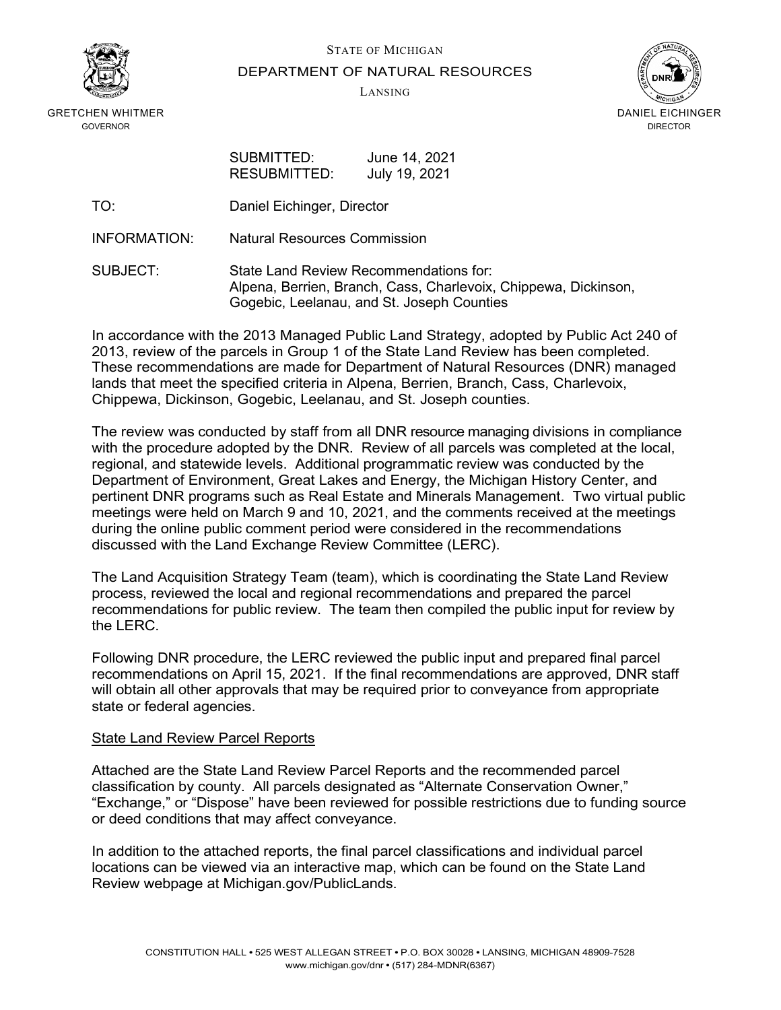

STATE OF MICHIGAN

#### DEPARTMENT OF NATURAL RESOURCES

LANSING



GRETCHEN WHITMER GOVERNOR

| SUBMITTED:   | June 14, 2021 |
|--------------|---------------|
| RESUBMITTED: | July 19, 2021 |

- TO: Daniel Eichinger, Director
- INFORMATION: Natural Resources Commission

SUBJECT: State Land Review Recommendations for: Alpena, Berrien, Branch, Cass, Charlevoix, Chippewa, Dickinson, Gogebic, Leelanau, and St. Joseph Counties

In accordance with the 2013 Managed Public Land Strategy, adopted by Public Act 240 of 2013, review of the parcels in Group 1 of the State Land Review has been completed. These recommendations are made for Department of Natural Resources (DNR) managed lands that meet the specified criteria in Alpena, Berrien, Branch, Cass, Charlevoix, Chippewa, Dickinson, Gogebic, Leelanau, and St. Joseph counties.

The review was conducted by staff from all DNR resource managing divisions in compliance with the procedure adopted by the DNR. Review of all parcels was completed at the local, regional, and statewide levels. Additional programmatic review was conducted by the Department of Environment, Great Lakes and Energy, the Michigan History Center, and pertinent DNR programs such as Real Estate and Minerals Management. Two virtual public meetings were held on March 9 and 10, 2021, and the comments received at the meetings during the online public comment period were considered in the recommendations discussed with the Land Exchange Review Committee (LERC).

The Land Acquisition Strategy Team (team), which is coordinating the State Land Review process, reviewed the local and regional recommendations and prepared the parcel recommendations for public review. The team then compiled the public input for review by the LERC.

Following DNR procedure, the LERC reviewed the public input and prepared final parcel recommendations on April 15, 2021. If the final recommendations are approved, DNR staff will obtain all other approvals that may be required prior to conveyance from appropriate state or federal agencies.

#### State Land Review Parcel Reports

Attached are the State Land Review Parcel Reports and the recommended parcel classification by county. All parcels designated as "Alternate Conservation Owner," "Exchange," or "Dispose" have been reviewed for possible restrictions due to funding source or deed conditions that may affect conveyance.

In addition to the attached reports, the final parcel classifications and individual parcel locations can be viewed via an interactive map, which can be found on the State Land Review webpage at [Michigan.gov/PublicLands.](https://www.michigan.gov/dnr/0,4570,7-350-79136_79262---,00.html)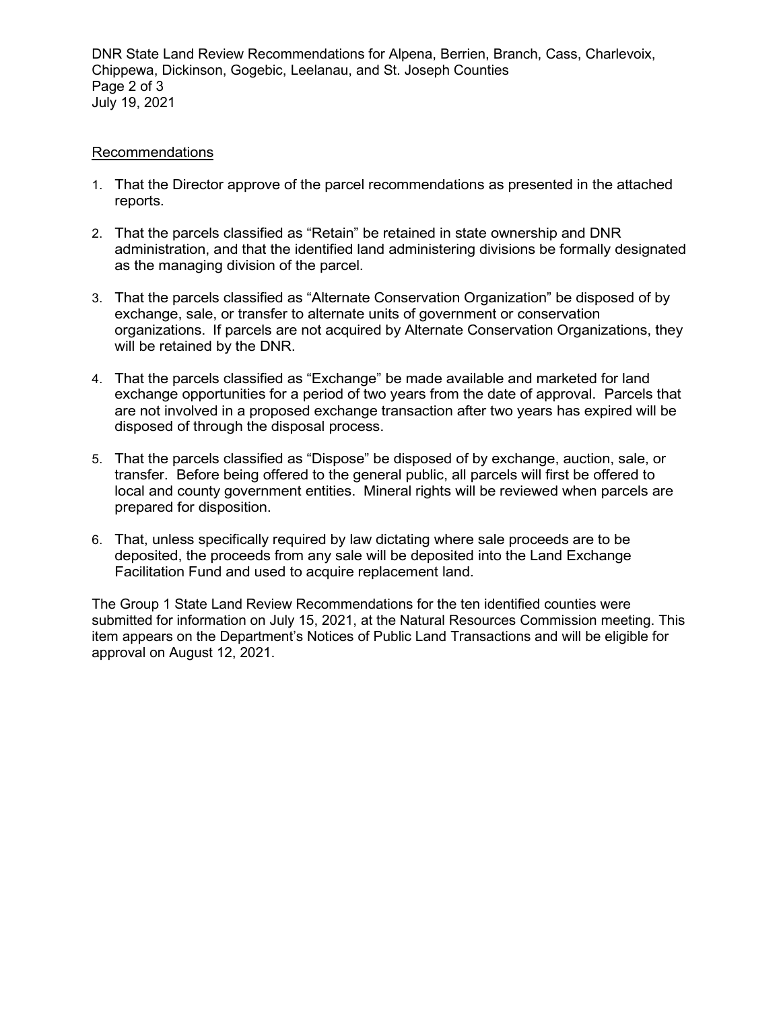DNR State Land Review Recommendations for Alpena, Berrien, Branch, Cass, Charlevoix, Chippewa, Dickinson, Gogebic, Leelanau, and St. Joseph Counties Page 2 of 3 July 19, 2021

#### Recommendations

- 1. That the Director approve of the parcel recommendations as presented in the attached reports.
- 2. That the parcels classified as "Retain" be retained in state ownership and DNR administration, and that the identified land administering divisions be formally designated as the managing division of the parcel.
- 3. That the parcels classified as "Alternate Conservation Organization" be disposed of by exchange, sale, or transfer to alternate units of government or conservation organizations. If parcels are not acquired by Alternate Conservation Organizations, they will be retained by the DNR.
- 4. That the parcels classified as "Exchange" be made available and marketed for land exchange opportunities for a period of two years from the date of approval. Parcels that are not involved in a proposed exchange transaction after two years has expired will be disposed of through the disposal process.
- 5. That the parcels classified as "Dispose" be disposed of by exchange, auction, sale, or transfer. Before being offered to the general public, all parcels will first be offered to local and county government entities. Mineral rights will be reviewed when parcels are prepared for disposition.
- 6. That, unless specifically required by law dictating where sale proceeds are to be deposited, the proceeds from any sale will be deposited into the Land Exchange Facilitation Fund and used to acquire replacement land.

The Group 1 State Land Review Recommendations for the ten identified counties were submitted for information on July 15, 2021, at the Natural Resources Commission meeting. This item appears on the Department's Notices of Public Land Transactions and will be eligible for approval on August 12, 2021.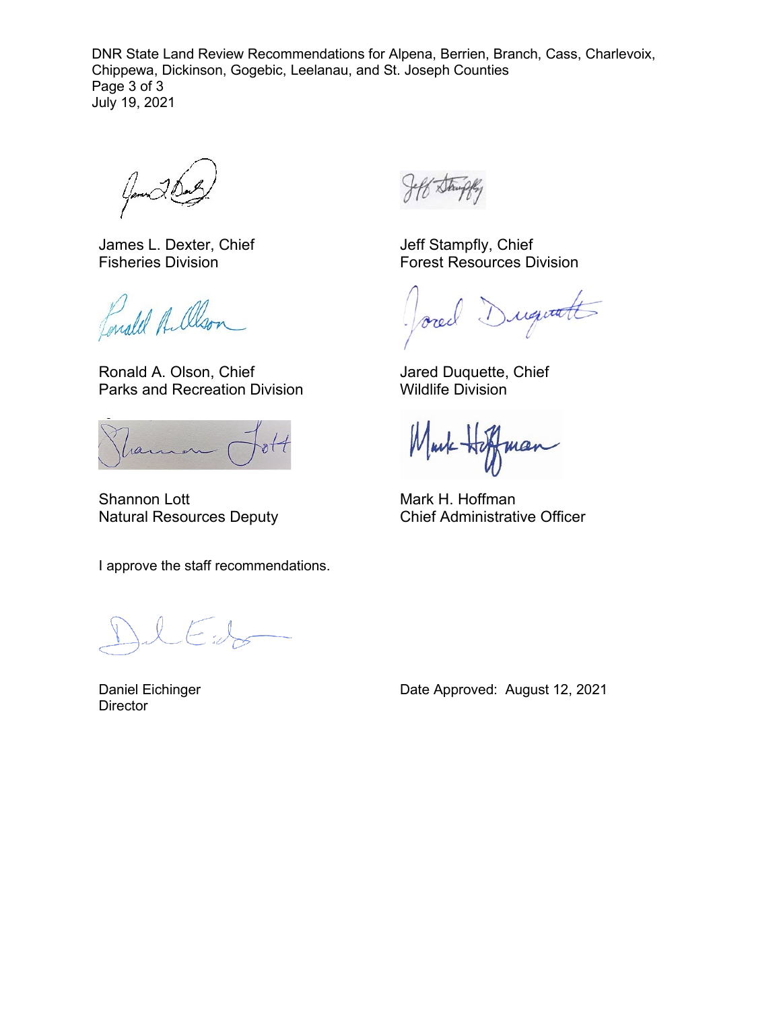DNR State Land Review Recommendations for Alpena, Berrien, Branch, Cass, Charlevoix, Chippewa, Dickinson, Gogebic, Leelanau, and St. Joseph Counties Page 3 of 3 July 19, 2021

Gamer

James L. Dexter, Chief Fisheries Division

Enald Allson

Ronald A. Olson, Chief Parks and Recreation Division

ram

Shannon Lott Natural Resources Deputy

I approve the staff recommendations.

 $\sum_{i=1}^k$ 

Daniel Eichinger **Director** 

Jeff Stampfly, Chief Forest Resources Division

Duquatt ored

Jared Duquette, Chief Wildlife Division

Markman

Mark H. Hoffman Chief Administrative Officer

Date Approved: August 12, 2021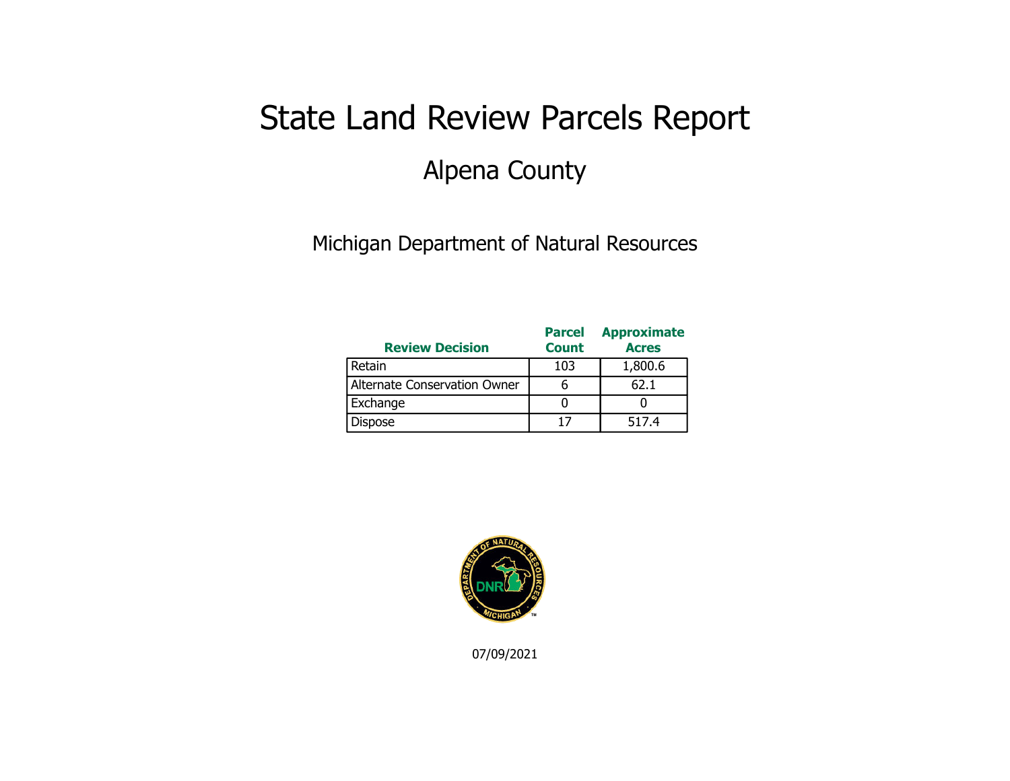# State Land Review Parcels Report Alpena County

Michigan Department of Natural Resources

| <b>Review Decision</b>       | <b>Parcel</b><br><b>Count</b> | <b>Approximate</b><br><b>Acres</b> |
|------------------------------|-------------------------------|------------------------------------|
| Retain                       | 103                           | 1,800.6                            |
| Alternate Conservation Owner |                               | 62.1                               |
| Exchange                     |                               |                                    |
| <b>Dispose</b>               | 17                            | 517.4                              |

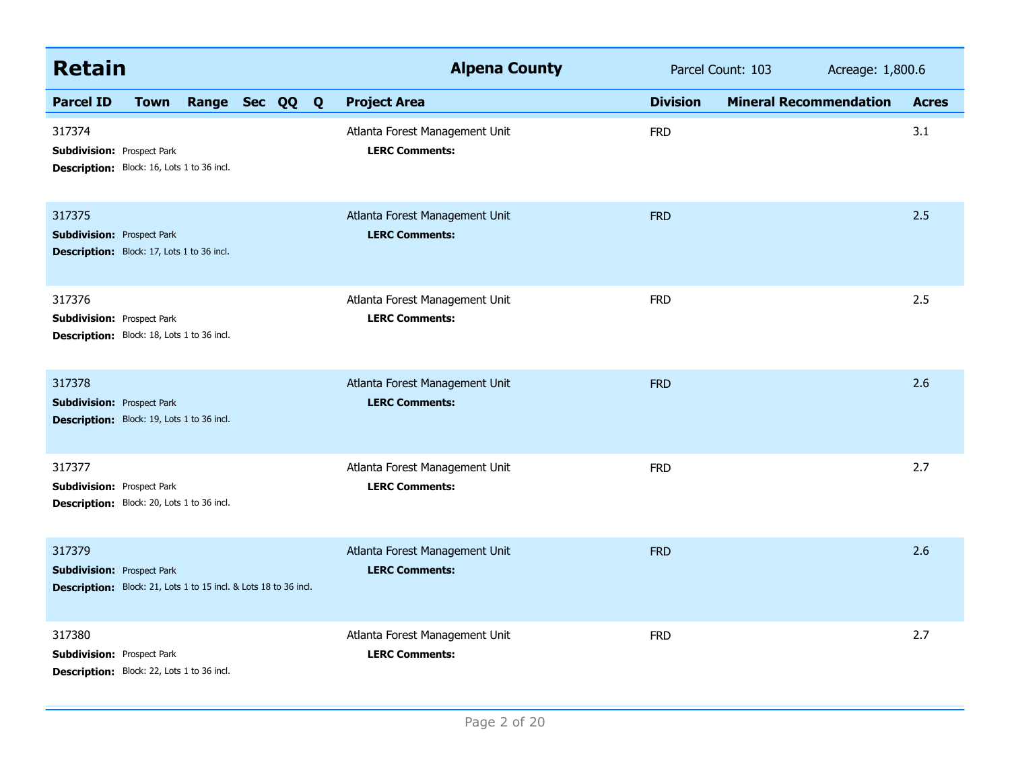| <b>Retain</b>                                                                                                   |             |                |  | <b>Alpena County</b>                                    |                 | Parcel Count: 103             | Acreage: 1,800.6 |              |
|-----------------------------------------------------------------------------------------------------------------|-------------|----------------|--|---------------------------------------------------------|-----------------|-------------------------------|------------------|--------------|
| <b>Parcel ID</b>                                                                                                | <b>Town</b> | Range Sec QQ Q |  | <b>Project Area</b>                                     | <b>Division</b> | <b>Mineral Recommendation</b> |                  | <b>Acres</b> |
| 317374<br><b>Subdivision: Prospect Park</b><br>Description: Block: 16, Lots 1 to 36 incl.                       |             |                |  | Atlanta Forest Management Unit<br><b>LERC Comments:</b> | <b>FRD</b>      |                               |                  | 3.1          |
| 317375<br><b>Subdivision: Prospect Park</b><br><b>Description:</b> Block: 17, Lots 1 to 36 incl.                |             |                |  | Atlanta Forest Management Unit<br><b>LERC Comments:</b> | <b>FRD</b>      |                               |                  | 2.5          |
| 317376<br><b>Subdivision: Prospect Park</b><br>Description: Block: 18, Lots 1 to 36 incl.                       |             |                |  | Atlanta Forest Management Unit<br><b>LERC Comments:</b> | <b>FRD</b>      |                               |                  | 2.5          |
| 317378<br><b>Subdivision: Prospect Park</b><br><b>Description:</b> Block: 19, Lots 1 to 36 incl.                |             |                |  | Atlanta Forest Management Unit<br><b>LERC Comments:</b> | <b>FRD</b>      |                               |                  | 2.6          |
| 317377<br><b>Subdivision: Prospect Park</b><br>Description: Block: 20, Lots 1 to 36 incl.                       |             |                |  | Atlanta Forest Management Unit<br><b>LERC Comments:</b> | <b>FRD</b>      |                               |                  | 2.7          |
| 317379<br><b>Subdivision: Prospect Park</b><br>Description: Block: 21, Lots 1 to 15 incl. & Lots 18 to 36 incl. |             |                |  | Atlanta Forest Management Unit<br><b>LERC Comments:</b> | <b>FRD</b>      |                               |                  | 2.6          |
| 317380<br><b>Subdivision: Prospect Park</b><br>Description: Block: 22, Lots 1 to 36 incl.                       |             |                |  | Atlanta Forest Management Unit<br><b>LERC Comments:</b> | <b>FRD</b>      |                               |                  | 2.7          |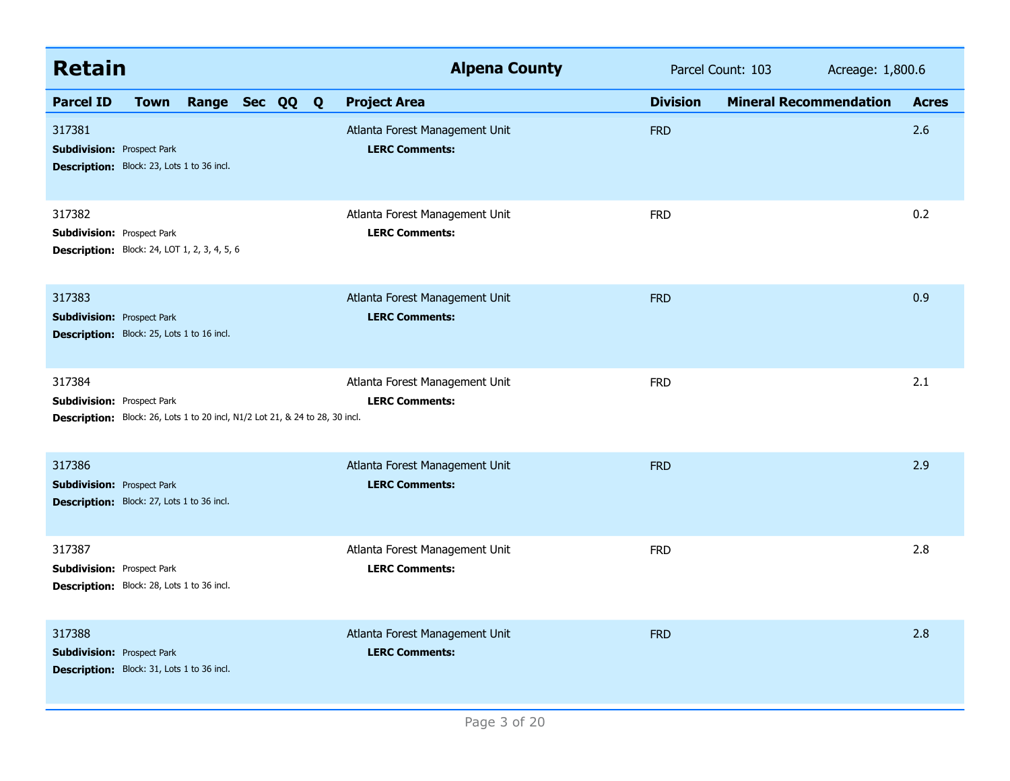| <b>Retain</b>                                                                                                               | <b>Alpena County</b>                                    | Parcel Count: 103                                | Acreage: 1,800.6 |
|-----------------------------------------------------------------------------------------------------------------------------|---------------------------------------------------------|--------------------------------------------------|------------------|
| <b>Parcel ID</b><br>Range Sec QQ<br><b>Town</b>                                                                             | <b>Project Area</b><br>$\mathbf{Q}$                     | <b>Division</b><br><b>Mineral Recommendation</b> | <b>Acres</b>     |
| 317381<br><b>Subdivision: Prospect Park</b><br>Description: Block: 23, Lots 1 to 36 incl.                                   | Atlanta Forest Management Unit<br><b>LERC Comments:</b> | <b>FRD</b>                                       | 2.6              |
| 317382<br><b>Subdivision: Prospect Park</b><br><b>Description:</b> Block: 24, LOT 1, 2, 3, 4, 5, 6                          | Atlanta Forest Management Unit<br><b>LERC Comments:</b> | <b>FRD</b>                                       | 0.2              |
| 317383<br><b>Subdivision: Prospect Park</b><br>Description: Block: 25, Lots 1 to 16 incl.                                   | Atlanta Forest Management Unit<br><b>LERC Comments:</b> | <b>FRD</b>                                       | 0.9              |
| 317384<br><b>Subdivision: Prospect Park</b><br>Description: Block: 26, Lots 1 to 20 incl, N1/2 Lot 21, & 24 to 28, 30 incl. | Atlanta Forest Management Unit<br><b>LERC Comments:</b> | <b>FRD</b>                                       | 2.1              |
| 317386<br><b>Subdivision: Prospect Park</b><br>Description: Block: 27, Lots 1 to 36 incl.                                   | Atlanta Forest Management Unit<br><b>LERC Comments:</b> | <b>FRD</b>                                       | 2.9              |
| 317387<br><b>Subdivision: Prospect Park</b><br>Description: Block: 28, Lots 1 to 36 incl.                                   | Atlanta Forest Management Unit<br><b>LERC Comments:</b> | <b>FRD</b>                                       | 2.8              |
| 317388<br><b>Subdivision: Prospect Park</b><br>Description: Block: 31, Lots 1 to 36 incl.                                   | Atlanta Forest Management Unit<br><b>LERC Comments:</b> | <b>FRD</b>                                       | 2.8              |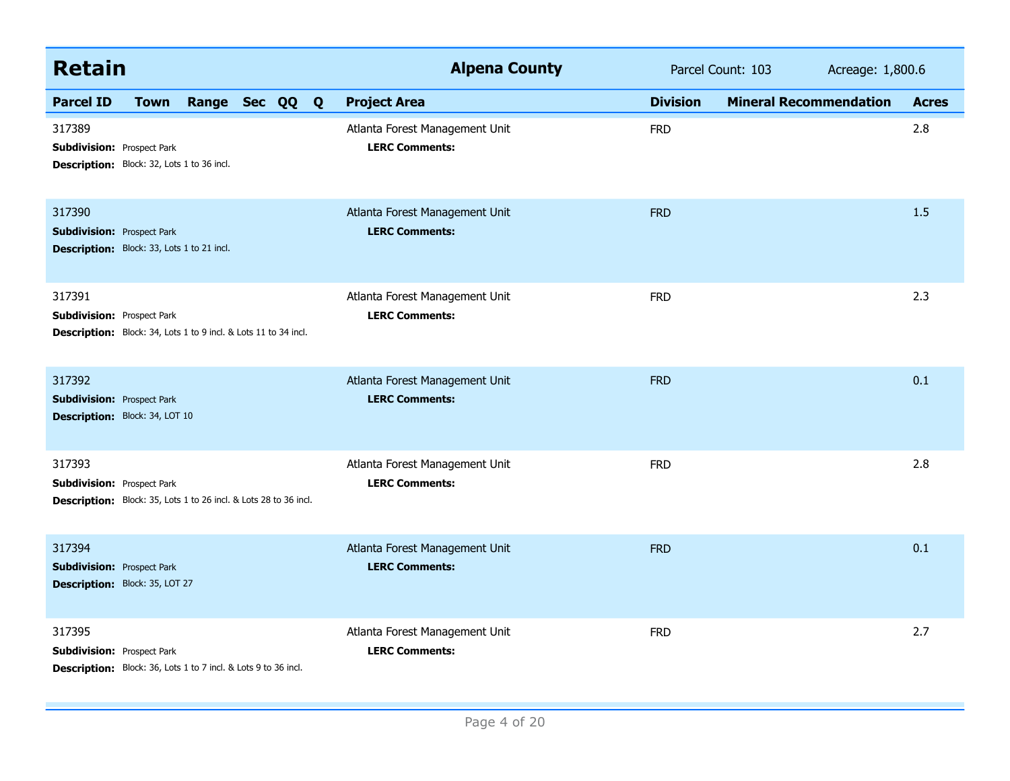| <b>Retain</b>                                                                                                   | <b>Alpena County</b>                                    | Parcel Count: 103                                | Acreage: 1,800.6 |
|-----------------------------------------------------------------------------------------------------------------|---------------------------------------------------------|--------------------------------------------------|------------------|
| Range Sec QQ Q<br><b>Parcel ID</b><br><b>Town</b>                                                               | <b>Project Area</b>                                     | <b>Division</b><br><b>Mineral Recommendation</b> | <b>Acres</b>     |
| 317389<br><b>Subdivision: Prospect Park</b><br>Description: Block: 32, Lots 1 to 36 incl.                       | Atlanta Forest Management Unit<br><b>LERC Comments:</b> | <b>FRD</b>                                       | 2.8              |
| 317390<br><b>Subdivision: Prospect Park</b><br>Description: Block: 33, Lots 1 to 21 incl.                       | Atlanta Forest Management Unit<br><b>LERC Comments:</b> | <b>FRD</b>                                       | 1.5              |
| 317391<br><b>Subdivision: Prospect Park</b><br>Description: Block: 34, Lots 1 to 9 incl. & Lots 11 to 34 incl.  | Atlanta Forest Management Unit<br><b>LERC Comments:</b> | <b>FRD</b>                                       | 2.3              |
| 317392<br><b>Subdivision: Prospect Park</b><br>Description: Block: 34, LOT 10                                   | Atlanta Forest Management Unit<br><b>LERC Comments:</b> | <b>FRD</b>                                       | 0.1              |
| 317393<br><b>Subdivision: Prospect Park</b><br>Description: Block: 35, Lots 1 to 26 incl. & Lots 28 to 36 incl. | Atlanta Forest Management Unit<br><b>LERC Comments:</b> | <b>FRD</b>                                       | 2.8              |
| 317394<br><b>Subdivision: Prospect Park</b><br>Description: Block: 35, LOT 27                                   | Atlanta Forest Management Unit<br><b>LERC Comments:</b> | <b>FRD</b>                                       | 0.1              |
| 317395<br><b>Subdivision: Prospect Park</b><br>Description: Block: 36, Lots 1 to 7 incl. & Lots 9 to 36 incl.   | Atlanta Forest Management Unit<br><b>LERC Comments:</b> | <b>FRD</b>                                       | 2.7              |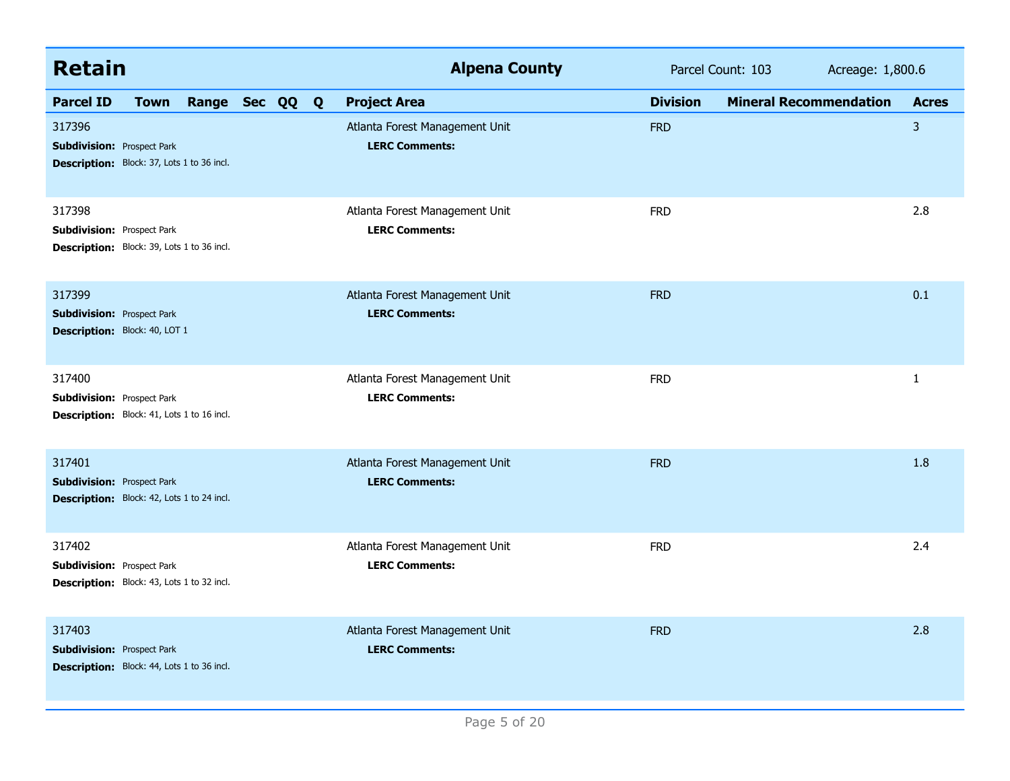| <b>Retain</b>                                                                                    |             |                |  | <b>Alpena County</b>                                    |                 | Parcel Count: 103<br>Acreage: 1,800.6 |              |
|--------------------------------------------------------------------------------------------------|-------------|----------------|--|---------------------------------------------------------|-----------------|---------------------------------------|--------------|
| <b>Parcel ID</b>                                                                                 | <b>Town</b> | Range Sec QQ Q |  | <b>Project Area</b>                                     | <b>Division</b> | <b>Mineral Recommendation</b>         | <b>Acres</b> |
| 317396<br><b>Subdivision: Prospect Park</b><br>Description: Block: 37, Lots 1 to 36 incl.        |             |                |  | Atlanta Forest Management Unit<br><b>LERC Comments:</b> | <b>FRD</b>      |                                       | 3            |
| 317398<br><b>Subdivision: Prospect Park</b><br><b>Description:</b> Block: 39, Lots 1 to 36 incl. |             |                |  | Atlanta Forest Management Unit<br><b>LERC Comments:</b> | <b>FRD</b>      |                                       | 2.8          |
| 317399<br><b>Subdivision: Prospect Park</b><br>Description: Block: 40, LOT 1                     |             |                |  | Atlanta Forest Management Unit<br><b>LERC Comments:</b> | <b>FRD</b>      |                                       | 0.1          |
| 317400<br><b>Subdivision: Prospect Park</b><br>Description: Block: 41, Lots 1 to 16 incl.        |             |                |  | Atlanta Forest Management Unit<br><b>LERC Comments:</b> | <b>FRD</b>      |                                       | $\mathbf{1}$ |
| 317401<br><b>Subdivision: Prospect Park</b><br>Description: Block: 42, Lots 1 to 24 incl.        |             |                |  | Atlanta Forest Management Unit<br><b>LERC Comments:</b> | <b>FRD</b>      |                                       | 1.8          |
| 317402<br><b>Subdivision: Prospect Park</b><br>Description: Block: 43, Lots 1 to 32 incl.        |             |                |  | Atlanta Forest Management Unit<br><b>LERC Comments:</b> | <b>FRD</b>      |                                       | 2.4          |
| 317403<br><b>Subdivision: Prospect Park</b><br>Description: Block: 44, Lots 1 to 36 incl.        |             |                |  | Atlanta Forest Management Unit<br><b>LERC Comments:</b> | <b>FRD</b>      |                                       | 2.8          |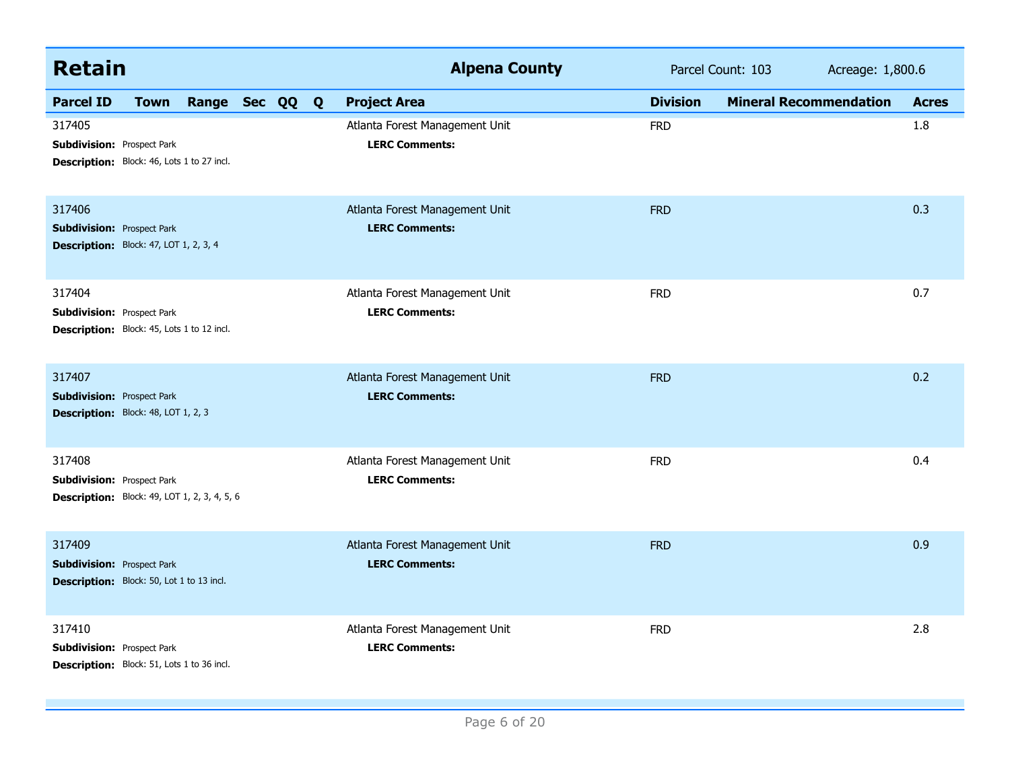| <b>Retain</b>                                                                                      |             |                |  | <b>Alpena County</b>                                    |                 | Parcel Count: 103             | Acreage: 1,800.6 |              |
|----------------------------------------------------------------------------------------------------|-------------|----------------|--|---------------------------------------------------------|-----------------|-------------------------------|------------------|--------------|
| <b>Parcel ID</b>                                                                                   | <b>Town</b> | Range Sec QQ Q |  | <b>Project Area</b>                                     | <b>Division</b> | <b>Mineral Recommendation</b> |                  | <b>Acres</b> |
| 317405<br><b>Subdivision: Prospect Park</b><br>Description: Block: 46, Lots 1 to 27 incl.          |             |                |  | Atlanta Forest Management Unit<br><b>LERC Comments:</b> | <b>FRD</b>      |                               |                  | 1.8          |
| 317406<br><b>Subdivision: Prospect Park</b><br>Description: Block: 47, LOT 1, 2, 3, 4              |             |                |  | Atlanta Forest Management Unit<br><b>LERC Comments:</b> | <b>FRD</b>      |                               |                  | 0.3          |
| 317404<br><b>Subdivision: Prospect Park</b><br>Description: Block: 45, Lots 1 to 12 incl.          |             |                |  | Atlanta Forest Management Unit<br><b>LERC Comments:</b> | <b>FRD</b>      |                               |                  | 0.7          |
| 317407<br><b>Subdivision: Prospect Park</b><br>Description: Block: 48, LOT 1, 2, 3                 |             |                |  | Atlanta Forest Management Unit<br><b>LERC Comments:</b> | <b>FRD</b>      |                               |                  | 0.2          |
| 317408<br><b>Subdivision: Prospect Park</b><br><b>Description:</b> Block: 49, LOT 1, 2, 3, 4, 5, 6 |             |                |  | Atlanta Forest Management Unit<br><b>LERC Comments:</b> | <b>FRD</b>      |                               |                  | 0.4          |
| 317409<br><b>Subdivision: Prospect Park</b><br>Description: Block: 50, Lot 1 to 13 incl.           |             |                |  | Atlanta Forest Management Unit<br><b>LERC Comments:</b> | <b>FRD</b>      |                               |                  | 0.9          |
| 317410<br><b>Subdivision: Prospect Park</b><br>Description: Block: 51, Lots 1 to 36 incl.          |             |                |  | Atlanta Forest Management Unit<br><b>LERC Comments:</b> | <b>FRD</b>      |                               |                  | 2.8          |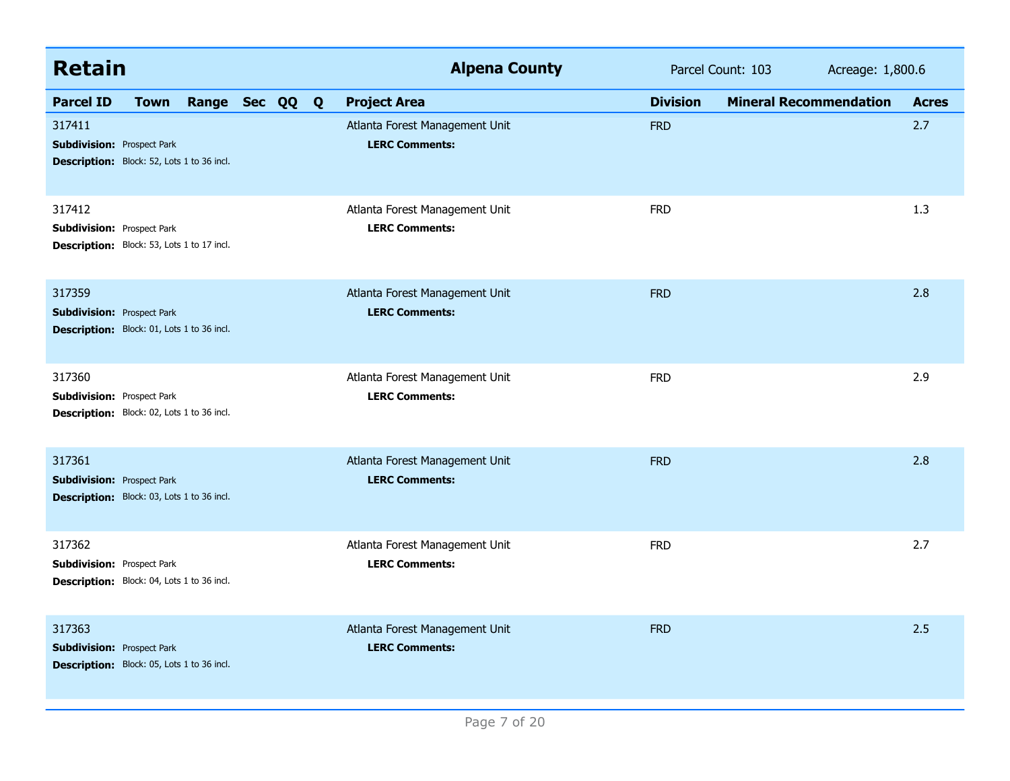| <b>Retain</b>                                                                             |             |                |  | <b>Alpena County</b>                                    |                 | Parcel Count: 103             | Acreage: 1,800.6 |              |
|-------------------------------------------------------------------------------------------|-------------|----------------|--|---------------------------------------------------------|-----------------|-------------------------------|------------------|--------------|
| <b>Parcel ID</b>                                                                          | <b>Town</b> | Range Sec QQ Q |  | <b>Project Area</b>                                     | <b>Division</b> | <b>Mineral Recommendation</b> |                  | <b>Acres</b> |
| 317411<br><b>Subdivision: Prospect Park</b><br>Description: Block: 52, Lots 1 to 36 incl. |             |                |  | Atlanta Forest Management Unit<br><b>LERC Comments:</b> | <b>FRD</b>      |                               |                  | 2.7          |
| 317412<br><b>Subdivision: Prospect Park</b><br>Description: Block: 53, Lots 1 to 17 incl. |             |                |  | Atlanta Forest Management Unit<br><b>LERC Comments:</b> | <b>FRD</b>      |                               |                  | 1.3          |
| 317359<br><b>Subdivision: Prospect Park</b><br>Description: Block: 01, Lots 1 to 36 incl. |             |                |  | Atlanta Forest Management Unit<br><b>LERC Comments:</b> | <b>FRD</b>      |                               |                  | 2.8          |
| 317360<br><b>Subdivision: Prospect Park</b><br>Description: Block: 02, Lots 1 to 36 incl. |             |                |  | Atlanta Forest Management Unit<br><b>LERC Comments:</b> | <b>FRD</b>      |                               |                  | 2.9          |
| 317361<br><b>Subdivision: Prospect Park</b><br>Description: Block: 03, Lots 1 to 36 incl. |             |                |  | Atlanta Forest Management Unit<br><b>LERC Comments:</b> | <b>FRD</b>      |                               |                  | 2.8          |
| 317362<br><b>Subdivision: Prospect Park</b><br>Description: Block: 04, Lots 1 to 36 incl. |             |                |  | Atlanta Forest Management Unit<br><b>LERC Comments:</b> | <b>FRD</b>      |                               |                  | 2.7          |
| 317363<br><b>Subdivision: Prospect Park</b><br>Description: Block: 05, Lots 1 to 36 incl. |             |                |  | Atlanta Forest Management Unit<br><b>LERC Comments:</b> | <b>FRD</b>      |                               |                  | 2.5          |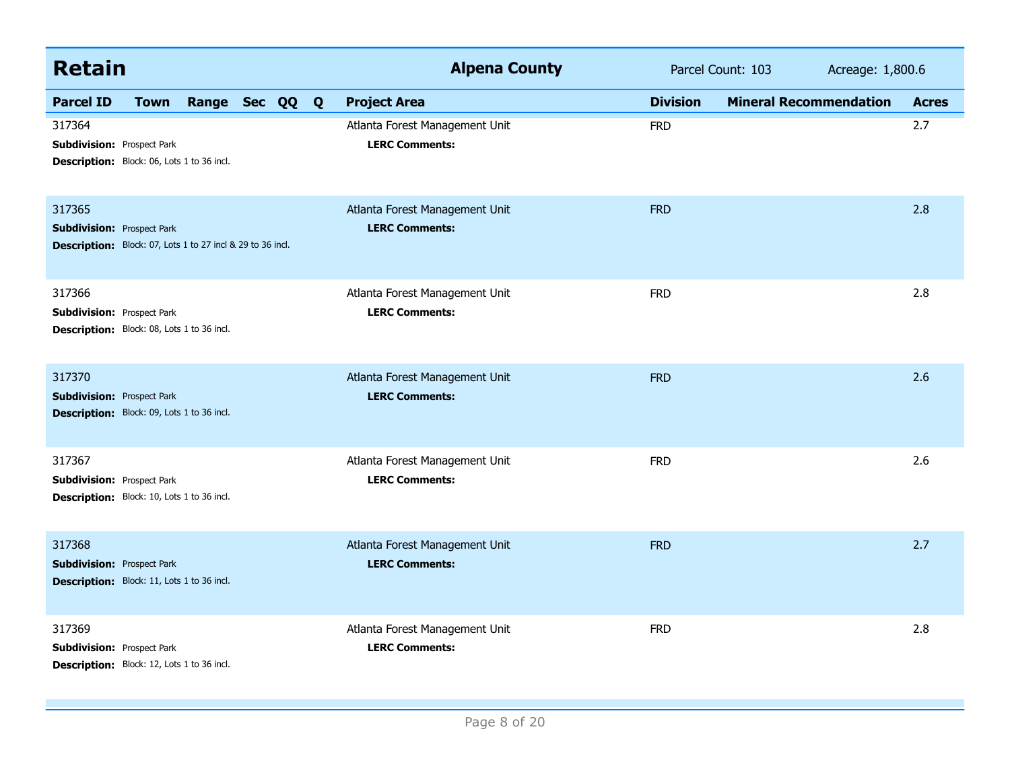| <b>Retain</b>                                                                                             |                | <b>Alpena County</b>                                    |                 | Parcel Count: 103<br>Acreage: 1,800.6 |              |
|-----------------------------------------------------------------------------------------------------------|----------------|---------------------------------------------------------|-----------------|---------------------------------------|--------------|
| <b>Parcel ID</b><br><b>Town</b>                                                                           | Range Sec QQ Q | <b>Project Area</b>                                     | <b>Division</b> | <b>Mineral Recommendation</b>         | <b>Acres</b> |
| 317364<br><b>Subdivision: Prospect Park</b><br>Description: Block: 06, Lots 1 to 36 incl.                 |                | Atlanta Forest Management Unit<br><b>LERC Comments:</b> | <b>FRD</b>      |                                       | 2.7          |
| 317365<br><b>Subdivision: Prospect Park</b><br>Description: Block: 07, Lots 1 to 27 incl & 29 to 36 incl. |                | Atlanta Forest Management Unit<br><b>LERC Comments:</b> | <b>FRD</b>      |                                       | 2.8          |
| 317366<br><b>Subdivision: Prospect Park</b><br>Description: Block: 08, Lots 1 to 36 incl.                 |                | Atlanta Forest Management Unit<br><b>LERC Comments:</b> | <b>FRD</b>      |                                       | 2.8          |
| 317370<br><b>Subdivision: Prospect Park</b><br>Description: Block: 09, Lots 1 to 36 incl.                 |                | Atlanta Forest Management Unit<br><b>LERC Comments:</b> | <b>FRD</b>      |                                       | 2.6          |
| 317367<br><b>Subdivision: Prospect Park</b><br>Description: Block: 10, Lots 1 to 36 incl.                 |                | Atlanta Forest Management Unit<br><b>LERC Comments:</b> | <b>FRD</b>      |                                       | 2.6          |
| 317368<br><b>Subdivision: Prospect Park</b><br>Description: Block: 11, Lots 1 to 36 incl.                 |                | Atlanta Forest Management Unit<br><b>LERC Comments:</b> | <b>FRD</b>      |                                       | 2.7          |
| 317369<br><b>Subdivision: Prospect Park</b><br>Description: Block: 12, Lots 1 to 36 incl.                 |                | Atlanta Forest Management Unit<br><b>LERC Comments:</b> | <b>FRD</b>      |                                       | 2.8          |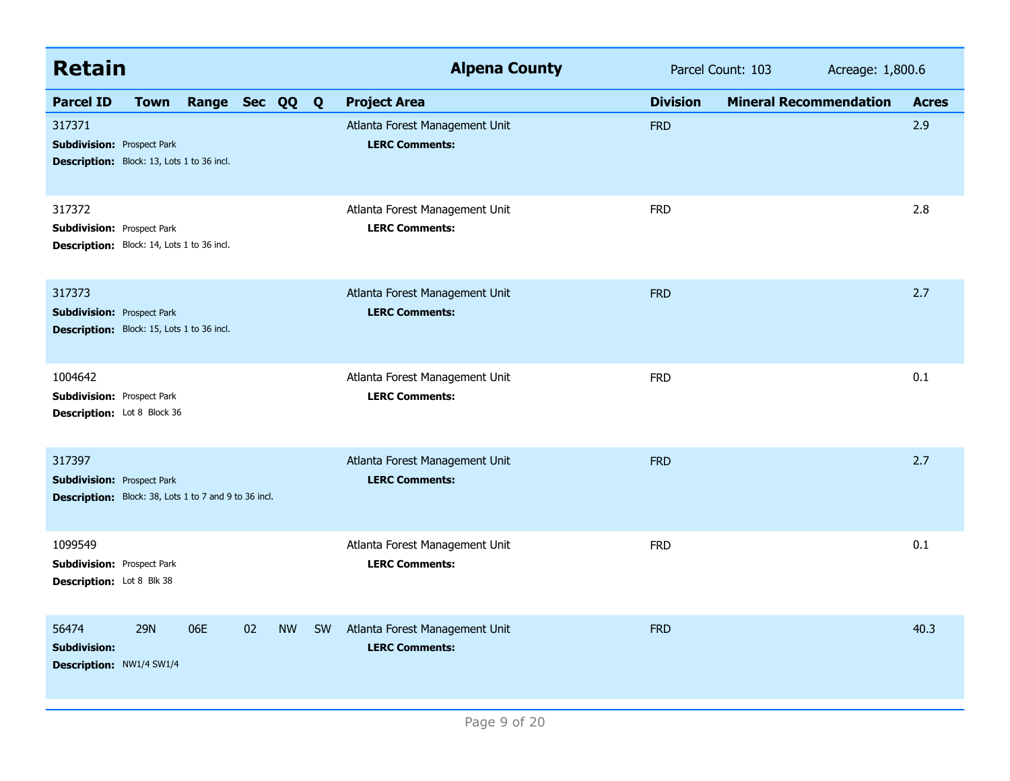| <b>Retain</b>                                                                                        |                |                 |           |           | <b>Alpena County</b>                                    |                 | Parcel Count: 103<br>Acreage: 1,800.6 |              |
|------------------------------------------------------------------------------------------------------|----------------|-----------------|-----------|-----------|---------------------------------------------------------|-----------------|---------------------------------------|--------------|
| <b>Parcel ID</b><br><b>Town</b>                                                                      | Range Sec QQ Q |                 |           |           | <b>Project Area</b>                                     | <b>Division</b> | <b>Mineral Recommendation</b>         | <b>Acres</b> |
| 317371<br><b>Subdivision: Prospect Park</b><br>Description: Block: 13, Lots 1 to 36 incl.            |                |                 |           |           | Atlanta Forest Management Unit<br><b>LERC Comments:</b> | <b>FRD</b>      |                                       | 2.9          |
| 317372<br><b>Subdivision: Prospect Park</b><br>Description: Block: 14, Lots 1 to 36 incl.            |                |                 |           |           | Atlanta Forest Management Unit<br><b>LERC Comments:</b> | <b>FRD</b>      |                                       | 2.8          |
| 317373<br><b>Subdivision: Prospect Park</b><br>Description: Block: 15, Lots 1 to 36 incl.            |                |                 |           |           | Atlanta Forest Management Unit<br><b>LERC Comments:</b> | <b>FRD</b>      |                                       | 2.7          |
| 1004642<br><b>Subdivision: Prospect Park</b><br>Description: Lot 8 Block 36                          |                |                 |           |           | Atlanta Forest Management Unit<br><b>LERC Comments:</b> | <b>FRD</b>      |                                       | 0.1          |
| 317397<br><b>Subdivision: Prospect Park</b><br>Description: Block: 38, Lots 1 to 7 and 9 to 36 incl. |                |                 |           |           | Atlanta Forest Management Unit<br><b>LERC Comments:</b> | <b>FRD</b>      |                                       | 2.7          |
| 1099549<br><b>Subdivision: Prospect Park</b><br>Description: Lot 8 Blk 38                            |                |                 |           |           | Atlanta Forest Management Unit<br><b>LERC Comments:</b> | <b>FRD</b>      |                                       | 0.1          |
| <b>29N</b><br>56474<br><b>Subdivision:</b><br>Description: NW1/4 SW1/4                               | 06E            | 02 <sub>2</sub> | <b>NW</b> | <b>SW</b> | Atlanta Forest Management Unit<br><b>LERC Comments:</b> | <b>FRD</b>      |                                       | 40.3         |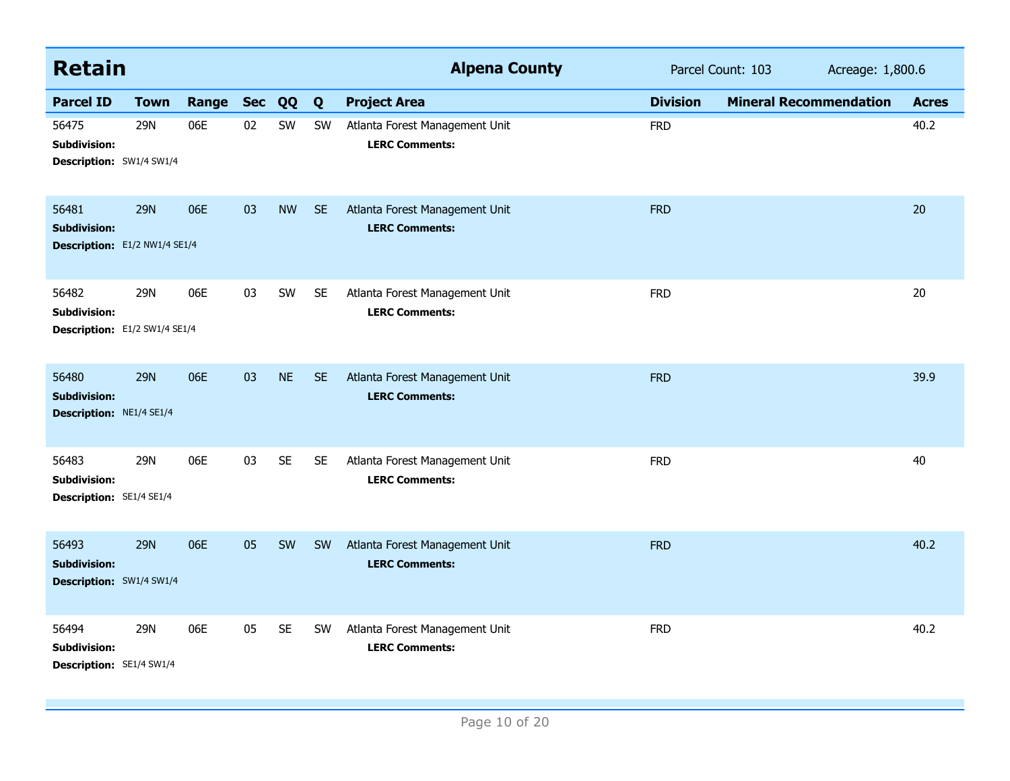| <b>Retain</b>                                                   |             |       |                |           |           | <b>Alpena County</b>                                    |                 | Parcel Count: 103<br>Acreage: 1,800.6 |              |
|-----------------------------------------------------------------|-------------|-------|----------------|-----------|-----------|---------------------------------------------------------|-----------------|---------------------------------------|--------------|
| <b>Parcel ID</b>                                                | <b>Town</b> | Range | <b>Sec</b>     | QQ        | Q         | <b>Project Area</b>                                     | <b>Division</b> | <b>Mineral Recommendation</b>         | <b>Acres</b> |
| 56475<br><b>Subdivision:</b><br>Description: SW1/4 SW1/4        | 29N         | 06E   | 02             | SW        | SW        | Atlanta Forest Management Unit<br><b>LERC Comments:</b> | <b>FRD</b>      |                                       | 40.2         |
| 56481<br><b>Subdivision:</b><br>Description: E1/2 NW1/4 SE1/4   | <b>29N</b>  | 06E   | 0 <sup>3</sup> | <b>NW</b> | <b>SE</b> | Atlanta Forest Management Unit<br><b>LERC Comments:</b> | <b>FRD</b>      |                                       | 20           |
| 56482<br>Subdivision:<br>Description: E1/2 SW1/4 SE1/4          | 29N         | 06E   | 03             | SW        | <b>SE</b> | Atlanta Forest Management Unit<br><b>LERC Comments:</b> | <b>FRD</b>      |                                       | 20           |
| 56480<br><b>Subdivision:</b><br>Description: NE1/4 SE1/4        | <b>29N</b>  | 06E   | 03             | <b>NE</b> | <b>SE</b> | Atlanta Forest Management Unit<br><b>LERC Comments:</b> | <b>FRD</b>      |                                       | 39.9         |
| 56483<br><b>Subdivision:</b><br>Description: SE1/4 SE1/4        | 29N         | 06E   | 03             | <b>SE</b> | <b>SE</b> | Atlanta Forest Management Unit<br><b>LERC Comments:</b> | <b>FRD</b>      |                                       | 40           |
| 56493<br><b>Subdivision:</b><br><b>Description:</b> SW1/4 SW1/4 | <b>29N</b>  | 06E   | 05             | SW        | <b>SW</b> | Atlanta Forest Management Unit<br><b>LERC Comments:</b> | <b>FRD</b>      |                                       | 40.2         |
| 56494<br>Subdivision:<br>Description: SE1/4 SW1/4               | 29N         | 06E   | 05             | <b>SE</b> | <b>SW</b> | Atlanta Forest Management Unit<br><b>LERC Comments:</b> | <b>FRD</b>      |                                       | 40.2         |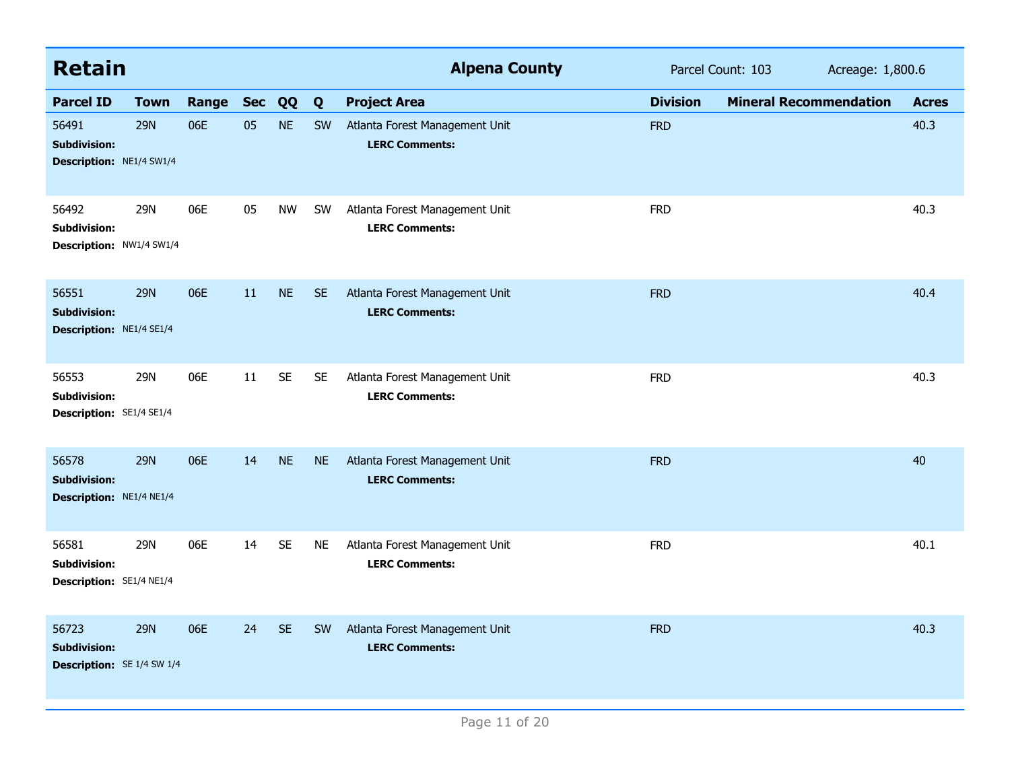| <b>Retain</b>                                                     |             |       |            |           |           | <b>Alpena County</b>                                    |                 | Parcel Count: 103<br>Acreage: 1,800.6 |              |
|-------------------------------------------------------------------|-------------|-------|------------|-----------|-----------|---------------------------------------------------------|-----------------|---------------------------------------|--------------|
| <b>Parcel ID</b>                                                  | <b>Town</b> | Range | <b>Sec</b> | QQ        | Q         | <b>Project Area</b>                                     | <b>Division</b> | <b>Mineral Recommendation</b>         | <b>Acres</b> |
| 56491<br><b>Subdivision:</b><br>Description: NE1/4 SW1/4          | <b>29N</b>  | 06E   | 05         | <b>NE</b> | SW        | Atlanta Forest Management Unit<br><b>LERC Comments:</b> | <b>FRD</b>      |                                       | 40.3         |
| 56492<br><b>Subdivision:</b><br>Description: NW1/4 SW1/4          | 29N         | 06E   | 05         | <b>NW</b> | <b>SW</b> | Atlanta Forest Management Unit<br><b>LERC Comments:</b> | <b>FRD</b>      |                                       | 40.3         |
| 56551<br><b>Subdivision:</b><br>Description: NE1/4 SE1/4          | <b>29N</b>  | 06E   | 11         | <b>NE</b> | <b>SE</b> | Atlanta Forest Management Unit<br><b>LERC Comments:</b> | <b>FRD</b>      |                                       | 40.4         |
| 56553<br><b>Subdivision:</b><br>Description: SE1/4 SE1/4          | 29N         | 06E   | 11         | <b>SE</b> | <b>SE</b> | Atlanta Forest Management Unit<br><b>LERC Comments:</b> | <b>FRD</b>      |                                       | 40.3         |
| 56578<br><b>Subdivision:</b><br>Description: NE1/4 NE1/4          | <b>29N</b>  | 06E   | 14         | <b>NE</b> | <b>NE</b> | Atlanta Forest Management Unit<br><b>LERC Comments:</b> | <b>FRD</b>      |                                       | 40           |
| 56581<br><b>Subdivision:</b><br>Description: SE1/4 NE1/4          | 29N         | 06E   | 14         | <b>SE</b> | <b>NE</b> | Atlanta Forest Management Unit<br><b>LERC Comments:</b> | <b>FRD</b>      |                                       | 40.1         |
| 56723<br><b>Subdivision:</b><br><b>Description:</b> SE 1/4 SW 1/4 | <b>29N</b>  | 06E   | 24         | <b>SE</b> | <b>SW</b> | Atlanta Forest Management Unit<br><b>LERC Comments:</b> | <b>FRD</b>      |                                       | 40.3         |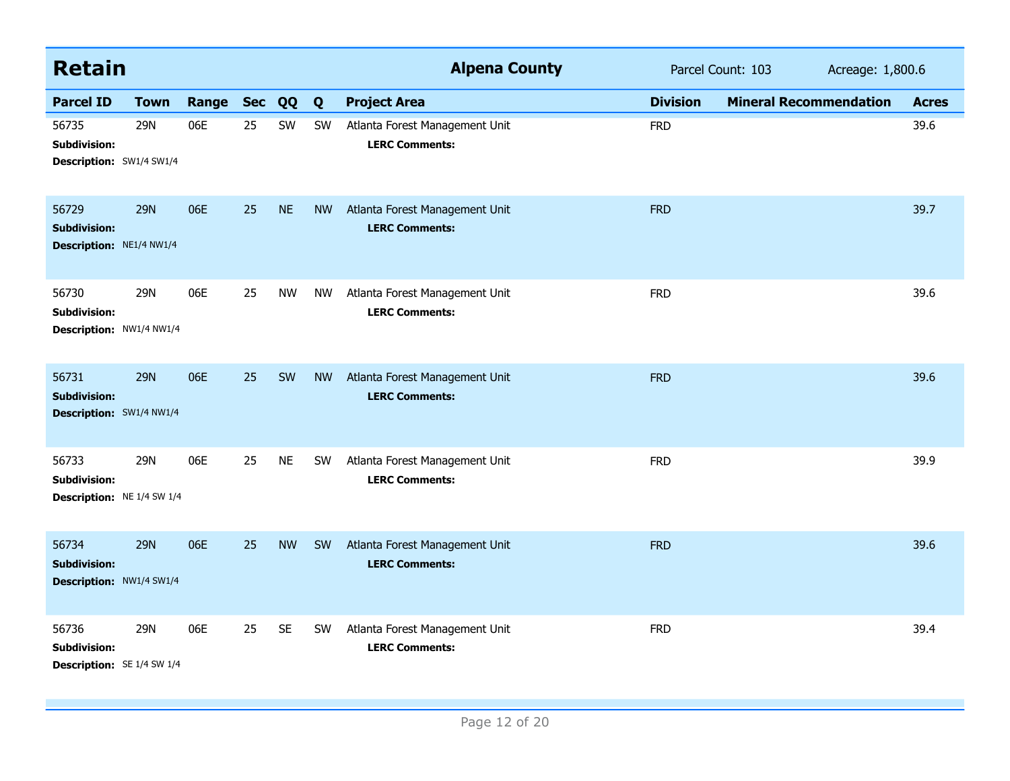| <b>Retain</b>                                                     |             |           |    |           |           | <b>Alpena County</b>                                    |                 | Parcel Count: 103<br>Acreage: 1,800.6 |              |
|-------------------------------------------------------------------|-------------|-----------|----|-----------|-----------|---------------------------------------------------------|-----------------|---------------------------------------|--------------|
| <b>Parcel ID</b>                                                  | <b>Town</b> | Range Sec |    | QQ        | Q         | <b>Project Area</b>                                     | <b>Division</b> | <b>Mineral Recommendation</b>         | <b>Acres</b> |
| 56735<br><b>Subdivision:</b><br>Description: SW1/4 SW1/4          | 29N         | 06E       | 25 | SW        | SW        | Atlanta Forest Management Unit<br><b>LERC Comments:</b> | <b>FRD</b>      |                                       | 39.6         |
| 56729<br><b>Subdivision:</b><br>Description: NE1/4 NW1/4          | <b>29N</b>  | 06E       | 25 | <b>NE</b> | <b>NW</b> | Atlanta Forest Management Unit<br><b>LERC Comments:</b> | <b>FRD</b>      |                                       | 39.7         |
| 56730<br><b>Subdivision:</b><br>Description: NW1/4 NW1/4          | <b>29N</b>  | 06E       | 25 | <b>NW</b> | <b>NW</b> | Atlanta Forest Management Unit<br><b>LERC Comments:</b> | <b>FRD</b>      |                                       | 39.6         |
| 56731<br><b>Subdivision:</b><br>Description: SW1/4 NW1/4          | <b>29N</b>  | 06E       | 25 | SW        | <b>NW</b> | Atlanta Forest Management Unit<br><b>LERC Comments:</b> | <b>FRD</b>      |                                       | 39.6         |
| 56733<br><b>Subdivision:</b><br>Description: NE 1/4 SW 1/4        | <b>29N</b>  | 06E       | 25 | <b>NE</b> | SW        | Atlanta Forest Management Unit<br><b>LERC Comments:</b> | <b>FRD</b>      |                                       | 39.9         |
| 56734<br><b>Subdivision:</b><br>Description: NW1/4 SW1/4          | <b>29N</b>  | 06E       | 25 | <b>NW</b> | SW        | Atlanta Forest Management Unit<br><b>LERC Comments:</b> | <b>FRD</b>      |                                       | 39.6         |
| 56736<br><b>Subdivision:</b><br><b>Description:</b> SE 1/4 SW 1/4 | 29N         | 06E       | 25 | <b>SE</b> | SW        | Atlanta Forest Management Unit<br><b>LERC Comments:</b> | <b>FRD</b>      |                                       | 39.4         |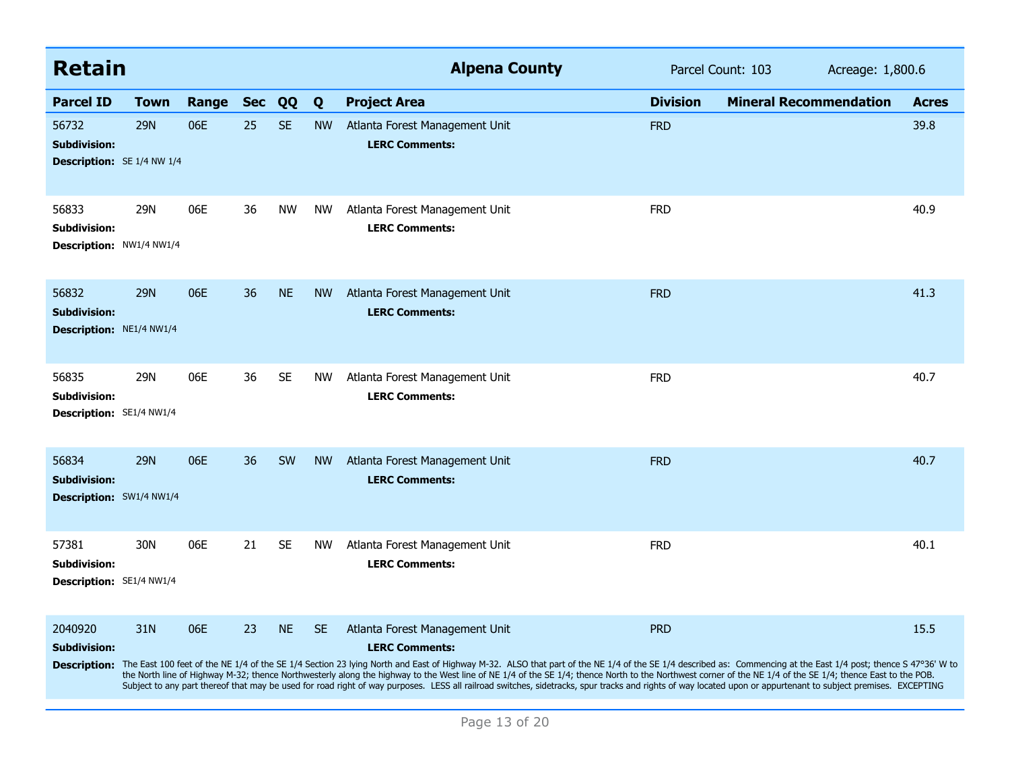| <b>Retain</b>                                                     |             |       |            |           |           | <b>Alpena County</b>                                                                                                                                                                                                                                                                                                                                                                                                                                                                                                                                                                                                                                                                                                 |                 | Parcel Count: 103             | Acreage: 1,800.6 |  |
|-------------------------------------------------------------------|-------------|-------|------------|-----------|-----------|----------------------------------------------------------------------------------------------------------------------------------------------------------------------------------------------------------------------------------------------------------------------------------------------------------------------------------------------------------------------------------------------------------------------------------------------------------------------------------------------------------------------------------------------------------------------------------------------------------------------------------------------------------------------------------------------------------------------|-----------------|-------------------------------|------------------|--|
| <b>Parcel ID</b>                                                  | <b>Town</b> | Range | <b>Sec</b> | QQ        | Q         | <b>Project Area</b>                                                                                                                                                                                                                                                                                                                                                                                                                                                                                                                                                                                                                                                                                                  | <b>Division</b> | <b>Mineral Recommendation</b> | <b>Acres</b>     |  |
| 56732<br><b>Subdivision:</b><br><b>Description:</b> SE 1/4 NW 1/4 | <b>29N</b>  | 06E   | 25         | <b>SE</b> | <b>NW</b> | Atlanta Forest Management Unit<br><b>LERC Comments:</b>                                                                                                                                                                                                                                                                                                                                                                                                                                                                                                                                                                                                                                                              | <b>FRD</b>      |                               | 39.8             |  |
| 56833<br><b>Subdivision:</b><br>Description: NW1/4 NW1/4          | 29N         | 06E   | 36         | <b>NW</b> | <b>NW</b> | Atlanta Forest Management Unit<br><b>LERC Comments:</b>                                                                                                                                                                                                                                                                                                                                                                                                                                                                                                                                                                                                                                                              | <b>FRD</b>      |                               | 40.9             |  |
| 56832<br><b>Subdivision:</b><br><b>Description: NE1/4 NW1/4</b>   | <b>29N</b>  | 06E   | 36         | <b>NE</b> | <b>NW</b> | Atlanta Forest Management Unit<br><b>LERC Comments:</b>                                                                                                                                                                                                                                                                                                                                                                                                                                                                                                                                                                                                                                                              | <b>FRD</b>      |                               | 41.3             |  |
| 56835<br>Subdivision:<br>Description: SE1/4 NW1/4                 | 29N         | 06E   | 36         | <b>SE</b> | <b>NW</b> | Atlanta Forest Management Unit<br><b>LERC Comments:</b>                                                                                                                                                                                                                                                                                                                                                                                                                                                                                                                                                                                                                                                              | <b>FRD</b>      |                               | 40.7             |  |
| 56834<br><b>Subdivision:</b><br>Description: SW1/4 NW1/4          | <b>29N</b>  | 06E   | 36         | <b>SW</b> | <b>NW</b> | Atlanta Forest Management Unit<br><b>LERC Comments:</b>                                                                                                                                                                                                                                                                                                                                                                                                                                                                                                                                                                                                                                                              | <b>FRD</b>      |                               | 40.7             |  |
| 57381<br><b>Subdivision:</b><br>Description: SE1/4 NW1/4          | 30N         | 06E   | 21         | <b>SE</b> | <b>NW</b> | Atlanta Forest Management Unit<br><b>LERC Comments:</b>                                                                                                                                                                                                                                                                                                                                                                                                                                                                                                                                                                                                                                                              | <b>FRD</b>      |                               | 40.1             |  |
| 2040920<br><b>Subdivision:</b>                                    | 31N         | 06E   | 23         | <b>NE</b> | <b>SE</b> | Atlanta Forest Management Unit<br><b>LERC Comments:</b><br>Description: The East 100 feet of the NE 1/4 of the SE 1/4 Section 23 lying North and East of Highway M-32. ALSO that part of the NE 1/4 of the SE 1/4 described as: Commencing at the East 1/4 post; thence S 47°36' W to<br>the North line of Highway M-32; thence Northwesterly along the highway to the West line of NE 1/4 of the SE 1/4; thence North to the Northwest corner of the NE 1/4 of the SE 1/4; thence East to the POB.<br>Subject to any part thereof that may be used for road right of way purposes. LESS all railroad switches, sidetracks, spur tracks and rights of way located upon or appurtenant to subject premises. EXCEPTING | <b>PRD</b>      |                               | 15.5             |  |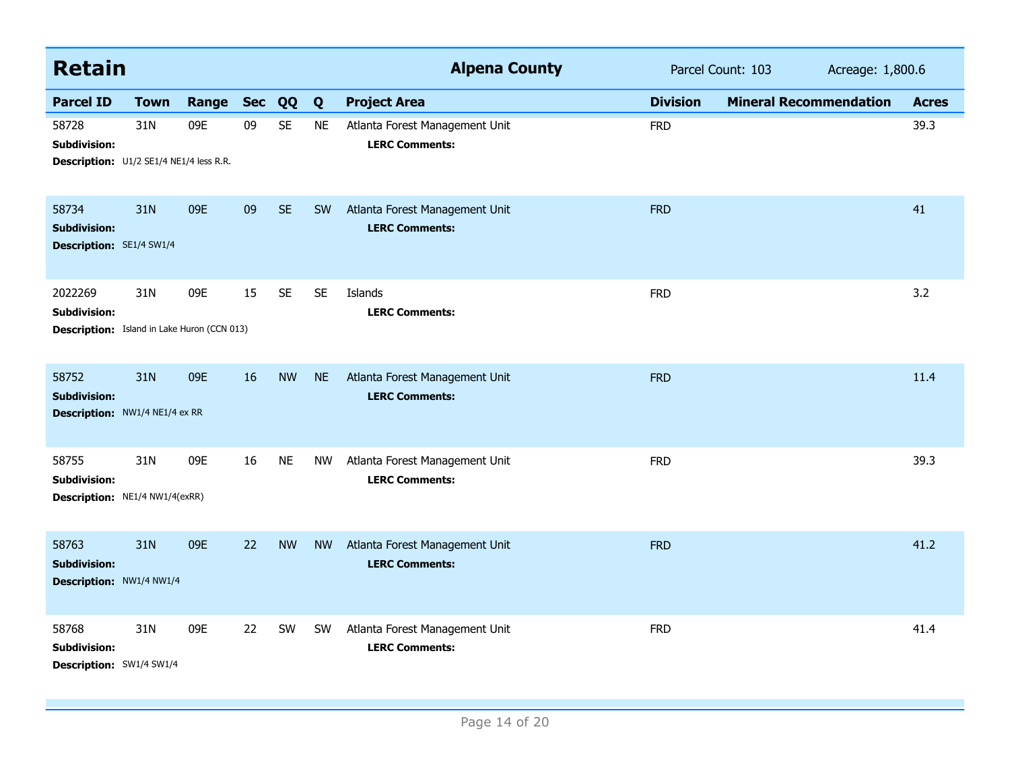| <b>Retain</b>                                                                        |             |           |    |           |           | <b>Alpena County</b>                                    |                 | Parcel Count: 103<br>Acreage: 1,800.6 |  |              |
|--------------------------------------------------------------------------------------|-------------|-----------|----|-----------|-----------|---------------------------------------------------------|-----------------|---------------------------------------|--|--------------|
| <b>Parcel ID</b>                                                                     | <b>Town</b> | Range Sec |    | QQ        | Q         | <b>Project Area</b>                                     | <b>Division</b> | <b>Mineral Recommendation</b>         |  | <b>Acres</b> |
| 58728<br><b>Subdivision:</b><br>Description: U1/2 SE1/4 NE1/4 less R.R.              | 31N         | 09E       | 09 | <b>SE</b> | <b>NE</b> | Atlanta Forest Management Unit<br><b>LERC Comments:</b> | <b>FRD</b>      |                                       |  | 39.3         |
| 58734<br><b>Subdivision:</b><br><b>Description: SE1/4 SW1/4</b>                      | 31N         | 09E       | 09 | <b>SE</b> | SW        | Atlanta Forest Management Unit<br><b>LERC Comments:</b> | <b>FRD</b>      |                                       |  | 41           |
| 2022269<br><b>Subdivision:</b><br><b>Description:</b> Island in Lake Huron (CCN 013) | 31N         | 09E       | 15 | <b>SE</b> | <b>SE</b> | Islands<br><b>LERC Comments:</b>                        | <b>FRD</b>      |                                       |  | 3.2          |
| 58752<br><b>Subdivision:</b><br><b>Description: NW1/4 NE1/4 ex RR</b>                | 31N         | 09E       | 16 | <b>NW</b> | <b>NE</b> | Atlanta Forest Management Unit<br><b>LERC Comments:</b> | <b>FRD</b>      |                                       |  | 11.4         |
| 58755<br><b>Subdivision:</b><br>Description: NE1/4 NW1/4(exRR)                       | 31N         | 09E       | 16 | <b>NE</b> | <b>NW</b> | Atlanta Forest Management Unit<br><b>LERC Comments:</b> | <b>FRD</b>      |                                       |  | 39.3         |
| 58763<br><b>Subdivision:</b><br>Description: NW1/4 NW1/4                             | 31N         | 09E       | 22 | <b>NW</b> | <b>NW</b> | Atlanta Forest Management Unit<br><b>LERC Comments:</b> | <b>FRD</b>      |                                       |  | 41.2         |
| 58768<br><b>Subdivision:</b><br>Description: SW1/4 SW1/4                             | 31N         | 09E       | 22 | <b>SW</b> | <b>SW</b> | Atlanta Forest Management Unit<br><b>LERC Comments:</b> | <b>FRD</b>      |                                       |  | 41.4         |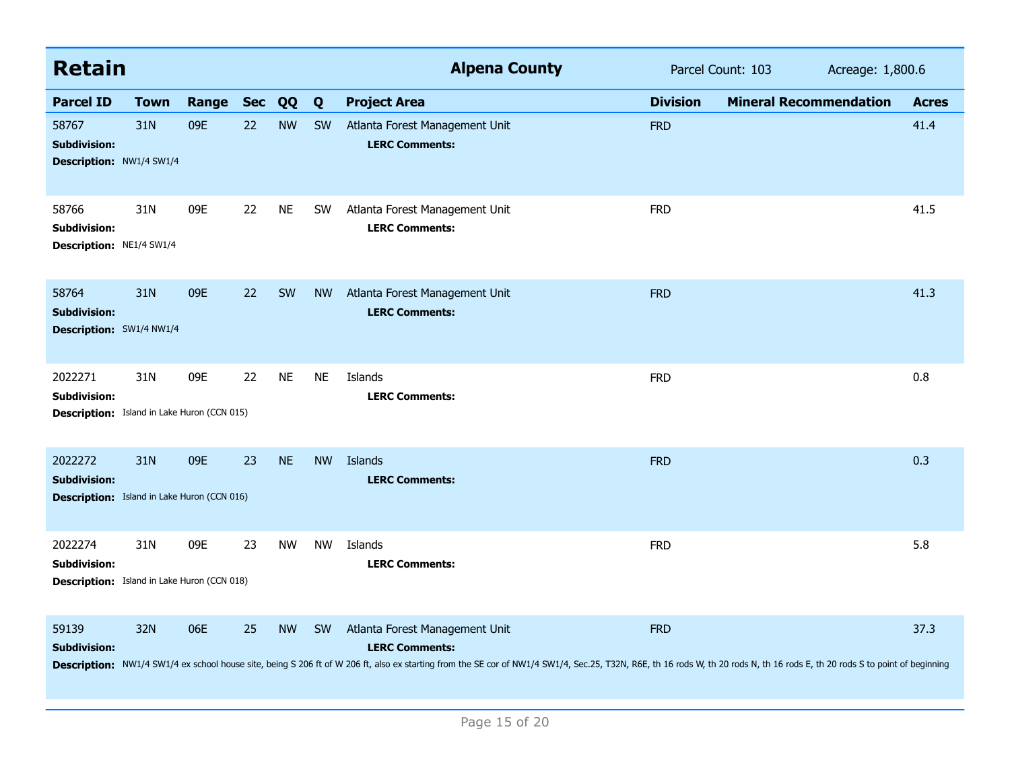| <b>Retain</b>                                                                        |             |       |            |           |           | <b>Alpena County</b>                                                                                                                                                                                                                                                                   |                 | Parcel Count: 103             | Acreage: 1,800.6 |  |
|--------------------------------------------------------------------------------------|-------------|-------|------------|-----------|-----------|----------------------------------------------------------------------------------------------------------------------------------------------------------------------------------------------------------------------------------------------------------------------------------------|-----------------|-------------------------------|------------------|--|
| <b>Parcel ID</b>                                                                     | <b>Town</b> | Range | <b>Sec</b> | QQ        | Q         | <b>Project Area</b>                                                                                                                                                                                                                                                                    | <b>Division</b> | <b>Mineral Recommendation</b> | <b>Acres</b>     |  |
| 58767<br><b>Subdivision:</b><br>Description: NW1/4 SW1/4                             | 31N         | 09E   | 22         | <b>NW</b> | <b>SW</b> | Atlanta Forest Management Unit<br><b>LERC Comments:</b>                                                                                                                                                                                                                                | <b>FRD</b>      |                               | 41.4             |  |
| 58766<br>Subdivision:<br>Description: NE1/4 SW1/4                                    | 31N         | 09E   | 22         | <b>NE</b> | <b>SW</b> | Atlanta Forest Management Unit<br><b>LERC Comments:</b>                                                                                                                                                                                                                                | <b>FRD</b>      |                               | 41.5             |  |
| 58764<br><b>Subdivision:</b><br>Description: SW1/4 NW1/4                             | 31N         | 09E   | 22         | SW        | <b>NW</b> | Atlanta Forest Management Unit<br><b>LERC Comments:</b>                                                                                                                                                                                                                                | <b>FRD</b>      |                               | 41.3             |  |
| 2022271<br><b>Subdivision:</b><br><b>Description:</b> Island in Lake Huron (CCN 015) | 31N         | 09E   | 22         | <b>NE</b> | <b>NE</b> | Islands<br><b>LERC Comments:</b>                                                                                                                                                                                                                                                       | <b>FRD</b>      |                               | 0.8              |  |
| 2022272<br><b>Subdivision:</b><br><b>Description:</b> Island in Lake Huron (CCN 016) | 31N         | 09E   | 23         | <b>NE</b> | <b>NW</b> | Islands<br><b>LERC Comments:</b>                                                                                                                                                                                                                                                       | <b>FRD</b>      |                               | 0.3              |  |
| 2022274<br>Subdivision:<br><b>Description:</b> Island in Lake Huron (CCN 018)        | 31N         | 09E   | 23         | <b>NW</b> | <b>NW</b> | Islands<br><b>LERC Comments:</b>                                                                                                                                                                                                                                                       | <b>FRD</b>      |                               | 5.8              |  |
| 59139<br><b>Subdivision:</b>                                                         | 32N         | 06E   | 25         | <b>NW</b> | <b>SW</b> | Atlanta Forest Management Unit<br><b>LERC Comments:</b><br>Description: NW1/4 SW1/4 ex school house site, being S 206 ft of W 206 ft, also ex starting from the SE cor of NW1/4 SW1/4, Sec.25, T32N, R6E, th 16 rods W, th 20 rods N, th 16 rods E, th 20 rods S to point of beginning | <b>FRD</b>      |                               | 37.3             |  |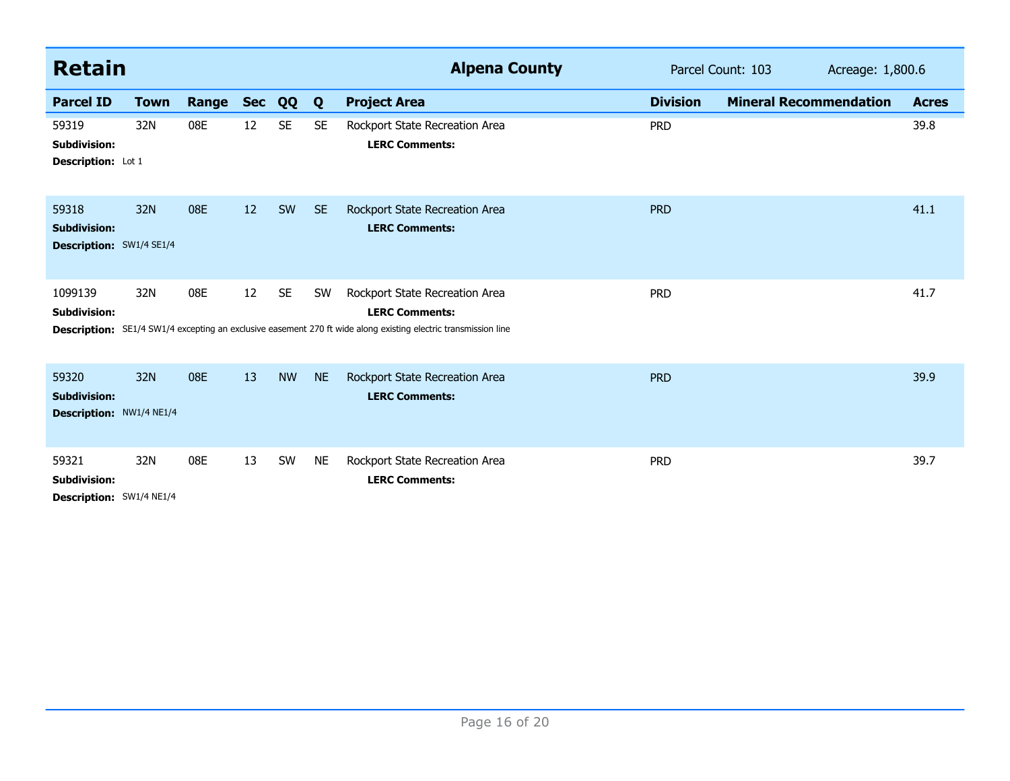| <b>Retain</b>                                            |             |       |            |           |           | <b>Alpena County</b>                                                                                                                                                             |                 | Parcel Count: 103             | Acreage: 1,800.6 |  |
|----------------------------------------------------------|-------------|-------|------------|-----------|-----------|----------------------------------------------------------------------------------------------------------------------------------------------------------------------------------|-----------------|-------------------------------|------------------|--|
| <b>Parcel ID</b>                                         | <b>Town</b> | Range | <b>Sec</b> | QQ        | Q         | <b>Project Area</b>                                                                                                                                                              | <b>Division</b> | <b>Mineral Recommendation</b> | <b>Acres</b>     |  |
| 59319<br><b>Subdivision:</b><br>Description: Lot 1       | 32N         | 08E   | 12         | <b>SE</b> | <b>SE</b> | Rockport State Recreation Area<br><b>LERC Comments:</b>                                                                                                                          | <b>PRD</b>      |                               | 39.8             |  |
| 59318<br><b>Subdivision:</b><br>Description: SW1/4 SE1/4 | 32N         | 08E   | 12         | SW        | <b>SE</b> | Rockport State Recreation Area<br><b>LERC Comments:</b>                                                                                                                          | <b>PRD</b>      |                               | 41.1             |  |
| 1099139<br><b>Subdivision:</b>                           | 32N         | 08E   | 12         | <b>SE</b> | SW        | Rockport State Recreation Area<br><b>LERC Comments:</b><br><b>Description:</b> SE1/4 SW1/4 excepting an exclusive easement 270 ft wide along existing electric transmission line | <b>PRD</b>      |                               | 41.7             |  |
| 59320<br><b>Subdivision:</b><br>Description: NW1/4 NE1/4 | 32N         | 08E   | 13         | <b>NW</b> | <b>NE</b> | Rockport State Recreation Area<br><b>LERC Comments:</b>                                                                                                                          | <b>PRD</b>      |                               | 39.9             |  |
| 59321<br><b>Subdivision:</b><br>Description: SW1/4 NE1/4 | 32N         | 08E   | 13         | SW        | <b>NE</b> | Rockport State Recreation Area<br><b>LERC Comments:</b>                                                                                                                          | <b>PRD</b>      |                               | 39.7             |  |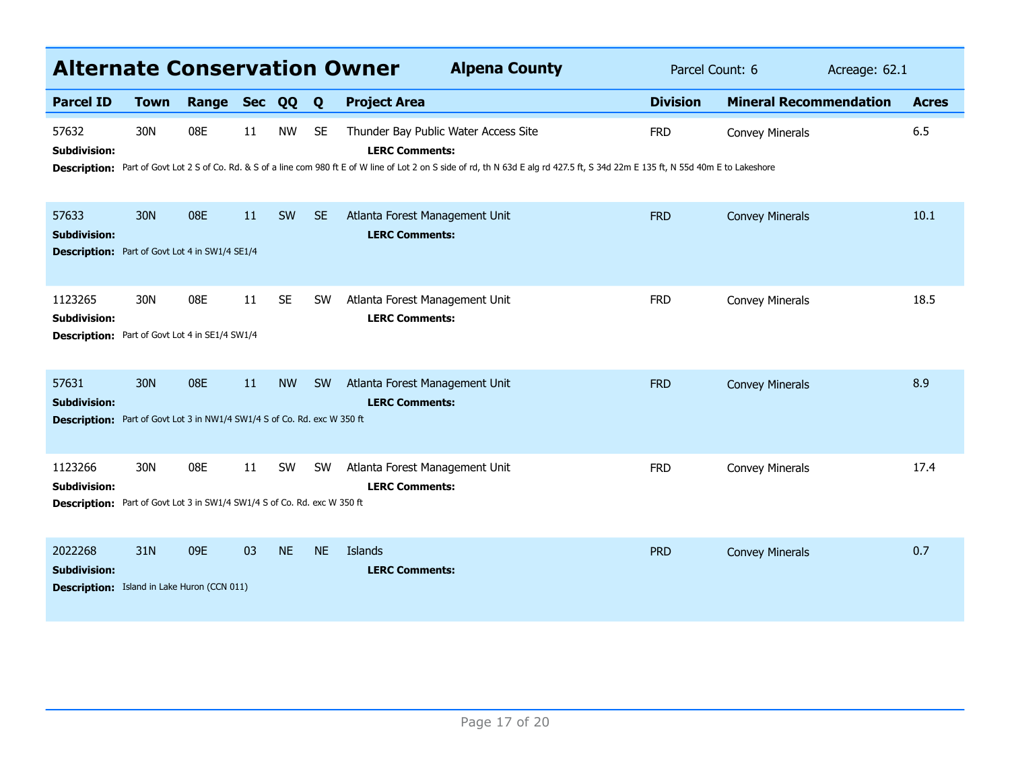| <b>Alternate Conservation Owner</b>                                                                        |             |       |            |           |           | <b>Alpena County</b>                                                                                                                                                                                                                                  | Parcel Count: 6<br>Acreage: 62.1 |                               |  |              |
|------------------------------------------------------------------------------------------------------------|-------------|-------|------------|-----------|-----------|-------------------------------------------------------------------------------------------------------------------------------------------------------------------------------------------------------------------------------------------------------|----------------------------------|-------------------------------|--|--------------|
| <b>Parcel ID</b>                                                                                           | <b>Town</b> | Range | <b>Sec</b> | QQ        | Q         | <b>Project Area</b>                                                                                                                                                                                                                                   | <b>Division</b>                  | <b>Mineral Recommendation</b> |  | <b>Acres</b> |
| 57632<br><b>Subdivision:</b>                                                                               | 30N         | 08E   | 11         | <b>NW</b> | <b>SE</b> | Thunder Bay Public Water Access Site<br><b>LERC Comments:</b><br>Description: Part of Govt Lot 2 S of Co. Rd. & S of a line com 980 ft E of W line of Lot 2 on S side of rd, th N 63d E alg rd 427.5 ft, S 34d 22m E 135 ft, N 55d 40m E to Lakeshore | <b>FRD</b>                       | <b>Convey Minerals</b>        |  | 6.5          |
| 57633<br><b>Subdivision:</b><br><b>Description:</b> Part of Govt Lot 4 in SW1/4 SE1/4                      | 30N         | 08E   | 11         | SW        | <b>SE</b> | Atlanta Forest Management Unit<br><b>LERC Comments:</b>                                                                                                                                                                                               | <b>FRD</b>                       | <b>Convey Minerals</b>        |  | 10.1         |
| 1123265<br><b>Subdivision:</b><br><b>Description:</b> Part of Govt Lot 4 in SE1/4 SW1/4                    | 30N         | 08E   | 11         | <b>SE</b> | SW        | Atlanta Forest Management Unit<br><b>LERC Comments:</b>                                                                                                                                                                                               | <b>FRD</b>                       | <b>Convey Minerals</b>        |  | 18.5         |
| 57631<br><b>Subdivision:</b><br>Description: Part of Govt Lot 3 in NW1/4 SW1/4 S of Co. Rd. exc W 350 ft   | 30N         | 08E   | 11         | <b>NW</b> | <b>SW</b> | Atlanta Forest Management Unit<br><b>LERC Comments:</b>                                                                                                                                                                                               | <b>FRD</b>                       | <b>Convey Minerals</b>        |  | 8.9          |
| 1123266<br><b>Subdivision:</b><br>Description: Part of Govt Lot 3 in SW1/4 SW1/4 S of Co. Rd. exc W 350 ft | 30N         | 08E   | 11         | SW        | <b>SW</b> | Atlanta Forest Management Unit<br><b>LERC Comments:</b>                                                                                                                                                                                               | <b>FRD</b>                       | <b>Convey Minerals</b>        |  | 17.4         |
| 2022268<br><b>Subdivision:</b><br><b>Description:</b> Island in Lake Huron (CCN 011)                       | 31N         | 09E   | 03         | <b>NE</b> | <b>NE</b> | Islands<br><b>LERC Comments:</b>                                                                                                                                                                                                                      | <b>PRD</b>                       | <b>Convey Minerals</b>        |  | 0.7          |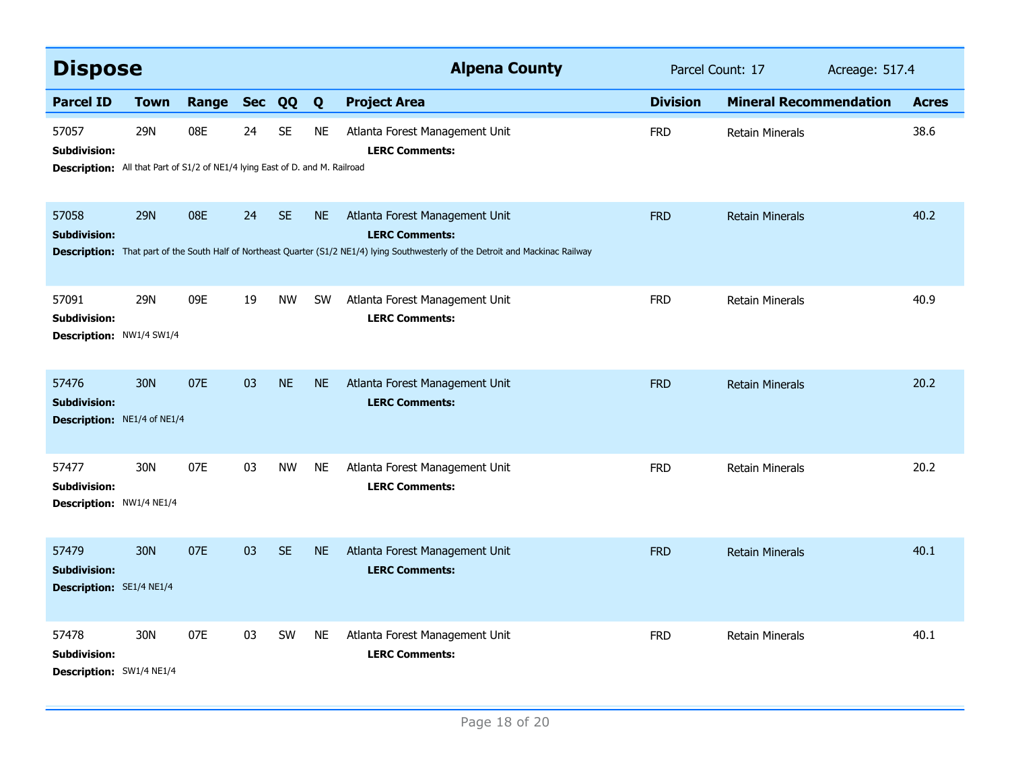| <b>Dispose</b>                                                                                               |                 |           |    |           |           | <b>Alpena County</b>                                                                                                                                                                          | Parcel Count: 17 |                               | Acreage: 517.4 |              |
|--------------------------------------------------------------------------------------------------------------|-----------------|-----------|----|-----------|-----------|-----------------------------------------------------------------------------------------------------------------------------------------------------------------------------------------------|------------------|-------------------------------|----------------|--------------|
| <b>Parcel ID</b>                                                                                             | <b>Town</b>     | Range Sec |    | QQ        | Q         | <b>Project Area</b>                                                                                                                                                                           | <b>Division</b>  | <b>Mineral Recommendation</b> |                | <b>Acres</b> |
| 57057<br><b>Subdivision:</b><br>Description: All that Part of S1/2 of NE1/4 lying East of D. and M. Railroad | 29N             | 08E       | 24 | <b>SE</b> | <b>NE</b> | Atlanta Forest Management Unit<br><b>LERC Comments:</b>                                                                                                                                       | <b>FRD</b>       | <b>Retain Minerals</b>        |                | 38.6         |
| 57058<br><b>Subdivision:</b>                                                                                 | <b>29N</b>      | 08E       | 24 | <b>SE</b> | <b>NE</b> | Atlanta Forest Management Unit<br><b>LERC Comments:</b><br>Description: That part of the South Half of Northeast Quarter (S1/2 NE1/4) lying Southwesterly of the Detroit and Mackinac Railway | <b>FRD</b>       | <b>Retain Minerals</b>        |                | 40.2         |
| 57091<br><b>Subdivision:</b><br>Description: NW1/4 SW1/4                                                     | <b>29N</b>      | 09E       | 19 | <b>NW</b> | <b>SW</b> | Atlanta Forest Management Unit<br><b>LERC Comments:</b>                                                                                                                                       | <b>FRD</b>       | <b>Retain Minerals</b>        |                | 40.9         |
| 57476<br><b>Subdivision:</b><br>Description: NE1/4 of NE1/4                                                  | 30N             | 07E       | 03 | <b>NE</b> | <b>NE</b> | Atlanta Forest Management Unit<br><b>LERC Comments:</b>                                                                                                                                       | <b>FRD</b>       | <b>Retain Minerals</b>        |                | 20.2         |
| 57477<br><b>Subdivision:</b><br><b>Description: NW1/4 NE1/4</b>                                              | 30N             | 07E       | 03 | <b>NW</b> | <b>NE</b> | Atlanta Forest Management Unit<br><b>LERC Comments:</b>                                                                                                                                       | <b>FRD</b>       | <b>Retain Minerals</b>        |                | 20.2         |
| 57479<br><b>Subdivision:</b><br><b>Description:</b> SE1/4 NE1/4                                              | 30 <sub>N</sub> | 07E       | 03 | <b>SE</b> | <b>NE</b> | Atlanta Forest Management Unit<br><b>LERC Comments:</b>                                                                                                                                       | <b>FRD</b>       | <b>Retain Minerals</b>        |                | 40.1         |
| 57478<br><b>Subdivision:</b><br><b>Description:</b> SW1/4 NE1/4                                              | 30N             | 07E       | 03 | SW        | <b>NE</b> | Atlanta Forest Management Unit<br><b>LERC Comments:</b>                                                                                                                                       | <b>FRD</b>       | <b>Retain Minerals</b>        |                | 40.1         |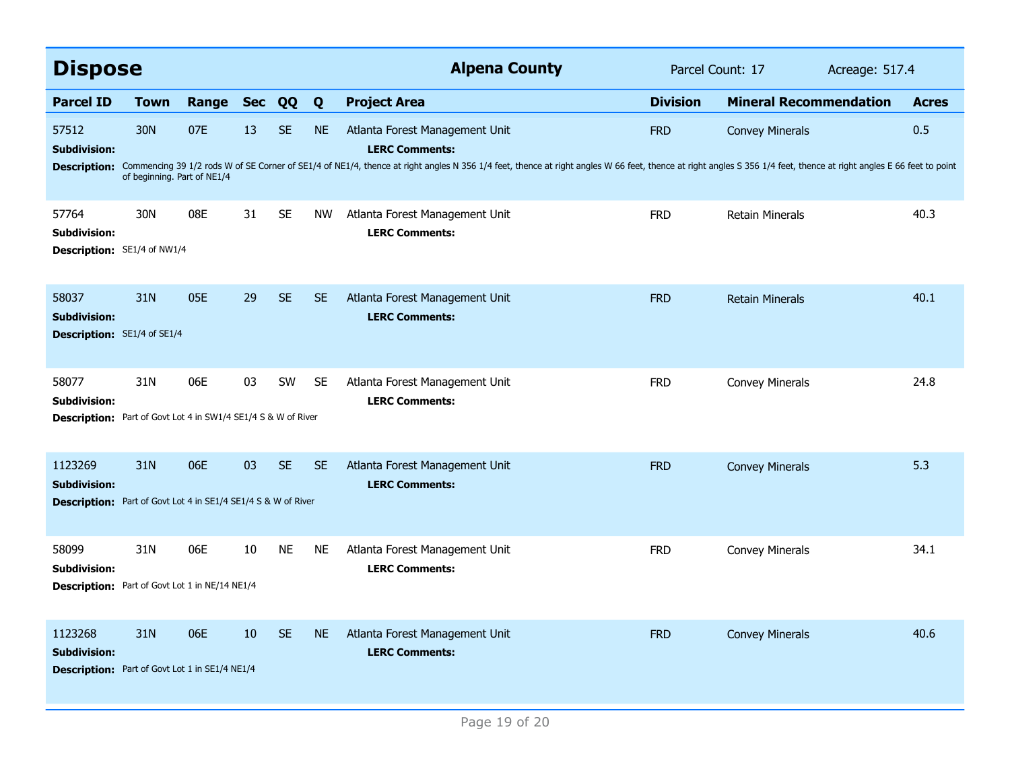| <b>Dispose</b>                                                       |                             |       |                |           |           | <b>Alpena County</b>                                                                                                                                                                                                           | Parcel Count: 17<br>Acreage: 517.4 |                               |  |              |
|----------------------------------------------------------------------|-----------------------------|-------|----------------|-----------|-----------|--------------------------------------------------------------------------------------------------------------------------------------------------------------------------------------------------------------------------------|------------------------------------|-------------------------------|--|--------------|
| <b>Parcel ID</b>                                                     | <b>Town</b>                 | Range | <b>Sec</b>     | QQ        | Q         | <b>Project Area</b>                                                                                                                                                                                                            | <b>Division</b>                    | <b>Mineral Recommendation</b> |  | <b>Acres</b> |
| 57512<br><b>Subdivision:</b>                                         | 30N                         | 07E   | 13             | <b>SE</b> | <b>NE</b> | Atlanta Forest Management Unit<br><b>LERC Comments:</b>                                                                                                                                                                        | <b>FRD</b>                         | <b>Convey Minerals</b>        |  | 0.5          |
|                                                                      | of beginning. Part of NE1/4 |       |                |           |           | Description: Commencing 39 1/2 rods W of SE Corner of SE1/4 of NE1/4, thence at right angles N 356 1/4 feet, thence at right angles W 66 feet, thence at right angles S 356 1/4 feet, thence at right angles E 66 feet to poin |                                    |                               |  |              |
| 57764<br><b>Subdivision:</b>                                         | 30N                         | 08E   | 31             | <b>SE</b> | <b>NW</b> | Atlanta Forest Management Unit<br><b>LERC Comments:</b>                                                                                                                                                                        | <b>FRD</b>                         | <b>Retain Minerals</b>        |  | 40.3         |
| Description: SE1/4 of NW1/4                                          |                             |       |                |           |           |                                                                                                                                                                                                                                |                                    |                               |  |              |
| 58037<br><b>Subdivision:</b>                                         | 31N                         | 05E   | 29             | <b>SE</b> | <b>SE</b> | Atlanta Forest Management Unit<br><b>LERC Comments:</b>                                                                                                                                                                        | <b>FRD</b>                         | <b>Retain Minerals</b>        |  | 40.1         |
| <b>Description:</b> SE1/4 of SE1/4                                   |                             |       |                |           |           |                                                                                                                                                                                                                                |                                    |                               |  |              |
| 58077<br><b>Subdivision:</b>                                         | 31N                         | 06E   | 03             | <b>SW</b> | <b>SE</b> | Atlanta Forest Management Unit<br><b>LERC Comments:</b>                                                                                                                                                                        | <b>FRD</b>                         | <b>Convey Minerals</b>        |  | 24.8         |
| <b>Description:</b> Part of Govt Lot 4 in SW1/4 SE1/4 S & W of River |                             |       |                |           |           |                                                                                                                                                                                                                                |                                    |                               |  |              |
| 1123269<br><b>Subdivision:</b>                                       | 31N                         | 06E   | 0 <sup>3</sup> | <b>SE</b> | <b>SE</b> | Atlanta Forest Management Unit<br><b>LERC Comments:</b>                                                                                                                                                                        | <b>FRD</b>                         | <b>Convey Minerals</b>        |  | 5.3          |
| <b>Description:</b> Part of Govt Lot 4 in SE1/4 SE1/4 S & W of River |                             |       |                |           |           |                                                                                                                                                                                                                                |                                    |                               |  |              |
| 58099<br><b>Subdivision:</b>                                         | 31N                         | 06E   | 10             | <b>NE</b> | NE        | Atlanta Forest Management Unit<br><b>LERC Comments:</b>                                                                                                                                                                        | <b>FRD</b>                         | Convey Minerals               |  | 34.1         |
| Description: Part of Govt Lot 1 in NE/14 NE1/4                       |                             |       |                |           |           |                                                                                                                                                                                                                                |                                    |                               |  |              |
| 1123268<br><b>Subdivision:</b>                                       | 31N                         | 06E   | 10             | <b>SE</b> | <b>NE</b> | Atlanta Forest Management Unit<br><b>LERC Comments:</b>                                                                                                                                                                        | <b>FRD</b>                         | <b>Convey Minerals</b>        |  | 40.6         |
| <b>Description:</b> Part of Govt Lot 1 in SE1/4 NE1/4                |                             |       |                |           |           |                                                                                                                                                                                                                                |                                    |                               |  |              |
|                                                                      |                             |       |                |           |           |                                                                                                                                                                                                                                |                                    |                               |  |              |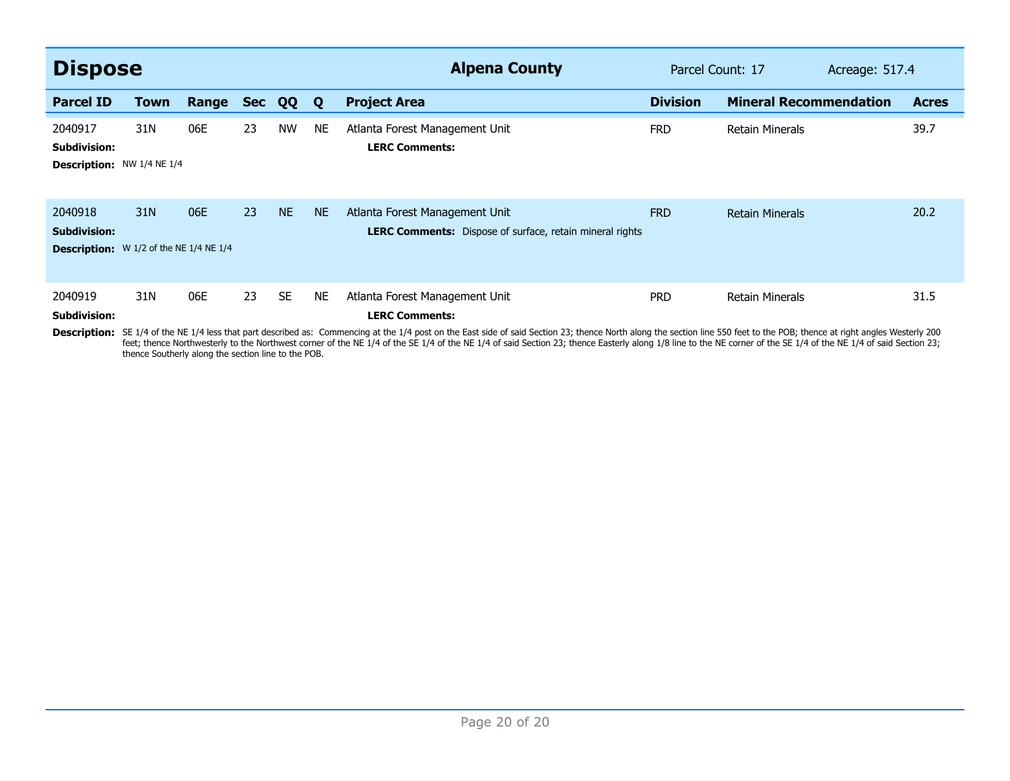| <b>Dispose</b>                                                                         |             |       |            |           |           | <b>Alpena County</b>                                                                                                                                                                                                                                                                   | Parcel Count: 17 |                               | Acreage: 517.4 |              |
|----------------------------------------------------------------------------------------|-------------|-------|------------|-----------|-----------|----------------------------------------------------------------------------------------------------------------------------------------------------------------------------------------------------------------------------------------------------------------------------------------|------------------|-------------------------------|----------------|--------------|
| <b>Parcel ID</b>                                                                       | <b>Town</b> | Range | <b>Sec</b> | QQ        | Q         | <b>Project Area</b>                                                                                                                                                                                                                                                                    | <b>Division</b>  | <b>Mineral Recommendation</b> |                | <b>Acres</b> |
| 2040917<br><b>Subdivision:</b><br><b>Description:</b> NW 1/4 NE 1/4                    | 31N         | 06E   | 23         | <b>NW</b> | <b>NE</b> | Atlanta Forest Management Unit<br><b>LERC Comments:</b>                                                                                                                                                                                                                                | <b>FRD</b>       | <b>Retain Minerals</b>        |                | 39.7         |
| 2040918<br><b>Subdivision:</b><br><b>Description:</b> $W 1/2$ of the NE $1/4$ NE $1/4$ | 31N         | 06E   | 23         | <b>NE</b> | <b>NE</b> | Atlanta Forest Management Unit<br><b>LERC Comments:</b> Dispose of surface, retain mineral rights                                                                                                                                                                                      | <b>FRD</b>       | <b>Retain Minerals</b>        |                | 20.2         |
| 2040919<br><b>Subdivision:</b>                                                         | 31N         | 06E   | 23         | <b>SE</b> | <b>NE</b> | Atlanta Forest Management Unit<br><b>LERC Comments:</b><br>Description: SE 1/4 of the NE 1/4 less that part described as: Commencing at the 1/4 post on the East side of said Section 23; thence North along the section line 550 feet to the POB; thence at right angles Westerly 200 | <b>PRD</b>       | <b>Retain Minerals</b>        |                | 31.5         |

Description: SE 1/4 of the NE 1/4 less that part described as: Commencing at the 1/4 post on the East side of said Section 23; thence North along the section line 550 feet to the POB; thence at right angles Westerly 200 fe thence Southerly along the section line to the POB.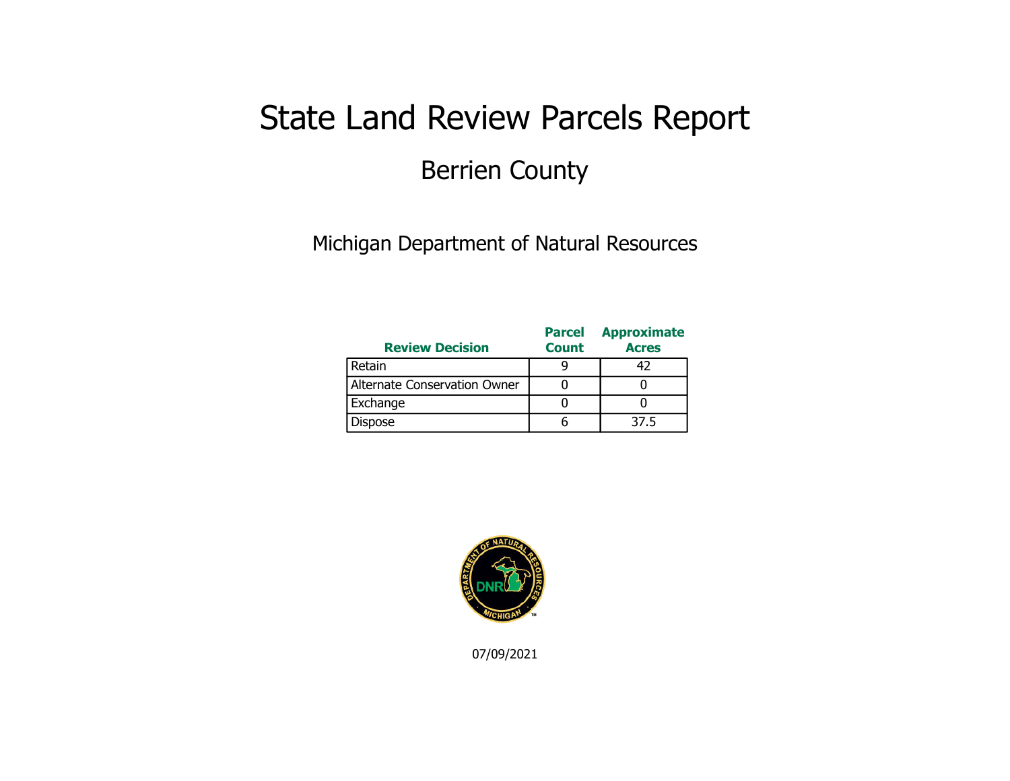### State Land Review Parcels Report Berrien County

Michigan Department of Natural Resources

| <b>Review Decision</b>       | <b>Parcel</b><br><b>Count</b> | <b>Approximate</b><br><b>Acres</b> |
|------------------------------|-------------------------------|------------------------------------|
| Retain                       |                               |                                    |
| Alternate Conservation Owner |                               |                                    |
| Exchange                     |                               |                                    |
| <b>Dispose</b>               |                               | 37.5                               |

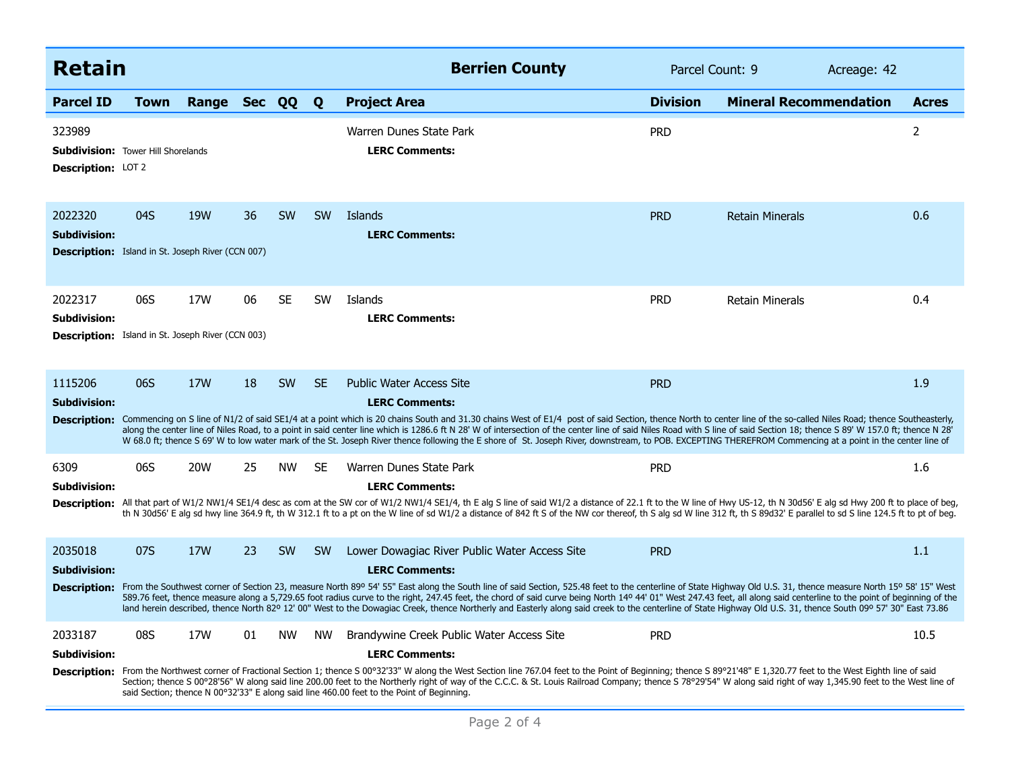| <b>Retain</b>                                                                              |             |            |    |           |           | <b>Berrien County</b>                                                                                                                                                                                                                                                                                                                                                                                                                                                                                                                                                                                                                                                                                                                 | Parcel Count: 9 |                               | Acreage: 42 |                |
|--------------------------------------------------------------------------------------------|-------------|------------|----|-----------|-----------|---------------------------------------------------------------------------------------------------------------------------------------------------------------------------------------------------------------------------------------------------------------------------------------------------------------------------------------------------------------------------------------------------------------------------------------------------------------------------------------------------------------------------------------------------------------------------------------------------------------------------------------------------------------------------------------------------------------------------------------|-----------------|-------------------------------|-------------|----------------|
| <b>Parcel ID</b>                                                                           | <b>Town</b> | Range      |    | Sec QQ    | Q         | <b>Project Area</b>                                                                                                                                                                                                                                                                                                                                                                                                                                                                                                                                                                                                                                                                                                                   | <b>Division</b> | <b>Mineral Recommendation</b> |             | <b>Acres</b>   |
| 323989<br><b>Subdivision:</b> Tower Hill Shorelands<br>Description: LOT 2                  |             |            |    |           |           | Warren Dunes State Park<br><b>LERC Comments:</b>                                                                                                                                                                                                                                                                                                                                                                                                                                                                                                                                                                                                                                                                                      | <b>PRD</b>      |                               |             | $\overline{2}$ |
| 2022320<br><b>Subdivision:</b><br>Description: Island in St. Joseph River (CCN 007)        | 04S         | <b>19W</b> | 36 | <b>SW</b> | <b>SW</b> | Islands<br><b>LERC Comments:</b>                                                                                                                                                                                                                                                                                                                                                                                                                                                                                                                                                                                                                                                                                                      | <b>PRD</b>      | <b>Retain Minerals</b>        |             | 0.6            |
| 2022317<br><b>Subdivision:</b><br><b>Description:</b> Island in St. Joseph River (CCN 003) | 06S         | 17W        | 06 | <b>SE</b> | <b>SW</b> | Islands<br><b>LERC Comments:</b>                                                                                                                                                                                                                                                                                                                                                                                                                                                                                                                                                                                                                                                                                                      | <b>PRD</b>      | <b>Retain Minerals</b>        |             | 0.4            |
| 1115206<br><b>Subdivision:</b>                                                             | 06S         | 17W        | 18 | SW        | <b>SE</b> | <b>Public Water Access Site</b><br><b>LERC Comments:</b><br>Description: Commencing on S line of N1/2 of said SE1/4 at a point which is 20 chains South and 31.30 chains West of E1/4 post of said Section, thence North to center line of the so-called Niles Road; thence Southeasterly,<br>along the center line of Niles Road, to a point in said center line which is 1286.6 ft N 28' W of intersection of the center line of said Niles Road with S line of said Section 18; thence S 89' W 157.0 ft; thence N 28'<br>W 68.0 ft; thence S 69' W to low water mark of the St. Joseph River thence following the E shore of St. Joseph River, downstream, to POB. EXCEPTING THEREFROM Commencing at a point in the center line of | <b>PRD</b>      |                               |             | 1.9            |
| 6309<br><b>Subdivision:</b>                                                                | 06S         | 20W        | 25 | <b>NW</b> | SE.       | Warren Dunes State Park<br><b>LERC Comments:</b><br>Description: All that part of W1/2 NW1/4 SE1/4 desc as com at the SW cor of W1/2 NW1/4 SE1/4, th E alg S line of said W1/2 a distance of 22.1 ft to the W line of Hwy US-12, th N 30d56' E alg sd Hwy 200 ft to place of beg,<br>th N 30d56' E alg sd hwy line 364.9 ft, th W 312.1 ft to a pt on the W line of sd W1/2 a distance of 842 ft S of the NW cor thereof, th S alg sd W line 312 ft, th S 89d32' E parallel to sd S line 124.5 ft to pt of beg.                                                                                                                                                                                                                       | <b>PRD</b>      |                               |             | 1.6            |
| 2035018<br><b>Subdivision:</b><br><b>Description:</b>                                      | 07S         | <b>17W</b> | 23 | SW        | <b>SW</b> | Lower Dowagiac River Public Water Access Site<br><b>LERC Comments:</b><br>From the Southwest corner of Section 23, measure North 89º 54' 55" East along the South line of said Section, 525.48 feet to the centerline of State Highway Old U.S. 31, thence measure North 15º 58' 15" West<br>589.76 feet, thence measure along a 5,729.65 foot radius curve to the right, 247.45 feet, the chord of said curve being North 149 44' 01" West 247.43 feet, all along said centerline to the point of beginning of the<br>land herein described, thence North 82º 12' 00" West to the Dowagiac Creek, thence Northerly and Easterly along said creek to the centerline of State Highway Old U.S. 31, thence South 09º 57' 30" East 73.86 | <b>PRD</b>      |                               |             | 1.1            |
| 2033187<br><b>Subdivision:</b>                                                             | 08S         | 17W        | 01 | <b>NW</b> | <b>NW</b> | Brandywine Creek Public Water Access Site<br><b>LERC Comments:</b><br>Description: From the Northwest corner of Fractional Section 1; thence S 00°32'33" W along the West Section line 767.04 feet to the Point of Beginning; thence S 89°21'48" E 1,320.77 feet to the West Eighth line of said<br>Section; thence S 00°28'56" W along said line 200.00 feet to the Northerly right of way of the C.C.C. & St. Louis Railroad Company; thence S 78°29'54" W along said right of way 1,345.90 feet to the West line of<br>said Section; thence N 00°32'33" E along said line 460.00 feet to the Point of Beginning.                                                                                                                   | <b>PRD</b>      |                               |             | 10.5           |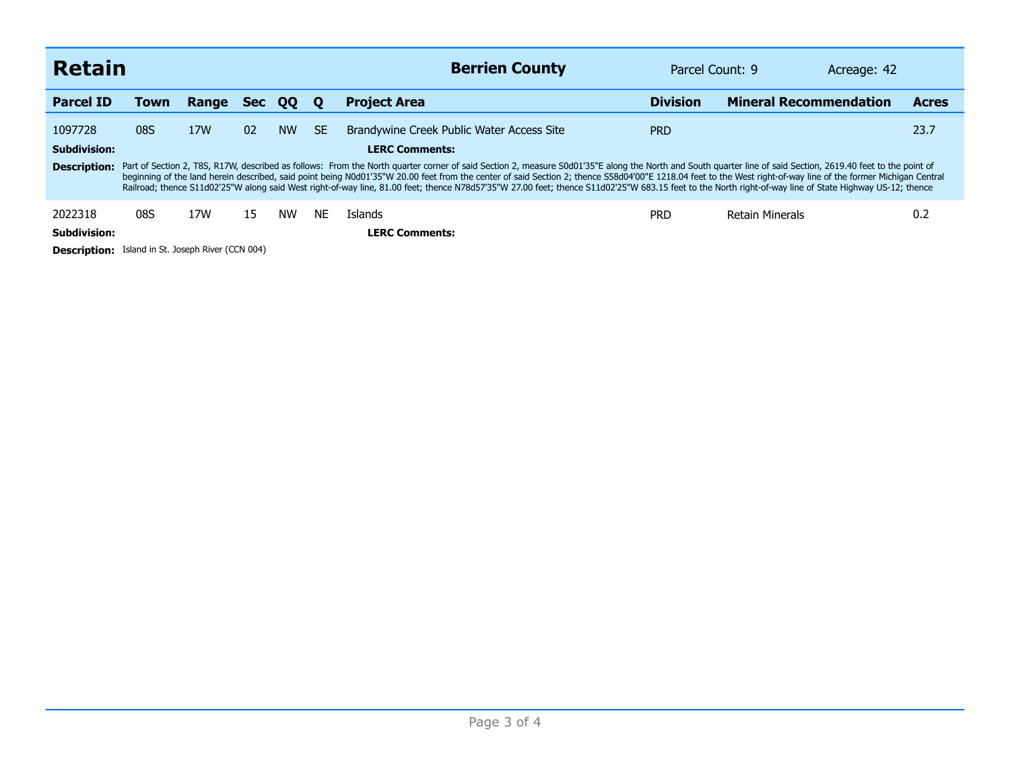|                                                          | <b>Retain</b>                                                                                                                                                                                                                                                                                                                                                                                                                                                                                                                                                                                                                             |       |            |           |           | <b>Berrien County</b>                                              | Parcel Count: 9 |                               | Acreage: 42 |              |  |  |
|----------------------------------------------------------|-------------------------------------------------------------------------------------------------------------------------------------------------------------------------------------------------------------------------------------------------------------------------------------------------------------------------------------------------------------------------------------------------------------------------------------------------------------------------------------------------------------------------------------------------------------------------------------------------------------------------------------------|-------|------------|-----------|-----------|--------------------------------------------------------------------|-----------------|-------------------------------|-------------|--------------|--|--|
| <b>Parcel ID</b>                                         | Town                                                                                                                                                                                                                                                                                                                                                                                                                                                                                                                                                                                                                                      | Range | <b>Sec</b> | QQ        | O         | <b>Project Area</b>                                                | <b>Division</b> | <b>Mineral Recommendation</b> |             | <b>Acres</b> |  |  |
| 1097728<br><b>Subdivision:</b>                           | 08S                                                                                                                                                                                                                                                                                                                                                                                                                                                                                                                                                                                                                                       | 17W   | 02         | <b>NW</b> | <b>SE</b> | Brandywine Creek Public Water Access Site<br><b>LERC Comments:</b> | <b>PRD</b>      |                               |             | 23.7         |  |  |
| <b>Description:</b>                                      | Part of Section 2, T8S, R17W, described as follows: From the North quarter corner of said Section 2, measure S0d01'35"E along the North and South quarter line of said Section, 2619.40 feet to the point of<br>beginning of the land herein described, said point being N0d01'35"W 20.00 feet from the center of said Section 2; thence S58d04'00"E 1218.04 feet to the West right-of-way line of the former Michigan Central<br>Railroad; thence S11d02'25"W along said West right-of-way line, 81.00 feet; thence N78d57'35"W 27.00 feet; thence S11d02'25"W 683.15 feet to the North right-of-way line of State Highway US-12; thence |       |            |           |           |                                                                    |                 |                               |             |              |  |  |
| 2022318                                                  | 08S                                                                                                                                                                                                                                                                                                                                                                                                                                                                                                                                                                                                                                       | 17W   | 15         | <b>NW</b> | <b>NE</b> | <b>Islands</b>                                                     | <b>PRD</b>      | Retain Minerals               |             | 0.2          |  |  |
| Subdivision:                                             |                                                                                                                                                                                                                                                                                                                                                                                                                                                                                                                                                                                                                                           |       |            |           |           | <b>LERC Comments:</b>                                              |                 |                               |             |              |  |  |
| <b>Description:</b> Island in St. Joseph River (CCN 004) |                                                                                                                                                                                                                                                                                                                                                                                                                                                                                                                                                                                                                                           |       |            |           |           |                                                                    |                 |                               |             |              |  |  |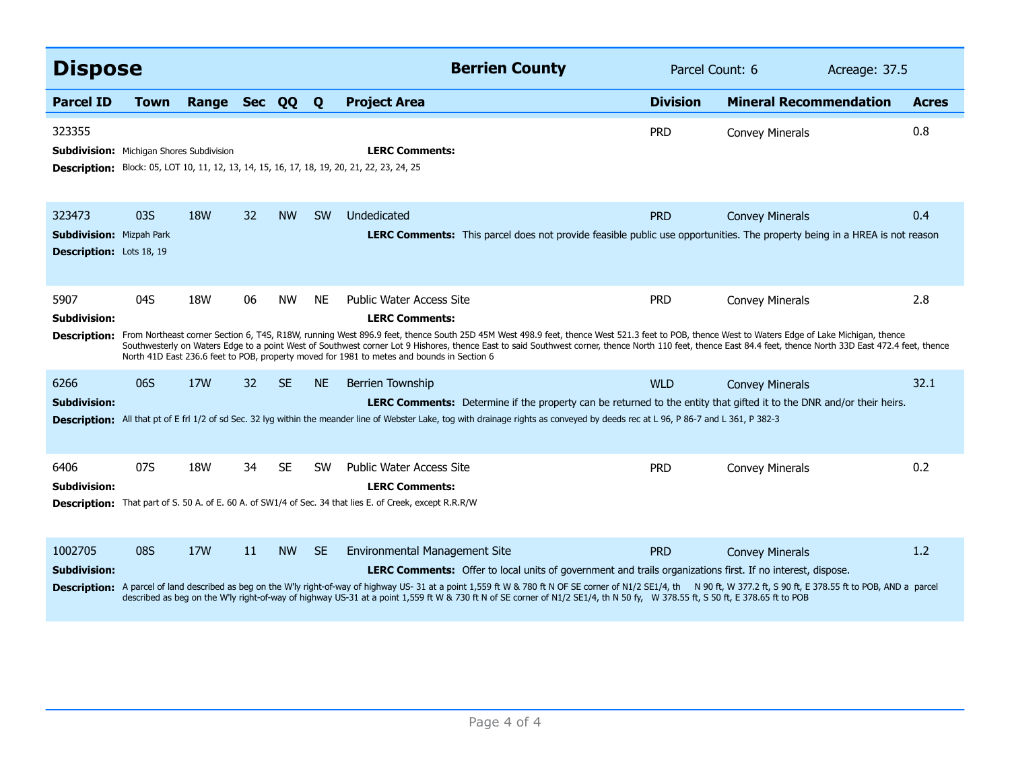| <b>Dispose</b>                                                        |      |                 |    |           |              | <b>Berrien County</b>                                                                                                                                                                                                                                                                                                                                                                                                                                                                                                                                                    | Parcel Count: 6 |                               | Acreage: 37.5 |              |
|-----------------------------------------------------------------------|------|-----------------|----|-----------|--------------|--------------------------------------------------------------------------------------------------------------------------------------------------------------------------------------------------------------------------------------------------------------------------------------------------------------------------------------------------------------------------------------------------------------------------------------------------------------------------------------------------------------------------------------------------------------------------|-----------------|-------------------------------|---------------|--------------|
| <b>Parcel ID</b>                                                      | Town | Range Sec QQ    |    |           | $\mathbf{o}$ | <b>Project Area</b>                                                                                                                                                                                                                                                                                                                                                                                                                                                                                                                                                      | <b>Division</b> | <b>Mineral Recommendation</b> |               | <b>Acres</b> |
| 323355<br><b>Subdivision:</b> Michigan Shores Subdivision             |      |                 |    |           |              | <b>LERC Comments:</b><br><b>Description:</b> Block: 05, LOT 10, 11, 12, 13, 14, 15, 16, 17, 18, 19, 20, 21, 22, 23, 24, 25                                                                                                                                                                                                                                                                                                                                                                                                                                               | <b>PRD</b>      | <b>Convey Minerals</b>        |               | 0.8          |
| 323473<br><b>Subdivision: Mizpah Park</b><br>Description: Lots 18, 19 | 03S  | 18 <sub>W</sub> | 32 | <b>NW</b> | <b>SW</b>    | Undedicated<br><b>LERC Comments:</b> This parcel does not provide feasible public use opportunities. The property being in a HREA is not reason                                                                                                                                                                                                                                                                                                                                                                                                                          | <b>PRD</b>      | <b>Convey Minerals</b>        |               | 0.4          |
| 5907<br>Subdivision:<br><b>Description:</b>                           | 04S  | <b>18W</b>      | 06 | <b>NW</b> | <b>NE</b>    | <b>Public Water Access Site</b><br><b>LERC Comments:</b><br>From Northeast corner Section 6, T4S, R18W, running West 896.9 feet, thence South 25D 45M West 498.9 feet, thence West 521.3 feet to POB, thence West to Waters Edge of Lake Michigan, thence<br>Southwesterly on Waters Edge to a point West of Southwest corner Lot 9 Hishores, thence East to said Southwest corner, thence North 110 feet, thence East 84.4 feet, thence North 33D East 472.4 feet, thence<br>North 41D East 236.6 feet to POB, property moved for 1981 to metes and bounds in Section 6 | <b>PRD</b>      | <b>Convey Minerals</b>        |               | 2.8          |
| 6266<br>Subdivision:                                                  | 06S  | 17W             | 32 | <b>SE</b> | <b>NE</b>    | <b>Berrien Township</b><br>LERC Comments: Determine if the property can be returned to the entity that gifted it to the DNR and/or their heirs.<br>Description: All that pt of E frl 1/2 of sd Sec. 32 lyg within the meander line of Webster Lake, tog with drainage rights as conveyed by deeds rec at L 96, P 86-7 and L 361, P 382-3                                                                                                                                                                                                                                 | <b>WLD</b>      | <b>Convey Minerals</b>        |               | 32.1         |
| 6406<br><b>Subdivision:</b>                                           | 07S  | <b>18W</b>      | 34 | <b>SE</b> | <b>SW</b>    | <b>Public Water Access Site</b><br><b>LERC Comments:</b><br><b>Description:</b> That part of S. 50 A. of E. 60 A. of SW1/4 of Sec. 34 that lies E. of Creek, except R.R.R/W                                                                                                                                                                                                                                                                                                                                                                                              | <b>PRD</b>      | <b>Convey Minerals</b>        |               | 0.2          |
| 1002705<br><b>Subdivision:</b><br><b>Description:</b>                 | 08S  | 17W             | 11 | <b>NW</b> | <b>SE</b>    | <b>Environmental Management Site</b><br><b>LERC Comments:</b> Offer to local units of government and trails organizations first. If no interest, dispose.<br>A parcel of land described as beg on the W'ly right-of-way of highway US-31 at a point 1,559 ft W & 780 ft N OF SE corner of N1/2 SE1/4, th N 90 ft, W 377.2 ft, S 90 ft, E 378.55 ft to POB, AND a parcel<br>described as beg on the W'ly right-of-way of highway US-31 at a point 1,559 ft W & 730 ft N of SE corner of N1/2 SE1/4, th N 50 fy, W 378.55 ft, S 50 ft, E 378.65 ft to POB                  | <b>PRD</b>      | <b>Convey Minerals</b>        |               | 1.2          |
|                                                                       |      |                 |    |           |              |                                                                                                                                                                                                                                                                                                                                                                                                                                                                                                                                                                          |                 |                               |               |              |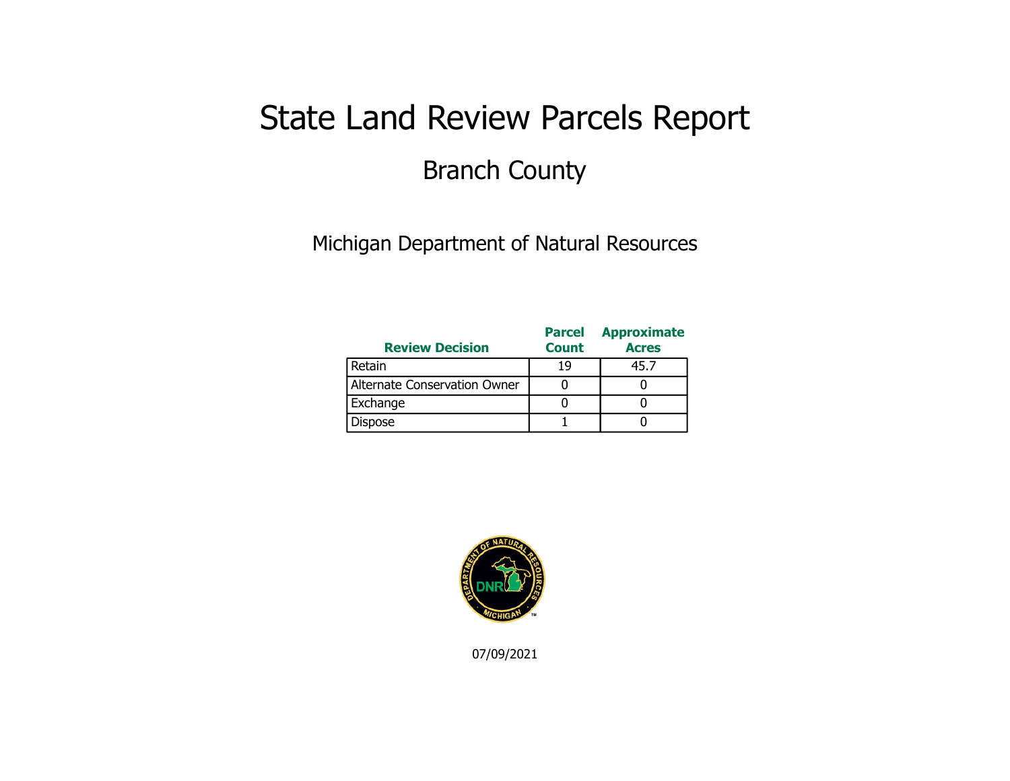## State Land Review Parcels Report Branch County

Michigan Department of Natural Resources

| <b>Review Decision</b>       | <b>Parcel</b><br><b>Count</b> | <b>Approximate</b><br><b>Acres</b> |
|------------------------------|-------------------------------|------------------------------------|
| Retain                       | 19                            | 45.7                               |
| Alternate Conservation Owner |                               |                                    |
| Exchange                     |                               |                                    |
| Dispose                      |                               |                                    |

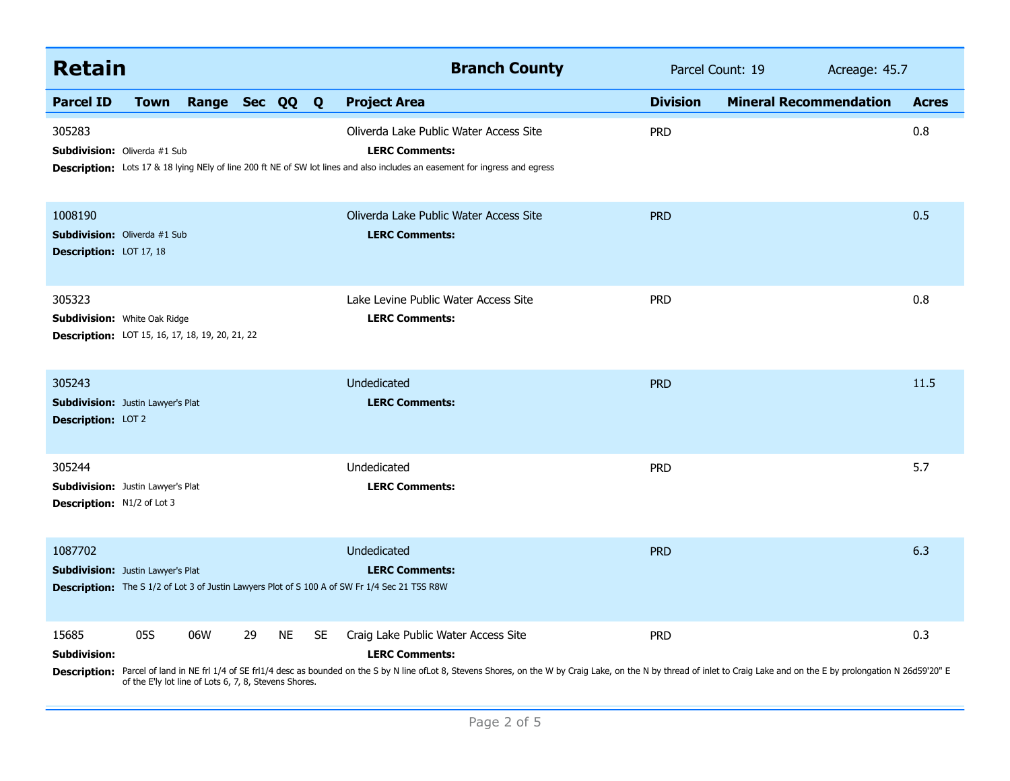| <b>Retain</b>                                                                                    |             |                                                              |    |           |           | <b>Branch County</b>                                                                                                                                                                                                                                                                          |                 | Parcel Count: 19              | Acreage: 45.7 |  |
|--------------------------------------------------------------------------------------------------|-------------|--------------------------------------------------------------|----|-----------|-----------|-----------------------------------------------------------------------------------------------------------------------------------------------------------------------------------------------------------------------------------------------------------------------------------------------|-----------------|-------------------------------|---------------|--|
| <b>Parcel ID</b>                                                                                 | <b>Town</b> | Range Sec QQ Q                                               |    |           |           | <b>Project Area</b>                                                                                                                                                                                                                                                                           | <b>Division</b> | <b>Mineral Recommendation</b> | <b>Acres</b>  |  |
| 305283<br><b>Subdivision:</b> Oliverda #1 Sub                                                    |             |                                                              |    |           |           | Oliverda Lake Public Water Access Site<br><b>LERC Comments:</b><br><b>Description:</b> Lots 17 & 18 lying NEly of line 200 ft NE of SW lot lines and also includes an easement for ingress and egress                                                                                         | <b>PRD</b>      |                               | 0.8           |  |
| 1008190<br><b>Subdivision:</b> Oliverda #1 Sub<br><b>Description: LOT 17, 18</b>                 |             |                                                              |    |           |           | Oliverda Lake Public Water Access Site<br><b>LERC Comments:</b>                                                                                                                                                                                                                               | <b>PRD</b>      |                               | 0.5           |  |
| 305323<br>Subdivision: White Oak Ridge<br><b>Description:</b> LOT 15, 16, 17, 18, 19, 20, 21, 22 |             |                                                              |    |           |           | Lake Levine Public Water Access Site<br><b>LERC Comments:</b>                                                                                                                                                                                                                                 | <b>PRD</b>      |                               | 0.8           |  |
| 305243<br><b>Subdivision:</b> Justin Lawyer's Plat<br>Description: LOT 2                         |             |                                                              |    |           |           | Undedicated<br><b>LERC Comments:</b>                                                                                                                                                                                                                                                          | <b>PRD</b>      |                               | 11.5          |  |
| 305244<br><b>Subdivision:</b> Justin Lawyer's Plat<br>Description: N1/2 of Lot 3                 |             |                                                              |    |           |           | Undedicated<br><b>LERC Comments:</b>                                                                                                                                                                                                                                                          | <b>PRD</b>      |                               | 5.7           |  |
| 1087702<br><b>Subdivision:</b> Justin Lawyer's Plat                                              |             |                                                              |    |           |           | Undedicated<br><b>LERC Comments:</b><br><b>Description:</b> The S 1/2 of Lot 3 of Justin Lawyers Plot of S 100 A of SW Fr 1/4 Sec 21 T5S R8W                                                                                                                                                  | <b>PRD</b>      |                               | 6.3           |  |
| 15685<br><b>Subdivision:</b>                                                                     | 05S         | 06W<br>of the E'ly lot line of Lots 6, 7, 8, Stevens Shores. | 29 | <b>NE</b> | <b>SE</b> | Craig Lake Public Water Access Site<br><b>LERC Comments:</b><br>Description: Parcel of land in NE frl 1/4 of SE frl1/4 desc as bounded on the S by N line ofLot 8, Stevens Shores, on the W by Craig Lake, on the N by thread of inlet to Craig Lake and on the E by prolongation N 26d59'20" | <b>PRD</b>      |                               | 0.3           |  |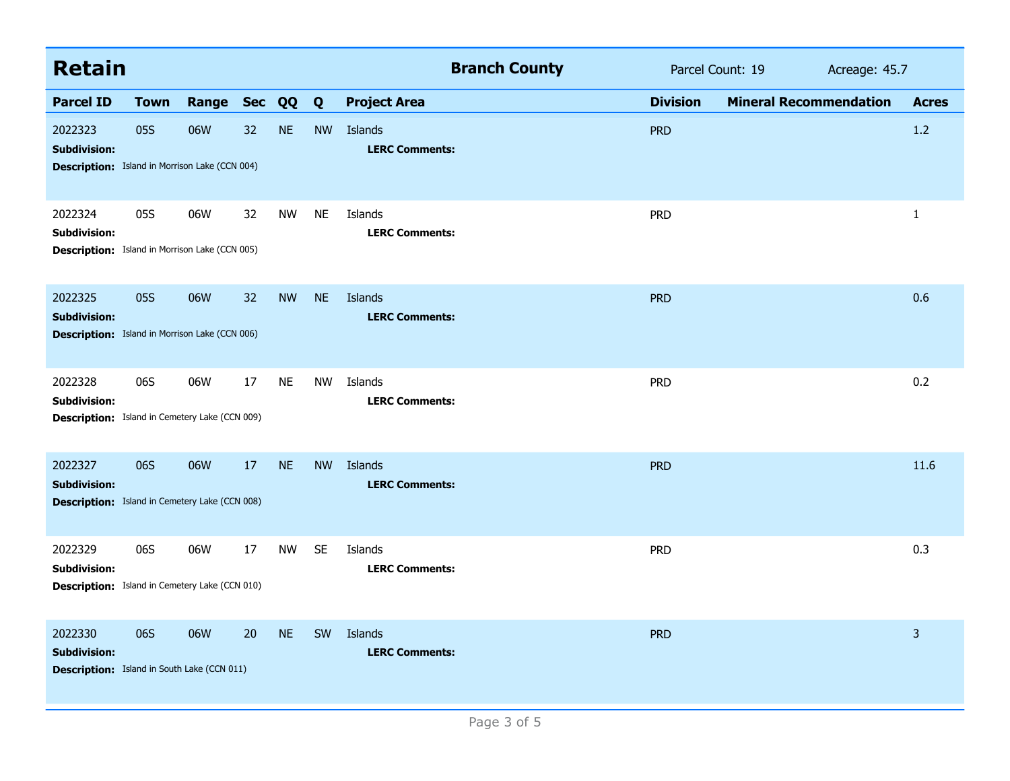| <b>Retain</b>                                                                           |             |              |    |           |           | <b>Branch County</b>             | Parcel Count: 19 |                               |  | Acreage: 45.7 |  |
|-----------------------------------------------------------------------------------------|-------------|--------------|----|-----------|-----------|----------------------------------|------------------|-------------------------------|--|---------------|--|
| <b>Parcel ID</b>                                                                        | <b>Town</b> | Range Sec QQ |    |           | Q         | <b>Project Area</b>              | <b>Division</b>  | <b>Mineral Recommendation</b> |  | <b>Acres</b>  |  |
| 2022323<br><b>Subdivision:</b><br><b>Description:</b> Island in Morrison Lake (CCN 004) | 05S         | 06W          | 32 | <b>NE</b> | <b>NW</b> | Islands<br><b>LERC Comments:</b> | <b>PRD</b>       |                               |  | 1.2           |  |
| 2022324<br><b>Subdivision:</b><br><b>Description:</b> Island in Morrison Lake (CCN 005) | 05S         | 06W          | 32 | <b>NW</b> | <b>NE</b> | Islands<br><b>LERC Comments:</b> | <b>PRD</b>       |                               |  | 1             |  |
| 2022325<br><b>Subdivision:</b><br><b>Description:</b> Island in Morrison Lake (CCN 006) | 05S         | 06W          | 32 | <b>NW</b> | <b>NE</b> | Islands<br><b>LERC Comments:</b> | <b>PRD</b>       |                               |  | 0.6           |  |
| 2022328<br><b>Subdivision:</b><br><b>Description:</b> Island in Cemetery Lake (CCN 009) | 06S         | 06W          | 17 | <b>NE</b> | <b>NW</b> | Islands<br><b>LERC Comments:</b> | <b>PRD</b>       |                               |  | 0.2           |  |
| 2022327<br><b>Subdivision:</b><br><b>Description:</b> Island in Cemetery Lake (CCN 008) | 06S         | 06W          | 17 | <b>NE</b> | <b>NW</b> | Islands<br><b>LERC Comments:</b> | <b>PRD</b>       |                               |  | 11.6          |  |
| 2022329<br><b>Subdivision:</b><br><b>Description:</b> Island in Cemetery Lake (CCN 010) | 06S         | 06W          | 17 | <b>NW</b> | <b>SE</b> | Islands<br><b>LERC Comments:</b> | <b>PRD</b>       |                               |  | 0.3           |  |
| 2022330<br><b>Subdivision:</b><br><b>Description:</b> Island in South Lake (CCN 011)    | 06S         | 06W          | 20 | <b>NE</b> | SW        | Islands<br><b>LERC Comments:</b> | <b>PRD</b>       |                               |  | 3             |  |
|                                                                                         |             |              |    |           |           | Page 3 of 5                      |                  |                               |  |               |  |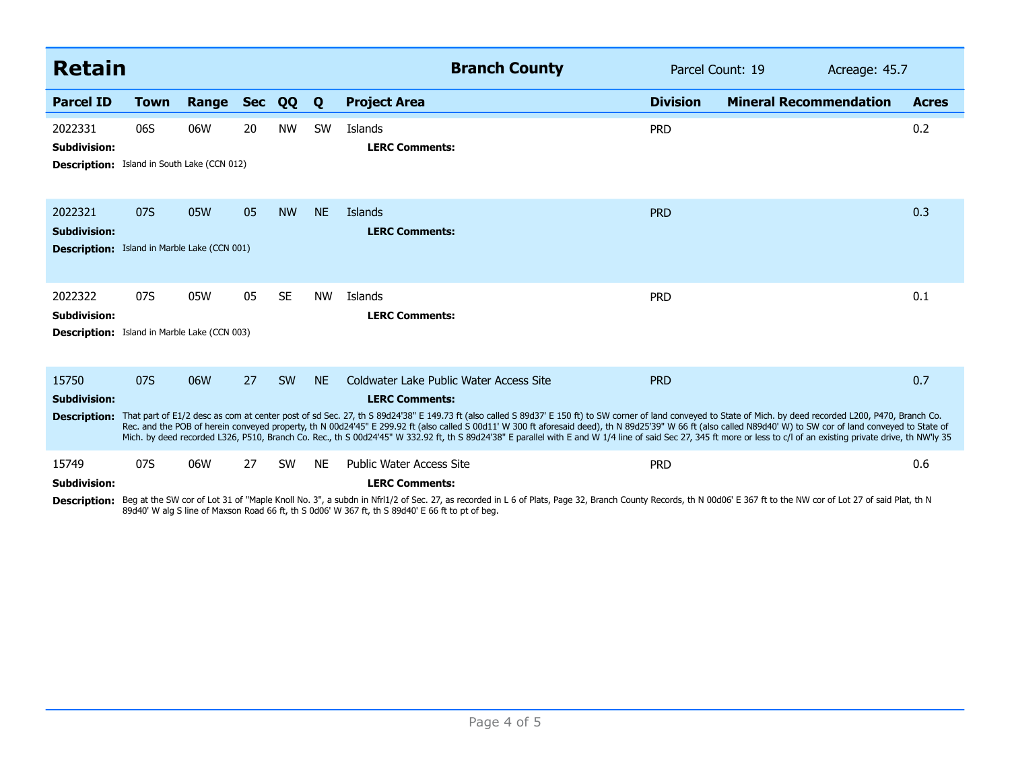| <b>Retain</b>                                                                         |                                       |       |            |           |           | <b>Branch County</b>                                                                                                                                                                                                                                                                                                                                                                                                                                                                                                                                                                                                                                                                                                                      | Parcel Count: 19 |                               | Acreage: 45.7 |              |
|---------------------------------------------------------------------------------------|---------------------------------------|-------|------------|-----------|-----------|-------------------------------------------------------------------------------------------------------------------------------------------------------------------------------------------------------------------------------------------------------------------------------------------------------------------------------------------------------------------------------------------------------------------------------------------------------------------------------------------------------------------------------------------------------------------------------------------------------------------------------------------------------------------------------------------------------------------------------------------|------------------|-------------------------------|---------------|--------------|
| <b>Parcel ID</b>                                                                      | <b>Town</b>                           | Range | <b>Sec</b> | QQ        | Q         | <b>Project Area</b>                                                                                                                                                                                                                                                                                                                                                                                                                                                                                                                                                                                                                                                                                                                       | <b>Division</b>  | <b>Mineral Recommendation</b> |               | <b>Acres</b> |
| 2022331<br><b>Subdivision:</b><br><b>Description:</b>                                 | 06S<br>Island in South Lake (CCN 012) | 06W   | 20         | <b>NW</b> | SW        | Islands<br><b>LERC Comments:</b>                                                                                                                                                                                                                                                                                                                                                                                                                                                                                                                                                                                                                                                                                                          | <b>PRD</b>       |                               |               | 0.2          |
| 2022321<br><b>Subdivision:</b><br><b>Description:</b> Island in Marble Lake (CCN 001) | 07S                                   | 05W   | 05         | <b>NW</b> | <b>NE</b> | Islands<br><b>LERC Comments:</b>                                                                                                                                                                                                                                                                                                                                                                                                                                                                                                                                                                                                                                                                                                          | <b>PRD</b>       |                               |               | 0.3          |
| 2022322<br><b>Subdivision:</b><br><b>Description:</b> Island in Marble Lake (CCN 003) | 07S                                   | 05W   | 05         | <b>SE</b> | <b>NW</b> | Islands<br><b>LERC Comments:</b>                                                                                                                                                                                                                                                                                                                                                                                                                                                                                                                                                                                                                                                                                                          | <b>PRD</b>       |                               |               | 0.1          |
| 15750<br><b>Subdivision:</b>                                                          | 07S                                   | 06W   | 27         | <b>SW</b> | <b>NE</b> | Coldwater Lake Public Water Access Site<br><b>LERC Comments:</b><br>Description: That part of E1/2 desc as com at center post of sd Sec. 27, th S 89d24'38" E 149.73 ft (also called S 89d37' E 150 ft) to SW corner of land conveyed to State of Mich. by deed recorded L200, P470, Branch Co.<br>Rec. and the POB of herein conveyed property, th N 00d24'45" E 299.92 ft (also called S 00d11' W 300 ft aforesaid deed), th N 89d25'39" W 66 ft (also called N89d40' W) to SW cor of land conveyed to State of<br>Mich. by deed recorded L326, P510, Branch Co. Rec., th S 00d24'45" W 332.92 ft, th S 89d24'38" E parallel with E and W 1/4 line of said Sec 27, 345 ft more or less to c/l of an existing private drive, th NW'ly 35 | <b>PRD</b>       |                               |               | 0.7          |
| 15749<br><b>Subdivision:</b><br><b>Description:</b>                                   | 07S                                   | 06W   | 27         | <b>SW</b> | <b>NE</b> | <b>Public Water Access Site</b><br><b>LERC Comments:</b><br>Beg at the SW cor of Lot 31 of "Maple Knoll No. 3", a subdn in Nfrl1/2 of Sec. 27, as recorded in L 6 of Plats, Page 32, Branch County Records, th N 00d06' E 367 ft to the NW cor of Lot 27 of said Plat, th N<br>89d40' W alg S line of Maxson Road 66 ft, th S 0d06' W 367 ft, th S 89d40' E 66 ft to pt of beg.                                                                                                                                                                                                                                                                                                                                                           | <b>PRD</b>       |                               |               | 0.6          |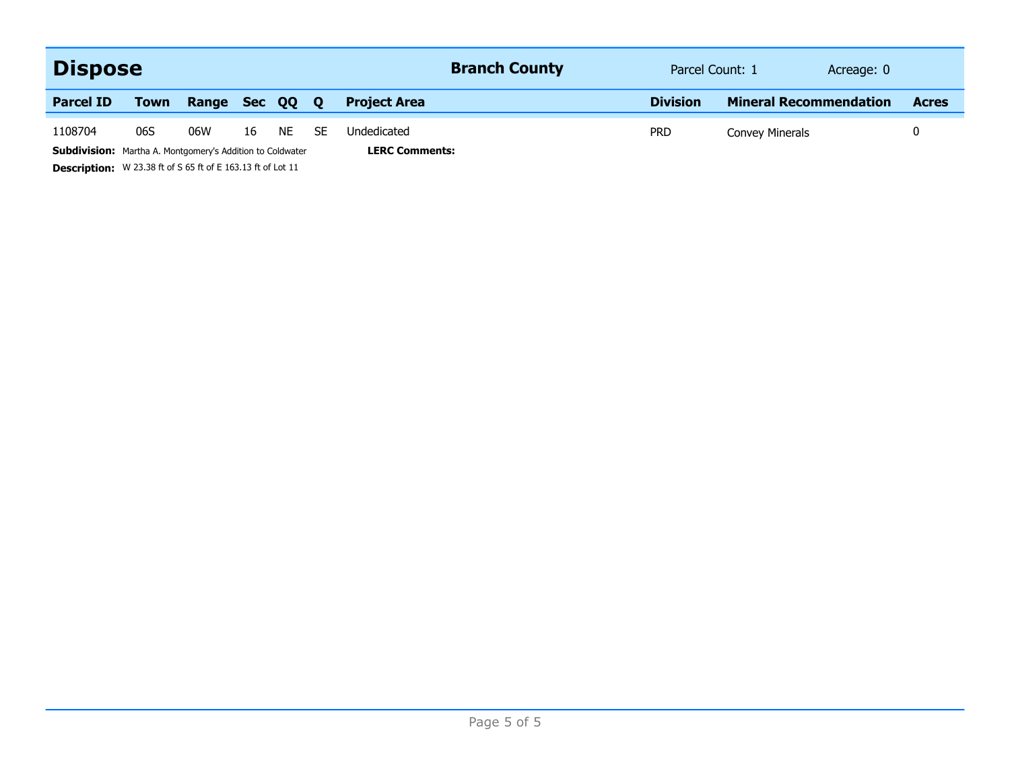| <b>Dispose</b>                                                   |                                                                    |       |            |             |    | <b>Branch County</b>  | Parcel Count: 1 | Acreage: 0                    |              |  |  |
|------------------------------------------------------------------|--------------------------------------------------------------------|-------|------------|-------------|----|-----------------------|-----------------|-------------------------------|--------------|--|--|
| <b>Parcel ID</b>                                                 | <b>Town</b>                                                        | Range | <b>Sec</b> | <b>00 0</b> |    | <b>Project Area</b>   | <b>Division</b> | <b>Mineral Recommendation</b> | <b>Acres</b> |  |  |
| 1108704                                                          | 06S                                                                | 06W   | 16         | NE.         | SE | Undedicated           | <b>PRD</b>      | Convey Minerals               |              |  |  |
| <b>Subdivision:</b> Martha A. Montgomery's Addition to Coldwater |                                                                    |       |            |             |    | <b>LERC Comments:</b> |                 |                               |              |  |  |
|                                                                  | <b>Description:</b> W 23.38 ft of S 65 ft of E 163.13 ft of Lot 11 |       |            |             |    |                       |                 |                               |              |  |  |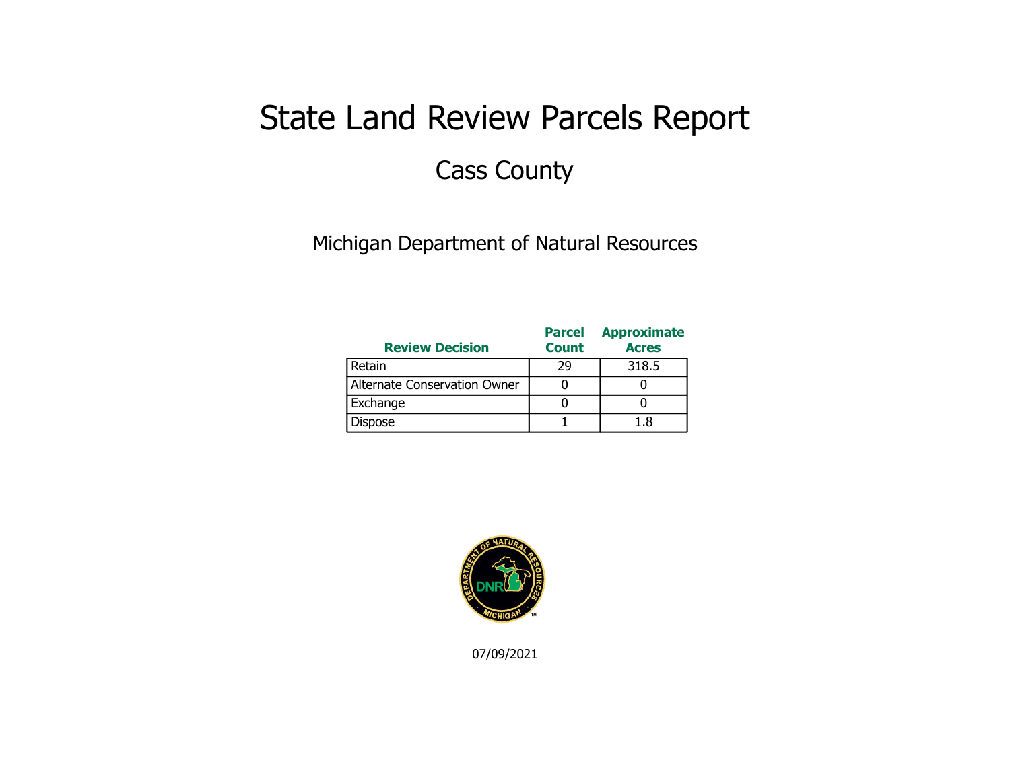# State Land Review Parcels Report Cass County

Michigan Department of Natural Resources

| <b>Review Decision</b>       | <b>Parcel</b><br><b>Count</b> | <b>Approximate</b><br><b>Acres</b> |
|------------------------------|-------------------------------|------------------------------------|
| Retain                       | 29                            | 318.5                              |
| Alternate Conservation Owner |                               |                                    |
| Exchange                     |                               |                                    |
| Dispose                      |                               | 18                                 |

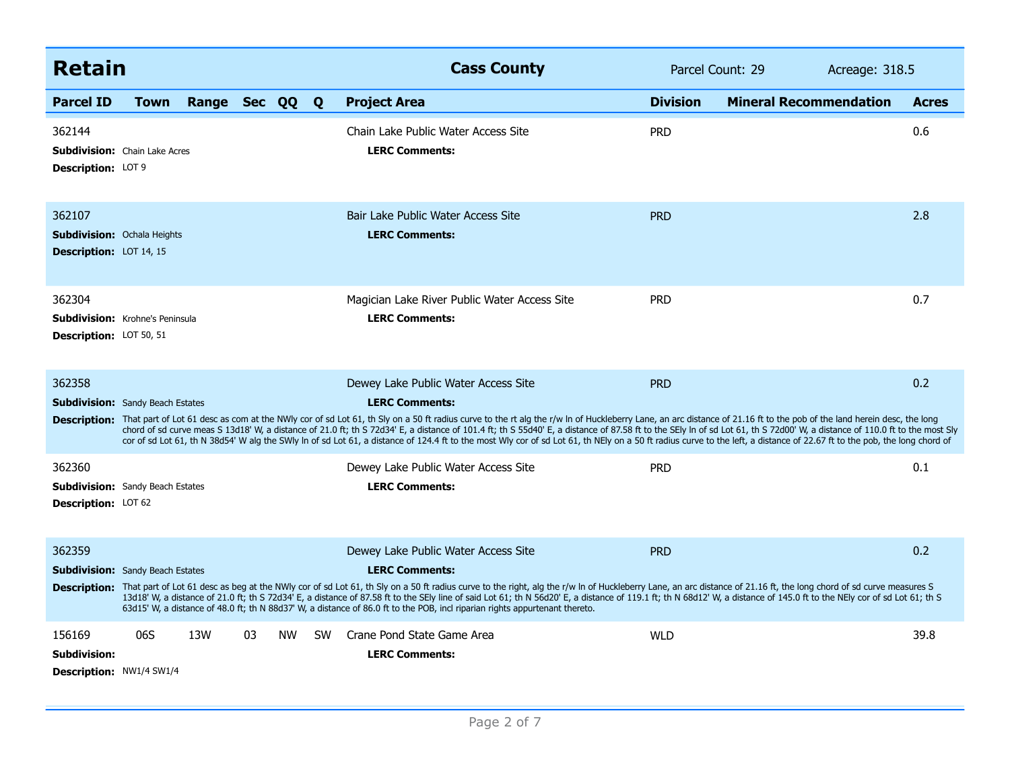| <b>Retain</b>                                                                      |             |              |    |           |           | <b>Cass County</b>                                                                                                                                                                                                                                                                                                                                                                                                                                                                                                                                                                                                                                                                                                                                      | Parcel Count: 29 |                               | Acreage: 318.5 |  |
|------------------------------------------------------------------------------------|-------------|--------------|----|-----------|-----------|---------------------------------------------------------------------------------------------------------------------------------------------------------------------------------------------------------------------------------------------------------------------------------------------------------------------------------------------------------------------------------------------------------------------------------------------------------------------------------------------------------------------------------------------------------------------------------------------------------------------------------------------------------------------------------------------------------------------------------------------------------|------------------|-------------------------------|----------------|--|
| <b>Parcel ID</b>                                                                   | <b>Town</b> | Range Sec QQ |    |           | Q         | <b>Project Area</b>                                                                                                                                                                                                                                                                                                                                                                                                                                                                                                                                                                                                                                                                                                                                     | <b>Division</b>  | <b>Mineral Recommendation</b> | <b>Acres</b>   |  |
| 362144<br><b>Subdivision:</b> Chain Lake Acres<br>Description: LOT 9               |             |              |    |           |           | Chain Lake Public Water Access Site<br><b>LERC Comments:</b>                                                                                                                                                                                                                                                                                                                                                                                                                                                                                                                                                                                                                                                                                            | <b>PRD</b>       |                               | 0.6            |  |
| 362107<br><b>Subdivision: Ochala Heights</b><br><b>Description:</b> LOT 14, 15     |             |              |    |           |           | Bair Lake Public Water Access Site<br><b>LERC Comments:</b>                                                                                                                                                                                                                                                                                                                                                                                                                                                                                                                                                                                                                                                                                             | <b>PRD</b>       |                               | 2.8            |  |
| 362304<br><b>Subdivision:</b> Krohne's Peninsula<br><b>Description: LOT 50, 51</b> |             |              |    |           |           | Magician Lake River Public Water Access Site<br><b>LERC Comments:</b>                                                                                                                                                                                                                                                                                                                                                                                                                                                                                                                                                                                                                                                                                   | <b>PRD</b>       |                               | 0.7            |  |
| 362358<br><b>Subdivision:</b> Sandy Beach Estates                                  |             |              |    |           |           | Dewey Lake Public Water Access Site<br><b>LERC Comments:</b><br>Description: That part of Lot 61 desc as com at the NWly cor of sd Lot 61, th Sly on a 50 ft radius curve to the rt alg the r/w In of Huckleberry Lane, an arc distance of 21.16 ft to the pob of the land herein desc, the lo<br>chord of sd curve meas S 13d18' W, a distance of 21.0 ft; th S 72d34' E, a distance of 101.4 ft; th S 55d40' E, a distance of 87.58 ft to the SEly In of sd Lot 61, th S 72d00' W, a distance of 110.0 ft to the most Sly<br>cor of sd Lot 61, th N 38d54' W alg the SWly In of sd Lot 61, a distance of 124.4 ft to the most Wly cor of sd Lot 61, th NEly on a 50 ft radius curve to the left, a distance of 22.67 ft to the pob, the long chord of | <b>PRD</b>       |                               | 0.2            |  |
| 362360<br><b>Subdivision:</b> Sandy Beach Estates<br><b>Description: LOT 62</b>    |             |              |    |           |           | Dewey Lake Public Water Access Site<br><b>LERC Comments:</b>                                                                                                                                                                                                                                                                                                                                                                                                                                                                                                                                                                                                                                                                                            | <b>PRD</b>       |                               | 0.1            |  |
| 362359<br><b>Subdivision:</b> Sandy Beach Estates                                  |             |              |    |           |           | Dewey Lake Public Water Access Site<br><b>LERC Comments:</b><br>Description: That part of Lot 61 desc as beg at the NWly cor of sd Lot 61, th Sly on a 50 ft radius curve to the right, alg the r/w In of Huckleberry Lane, an arc distance of 21.16 ft, the long chord of sd curve measures S<br>13d18' W, a distance of 21.0 ft; th S 72d34' E, a distance of 87.58 ft to the SEly line of said Lot 61; th N 56d20' E, a distance of 119.1 ft; th N 68d12' W, a distance of 145.0 ft to the NEly cor of sd Lot 61; th S<br>63d15' W, a distance of 48.0 ft; th N 88d37' W, a distance of 86.0 ft to the POB, incl riparian rights appurtenant thereto.                                                                                                | <b>PRD</b>       |                               | 0.2            |  |
| 156169<br><b>Subdivision:</b><br><b>Description: NW1/4 SW1/4</b>                   | 06S         | 13W          | 03 | <b>NW</b> | <b>SW</b> | Crane Pond State Game Area<br><b>LERC Comments:</b>                                                                                                                                                                                                                                                                                                                                                                                                                                                                                                                                                                                                                                                                                                     | <b>WLD</b>       |                               | 39.8           |  |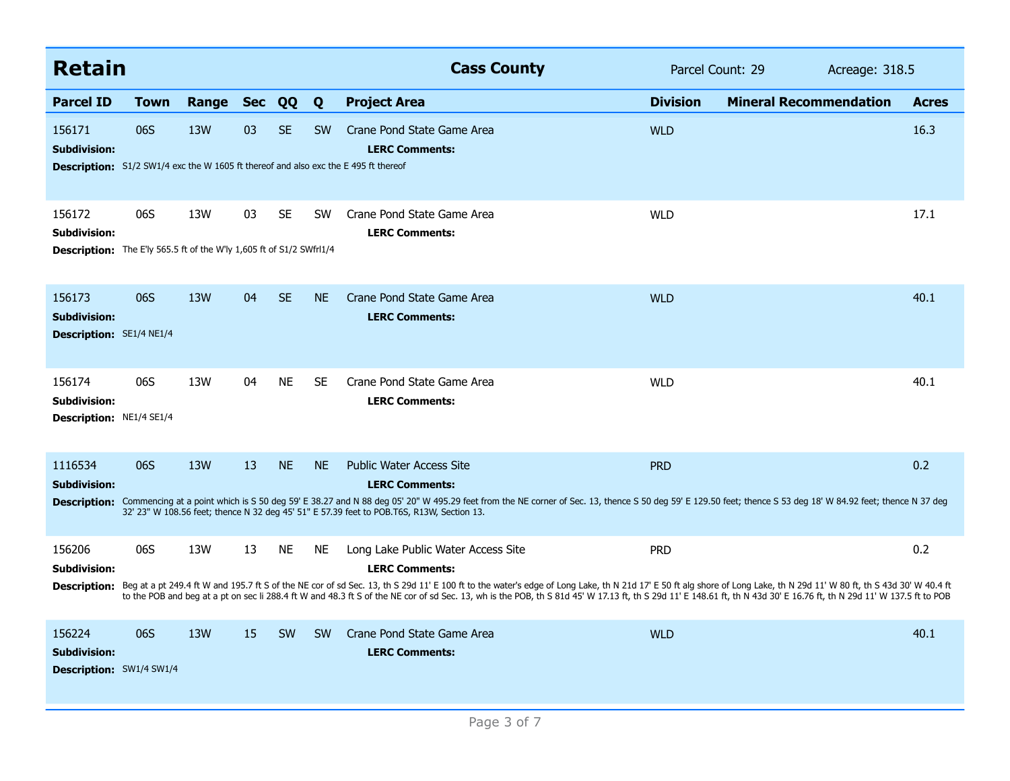| <b>Retain</b>                                                                                                               |             |            |            |           |           | <b>Cass County</b>                                                                                                                                                                                                                                                                                                                                                                                                                                                                                          | Parcel Count: 29 |                               | Acreage: 318.5 |              |  |
|-----------------------------------------------------------------------------------------------------------------------------|-------------|------------|------------|-----------|-----------|-------------------------------------------------------------------------------------------------------------------------------------------------------------------------------------------------------------------------------------------------------------------------------------------------------------------------------------------------------------------------------------------------------------------------------------------------------------------------------------------------------------|------------------|-------------------------------|----------------|--------------|--|
| <b>Parcel ID</b>                                                                                                            | <b>Town</b> | Range      | <b>Sec</b> | QQ        | Q         | <b>Project Area</b>                                                                                                                                                                                                                                                                                                                                                                                                                                                                                         | <b>Division</b>  | <b>Mineral Recommendation</b> |                | <b>Acres</b> |  |
| 156171<br><b>Subdivision:</b><br><b>Description:</b> S1/2 SW1/4 exc the W 1605 ft thereof and also exc the E 495 ft thereof | 06S         | 13W        | 03         | <b>SE</b> | <b>SW</b> | Crane Pond State Game Area<br><b>LERC Comments:</b>                                                                                                                                                                                                                                                                                                                                                                                                                                                         | <b>WLD</b>       |                               |                | 16.3         |  |
| 156172<br>Subdivision:<br>Description: The E'ly 565.5 ft of the W'ly 1,605 ft of S1/2 SWfrl1/4                              | 06S         | 13W        | 03         | <b>SE</b> | <b>SW</b> | Crane Pond State Game Area<br><b>LERC Comments:</b>                                                                                                                                                                                                                                                                                                                                                                                                                                                         | <b>WLD</b>       |                               |                | 17.1         |  |
| 156173<br><b>Subdivision:</b><br><b>Description:</b> SE1/4 NE1/4                                                            | 06S         | 13W        | 04         | <b>SE</b> | <b>NE</b> | Crane Pond State Game Area<br><b>LERC Comments:</b>                                                                                                                                                                                                                                                                                                                                                                                                                                                         | <b>WLD</b>       |                               |                | 40.1         |  |
| 156174<br>Subdivision:<br><b>Description: NE1/4 SE1/4</b>                                                                   | 06S         | 13W        | 04         | <b>NE</b> | <b>SE</b> | Crane Pond State Game Area<br><b>LERC Comments:</b>                                                                                                                                                                                                                                                                                                                                                                                                                                                         | <b>WLD</b>       |                               |                | 40.1         |  |
| 1116534<br><b>Subdivision:</b>                                                                                              | 06S         | <b>13W</b> | 13         | <b>NE</b> | <b>NE</b> | <b>Public Water Access Site</b><br><b>LERC Comments:</b><br>Description: Commencing at a point which is S 50 deg 59' E 38.27 and N 88 deg 05' 20" W 495.29 feet from the NE corner of Sec. 13, thence S 50 deg 59' E 129.50 feet; thence S 53 deg 18' W 84.92 feet; thence N 37 deg<br>32' 23" W 108.56 feet; thence N 32 deg 45' 51" E 57.39 feet to POB.T6S, R13W, Section 13.                                                                                                                            | <b>PRD</b>       |                               |                | 0.2          |  |
| 156206<br><b>Subdivision:</b><br><b>Description:</b>                                                                        | 06S         | 13W        | 13         | <b>NE</b> | <b>NE</b> | Long Lake Public Water Access Site<br><b>LERC Comments:</b><br>Beg at a pt 249.4 ft W and 195.7 ft S of the NE cor of sd Sec. 13, th S 29d 11' E 100 ft to the water's edge of Long Lake, th N 21d 17' E 50 ft alg shore of Long Lake, th N 29d 11' W 80 ft, th S 43d 30' W 40.4 ft<br>to the POB and beg at a pt on sec li 288.4 ft W and 48.3 ft S of the NE cor of sd Sec. 13, wh is the POB, th S 81d 45' W 17.13 ft, th S 29d 11' E 148.61 ft, th N 43d 30' E 16.76 ft, th N 29d 11' W 137.5 ft to POB | <b>PRD</b>       |                               |                | 0.2          |  |
| 156224<br><b>Subdivision:</b><br><b>Description:</b> SW1/4 SW1/4                                                            | 06S         | 13W        | 15         | <b>SW</b> | <b>SW</b> | Crane Pond State Game Area<br><b>LERC Comments:</b>                                                                                                                                                                                                                                                                                                                                                                                                                                                         | <b>WLD</b>       |                               |                | 40.1         |  |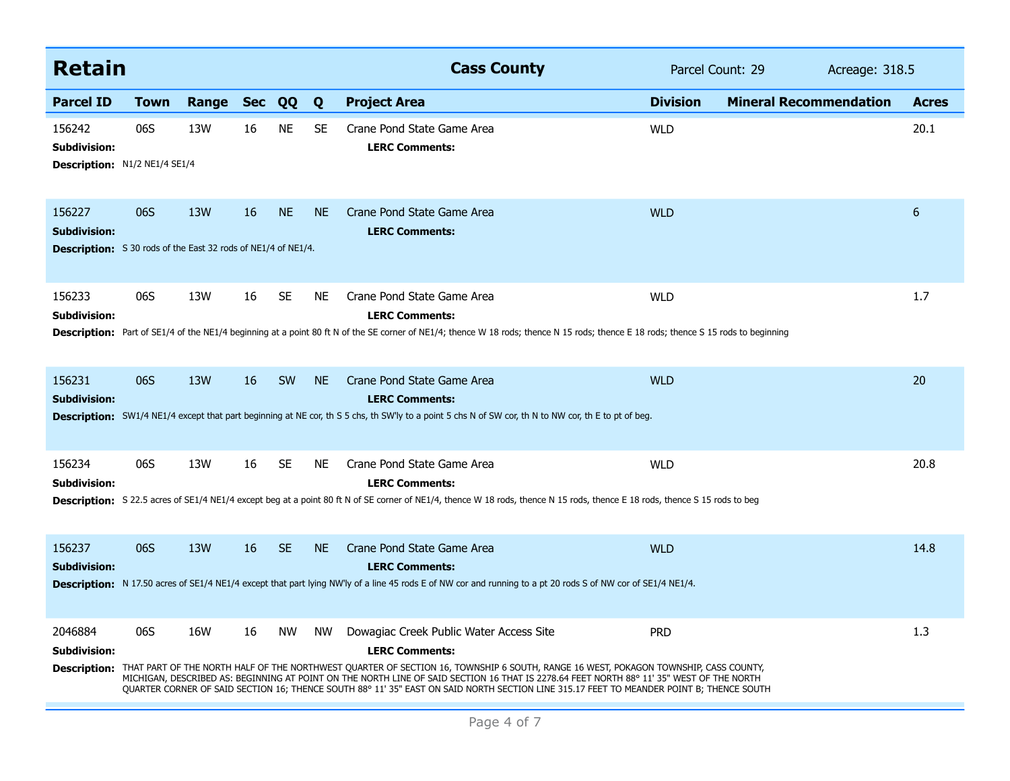| <b>Retain</b>                                                                                         |             |       |            |           |           | <b>Cass County</b>                                                                                                                                                                                                                                                                                                                                                                                                                                                                              |                 | Parcel Count: 29<br>Acreage: 318.5 |              |  |
|-------------------------------------------------------------------------------------------------------|-------------|-------|------------|-----------|-----------|-------------------------------------------------------------------------------------------------------------------------------------------------------------------------------------------------------------------------------------------------------------------------------------------------------------------------------------------------------------------------------------------------------------------------------------------------------------------------------------------------|-----------------|------------------------------------|--------------|--|
| <b>Parcel ID</b>                                                                                      | <b>Town</b> | Range | <b>Sec</b> | QQ        | Q         | <b>Project Area</b>                                                                                                                                                                                                                                                                                                                                                                                                                                                                             | <b>Division</b> | <b>Mineral Recommendation</b>      | <b>Acres</b> |  |
| 156242<br><b>Subdivision:</b><br><b>Description: N1/2 NE1/4 SE1/4</b>                                 | 06S         | 13W   | 16         | <b>NE</b> | <b>SE</b> | Crane Pond State Game Area<br><b>LERC Comments:</b>                                                                                                                                                                                                                                                                                                                                                                                                                                             | <b>WLD</b>      |                                    | 20.1         |  |
| 156227<br><b>Subdivision:</b><br><b>Description:</b> S 30 rods of the East 32 rods of NE1/4 of NE1/4. | 06S         | 13W   | 16         | <b>NE</b> | <b>NE</b> | Crane Pond State Game Area<br><b>LERC Comments:</b>                                                                                                                                                                                                                                                                                                                                                                                                                                             | <b>WLD</b>      |                                    | $6\,$        |  |
| 156233<br><b>Subdivision:</b>                                                                         | 06S         | 13W   | 16         | <b>SE</b> | <b>NE</b> | Crane Pond State Game Area<br><b>LERC Comments:</b><br>Description: Part of SE1/4 of the NE1/4 beginning at a point 80 ft N of the SE corner of NE1/4; thence W 18 rods; thence N 15 rods; thence E 18 rods; thence S 15 rods to beginning                                                                                                                                                                                                                                                      | <b>WLD</b>      |                                    | 1.7          |  |
| 156231<br><b>Subdivision:</b>                                                                         | 06S         | 13W   | 16         | <b>SW</b> | <b>NE</b> | Crane Pond State Game Area<br><b>LERC Comments:</b><br><b>Description:</b> SW1/4 NE1/4 except that part beginning at NE cor, th S 5 chs, th SW'ly to a point 5 chs N of SW cor, th N to NW cor, th E to pt of beg.                                                                                                                                                                                                                                                                              | <b>WLD</b>      |                                    | 20           |  |
| 156234<br>Subdivision:                                                                                | 06S         | 13W   | 16         | <b>SE</b> | <b>NE</b> | Crane Pond State Game Area<br><b>LERC Comments:</b><br>Description: S 22.5 acres of SE1/4 NE1/4 except beg at a point 80 ft N of SE corner of NE1/4, thence W 18 rods, thence N 15 rods, thence E 18 rods, thence S 15 rods to beg                                                                                                                                                                                                                                                              | <b>WLD</b>      |                                    | 20.8         |  |
| 156237<br><b>Subdivision:</b>                                                                         | 06S         | 13W   | 16         | <b>SE</b> | <b>NE</b> | Crane Pond State Game Area<br><b>LERC Comments:</b><br><b>Description:</b> N 17.50 acres of SE1/4 NE1/4 except that part lying NW'ly of a line 45 rods E of NW cor and running to a pt 20 rods S of NW cor of SE1/4 NE1/4.                                                                                                                                                                                                                                                                      | <b>WLD</b>      |                                    | 14.8         |  |
| 2046884<br><b>Subdivision:</b><br><b>Description:</b>                                                 | 06S         | 16W   | 16         | <b>NW</b> | <b>NW</b> | Dowagiac Creek Public Water Access Site<br><b>LERC Comments:</b><br>THAT PART OF THE NORTH HALF OF THE NORTHWEST QUARTER OF SECTION 16, TOWNSHIP 6 SOUTH, RANGE 16 WEST, POKAGON TOWNSHIP, CASS COUNTY,<br>MICHIGAN, DESCRIBED AS: BEGINNING AT POINT ON THE NORTH LINE OF SAID SECTION 16 THAT IS 2278.64 FEET NORTH 88° 11' 35" WEST OF THE NORTH<br>QUARTER CORNER OF SAID SECTION 16; THENCE SOUTH 88° 11' 35" EAST ON SAID NORTH SECTION LINE 315.17 FEET TO MEANDER POINT B; THENCE SOUTH | <b>PRD</b>      |                                    | 1.3          |  |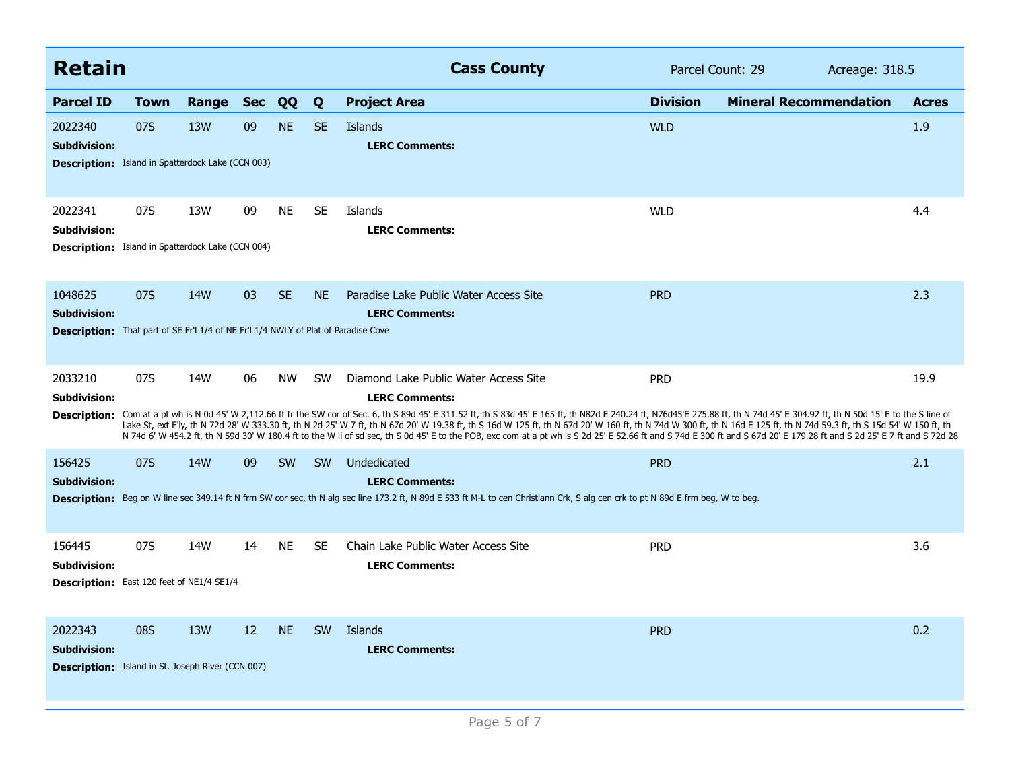| <b>Retain</b>                                                                                                               |             |                 |            |           |           | <b>Cass County</b>                                                                                                                                                                                                                                                                                                                                                                                                                                                                                                                                                                                                                                                                                                                                 | Parcel Count: 29 |                               | Acreage: 318.5 |  |
|-----------------------------------------------------------------------------------------------------------------------------|-------------|-----------------|------------|-----------|-----------|----------------------------------------------------------------------------------------------------------------------------------------------------------------------------------------------------------------------------------------------------------------------------------------------------------------------------------------------------------------------------------------------------------------------------------------------------------------------------------------------------------------------------------------------------------------------------------------------------------------------------------------------------------------------------------------------------------------------------------------------------|------------------|-------------------------------|----------------|--|
| <b>Parcel ID</b>                                                                                                            | <b>Town</b> | Range           | <b>Sec</b> | QQ        | Q         | <b>Project Area</b>                                                                                                                                                                                                                                                                                                                                                                                                                                                                                                                                                                                                                                                                                                                                | <b>Division</b>  | <b>Mineral Recommendation</b> | <b>Acres</b>   |  |
| 2022340<br><b>Subdivision:</b><br><b>Description:</b> Island in Spatterdock Lake (CCN 003)                                  | 07S         | 13W             | 09         | <b>NE</b> | <b>SE</b> | Islands<br><b>LERC Comments:</b>                                                                                                                                                                                                                                                                                                                                                                                                                                                                                                                                                                                                                                                                                                                   | <b>WLD</b>       |                               | 1.9            |  |
| 2022341<br><b>Subdivision:</b><br>Description: Island in Spatterdock Lake (CCN 004)                                         | 07S         | 13W             | 09         | <b>NE</b> | <b>SE</b> | Islands<br><b>LERC Comments:</b>                                                                                                                                                                                                                                                                                                                                                                                                                                                                                                                                                                                                                                                                                                                   | <b>WLD</b>       |                               | 4.4            |  |
| 1048625<br><b>Subdivision:</b><br><b>Description:</b> That part of SE Fr'l 1/4 of NE Fr'l 1/4 NWLY of Plat of Paradise Cove | 07S         | 14 <sub>W</sub> | 03         | <b>SE</b> | <b>NE</b> | Paradise Lake Public Water Access Site<br><b>LERC Comments:</b>                                                                                                                                                                                                                                                                                                                                                                                                                                                                                                                                                                                                                                                                                    | <b>PRD</b>       |                               | 2.3            |  |
| 2033210<br>Subdivision:                                                                                                     | 07S         | 14W             | 06         | <b>NW</b> | <b>SW</b> | Diamond Lake Public Water Access Site<br><b>LERC Comments:</b><br>Description: Com at a pt wh is N 0d 45' W 2,112.66 ft fr the SW cor of Sec. 6, th S 89d 45' E 311.52 ft, th S 83d 45' E 165 ft, th N82d E 240.24 ft, N76d45'E 275.88 ft, th N 74d 45' E 304.92 ft, th N 50d 15' E to the S lin<br>Lake St, ext E'ly, th N 72d 28' W 333.30 ft, th N 2d 25' W 7 ft, th N 67d 20' W 19.38 ft, th S 16d W 125 ft, th N 67d 20' W 160 ft, th N 74d W 300 ft, th N 16d E 125 ft, th N 74d 59.3 ft, th S 15d 54' W 150 ft, th<br>N 74d 6' W 454.2 ft, th N 59d 30' W 180.4 ft to the W li of sd sec, th S 0d 45' E to the POB, exc com at a pt wh is S 2d 25' E 52.66 ft and S 74d E 300 ft and S 67d 20' E 179.28 ft and S 2d 25' E 7 ft and S 72d 28 | <b>PRD</b>       |                               | 19.9           |  |
| 156425<br><b>Subdivision:</b>                                                                                               | 07S         | <b>14W</b>      | 09         | <b>SW</b> | <b>SW</b> | Undedicated<br><b>LERC Comments:</b><br>Description: Beg on W line sec 349.14 ft N frm SW cor sec, th N alg sec line 173.2 ft, N 89d E 533 ft M-L to cen Christiann Crk, S alg cen crk to pt N 89d E frm beg, W to beg.                                                                                                                                                                                                                                                                                                                                                                                                                                                                                                                            | <b>PRD</b>       |                               | 2.1            |  |
| 156445<br>Subdivision:<br>Description: East 120 feet of NE1/4 SE1/4                                                         | 07S         | 14W             | 14         | <b>NE</b> | <b>SE</b> | Chain Lake Public Water Access Site<br><b>LERC Comments:</b>                                                                                                                                                                                                                                                                                                                                                                                                                                                                                                                                                                                                                                                                                       | <b>PRD</b>       |                               | 3.6            |  |
| 2022343<br><b>Subdivision:</b><br>Description: Island in St. Joseph River (CCN 007)                                         | 08S         | 13W             | 12         | <b>NE</b> | <b>SW</b> | Islands<br><b>LERC Comments:</b>                                                                                                                                                                                                                                                                                                                                                                                                                                                                                                                                                                                                                                                                                                                   | <b>PRD</b>       |                               | 0.2            |  |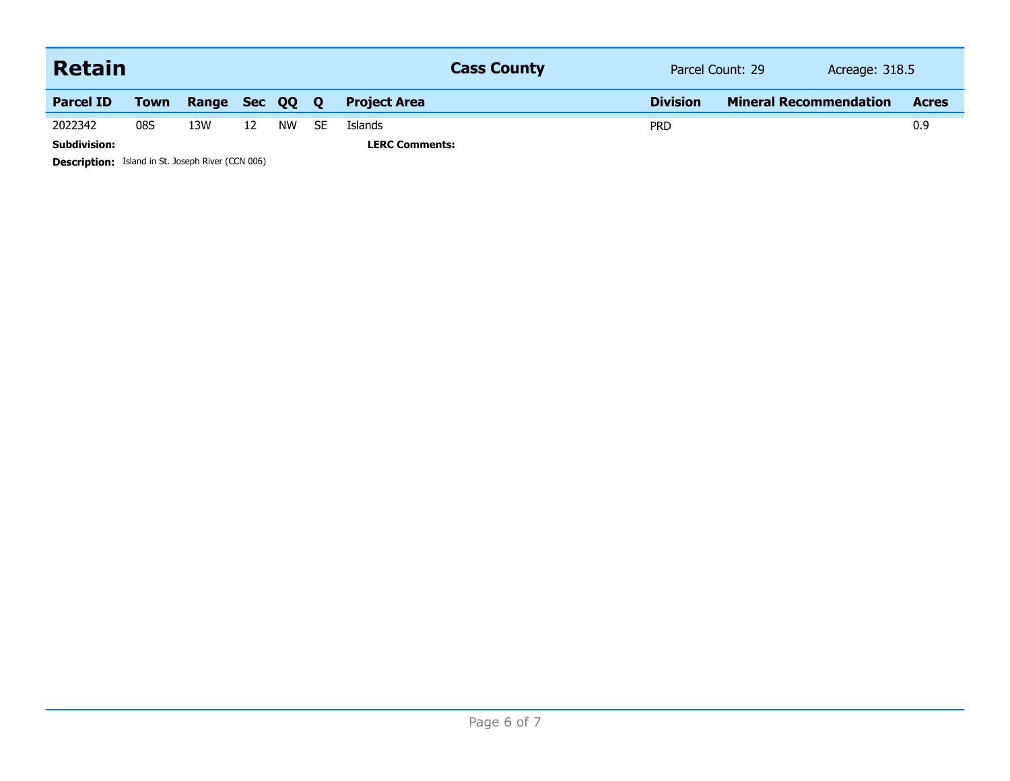| <b>Retain</b>       |             |              |    |           |              | <b>Cass County</b>    |                 | Parcel Count: 29              | Acreage: 318.5 |  |
|---------------------|-------------|--------------|----|-----------|--------------|-----------------------|-----------------|-------------------------------|----------------|--|
| <b>Parcel ID</b>    | <b>Town</b> | Range Sec QQ |    |           | $\mathbf{O}$ | <b>Project Area</b>   | <b>Division</b> | <b>Mineral Recommendation</b> | <b>Acres</b>   |  |
| 2022342             | 08S         | 13W          | 12 | <b>NW</b> | SE.          | <b>Islands</b>        | <b>PRD</b>      |                               | 0.9            |  |
| <b>Subdivision:</b> |             |              |    |           |              | <b>LERC Comments:</b> |                 |                               |                |  |

**Description:** Island in St. Joseph River (CCN 006)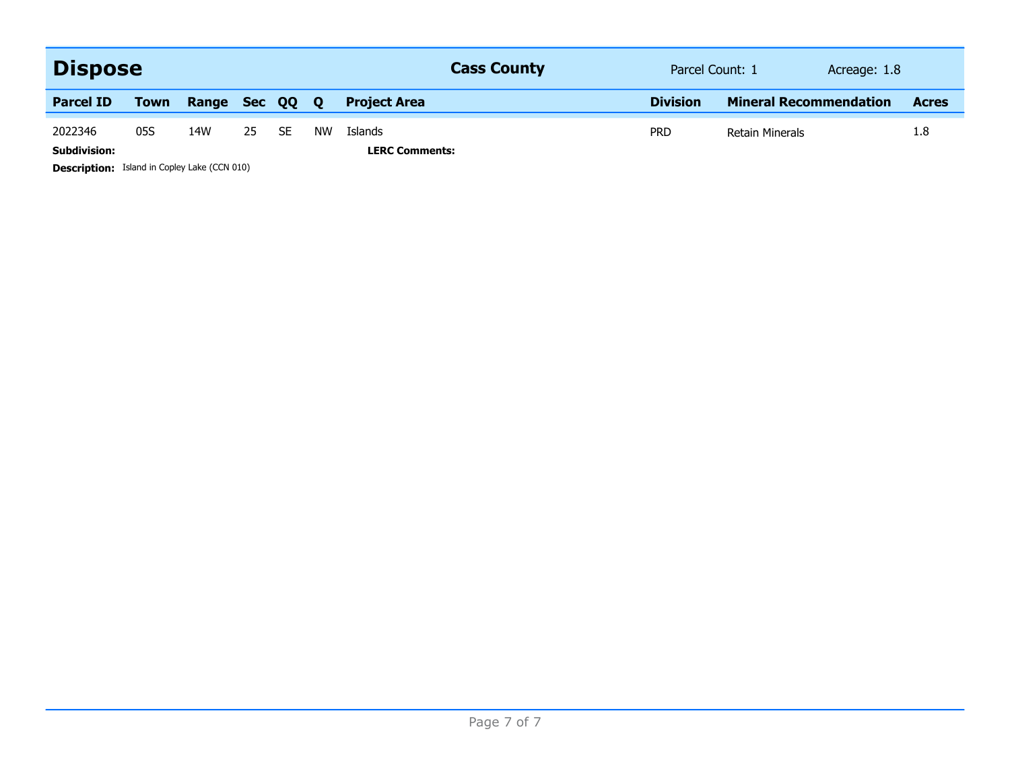| <b>Dispose</b>      |                                                     |       |        |           |              | <b>Cass County</b>    | Parcel Count: 1<br>Acreage: 1.8 |                               |  |              |  |
|---------------------|-----------------------------------------------------|-------|--------|-----------|--------------|-----------------------|---------------------------------|-------------------------------|--|--------------|--|
| <b>Parcel ID</b>    | <b>Town</b>                                         | Range | Sec QQ |           | $\mathbf{o}$ | <b>Project Area</b>   | <b>Division</b>                 | <b>Mineral Recommendation</b> |  | <b>Acres</b> |  |
| 2022346             | 05S                                                 | 14W   | 25     | <b>SE</b> | NW           | Islands               | <b>PRD</b>                      | <b>Retain Minerals</b>        |  | 1.8          |  |
| <b>Subdivision:</b> |                                                     |       |        |           |              | <b>LERC Comments:</b> |                                 |                               |  |              |  |
|                     | <b>Description:</b> Island in Copley Lake (CCN 010) |       |        |           |              |                       |                                 |                               |  |              |  |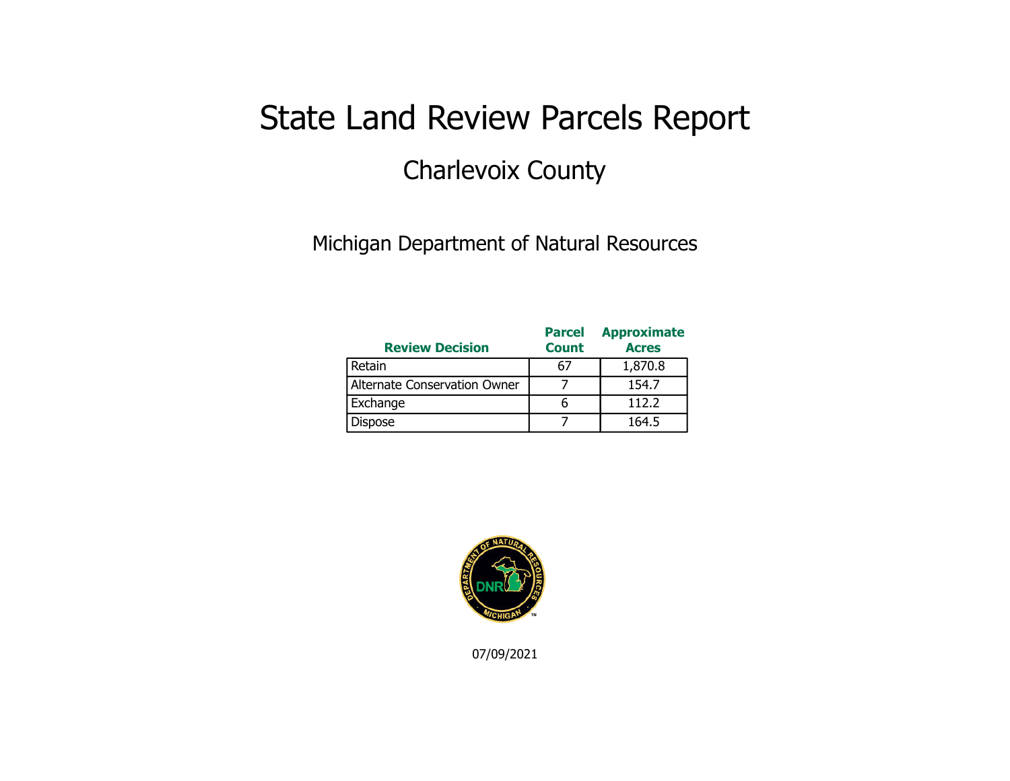## State Land Review Parcels Report Charlevoix County

Michigan Department of Natural Resources

| <b>Review Decision</b>       | <b>Parcel</b><br><b>Count</b> | <b>Approximate</b><br><b>Acres</b> |
|------------------------------|-------------------------------|------------------------------------|
| Retain                       | 67                            | 1,870.8                            |
| Alternate Conservation Owner |                               | 154.7                              |
| Exchange                     |                               | 112.2                              |
| <b>Dispose</b>               |                               | 164.5                              |



07/09/2021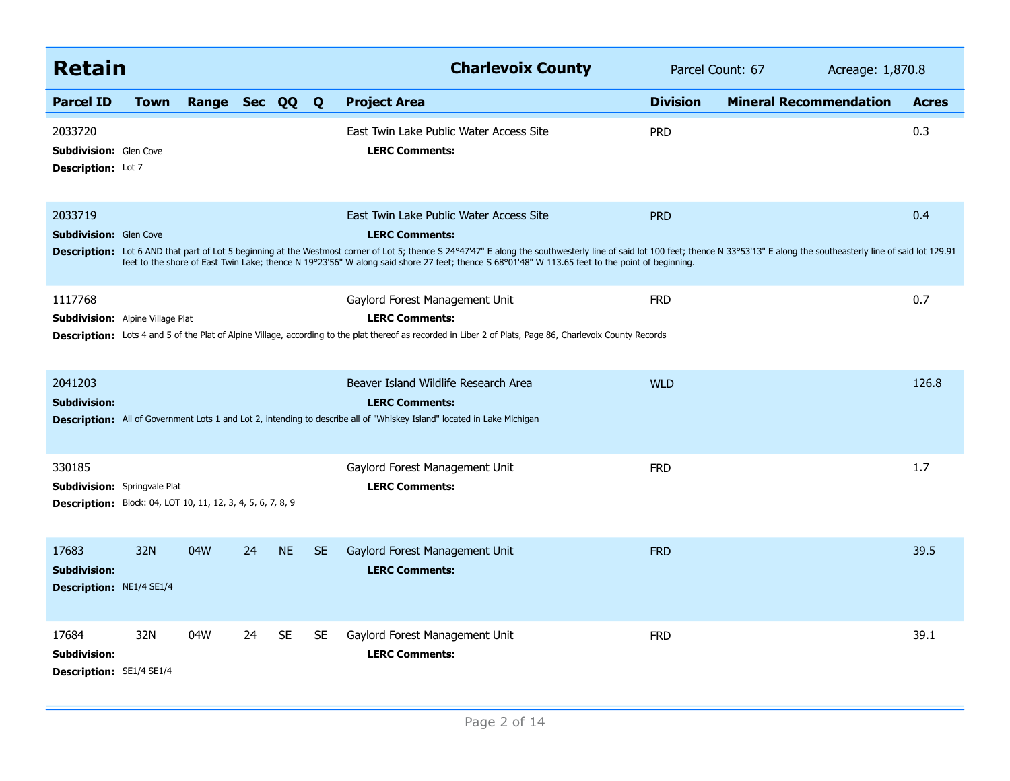| <b>Retain</b>                                                                                                       |      |                |    |           |           | <b>Charlevoix County</b>                                                                                                                                                                                                                                                                                                                                                                                                                              | Parcel Count: 67 |                               |              |
|---------------------------------------------------------------------------------------------------------------------|------|----------------|----|-----------|-----------|-------------------------------------------------------------------------------------------------------------------------------------------------------------------------------------------------------------------------------------------------------------------------------------------------------------------------------------------------------------------------------------------------------------------------------------------------------|------------------|-------------------------------|--------------|
| <b>Parcel ID</b>                                                                                                    | Town | Range Sec QQ Q |    |           |           | <b>Project Area</b>                                                                                                                                                                                                                                                                                                                                                                                                                                   | <b>Division</b>  | <b>Mineral Recommendation</b> | <b>Acres</b> |
| 2033720<br><b>Subdivision:</b> Glen Cove<br><b>Description:</b> Lot 7                                               |      |                |    |           |           | East Twin Lake Public Water Access Site<br><b>LERC Comments:</b>                                                                                                                                                                                                                                                                                                                                                                                      | <b>PRD</b>       |                               | 0.3          |
| 2033719<br><b>Subdivision: Glen Cove</b>                                                                            |      |                |    |           |           | East Twin Lake Public Water Access Site<br><b>LERC Comments:</b><br>Description: Lot 6 AND that part of Lot 5 beginning at the Westmost corner of Lot 5; thence S 24°47'47" E along the southwesterly line of said lot 100 feet; thence N 33°53'13" E along the southeasterly line of said lot 129<br>feet to the shore of East Twin Lake; thence N 19°23'56" W along said shore 27 feet; thence S 68°01'48" W 113.65 feet to the point of beginning. | <b>PRD</b>       |                               | 0.4          |
| 1117768<br><b>Subdivision:</b> Alpine Village Plat                                                                  |      |                |    |           |           | Gaylord Forest Management Unit<br><b>LERC Comments:</b><br>Description: Lots 4 and 5 of the Plat of Alpine Village, according to the plat thereof as recorded in Liber 2 of Plats, Page 86, Charlevoix County Records                                                                                                                                                                                                                                 | <b>FRD</b>       |                               | 0.7          |
| 2041203<br><b>Subdivision:</b>                                                                                      |      |                |    |           |           | Beaver Island Wildlife Research Area<br><b>LERC Comments:</b><br><b>Description:</b> All of Government Lots 1 and Lot 2, intending to describe all of "Whiskey Island" located in Lake Michigan                                                                                                                                                                                                                                                       | <b>WLD</b>       |                               | 126.8        |
| 330185<br><b>Subdivision:</b> Springvale Plat<br><b>Description:</b> Block: 04, LOT 10, 11, 12, 3, 4, 5, 6, 7, 8, 9 |      |                |    |           |           | Gaylord Forest Management Unit<br><b>LERC Comments:</b>                                                                                                                                                                                                                                                                                                                                                                                               | <b>FRD</b>       |                               | 1.7          |
| 17683<br><b>Subdivision:</b><br>Description: NE1/4 SE1/4                                                            | 32N  | 04W            | 24 | <b>NE</b> | <b>SE</b> | Gaylord Forest Management Unit<br><b>LERC Comments:</b>                                                                                                                                                                                                                                                                                                                                                                                               | <b>FRD</b>       |                               | 39.5         |
| 17684<br><b>Subdivision:</b><br><b>Description: SE1/4 SE1/4</b>                                                     | 32N  | 04W            | 24 | <b>SE</b> | <b>SE</b> | Gaylord Forest Management Unit<br><b>LERC Comments:</b>                                                                                                                                                                                                                                                                                                                                                                                               | <b>FRD</b>       |                               | 39.1         |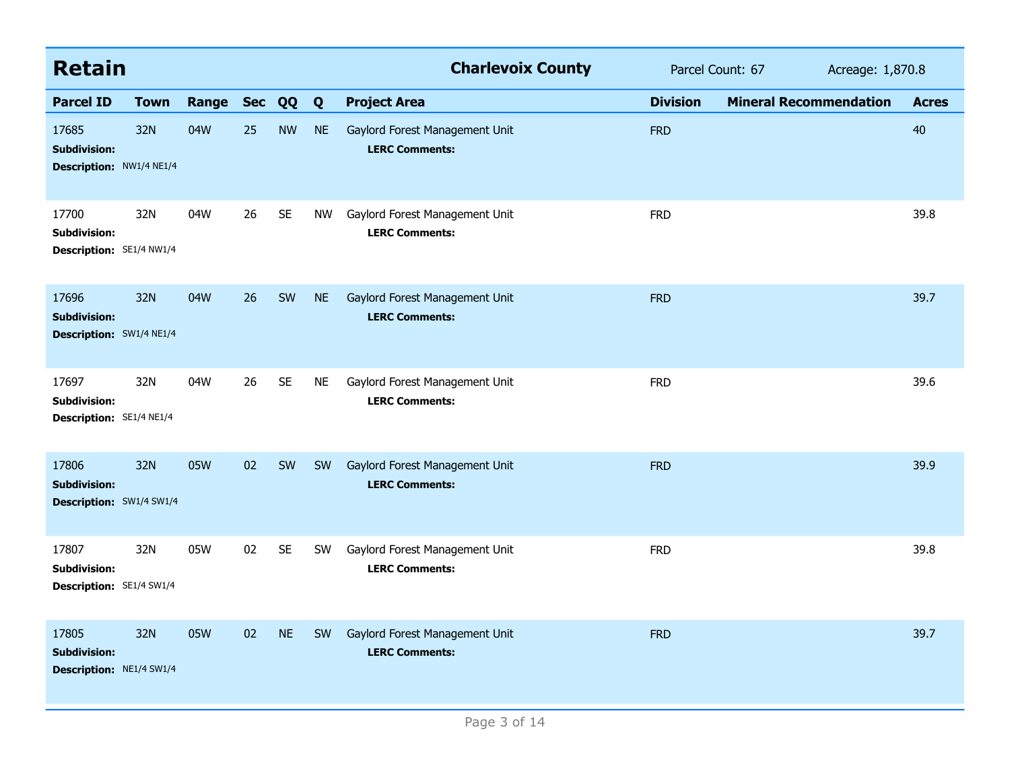| <b>Retain</b>                                            |             |           |    |           |           | <b>Charlevoix County</b>                                |                 | Parcel Count: 67              | Acreage: 1,870.8 |  |
|----------------------------------------------------------|-------------|-----------|----|-----------|-----------|---------------------------------------------------------|-----------------|-------------------------------|------------------|--|
| <b>Parcel ID</b>                                         | <b>Town</b> | Range Sec |    | QQ        | Q         | <b>Project Area</b>                                     | <b>Division</b> | <b>Mineral Recommendation</b> | <b>Acres</b>     |  |
| 17685<br><b>Subdivision:</b><br>Description: NW1/4 NE1/4 | 32N         | 04W       | 25 | <b>NW</b> | <b>NE</b> | Gaylord Forest Management Unit<br><b>LERC Comments:</b> | <b>FRD</b>      |                               | 40               |  |
| 17700<br><b>Subdivision:</b><br>Description: SE1/4 NW1/4 | 32N         | 04W       | 26 | <b>SE</b> | NW        | Gaylord Forest Management Unit<br><b>LERC Comments:</b> | <b>FRD</b>      |                               | 39.8             |  |
| 17696<br><b>Subdivision:</b><br>Description: SW1/4 NE1/4 | 32N         | 04W       | 26 | SW        | <b>NE</b> | Gaylord Forest Management Unit<br><b>LERC Comments:</b> | <b>FRD</b>      |                               | 39.7             |  |
| 17697<br><b>Subdivision:</b><br>Description: SE1/4 NE1/4 | 32N         | 04W       | 26 | <b>SE</b> | <b>NE</b> | Gaylord Forest Management Unit<br><b>LERC Comments:</b> | <b>FRD</b>      |                               | 39.6             |  |
| 17806<br><b>Subdivision:</b><br>Description: SW1/4 SW1/4 | 32N         | 05W       | 02 | SW        | <b>SW</b> | Gaylord Forest Management Unit<br><b>LERC Comments:</b> | <b>FRD</b>      |                               | 39.9             |  |
| 17807<br><b>Subdivision:</b><br>Description: SE1/4 SW1/4 | 32N         | 05W       | 02 | <b>SE</b> | <b>SW</b> | Gaylord Forest Management Unit<br><b>LERC Comments:</b> | <b>FRD</b>      |                               | 39.8             |  |
| 17805<br><b>Subdivision:</b><br>Description: NE1/4 SW1/4 | 32N         | 05W       | 02 | <b>NE</b> | <b>SW</b> | Gaylord Forest Management Unit<br><b>LERC Comments:</b> | <b>FRD</b>      |                               | 39.7             |  |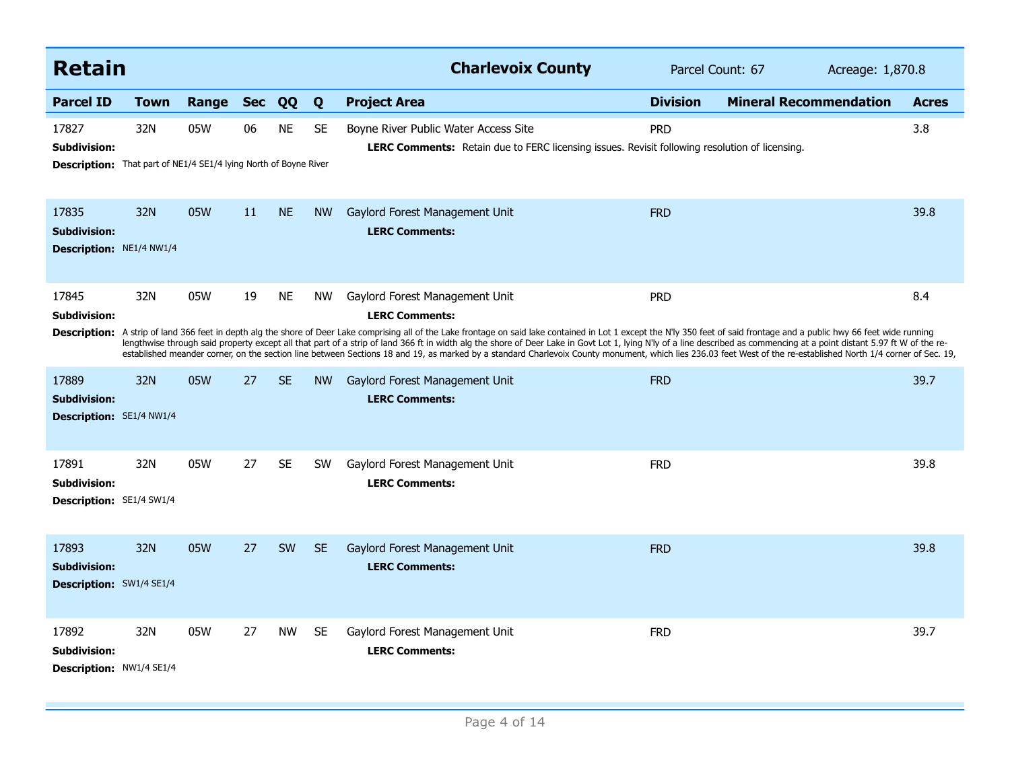| <b>Retain</b>                                                   |                                                            |       |            |           |           | <b>Charlevoix County</b>                                                                                                                                                                                                                                                                                                                                                                                                                                                                                                                                                                                                                                                                                                              |                 | Parcel Count: 67              | Acreage: 1,870.8 |  |
|-----------------------------------------------------------------|------------------------------------------------------------|-------|------------|-----------|-----------|---------------------------------------------------------------------------------------------------------------------------------------------------------------------------------------------------------------------------------------------------------------------------------------------------------------------------------------------------------------------------------------------------------------------------------------------------------------------------------------------------------------------------------------------------------------------------------------------------------------------------------------------------------------------------------------------------------------------------------------|-----------------|-------------------------------|------------------|--|
| <b>Parcel ID</b>                                                | <b>Town</b>                                                | Range | <b>Sec</b> | QQ        | Q         | <b>Project Area</b>                                                                                                                                                                                                                                                                                                                                                                                                                                                                                                                                                                                                                                                                                                                   | <b>Division</b> | <b>Mineral Recommendation</b> | <b>Acres</b>     |  |
| 17827<br><b>Subdivision:</b><br><b>Description:</b>             | 32N<br>That part of NE1/4 SE1/4 lying North of Boyne River | 05W   | 06         | <b>NE</b> | <b>SE</b> | Boyne River Public Water Access Site<br><b>LERC Comments:</b> Retain due to FERC licensing issues. Revisit following resolution of licensing.                                                                                                                                                                                                                                                                                                                                                                                                                                                                                                                                                                                         | <b>PRD</b>      |                               | 3.8              |  |
| 17835<br><b>Subdivision:</b><br><b>Description: NE1/4 NW1/4</b> | 32N                                                        | 05W   | 11         | <b>NE</b> | <b>NW</b> | Gaylord Forest Management Unit<br><b>LERC Comments:</b>                                                                                                                                                                                                                                                                                                                                                                                                                                                                                                                                                                                                                                                                               | <b>FRD</b>      |                               | 39.8             |  |
| 17845<br><b>Subdivision:</b>                                    | 32N                                                        | 05W   | 19         | <b>NE</b> | <b>NW</b> | Gaylord Forest Management Unit<br><b>LERC Comments:</b><br>Description: A strip of land 366 feet in depth alg the shore of Deer Lake comprising all of the Lake frontage on said lake contained in Lot 1 except the N'ly 350 feet of said frontage and a public hwy 66 feet wide running<br>lengthwise through said property except all that part of a strip of land 366 ft in width alg the shore of Deer Lake in Govt Lot 1, lying N'ly of a line described as commencing at a point distant 5.97 ft W of the re-<br>established meander corner, on the section line between Sections 18 and 19, as marked by a standard Charlevoix County monument, which lies 236.03 feet West of the re-established North 1/4 corner of Sec. 19, | <b>PRD</b>      |                               | 8.4              |  |
| 17889<br><b>Subdivision:</b><br><b>Description:</b> SE1/4 NW1/4 | 32N                                                        | 05W   | 27         | <b>SE</b> | <b>NW</b> | Gaylord Forest Management Unit<br><b>LERC Comments:</b>                                                                                                                                                                                                                                                                                                                                                                                                                                                                                                                                                                                                                                                                               | <b>FRD</b>      |                               | 39.7             |  |
| 17891<br><b>Subdivision:</b><br>Description: SE1/4 SW1/4        | 32N                                                        | 05W   | 27         | <b>SE</b> | <b>SW</b> | Gaylord Forest Management Unit<br><b>LERC Comments:</b>                                                                                                                                                                                                                                                                                                                                                                                                                                                                                                                                                                                                                                                                               | <b>FRD</b>      |                               | 39.8             |  |
| 17893<br><b>Subdivision:</b><br><b>Description: SW1/4 SE1/4</b> | 32N                                                        | 05W   | 27         | SW        | <b>SE</b> | Gaylord Forest Management Unit<br><b>LERC Comments:</b>                                                                                                                                                                                                                                                                                                                                                                                                                                                                                                                                                                                                                                                                               | <b>FRD</b>      |                               | 39.8             |  |
| 17892<br><b>Subdivision:</b><br>Description: NW1/4 SE1/4        | 32N                                                        | 05W   | 27         | <b>NW</b> | SE.       | Gaylord Forest Management Unit<br><b>LERC Comments:</b>                                                                                                                                                                                                                                                                                                                                                                                                                                                                                                                                                                                                                                                                               | <b>FRD</b>      |                               | 39.7             |  |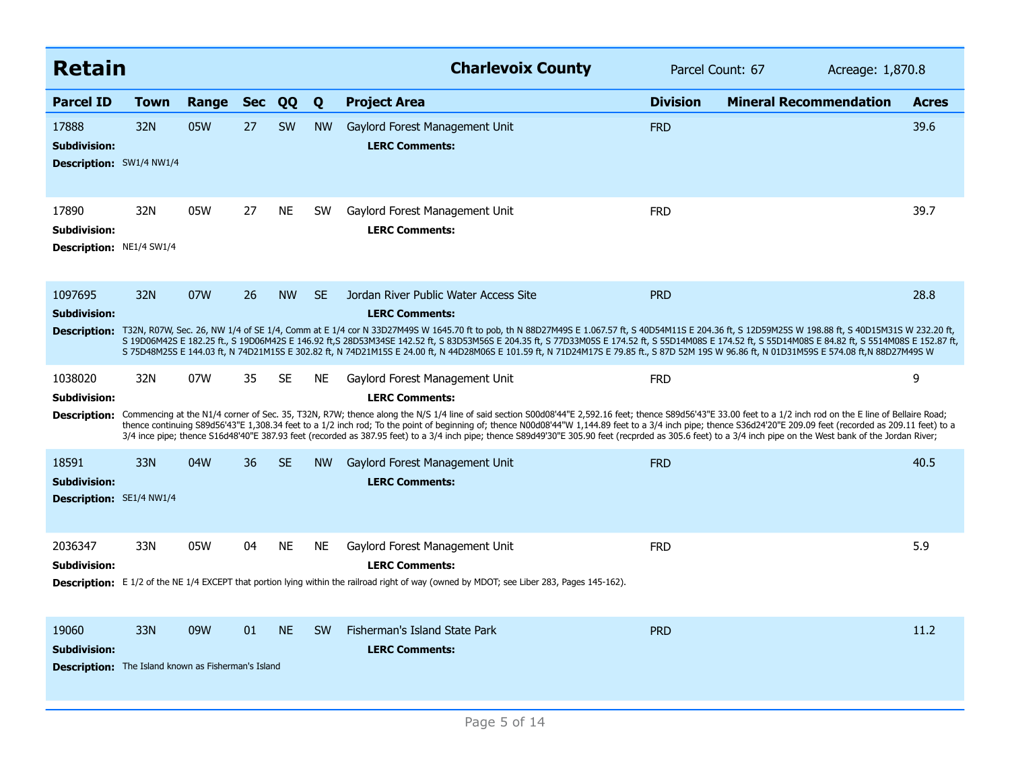| <b>Retain</b>                                                                              |      |       |            |           |           | <b>Charlevoix County</b>                                                                                                                                                                                                                                                                                                                                                                                                                                                                                                                                                                                                                                                                                    |                 | Parcel Count: 67              | Acreage: 1,870.8 |  |
|--------------------------------------------------------------------------------------------|------|-------|------------|-----------|-----------|-------------------------------------------------------------------------------------------------------------------------------------------------------------------------------------------------------------------------------------------------------------------------------------------------------------------------------------------------------------------------------------------------------------------------------------------------------------------------------------------------------------------------------------------------------------------------------------------------------------------------------------------------------------------------------------------------------------|-----------------|-------------------------------|------------------|--|
| <b>Parcel ID</b>                                                                           | Town | Range | <b>Sec</b> | QQ        | Q         | <b>Project Area</b>                                                                                                                                                                                                                                                                                                                                                                                                                                                                                                                                                                                                                                                                                         | <b>Division</b> | <b>Mineral Recommendation</b> | <b>Acres</b>     |  |
| 17888<br><b>Subdivision:</b><br>Description: SW1/4 NW1/4                                   | 32N  | 05W   | 27         | <b>SW</b> | <b>NW</b> | Gaylord Forest Management Unit<br><b>LERC Comments:</b>                                                                                                                                                                                                                                                                                                                                                                                                                                                                                                                                                                                                                                                     | <b>FRD</b>      |                               | 39.6             |  |
| 17890<br><b>Subdivision:</b><br>Description: NE1/4 SW1/4                                   | 32N  | 05W   | 27         | <b>NE</b> | <b>SW</b> | Gaylord Forest Management Unit<br><b>LERC Comments:</b>                                                                                                                                                                                                                                                                                                                                                                                                                                                                                                                                                                                                                                                     | <b>FRD</b>      |                               | 39.7             |  |
| 1097695<br><b>Subdivision:</b>                                                             | 32N  | 07W   | 26         | <b>NW</b> | <b>SE</b> | Jordan River Public Water Access Site<br><b>LERC Comments:</b><br>Description: T32N, R07W, Sec. 26, NW 1/4 of SE 1/4, Comm at E 1/4 cor N 33D27M49S W 1645.70 ft to pob, th N 88D27M49S E 1.067.57 ft, S 40D54M11S E 204.36 ft, S 12D59M25S W 198.88 ft, S 40D15M31S W 232.20 ft,<br>S 19D06M42S E 182.25 ft., S 19D06M42S E 146.92 ft,S 28D53M34SE 142.52 ft, S 83D53M56S E 204.35 ft, S 77D33M05S E 174.52 ft, S 55D14M08S E 174.52 ft, S 55D14M08S E 84.82 ft, S 5514M08S E 152.87 ft,<br>S 75D48M25S E 144.03 ft, N 74D21M15S E 302.82 ft, N 74D21M15S E 24.00 ft, N 44D28M06S E 101.59 ft, N 71D24M17S E 79.85 ft., S 87D 52M 19S W 96.86 ft, N 01D31M59S E 574.08 ft,N 88D27M49S W                    | <b>PRD</b>      |                               | 28.8             |  |
| 1038020<br>Subdivision:<br><b>Description:</b>                                             | 32N  | 07W   | 35         | SE        | NE.       | Gaylord Forest Management Unit<br><b>LERC Comments:</b><br>Commencing at the N1/4 corner of Sec. 35, T32N, R7W; thence along the N/S 1/4 line of said section S00d08'44"E 2,592.16 feet; thence S89d56'43"E 33.00 feet to a 1/2 inch rod on the E line of Bellaire Road;<br>thence continuing S89d56'43"E 1,308.34 feet to a 1/2 inch rod; To the point of beginning of; thence N00d08'44"W 1,144.89 feet to a 3/4 inch pipe; thence S36d24'20"E 209.09 feet (recorded as 209.11 feet) to a<br>3/4 ince pipe; thence S16d48'40"E 387.93 feet (recorded as 387.95 feet) to a 3/4 inch pipe; thence S89d49'30"E 305.90 feet (recprded as 305.6 feet) to a 3/4 inch pipe on the West bank of the Jordan River; | <b>FRD</b>      |                               | 9                |  |
| 18591<br><b>Subdivision:</b><br>Description: SE1/4 NW1/4                                   | 33N  | 04W   | 36         | <b>SE</b> | <b>NW</b> | Gaylord Forest Management Unit<br><b>LERC Comments:</b>                                                                                                                                                                                                                                                                                                                                                                                                                                                                                                                                                                                                                                                     | <b>FRD</b>      |                               | 40.5             |  |
| 2036347<br>Subdivision:                                                                    | 33N  | 05W   | 04         | <b>NE</b> | <b>NE</b> | Gaylord Forest Management Unit<br><b>LERC Comments:</b><br>Description: E 1/2 of the NE 1/4 EXCEPT that portion lying within the railroad right of way (owned by MDOT; see Liber 283, Pages 145-162).                                                                                                                                                                                                                                                                                                                                                                                                                                                                                                       | <b>FRD</b>      |                               | 5.9              |  |
| 19060<br><b>Subdivision:</b><br><b>Description:</b> The Island known as Fisherman's Island | 33N  | 09W   | 01         | <b>NE</b> | <b>SW</b> | Fisherman's Island State Park<br><b>LERC Comments:</b>                                                                                                                                                                                                                                                                                                                                                                                                                                                                                                                                                                                                                                                      | <b>PRD</b>      |                               | 11.2             |  |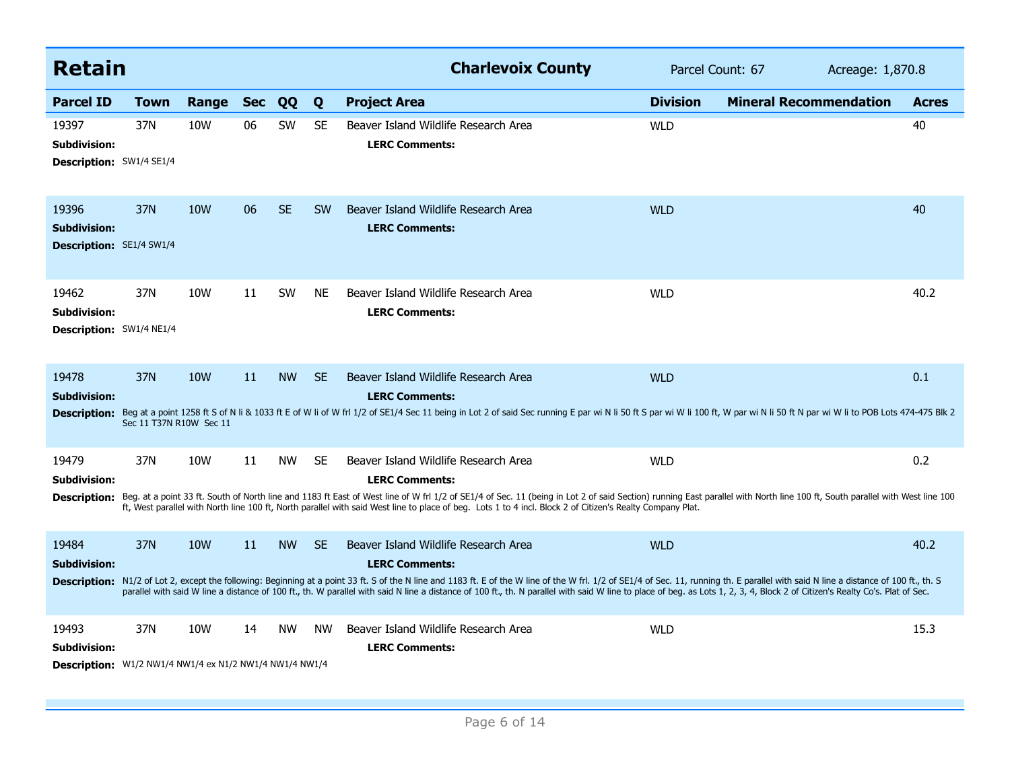| <b>Retain</b>                                                                           |                                |                 |            |           |           | <b>Charlevoix County</b>                                                                                                                                                                                                                                                                                                                                                                                                                                                                                                       | Parcel Count: 67 | Acreage: 1,870.8              |              |
|-----------------------------------------------------------------------------------------|--------------------------------|-----------------|------------|-----------|-----------|--------------------------------------------------------------------------------------------------------------------------------------------------------------------------------------------------------------------------------------------------------------------------------------------------------------------------------------------------------------------------------------------------------------------------------------------------------------------------------------------------------------------------------|------------------|-------------------------------|--------------|
| <b>Parcel ID</b>                                                                        | <b>Town</b>                    | Range           | <b>Sec</b> | QQ        | Q         | <b>Project Area</b>                                                                                                                                                                                                                                                                                                                                                                                                                                                                                                            | <b>Division</b>  | <b>Mineral Recommendation</b> | <b>Acres</b> |
| 19397<br>Subdivision:<br><b>Description: SW1/4 SE1/4</b>                                | 37N                            | 10W             | 06         | <b>SW</b> | <b>SE</b> | Beaver Island Wildlife Research Area<br><b>LERC Comments:</b>                                                                                                                                                                                                                                                                                                                                                                                                                                                                  | <b>WLD</b>       |                               | 40           |
| 19396<br><b>Subdivision:</b><br><b>Description:</b> SE1/4 SW1/4                         | 37N                            | <b>10W</b>      | 06         | <b>SE</b> | <b>SW</b> | Beaver Island Wildlife Research Area<br><b>LERC Comments:</b>                                                                                                                                                                                                                                                                                                                                                                                                                                                                  | <b>WLD</b>       |                               | 40           |
| 19462<br><b>Subdivision:</b><br><b>Description:</b> SW1/4 NE1/4                         | 37N                            | 10W             | 11         | <b>SW</b> | <b>NE</b> | Beaver Island Wildlife Research Area<br><b>LERC Comments:</b>                                                                                                                                                                                                                                                                                                                                                                                                                                                                  | <b>WLD</b>       |                               | 40.2         |
| 19478<br><b>Subdivision:</b><br><b>Description:</b>                                     | 37N<br>Sec 11 T37N R10W Sec 11 | <b>10W</b>      | 11         | <b>NW</b> | <b>SE</b> | Beaver Island Wildlife Research Area<br><b>LERC Comments:</b><br>Beg at a point 1258 ft S of N li & 1033 ft E of W li of W frl 1/2 of SE1/4 Sec 11 being in Lot 2 of said Sec running E par wi N li 50 ft S par wi N li 100 ft, W par wi N li 50 ft N par wi N li 50 ft N par wi W li to POB Lo                                                                                                                                                                                                                                | <b>WLD</b>       |                               | 0.1          |
| 19479<br>Subdivision:<br><b>Description:</b>                                            | 37N                            | 10W             | 11         | <b>NW</b> | <b>SE</b> | Beaver Island Wildlife Research Area<br><b>LERC Comments:</b><br>Beg. at a point 33 ft. South of North line and 1183 ft East of West line of W frl 1/2 of SE1/4 of Sec. 11 (being in Lot 2 of said Section) running East parallel with North line 100 ft, South parallel with West line 100<br>ft, West parallel with North line 100 ft, North parallel with said West line to place of beg. Lots 1 to 4 incl. Block 2 of Citizen's Realty Company Plat.                                                                       | <b>WLD</b>       |                               | 0.2          |
| 19484<br><b>Subdivision:</b>                                                            | 37N                            | 10 <sub>W</sub> | 11         | <b>NW</b> | <b>SE</b> | Beaver Island Wildlife Research Area<br><b>LERC Comments:</b><br>Description: N1/2 of Lot 2, except the following: Beginning at a point 33 ft. S of the N line and 1183 ft. E of the W line of the W frl. 1/2 of SE1/4 of Sec. 11, running th. E parallel with said N line a distance of 100 ft<br>parallel with said W line a distance of 100 ft., th. W parallel with said N line a distance of 100 ft., th. N parallel with said W line to place of beg. as Lots 1, 2, 3, 4, Block 2 of Citizen's Realty Co's. Plat of Sec. | <b>WLD</b>       |                               | 40.2         |
| 19493<br><b>Subdivision:</b><br>Description: W1/2 NW1/4 NW1/4 ex N1/2 NW1/4 NW1/4 NW1/4 | 37N                            | 10W             | 14         | <b>NW</b> | <b>NW</b> | Beaver Island Wildlife Research Area<br><b>LERC Comments:</b>                                                                                                                                                                                                                                                                                                                                                                                                                                                                  | <b>WLD</b>       |                               | 15.3         |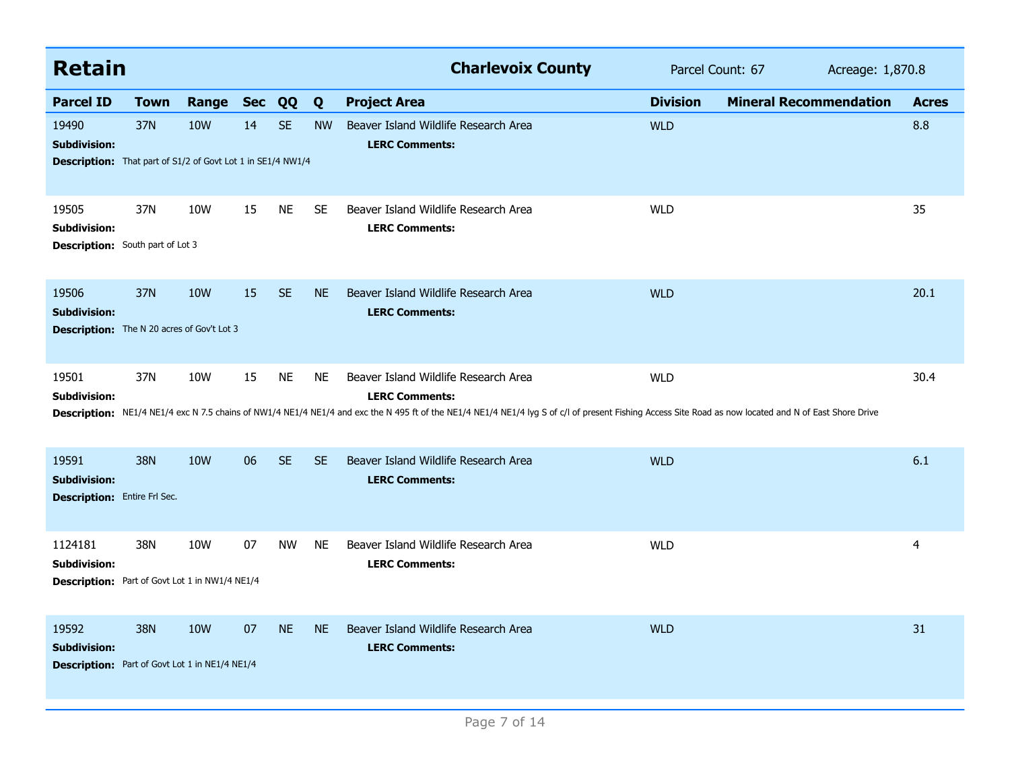| <b>Retain</b>                                                                                      |             |                 |            |           |           | <b>Charlevoix County</b>                                                                                                                                                                                                                                                                        | Parcel Count: 67 |                               | Acreage: 1,870.8 |  |
|----------------------------------------------------------------------------------------------------|-------------|-----------------|------------|-----------|-----------|-------------------------------------------------------------------------------------------------------------------------------------------------------------------------------------------------------------------------------------------------------------------------------------------------|------------------|-------------------------------|------------------|--|
| <b>Parcel ID</b>                                                                                   | <b>Town</b> | Range           | <b>Sec</b> | QQ        | Q         | <b>Project Area</b>                                                                                                                                                                                                                                                                             | <b>Division</b>  | <b>Mineral Recommendation</b> | <b>Acres</b>     |  |
| 19490<br><b>Subdivision:</b><br><b>Description:</b> That part of S1/2 of Govt Lot 1 in SE1/4 NW1/4 | 37N         | 10W             | 14         | <b>SE</b> | <b>NW</b> | Beaver Island Wildlife Research Area<br><b>LERC Comments:</b>                                                                                                                                                                                                                                   | <b>WLD</b>       |                               | 8.8              |  |
| 19505<br><b>Subdivision:</b><br><b>Description:</b> South part of Lot 3                            | 37N         | 10W             | 15         | <b>NE</b> | <b>SE</b> | Beaver Island Wildlife Research Area<br><b>LERC Comments:</b>                                                                                                                                                                                                                                   | <b>WLD</b>       |                               | 35               |  |
| 19506<br><b>Subdivision:</b><br><b>Description:</b> The N 20 acres of Gov't Lot 3                  | 37N         | 10 <sub>W</sub> | 15         | <b>SE</b> | <b>NE</b> | Beaver Island Wildlife Research Area<br><b>LERC Comments:</b>                                                                                                                                                                                                                                   | <b>WLD</b>       |                               | 20.1             |  |
| 19501<br>Subdivision:                                                                              | 37N         | 10W             | 15         | <b>NE</b> | <b>NE</b> | Beaver Island Wildlife Research Area<br><b>LERC Comments:</b><br>Description: NE1/4 NE1/4 exc N 7.5 chains of NW1/4 NE1/4 NE1/4 and exc the N 495 ft of the NE1/4 NE1/4 NE1/4 NE1/4 NE1/4 Ne1/4 Ne1/4 Ne1/4 NE1/4 NE1/4 NE1/4 NE1/4 NE1/4 NE1/4 NE1/4 NE1/4 NE1/4 NE1/4 NE1/4 Ne1/4 Ne1/4 Net o | <b>WLD</b>       |                               | 30.4             |  |
| 19591<br><b>Subdivision:</b><br><b>Description:</b> Entire Frl Sec.                                | 38N         | <b>10W</b>      | 06         | <b>SE</b> | <b>SE</b> | Beaver Island Wildlife Research Area<br><b>LERC Comments:</b>                                                                                                                                                                                                                                   | <b>WLD</b>       |                               | 6.1              |  |
| 1124181<br><b>Subdivision:</b><br><b>Description:</b> Part of Govt Lot 1 in NW1/4 NE1/4            | 38N         | 10W             | 07         | <b>NW</b> | <b>NE</b> | Beaver Island Wildlife Research Area<br><b>LERC Comments:</b>                                                                                                                                                                                                                                   | <b>WLD</b>       |                               | $\overline{4}$   |  |
| 19592<br><b>Subdivision:</b><br><b>Description:</b> Part of Govt Lot 1 in NE1/4 NE1/4              | 38N         | 10 <sub>W</sub> | 07         | <b>NE</b> | <b>NE</b> | Beaver Island Wildlife Research Area<br><b>LERC Comments:</b>                                                                                                                                                                                                                                   | <b>WLD</b>       |                               | 31               |  |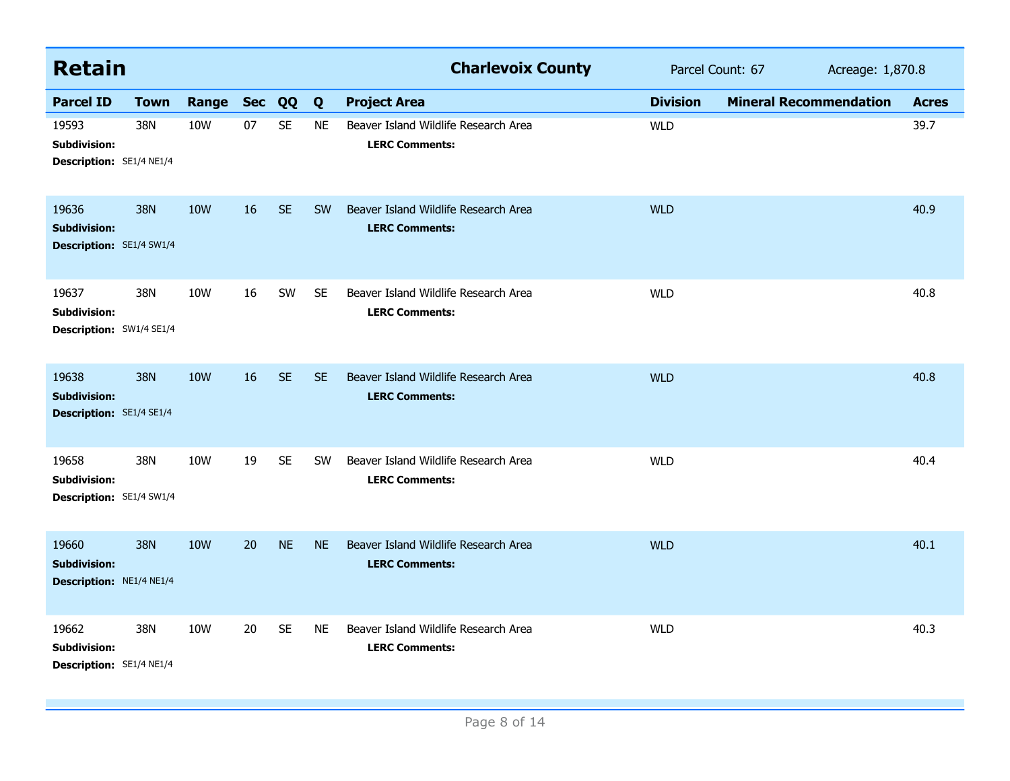| <b>Retain</b>                                                   |             |                 |    |           |           | <b>Charlevoix County</b>                                      |                 | Parcel Count: 67<br>Acreage: 1,870.8 |              |
|-----------------------------------------------------------------|-------------|-----------------|----|-----------|-----------|---------------------------------------------------------------|-----------------|--------------------------------------|--------------|
| <b>Parcel ID</b>                                                | <b>Town</b> | Range Sec       |    | QQ        | Q         | <b>Project Area</b>                                           | <b>Division</b> | <b>Mineral Recommendation</b>        | <b>Acres</b> |
| 19593<br><b>Subdivision:</b><br><b>Description: SE1/4 NE1/4</b> | 38N         | 10W             | 07 | <b>SE</b> | <b>NE</b> | Beaver Island Wildlife Research Area<br><b>LERC Comments:</b> | <b>WLD</b>      |                                      | 39.7         |
| 19636<br><b>Subdivision:</b><br>Description: SE1/4 SW1/4        | 38N         | 10W             | 16 | <b>SE</b> | <b>SW</b> | Beaver Island Wildlife Research Area<br><b>LERC Comments:</b> | <b>WLD</b>      |                                      | 40.9         |
| 19637<br><b>Subdivision:</b><br>Description: SW1/4 SE1/4        | 38N         | 10W             | 16 | SW        | <b>SE</b> | Beaver Island Wildlife Research Area<br><b>LERC Comments:</b> | <b>WLD</b>      |                                      | 40.8         |
| 19638<br><b>Subdivision:</b><br>Description: SE1/4 SE1/4        | 38N         | 10 <sub>W</sub> | 16 | <b>SE</b> | <b>SE</b> | Beaver Island Wildlife Research Area<br><b>LERC Comments:</b> | <b>WLD</b>      |                                      | 40.8         |
| 19658<br>Subdivision:<br>Description: SE1/4 SW1/4               | 38N         | <b>10W</b>      | 19 | <b>SE</b> | <b>SW</b> | Beaver Island Wildlife Research Area<br><b>LERC Comments:</b> | <b>WLD</b>      |                                      | 40.4         |
| 19660<br><b>Subdivision:</b><br>Description: NE1/4 NE1/4        | <b>38N</b>  | 10W             | 20 | <b>NE</b> | <b>NE</b> | Beaver Island Wildlife Research Area<br><b>LERC Comments:</b> | <b>WLD</b>      |                                      | 40.1         |
| 19662<br>Subdivision:<br>Description: SE1/4 NE1/4               | 38N         | 10W             | 20 | <b>SE</b> | <b>NE</b> | Beaver Island Wildlife Research Area<br><b>LERC Comments:</b> | <b>WLD</b>      |                                      | 40.3         |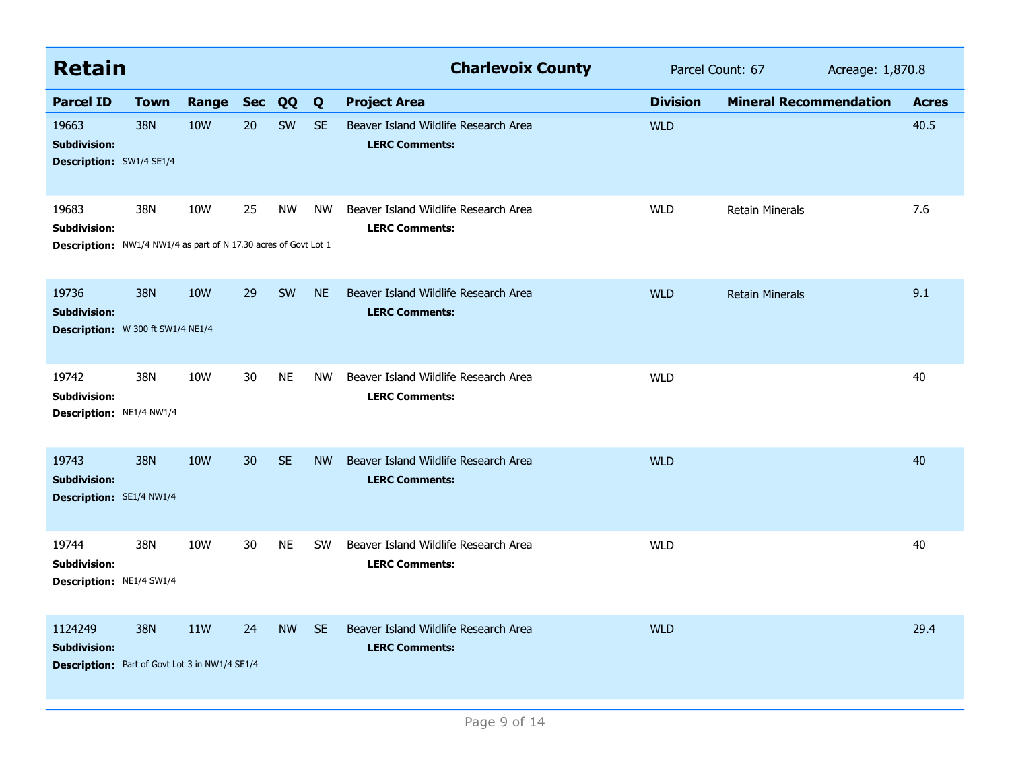| <b>Retain</b>                                                                                   |             |                 |            |           |           | <b>Charlevoix County</b>                                      | Parcel Count: 67 |                               | Acreage: 1,870.8 |              |
|-------------------------------------------------------------------------------------------------|-------------|-----------------|------------|-----------|-----------|---------------------------------------------------------------|------------------|-------------------------------|------------------|--------------|
| <b>Parcel ID</b>                                                                                | <b>Town</b> | Range           | <b>Sec</b> | QQ        | Q         | <b>Project Area</b>                                           | <b>Division</b>  | <b>Mineral Recommendation</b> |                  | <b>Acres</b> |
| 19663<br><b>Subdivision:</b><br><b>Description: SW1/4 SE1/4</b>                                 | 38N         | <b>10W</b>      | 20         | SW        | <b>SE</b> | Beaver Island Wildlife Research Area<br><b>LERC Comments:</b> | <b>WLD</b>       |                               |                  | 40.5         |
| 19683<br><b>Subdivision:</b><br>Description: NW1/4 NW1/4 as part of N 17.30 acres of Govt Lot 1 | 38N         | 10W             | 25         | <b>NW</b> | <b>NW</b> | Beaver Island Wildlife Research Area<br><b>LERC Comments:</b> | <b>WLD</b>       | <b>Retain Minerals</b>        |                  | 7.6          |
| 19736<br><b>Subdivision:</b><br>Description: W 300 ft SW1/4 NE1/4                               | <b>38N</b>  | 10 <sub>W</sub> | 29         | <b>SW</b> | <b>NE</b> | Beaver Island Wildlife Research Area<br><b>LERC Comments:</b> | <b>WLD</b>       | <b>Retain Minerals</b>        |                  | 9.1          |
| 19742<br><b>Subdivision:</b><br>Description: NE1/4 NW1/4                                        | 38N         | 10W             | 30         | <b>NE</b> | <b>NW</b> | Beaver Island Wildlife Research Area<br><b>LERC Comments:</b> | <b>WLD</b>       |                               |                  | 40           |
| 19743<br><b>Subdivision:</b><br>Description: SE1/4 NW1/4                                        | 38N         | <b>10W</b>      | 30         | <b>SE</b> | <b>NW</b> | Beaver Island Wildlife Research Area<br><b>LERC Comments:</b> | <b>WLD</b>       |                               |                  | 40           |
| 19744<br><b>Subdivision:</b><br>Description: NE1/4 SW1/4                                        | 38N         | 10W             | 30         | <b>NE</b> | <b>SW</b> | Beaver Island Wildlife Research Area<br><b>LERC Comments:</b> | <b>WLD</b>       |                               |                  | 40           |
| 1124249<br><b>Subdivision:</b><br><b>Description:</b> Part of Govt Lot 3 in NW1/4 SE1/4         | <b>38N</b>  | 11W             | 24         | <b>NW</b> | <b>SE</b> | Beaver Island Wildlife Research Area<br><b>LERC Comments:</b> | <b>WLD</b>       |                               |                  | 29.4         |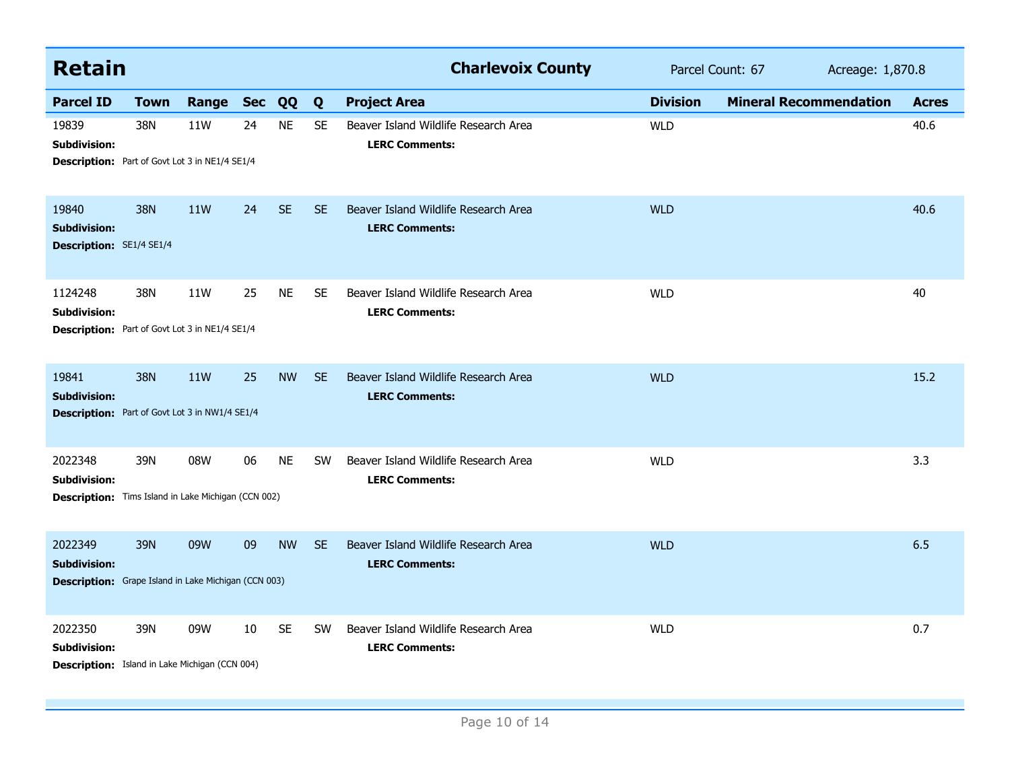| <b>Retain</b>                                                                                 |             |                  |    |           |           | <b>Charlevoix County</b>                                      | Parcel Count: 67<br>Acreage: 1,870.8 |                               |              |
|-----------------------------------------------------------------------------------------------|-------------|------------------|----|-----------|-----------|---------------------------------------------------------------|--------------------------------------|-------------------------------|--------------|
| <b>Parcel ID</b>                                                                              | <b>Town</b> | <b>Range Sec</b> |    | QQ        | Q         | <b>Project Area</b>                                           | <b>Division</b>                      | <b>Mineral Recommendation</b> | <b>Acres</b> |
| 19839<br>Subdivision:<br>Description: Part of Govt Lot 3 in NE1/4 SE1/4                       | 38N         | 11W              | 24 | <b>NE</b> | <b>SE</b> | Beaver Island Wildlife Research Area<br><b>LERC Comments:</b> | <b>WLD</b>                           |                               | 40.6         |
| 19840<br><b>Subdivision:</b><br>Description: SE1/4 SE1/4                                      | 38N         | <b>11W</b>       | 24 | <b>SE</b> | <b>SE</b> | Beaver Island Wildlife Research Area<br><b>LERC Comments:</b> | <b>WLD</b>                           |                               | 40.6         |
| 1124248<br>Subdivision:<br><b>Description:</b> Part of Govt Lot 3 in NE1/4 SE1/4              | 38N         | <b>11W</b>       | 25 | <b>NE</b> | <b>SE</b> | Beaver Island Wildlife Research Area<br><b>LERC Comments:</b> | <b>WLD</b>                           |                               | 40           |
| 19841<br><b>Subdivision:</b><br>Description: Part of Govt Lot 3 in NW1/4 SE1/4                | <b>38N</b>  | <b>11W</b>       | 25 | <b>NW</b> | <b>SE</b> | Beaver Island Wildlife Research Area<br><b>LERC Comments:</b> | <b>WLD</b>                           |                               | 15.2         |
| 2022348<br><b>Subdivision:</b><br>Description: Tims Island in Lake Michigan (CCN 002)         | 39N         | 08W              | 06 | <b>NE</b> | <b>SW</b> | Beaver Island Wildlife Research Area<br><b>LERC Comments:</b> | <b>WLD</b>                           |                               | 3.3          |
| 2022349<br><b>Subdivision:</b><br><b>Description:</b> Grape Island in Lake Michigan (CCN 003) | 39N         | 09W              | 09 | <b>NW</b> | <b>SE</b> | Beaver Island Wildlife Research Area<br><b>LERC Comments:</b> | <b>WLD</b>                           |                               | 6.5          |
| 2022350<br>Subdivision:<br>Description: Island in Lake Michigan (CCN 004)                     | 39N         | 09W              | 10 | <b>SE</b> | <b>SW</b> | Beaver Island Wildlife Research Area<br><b>LERC Comments:</b> | <b>WLD</b>                           |                               | 0.7          |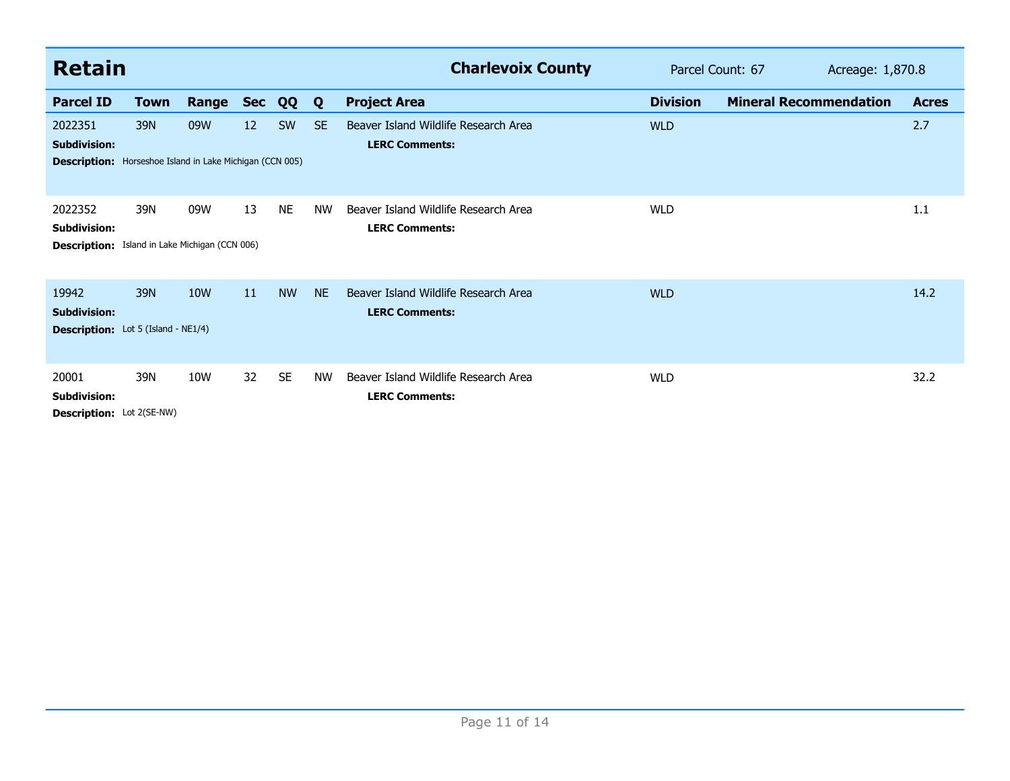| <b>Retain</b>                                                                                     |             |            |            |           |           | <b>Charlevoix County</b>                                      | Parcel Count: 67<br>Acreage: 1,870.8 |                               |  |              |
|---------------------------------------------------------------------------------------------------|-------------|------------|------------|-----------|-----------|---------------------------------------------------------------|--------------------------------------|-------------------------------|--|--------------|
| <b>Parcel ID</b>                                                                                  | <b>Town</b> | Range      | <b>Sec</b> | QQ        | Q         | <b>Project Area</b>                                           | <b>Division</b>                      | <b>Mineral Recommendation</b> |  | <b>Acres</b> |
| 2022351<br><b>Subdivision:</b><br><b>Description:</b> Horseshoe Island in Lake Michigan (CCN 005) | 39N         | 09W        | 12         | SW        | <b>SE</b> | Beaver Island Wildlife Research Area<br><b>LERC Comments:</b> | <b>WLD</b>                           |                               |  | 2.7          |
| 2022352<br><b>Subdivision:</b><br><b>Description:</b> Island in Lake Michigan (CCN 006)           | 39N         | 09W        | 13         | <b>NE</b> | NW        | Beaver Island Wildlife Research Area<br><b>LERC Comments:</b> | <b>WLD</b>                           |                               |  | 1.1          |
| 19942<br><b>Subdivision:</b><br><b>Description:</b> Lot 5 (Island - NE1/4)                        | 39N         | <b>10W</b> | 11         | <b>NW</b> | <b>NE</b> | Beaver Island Wildlife Research Area<br><b>LERC Comments:</b> | <b>WLD</b>                           |                               |  | 14.2         |
| 20001<br><b>Subdivision:</b><br>Description: Lot 2(SE-NW)                                         | 39N         | 10W        | 32         | <b>SE</b> | <b>NW</b> | Beaver Island Wildlife Research Area<br><b>LERC Comments:</b> | <b>WLD</b>                           |                               |  | 32.2         |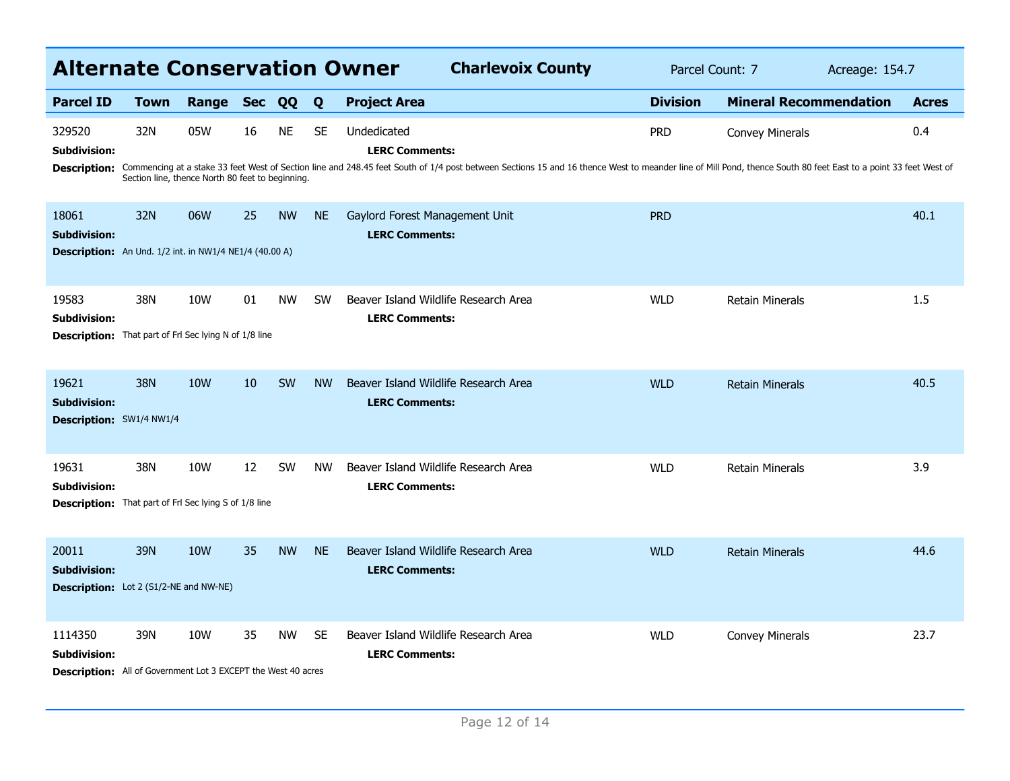|                                                                      | <b>Alternate Conservation Owner</b><br><b>Charlevoix County</b><br>Parcel Count: 7<br>Acreage: 154.7 |                 |            |           |           |                                                                                                                                                                                                                                                        |                 |                               |  |              |  |  |
|----------------------------------------------------------------------|------------------------------------------------------------------------------------------------------|-----------------|------------|-----------|-----------|--------------------------------------------------------------------------------------------------------------------------------------------------------------------------------------------------------------------------------------------------------|-----------------|-------------------------------|--|--------------|--|--|
| <b>Parcel ID</b>                                                     | <b>Town</b>                                                                                          | Range           | <b>Sec</b> | QQ        | Q         | <b>Project Area</b>                                                                                                                                                                                                                                    | <b>Division</b> | <b>Mineral Recommendation</b> |  | <b>Acres</b> |  |  |
| 329520<br><b>Subdivision:</b><br><b>Description:</b>                 | 32N<br>Section line, thence North 80 feet to beginning.                                              | 05W             | 16         | <b>NE</b> | <b>SE</b> | Undedicated<br><b>LERC Comments:</b><br>Commencing at a stake 33 feet West of Section line and 248.45 feet South of 1/4 post between Sections 15 and 16 thence West to meander line of Mill Pond, thence South 80 feet East to a point 33 feet West of | <b>PRD</b>      | <b>Convey Minerals</b>        |  | 0.4          |  |  |
|                                                                      |                                                                                                      |                 |            |           |           |                                                                                                                                                                                                                                                        |                 |                               |  |              |  |  |
| 18061<br><b>Subdivision:</b>                                         | 32N                                                                                                  | 06W             | 25         | <b>NW</b> | <b>NE</b> | Gaylord Forest Management Unit<br><b>LERC Comments:</b>                                                                                                                                                                                                | <b>PRD</b>      |                               |  | 40.1         |  |  |
| Description: An Und. 1/2 int. in NW1/4 NE1/4 (40.00 A)               |                                                                                                      |                 |            |           |           |                                                                                                                                                                                                                                                        |                 |                               |  |              |  |  |
| 19583<br><b>Subdivision:</b>                                         | 38N                                                                                                  | 10W             | 01         | <b>NW</b> | <b>SW</b> | Beaver Island Wildlife Research Area<br><b>LERC Comments:</b>                                                                                                                                                                                          | <b>WLD</b>      | <b>Retain Minerals</b>        |  | 1.5          |  |  |
| <b>Description:</b> That part of FrI Sec lying N of 1/8 line         |                                                                                                      |                 |            |           |           |                                                                                                                                                                                                                                                        |                 |                               |  |              |  |  |
| 19621<br><b>Subdivision:</b>                                         | 38N                                                                                                  | 10 <sub>W</sub> | 10         | <b>SW</b> | <b>NW</b> | Beaver Island Wildlife Research Area<br><b>LERC Comments:</b>                                                                                                                                                                                          | <b>WLD</b>      | <b>Retain Minerals</b>        |  | 40.5         |  |  |
| Description: SW1/4 NW1/4                                             |                                                                                                      |                 |            |           |           |                                                                                                                                                                                                                                                        |                 |                               |  |              |  |  |
| 19631<br><b>Subdivision:</b>                                         | 38N                                                                                                  | 10 <sub>W</sub> | 12         | <b>SW</b> | <b>NW</b> | Beaver Island Wildlife Research Area<br><b>LERC Comments:</b>                                                                                                                                                                                          | <b>WLD</b>      | <b>Retain Minerals</b>        |  | 3.9          |  |  |
| <b>Description:</b> That part of FrI Sec lying S of 1/8 line         |                                                                                                      |                 |            |           |           |                                                                                                                                                                                                                                                        |                 |                               |  |              |  |  |
| 20011<br><b>Subdivision:</b>                                         | 39N                                                                                                  | <b>10W</b>      | 35         | <b>NW</b> | <b>NE</b> | Beaver Island Wildlife Research Area<br><b>LERC Comments:</b>                                                                                                                                                                                          | <b>WLD</b>      | <b>Retain Minerals</b>        |  | 44.6         |  |  |
| <b>Description:</b> Lot 2 (S1/2-NE and NW-NE)                        |                                                                                                      |                 |            |           |           |                                                                                                                                                                                                                                                        |                 |                               |  |              |  |  |
| 1114350<br><b>Subdivision:</b>                                       | 39N                                                                                                  | <b>10W</b>      | 35         | <b>NW</b> | <b>SE</b> | Beaver Island Wildlife Research Area<br><b>LERC Comments:</b>                                                                                                                                                                                          | <b>WLD</b>      | <b>Convey Minerals</b>        |  | 23.7         |  |  |
| <b>Description:</b> All of Government Lot 3 EXCEPT the West 40 acres |                                                                                                      |                 |            |           |           |                                                                                                                                                                                                                                                        |                 |                               |  |              |  |  |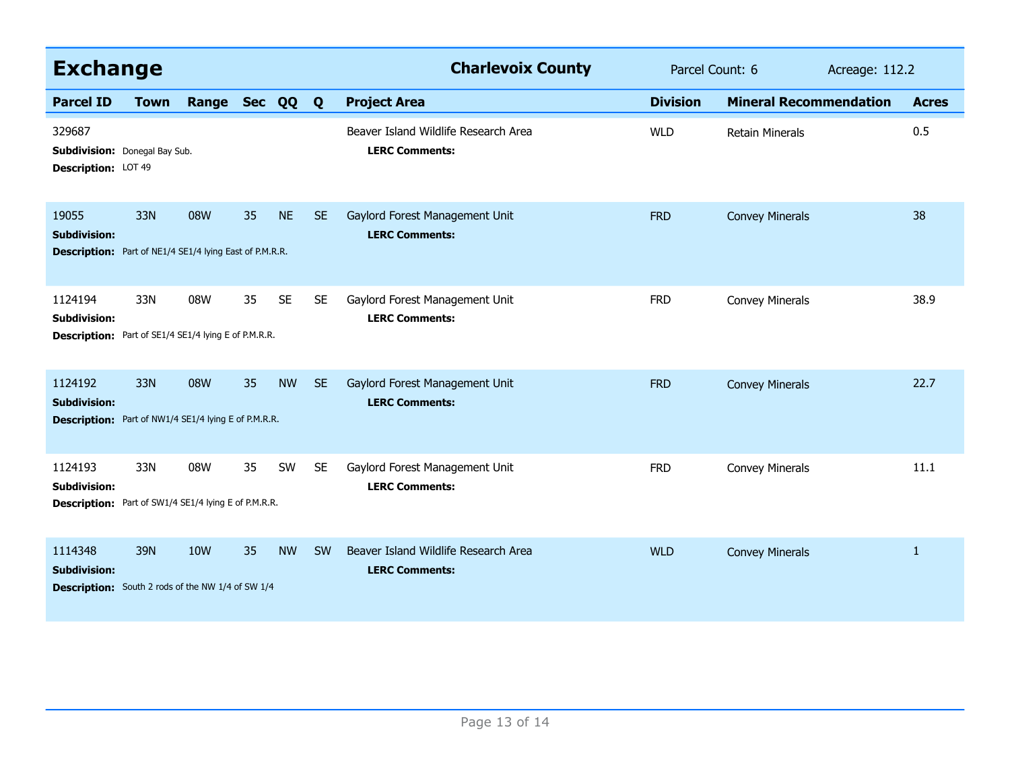| <b>Exchange</b>                                                                                |             |            |    |           |           | <b>Charlevoix County</b>                                      | Parcel Count: 6 |                               | Acreage: 112.2 |              |
|------------------------------------------------------------------------------------------------|-------------|------------|----|-----------|-----------|---------------------------------------------------------------|-----------------|-------------------------------|----------------|--------------|
| <b>Parcel ID</b>                                                                               | <b>Town</b> | Range      |    | Sec QQ    | Q         | <b>Project Area</b>                                           | <b>Division</b> | <b>Mineral Recommendation</b> |                | <b>Acres</b> |
| 329687<br><b>Subdivision:</b> Donegal Bay Sub.<br>Description: LOT 49                          |             |            |    |           |           | Beaver Island Wildlife Research Area<br><b>LERC Comments:</b> | <b>WLD</b>      | <b>Retain Minerals</b>        |                | 0.5          |
| 19055<br><b>Subdivision:</b><br><b>Description:</b> Part of NE1/4 SE1/4 lying East of P.M.R.R. | 33N         | 08W        | 35 | <b>NE</b> | <b>SE</b> | Gaylord Forest Management Unit<br><b>LERC Comments:</b>       | <b>FRD</b>      | <b>Convey Minerals</b>        |                | 38           |
| 1124194<br>Subdivision:<br><b>Description:</b> Part of SE1/4 SE1/4 lying E of P.M.R.R.         | 33N         | 08W        | 35 | <b>SE</b> | <b>SE</b> | Gaylord Forest Management Unit<br><b>LERC Comments:</b>       | <b>FRD</b>      | <b>Convey Minerals</b>        |                | 38.9         |
| 1124192<br><b>Subdivision:</b><br>Description: Part of NW1/4 SE1/4 lying E of P.M.R.R.         | 33N         | 08W        | 35 | <b>NW</b> | <b>SE</b> | Gaylord Forest Management Unit<br><b>LERC Comments:</b>       | <b>FRD</b>      | <b>Convey Minerals</b>        |                | 22.7         |
| 1124193<br><b>Subdivision:</b><br>Description: Part of SW1/4 SE1/4 lying E of P.M.R.R.         | 33N         | 08W        | 35 | SW        | <b>SE</b> | Gaylord Forest Management Unit<br><b>LERC Comments:</b>       | <b>FRD</b>      | <b>Convey Minerals</b>        |                | 11.1         |
| 1114348<br><b>Subdivision:</b><br><b>Description:</b> South 2 rods of the NW 1/4 of SW 1/4     | 39N         | <b>10W</b> | 35 | <b>NW</b> | <b>SW</b> | Beaver Island Wildlife Research Area<br><b>LERC Comments:</b> | <b>WLD</b>      | <b>Convey Minerals</b>        |                | $\mathbf{1}$ |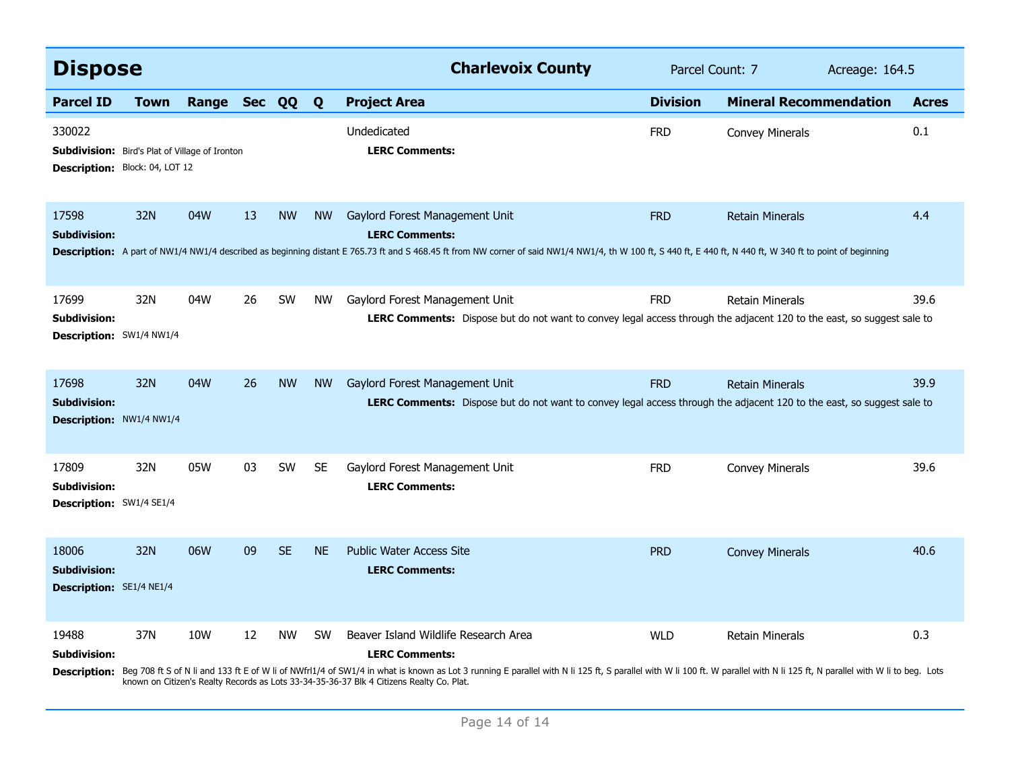| <b>Dispose</b>                                                                                    |             |              |    |           |           | <b>Charlevoix County</b>                                                                                                                                                                                                                                                                                                                                                                    | Parcel Count: 7 |                               | Acreage: 164.5 |              |
|---------------------------------------------------------------------------------------------------|-------------|--------------|----|-----------|-----------|---------------------------------------------------------------------------------------------------------------------------------------------------------------------------------------------------------------------------------------------------------------------------------------------------------------------------------------------------------------------------------------------|-----------------|-------------------------------|----------------|--------------|
| <b>Parcel ID</b>                                                                                  | <b>Town</b> | Range Sec QQ |    |           | Q         | <b>Project Area</b>                                                                                                                                                                                                                                                                                                                                                                         | <b>Division</b> | <b>Mineral Recommendation</b> |                | <b>Acres</b> |
| 330022<br><b>Subdivision:</b> Bird's Plat of Village of Ironton<br>Description: Block: 04, LOT 12 |             |              |    |           |           | Undedicated<br><b>LERC Comments:</b>                                                                                                                                                                                                                                                                                                                                                        | <b>FRD</b>      | <b>Convey Minerals</b>        |                | 0.1          |
| 17598<br><b>Subdivision:</b>                                                                      | 32N         | 04W          | 13 | <b>NW</b> | <b>NW</b> | Gaylord Forest Management Unit<br><b>LERC Comments:</b><br>Description: A part of NW1/4 NW1/4 described as beginning distant E 765.73 ft and S 468.45 ft from NW corner of said NW1/4 NW1/4, th W 100 ft, S 440 ft, E 440 ft, N 440 ft, N 440 ft, W 340 ft to point of beginning                                                                                                            | <b>FRD</b>      | <b>Retain Minerals</b>        |                | 4.4          |
| 17699<br><b>Subdivision:</b><br>Description: SW1/4 NW1/4                                          | 32N         | 04W          | 26 | <b>SW</b> | <b>NW</b> | Gaylord Forest Management Unit<br><b>LERC Comments:</b> Dispose but do not want to convey legal access through the adjacent 120 to the east, so suggest sale to                                                                                                                                                                                                                             | <b>FRD</b>      | <b>Retain Minerals</b>        |                | 39.6         |
| 17698<br><b>Subdivision:</b><br>Description: NW1/4 NW1/4                                          | 32N         | 04W          | 26 | <b>NW</b> | <b>NW</b> | Gaylord Forest Management Unit<br>LERC Comments: Dispose but do not want to convey legal access through the adjacent 120 to the east, so suggest sale to                                                                                                                                                                                                                                    | <b>FRD</b>      | <b>Retain Minerals</b>        |                | 39.9         |
| 17809<br>Subdivision:<br>Description: SW1/4 SE1/4                                                 | 32N         | 05W          | 03 | SW        | <b>SE</b> | Gaylord Forest Management Unit<br><b>LERC Comments:</b>                                                                                                                                                                                                                                                                                                                                     | <b>FRD</b>      | <b>Convey Minerals</b>        |                | 39.6         |
| 18006<br><b>Subdivision:</b><br>Description: SE1/4 NE1/4                                          | 32N         | 06W          | 09 | <b>SE</b> | <b>NE</b> | <b>Public Water Access Site</b><br><b>LERC Comments:</b>                                                                                                                                                                                                                                                                                                                                    | <b>PRD</b>      | <b>Convey Minerals</b>        |                | 40.6         |
| 19488<br><b>Subdivision:</b>                                                                      | 37N         | 10W          | 12 | <b>NW</b> | <b>SW</b> | Beaver Island Wildlife Research Area<br><b>LERC Comments:</b><br>Description: Beg 708 ft S of N li and 133 ft E of W li of NWfrl1/4 of SW1/4 in what is known as Lot 3 running E parallel with N li 125 ft, S parallel with W li 100 ft. W parallel with N li 125 ft, N parallel with W li to b<br>known on Citizen's Realty Records as Lots 33-34-35-36-37 Blk 4 Citizens Realty Co. Plat. | <b>WLD</b>      | <b>Retain Minerals</b>        |                | 0.3          |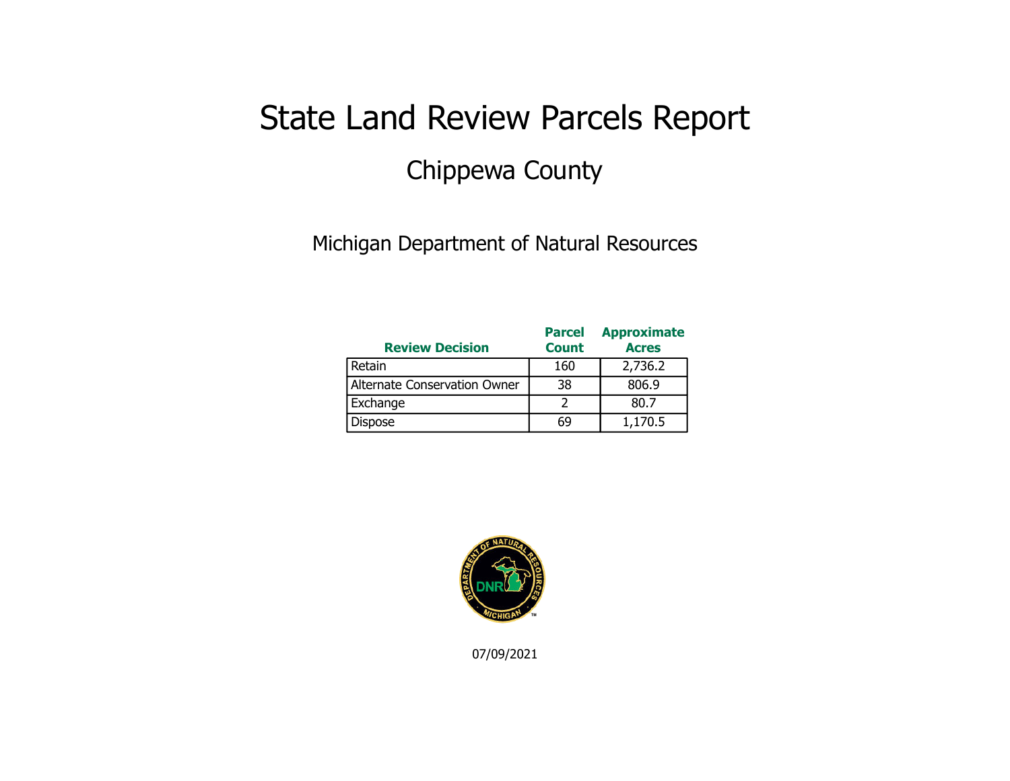## State Land Review Parcels Report Chippewa County

Michigan Department of Natural Resources

| <b>Review Decision</b>       | <b>Parcel</b><br><b>Count</b> | <b>Approximate</b><br><b>Acres</b> |
|------------------------------|-------------------------------|------------------------------------|
| Retain                       | 160                           | 2,736.2                            |
| Alternate Conservation Owner | 38                            | 806.9                              |
| Exchange                     |                               | 80.7                               |
| <b>Dispose</b>               | 69                            | 1,170.5                            |



07/09/2021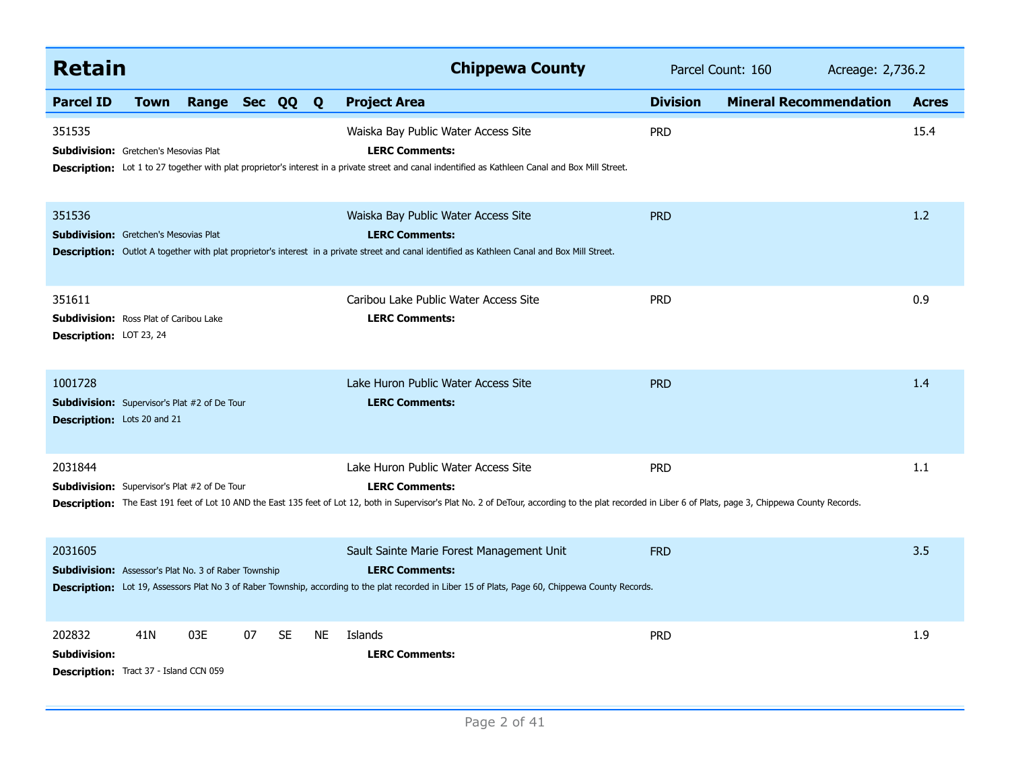| <b>Retain</b>                                                                                        |                |    |           |           | <b>Chippewa County</b>                                                                                                                                                                                                                                                    | Parcel Count: 160 |                               |              |
|------------------------------------------------------------------------------------------------------|----------------|----|-----------|-----------|---------------------------------------------------------------------------------------------------------------------------------------------------------------------------------------------------------------------------------------------------------------------------|-------------------|-------------------------------|--------------|
| <b>Parcel ID</b><br><b>Town</b>                                                                      | Range Sec QQ Q |    |           |           | <b>Project Area</b>                                                                                                                                                                                                                                                       | <b>Division</b>   | <b>Mineral Recommendation</b> | <b>Acres</b> |
| 351535<br><b>Subdivision:</b> Gretchen's Mesovias Plat                                               |                |    |           |           | Waiska Bay Public Water Access Site<br><b>LERC Comments:</b><br>Description: Lot 1 to 27 together with plat proprietor's interest in a private street and canal indentified as Kathleen Canal and Box Mill Street.                                                        | <b>PRD</b>        |                               | 15.4         |
| 351536<br><b>Subdivision:</b> Gretchen's Mesovias Plat                                               |                |    |           |           | Waiska Bay Public Water Access Site<br><b>LERC Comments:</b><br>Description: Outlot A together with plat proprietor's interest in a private street and canal identified as Kathleen Canal and Box Mill Street.                                                            | <b>PRD</b>        |                               | 1.2          |
| 351611<br>Subdivision: Ross Plat of Caribou Lake<br>Description: LOT 23, 24                          |                |    |           |           | Caribou Lake Public Water Access Site<br><b>LERC Comments:</b>                                                                                                                                                                                                            | <b>PRD</b>        |                               | 0.9          |
| 1001728<br><b>Subdivision:</b> Supervisor's Plat #2 of De Tour<br><b>Description:</b> Lots 20 and 21 |                |    |           |           | Lake Huron Public Water Access Site<br><b>LERC Comments:</b>                                                                                                                                                                                                              | <b>PRD</b>        |                               | 1.4          |
| 2031844<br><b>Subdivision:</b> Supervisor's Plat #2 of De Tour                                       |                |    |           |           | Lake Huron Public Water Access Site<br><b>LERC Comments:</b><br>Description: The East 191 feet of Lot 10 AND the East 135 feet of Lot 12, both in Supervisor's Plat No. 2 of DeTour, according to the plat recorded in Liber 6 of Plats, page 3, Chippewa County Records. | <b>PRD</b>        |                               | 1.1          |
| 2031605<br><b>Subdivision:</b> Assessor's Plat No. 3 of Raber Township                               |                |    |           |           | Sault Sainte Marie Forest Management Unit<br><b>LERC Comments:</b><br>Description: Lot 19, Assessors Plat No 3 of Raber Township, according to the plat recorded in Liber 15 of Plats, Page 60, Chippewa County Records.                                                  | <b>FRD</b>        |                               | 3.5          |
| 202832<br>41N<br><b>Subdivision:</b><br><b>Description:</b> Tract 37 - Island CCN 059                | 03E            | 07 | <b>SE</b> | <b>NE</b> | Islands<br><b>LERC Comments:</b>                                                                                                                                                                                                                                          | <b>PRD</b>        |                               | 1.9          |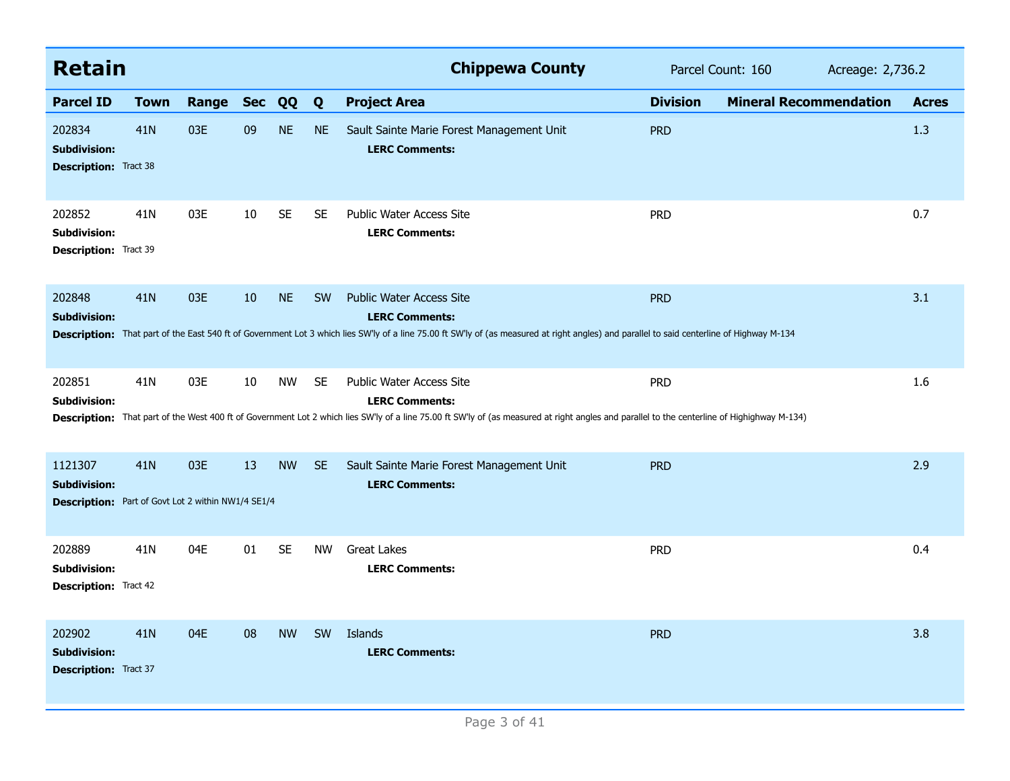| <b>Retain</b>                                                                               |                 |       |            |           |           | <b>Chippewa County</b>                                                                                                                                                                                                                                | Parcel Count: 160 | Acreage: 2,736.2              |              |
|---------------------------------------------------------------------------------------------|-----------------|-------|------------|-----------|-----------|-------------------------------------------------------------------------------------------------------------------------------------------------------------------------------------------------------------------------------------------------------|-------------------|-------------------------------|--------------|
| <b>Parcel ID</b>                                                                            | <b>Town</b>     | Range | <b>Sec</b> | QQ        | Q         | <b>Project Area</b>                                                                                                                                                                                                                                   | <b>Division</b>   | <b>Mineral Recommendation</b> | <b>Acres</b> |
| 202834<br><b>Subdivision:</b><br><b>Description:</b> Tract 38                               | 41N             | 03E   | 09         | <b>NE</b> | <b>NE</b> | Sault Sainte Marie Forest Management Unit<br><b>LERC Comments:</b>                                                                                                                                                                                    | <b>PRD</b>        |                               | 1.3          |
| 202852<br>Subdivision:<br>Description: Tract 39                                             | 41N             | 03E   | 10         | SE        | <b>SE</b> | <b>Public Water Access Site</b><br><b>LERC Comments:</b>                                                                                                                                                                                              | <b>PRD</b>        |                               | 0.7          |
| 202848<br><b>Subdivision:</b>                                                               | 41 <sub>N</sub> | 03E   | 10         | <b>NE</b> | <b>SW</b> | <b>Public Water Access Site</b><br><b>LERC Comments:</b><br>Description: That part of the East 540 ft of Government Lot 3 which lies SW'ly of a line 75.00 ft SW'ly of (as measured at right angles) and parallel to said centerline of Highway M-134 | <b>PRD</b>        |                               | 3.1          |
| 202851<br><b>Subdivision:</b>                                                               | 41N             | 03E   | 10         | <b>NW</b> | <b>SE</b> | Public Water Access Site<br><b>LERC Comments:</b><br>Description: That part of the West 400 ft of Government Lot 2 which lies SW'ly of a line 75.00 ft SW'ly of (as measured at right angles and parallel to the centerline of Highighway M-134)      | <b>PRD</b>        |                               | 1.6          |
| 1121307<br><b>Subdivision:</b><br><b>Description:</b> Part of Govt Lot 2 within NW1/4 SE1/4 | 41N             | 03E   | 13         | <b>NW</b> | <b>SE</b> | Sault Sainte Marie Forest Management Unit<br><b>LERC Comments:</b>                                                                                                                                                                                    | <b>PRD</b>        |                               | 2.9          |
| 202889<br><b>Subdivision:</b><br><b>Description:</b> Tract 42                               | 41N             | 04E   | 01         | <b>SE</b> | <b>NW</b> | <b>Great Lakes</b><br><b>LERC Comments:</b>                                                                                                                                                                                                           | <b>PRD</b>        |                               | 0.4          |
| 202902<br><b>Subdivision:</b><br><b>Description:</b> Tract 37                               | 41 <sub>N</sub> | 04E   | 08         | <b>NW</b> | <b>SW</b> | Islands<br><b>LERC Comments:</b>                                                                                                                                                                                                                      | <b>PRD</b>        |                               | 3.8          |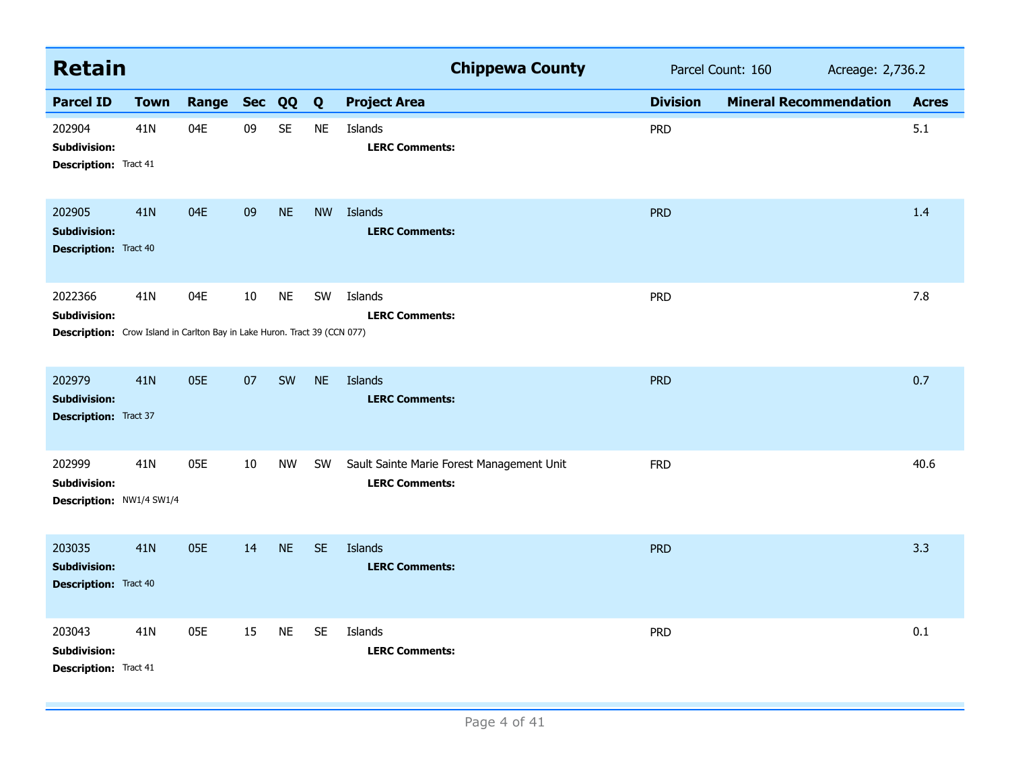| <b>Retain</b>                                                                                               |             |           |    |           |           | <b>Chippewa County</b><br>Parcel Count: 160<br>Acreage: 2,736.2    |                 |                               |              |
|-------------------------------------------------------------------------------------------------------------|-------------|-----------|----|-----------|-----------|--------------------------------------------------------------------|-----------------|-------------------------------|--------------|
| <b>Parcel ID</b>                                                                                            | <b>Town</b> | Range Sec |    | QQ        | Q         | <b>Project Area</b>                                                | <b>Division</b> | <b>Mineral Recommendation</b> | <b>Acres</b> |
| 202904<br><b>Subdivision:</b><br><b>Description: Tract 41</b>                                               | 41N         | 04E       | 09 | <b>SE</b> | <b>NE</b> | Islands<br><b>LERC Comments:</b>                                   | <b>PRD</b>      |                               | 5.1          |
| 202905<br><b>Subdivision:</b><br><b>Description:</b> Tract 40                                               | 41N         | 04E       | 09 | <b>NE</b> | <b>NW</b> | Islands<br><b>LERC Comments:</b>                                   | <b>PRD</b>      |                               | 1.4          |
| 2022366<br><b>Subdivision:</b><br>Description: Crow Island in Carlton Bay in Lake Huron. Tract 39 (CCN 077) | 41N         | 04E       | 10 | <b>NE</b> | SW        | Islands<br><b>LERC Comments:</b>                                   | <b>PRD</b>      |                               | 7.8          |
| 202979<br><b>Subdivision:</b><br><b>Description:</b> Tract 37                                               | <b>41N</b>  | 05E       | 07 | SW        | <b>NE</b> | Islands<br><b>LERC Comments:</b>                                   | <b>PRD</b>      |                               | 0.7          |
| 202999<br><b>Subdivision:</b><br>Description: NW1/4 SW1/4                                                   | 41N         | 05E       | 10 | <b>NW</b> | SW        | Sault Sainte Marie Forest Management Unit<br><b>LERC Comments:</b> | <b>FRD</b>      |                               | 40.6         |
| 203035<br><b>Subdivision:</b><br><b>Description:</b> Tract 40                                               | 41N         | 05E       | 14 | <b>NE</b> | <b>SE</b> | <b>Islands</b><br><b>LERC Comments:</b>                            | <b>PRD</b>      |                               | 3.3          |
| 203043<br><b>Subdivision:</b><br><b>Description:</b> Tract 41                                               | 41N         | 05E       | 15 | <b>NE</b> | <b>SE</b> | Islands<br><b>LERC Comments:</b>                                   | <b>PRD</b>      |                               | 0.1          |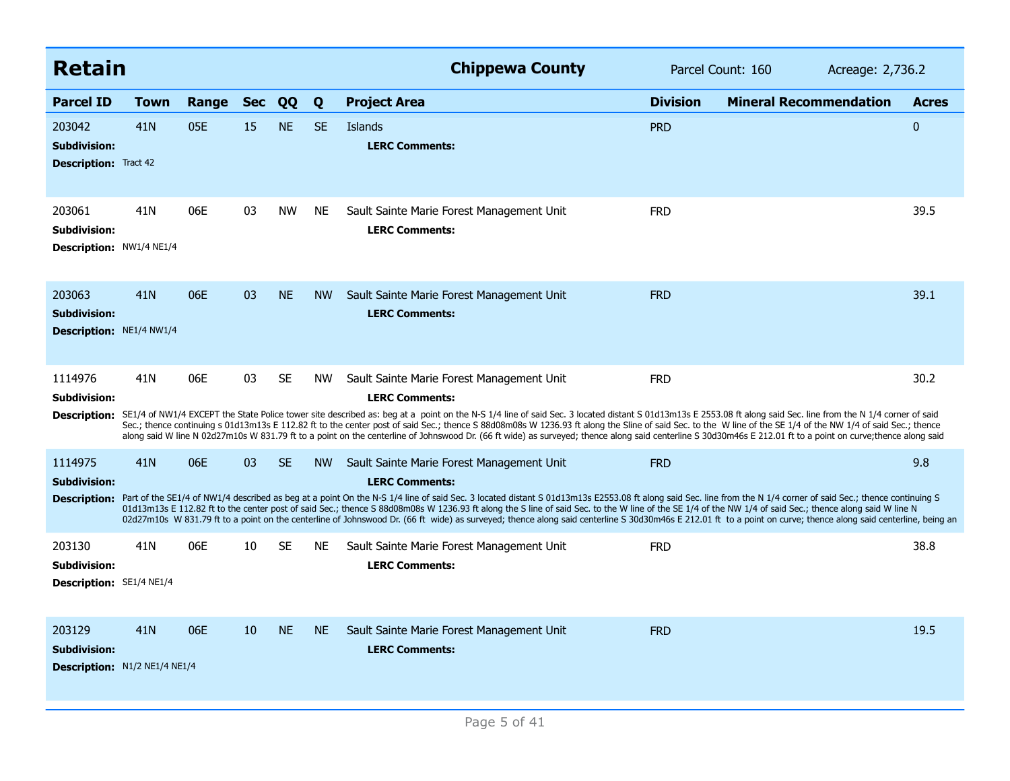| <b>Retain</b>                                                  |                 |       |            |           |           | <b>Chippewa County</b>                                                                                                                                                                                                                                                                                                                                                                                                                                                                                                                                                                                                                                                                                                         | Parcel Count: 160 | Acreage: 2,736.2              |              |
|----------------------------------------------------------------|-----------------|-------|------------|-----------|-----------|--------------------------------------------------------------------------------------------------------------------------------------------------------------------------------------------------------------------------------------------------------------------------------------------------------------------------------------------------------------------------------------------------------------------------------------------------------------------------------------------------------------------------------------------------------------------------------------------------------------------------------------------------------------------------------------------------------------------------------|-------------------|-------------------------------|--------------|
| <b>Parcel ID</b>                                               | Town            | Range | <b>Sec</b> | QQ        | Q         | <b>Project Area</b>                                                                                                                                                                                                                                                                                                                                                                                                                                                                                                                                                                                                                                                                                                            | <b>Division</b>   | <b>Mineral Recommendation</b> | <b>Acres</b> |
| 203042<br><b>Subdivision:</b><br><b>Description: Tract 42</b>  | 41 <sub>N</sub> | 05E   | 15         | <b>NE</b> | <b>SE</b> | Islands<br><b>LERC Comments:</b>                                                                                                                                                                                                                                                                                                                                                                                                                                                                                                                                                                                                                                                                                               | <b>PRD</b>        |                               | $\bf{0}$     |
| 203061<br>Subdivision:<br><b>Description: NW1/4 NE1/4</b>      | 41N             | 06E   | 03         | <b>NW</b> | <b>NE</b> | Sault Sainte Marie Forest Management Unit<br><b>LERC Comments:</b>                                                                                                                                                                                                                                                                                                                                                                                                                                                                                                                                                                                                                                                             | <b>FRD</b>        |                               | 39.5         |
| 203063<br><b>Subdivision:</b><br>Description: NE1/4 NW1/4      | 41 <sub>N</sub> | 06E   | 03         | <b>NE</b> | <b>NW</b> | Sault Sainte Marie Forest Management Unit<br><b>LERC Comments:</b>                                                                                                                                                                                                                                                                                                                                                                                                                                                                                                                                                                                                                                                             | <b>FRD</b>        |                               | 39.1         |
| 1114976<br><b>Subdivision:</b><br><b>Description:</b>          | 41N             | 06E   | 03         | <b>SE</b> | <b>NW</b> | Sault Sainte Marie Forest Management Unit<br><b>LERC Comments:</b><br>SE1/4 of NW1/4 EXCEPT the State Police tower site described as: beg at a point on the N-S 1/4 line of said Sec. 3 located distant S 01d13m13s E 2553.08 ft along said Sec. line from the N 1/4 corner of said<br>Sec.; thence continuing s 01d13m13s E 112.82 ft to the center post of said Sec.; thence S 88d08m08s W 1236.93 ft along the Sline of said Sec. to the W line of the SE 1/4 of the NW 1/4 of said Sec.; thence<br>along said W line N 02d27m10s W 831.79 ft to a point on the centerline of Johnswood Dr. (66 ft wide) as surveyed; thence along said centerline S 30d30m46s E 212.01 ft to a point on curve; thence along said           | <b>FRD</b>        |                               | 30.2         |
| 1114975<br><b>Subdivision:</b>                                 | 41 <sub>N</sub> | 06E   | 03         | <b>SE</b> | <b>NW</b> | Sault Sainte Marie Forest Management Unit<br><b>LERC Comments:</b><br>Description: Part of the SE1/4 of NW1/4 described as beg at a point On the N-S 1/4 line of said Sec. 3 located distant S 01d13m13s E2553.08 ft along said Sec. line from the N 1/4 corner of said Sec.; thence continuing S<br>01d13m13s E 112.82 ft to the center post of said Sec.; thence S 88d08m08s W 1236.93 ft along the S line of said Sec. to the W line of the SE 1/4 of the NW 1/4 of said Sec.; thence along said W line N<br>02d27m10s W 831.79 ft to a point on the centerline of Johnswood Dr. (66 ft wide) as surveyed; thence along said centerline S 30d30m46s E 212.01 ft to a point on curve; thence along said centerline, being an | <b>FRD</b>        |                               | 9.8          |
| 203130<br>Subdivision:<br>Description: SE1/4 NE1/4             | 41N             | 06E   | 10         | <b>SE</b> | NE.       | Sault Sainte Marie Forest Management Unit<br><b>LERC Comments:</b>                                                                                                                                                                                                                                                                                                                                                                                                                                                                                                                                                                                                                                                             | <b>FRD</b>        |                               | 38.8         |
| 203129<br><b>Subdivision:</b><br>Description: N1/2 NE1/4 NE1/4 | 41N             | 06E   | 10         | <b>NE</b> | <b>NE</b> | Sault Sainte Marie Forest Management Unit<br><b>LERC Comments:</b>                                                                                                                                                                                                                                                                                                                                                                                                                                                                                                                                                                                                                                                             | <b>FRD</b>        |                               | 19.5         |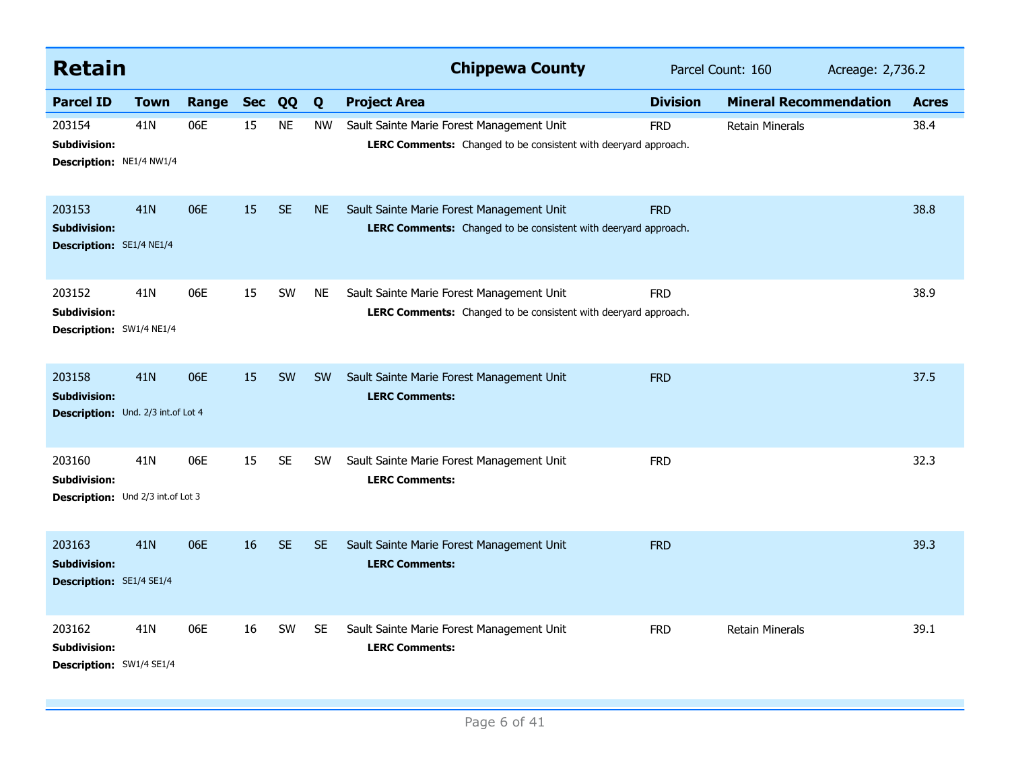| <b>Retain</b>                                                       |             |           |    |           |           | <b>Chippewa County</b><br>Parcel Count: 160                                                                  |                 |                               | Acreage: 2,736.2 |              |
|---------------------------------------------------------------------|-------------|-----------|----|-----------|-----------|--------------------------------------------------------------------------------------------------------------|-----------------|-------------------------------|------------------|--------------|
| <b>Parcel ID</b>                                                    | <b>Town</b> | Range Sec |    | QQ        | Q         | <b>Project Area</b>                                                                                          | <b>Division</b> | <b>Mineral Recommendation</b> |                  | <b>Acres</b> |
| 203154<br><b>Subdivision:</b><br>Description: NE1/4 NW1/4           | 41N         | 06E       | 15 | <b>NE</b> | <b>NW</b> | Sault Sainte Marie Forest Management Unit<br>LERC Comments: Changed to be consistent with deeryard approach. | <b>FRD</b>      | <b>Retain Minerals</b>        |                  | 38.4         |
| 203153<br><b>Subdivision:</b><br>Description: SE1/4 NE1/4           | <b>41N</b>  | 06E       | 15 | <b>SE</b> | <b>NE</b> | Sault Sainte Marie Forest Management Unit<br>LERC Comments: Changed to be consistent with deeryard approach. | <b>FRD</b>      |                               |                  | 38.8         |
| 203152<br><b>Subdivision:</b><br>Description: SW1/4 NE1/4           | 41N         | 06E       | 15 | SW        | <b>NE</b> | Sault Sainte Marie Forest Management Unit<br>LERC Comments: Changed to be consistent with deeryard approach. | <b>FRD</b>      |                               |                  | 38.9         |
| 203158<br><b>Subdivision:</b><br>Description: Und. 2/3 int.of Lot 4 | 41N         | 06E       | 15 | SW        | <b>SW</b> | Sault Sainte Marie Forest Management Unit<br><b>LERC Comments:</b>                                           | <b>FRD</b>      |                               |                  | 37.5         |
| 203160<br><b>Subdivision:</b><br>Description: Und 2/3 int.of Lot 3  | 41N         | 06E       | 15 | <b>SE</b> | <b>SW</b> | Sault Sainte Marie Forest Management Unit<br><b>LERC Comments:</b>                                           | <b>FRD</b>      |                               |                  | 32.3         |
| 203163<br><b>Subdivision:</b><br>Description: SE1/4 SE1/4           | <b>41N</b>  | 06E       | 16 | <b>SE</b> | <b>SE</b> | Sault Sainte Marie Forest Management Unit<br><b>LERC Comments:</b>                                           | <b>FRD</b>      |                               |                  | 39.3         |
| 203162<br>Subdivision:<br>Description: SW1/4 SE1/4                  | 41N         | 06E       | 16 | SW        | <b>SE</b> | Sault Sainte Marie Forest Management Unit<br><b>LERC Comments:</b>                                           | <b>FRD</b>      | <b>Retain Minerals</b>        |                  | 39.1         |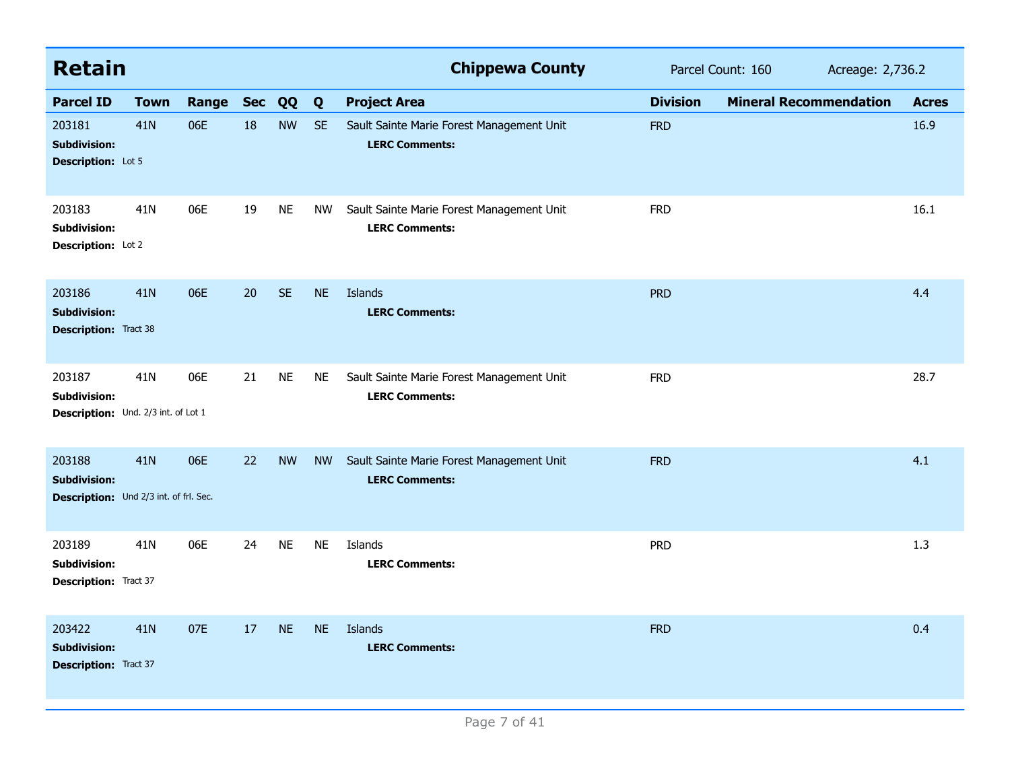| <b>Retain</b>                                                           |             |       |            |           |           | <b>Chippewa County</b>                                             |                 | Parcel Count: 160<br>Acreage: 2,736.2 |              |  |
|-------------------------------------------------------------------------|-------------|-------|------------|-----------|-----------|--------------------------------------------------------------------|-----------------|---------------------------------------|--------------|--|
| <b>Parcel ID</b>                                                        | <b>Town</b> | Range | <b>Sec</b> | QQ        | Q         | <b>Project Area</b>                                                | <b>Division</b> | <b>Mineral Recommendation</b>         | <b>Acres</b> |  |
| 203181<br><b>Subdivision:</b><br><b>Description:</b> Lot 5              | 41N         | 06E   | 18         | <b>NW</b> | <b>SE</b> | Sault Sainte Marie Forest Management Unit<br><b>LERC Comments:</b> | <b>FRD</b>      |                                       | 16.9         |  |
| 203183<br><b>Subdivision:</b><br>Description: Lot 2                     | 41N         | 06E   | 19         | <b>NE</b> | <b>NW</b> | Sault Sainte Marie Forest Management Unit<br><b>LERC Comments:</b> | <b>FRD</b>      |                                       | 16.1         |  |
| 203186<br><b>Subdivision:</b><br><b>Description:</b> Tract 38           | 41N         | 06E   | 20         | <b>SE</b> | <b>NE</b> | Islands<br><b>LERC Comments:</b>                                   | <b>PRD</b>      |                                       | 4.4          |  |
| 203187<br><b>Subdivision:</b><br>Description: Und. 2/3 int. of Lot 1    | 41N         | 06E   | 21         | <b>NE</b> | <b>NE</b> | Sault Sainte Marie Forest Management Unit<br><b>LERC Comments:</b> | <b>FRD</b>      |                                       | 28.7         |  |
| 203188<br><b>Subdivision:</b><br>Description: Und 2/3 int. of frl. Sec. | 41N         | 06E   | 22         | <b>NW</b> | <b>NW</b> | Sault Sainte Marie Forest Management Unit<br><b>LERC Comments:</b> | <b>FRD</b>      |                                       | 4.1          |  |
| 203189<br><b>Subdivision:</b><br><b>Description:</b> Tract 37           | 41N         | 06E   | 24         | <b>NE</b> | NE        | Islands<br><b>LERC Comments:</b>                                   | <b>PRD</b>      |                                       | 1.3          |  |
| 203422<br><b>Subdivision:</b><br><b>Description: Tract 37</b>           | 41N         | 07E   | 17         | <b>NE</b> | <b>NE</b> | Islands<br><b>LERC Comments:</b>                                   | <b>FRD</b>      |                                       | 0.4          |  |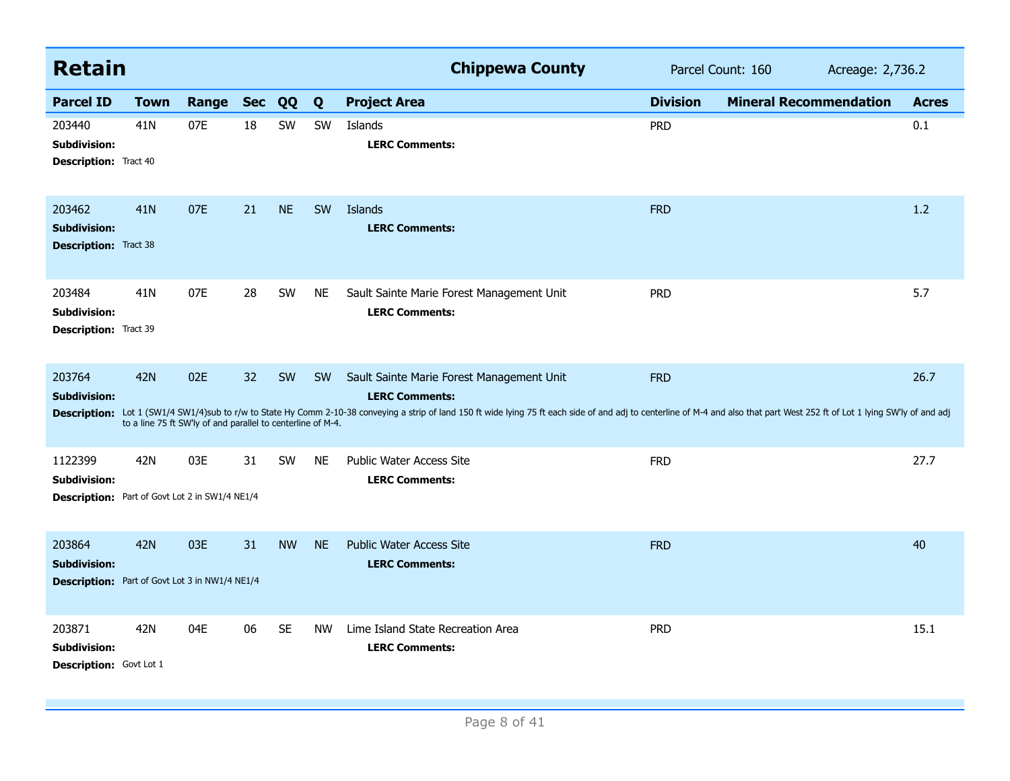| <b>Retain</b>                                                                           |                 |                                                                    |    |           |           | <b>Chippewa County</b>                                                                                                                                                                                                                                                                               | Parcel Count: 160<br>Acreage: 2,736.2 |                               |              |
|-----------------------------------------------------------------------------------------|-----------------|--------------------------------------------------------------------|----|-----------|-----------|------------------------------------------------------------------------------------------------------------------------------------------------------------------------------------------------------------------------------------------------------------------------------------------------------|---------------------------------------|-------------------------------|--------------|
| <b>Parcel ID</b>                                                                        | <b>Town</b>     | Range Sec                                                          |    | QQ        | Q         | <b>Project Area</b>                                                                                                                                                                                                                                                                                  | <b>Division</b>                       | <b>Mineral Recommendation</b> | <b>Acres</b> |
| 203440<br><b>Subdivision:</b><br><b>Description:</b> Tract 40                           | 41N             | 07E                                                                | 18 | SW        | SW        | Islands<br><b>LERC Comments:</b>                                                                                                                                                                                                                                                                     | <b>PRD</b>                            |                               | 0.1          |
| 203462<br><b>Subdivision:</b><br><b>Description: Tract 38</b>                           | 41 <sub>N</sub> | 07E                                                                | 21 | <b>NE</b> | <b>SW</b> | Islands<br><b>LERC Comments:</b>                                                                                                                                                                                                                                                                     | <b>FRD</b>                            |                               | 1.2          |
| 203484<br><b>Subdivision:</b><br><b>Description:</b> Tract 39                           | 41N             | 07E                                                                | 28 | SW        | <b>NE</b> | Sault Sainte Marie Forest Management Unit<br><b>LERC Comments:</b>                                                                                                                                                                                                                                   | <b>PRD</b>                            |                               | 5.7          |
| 203764<br><b>Subdivision:</b>                                                           | <b>42N</b>      | 02E<br>to a line 75 ft SW'ly of and parallel to centerline of M-4. | 32 | SW        | <b>SW</b> | Sault Sainte Marie Forest Management Unit<br><b>LERC Comments:</b><br>Description: Lot 1 (SW1/4 SW1/4)sub to r/w to State Hy Comm 2-10-38 conveying a strip of land 150 ft wide lying 75 ft each side of and adj to centerline of M-4 and also that part West 252 ft of Lot 1 lying SW'ly of and adj | <b>FRD</b>                            |                               | 26.7         |
| 1122399<br><b>Subdivision:</b><br><b>Description:</b> Part of Govt Lot 2 in SW1/4 NE1/4 | 42N             | 03E                                                                | 31 | SW        | <b>NE</b> | <b>Public Water Access Site</b><br><b>LERC Comments:</b>                                                                                                                                                                                                                                             | <b>FRD</b>                            |                               | 27.7         |
| 203864<br><b>Subdivision:</b><br><b>Description:</b> Part of Govt Lot 3 in NW1/4 NE1/4  | <b>42N</b>      | 03E                                                                | 31 | <b>NW</b> | <b>NE</b> | <b>Public Water Access Site</b><br><b>LERC Comments:</b>                                                                                                                                                                                                                                             | <b>FRD</b>                            |                               | 40           |
| 203871<br><b>Subdivision:</b><br>Description: Govt Lot 1                                | 42N             | 04E                                                                | 06 | <b>SE</b> | <b>NW</b> | Lime Island State Recreation Area<br><b>LERC Comments:</b>                                                                                                                                                                                                                                           | <b>PRD</b>                            |                               | 15.1         |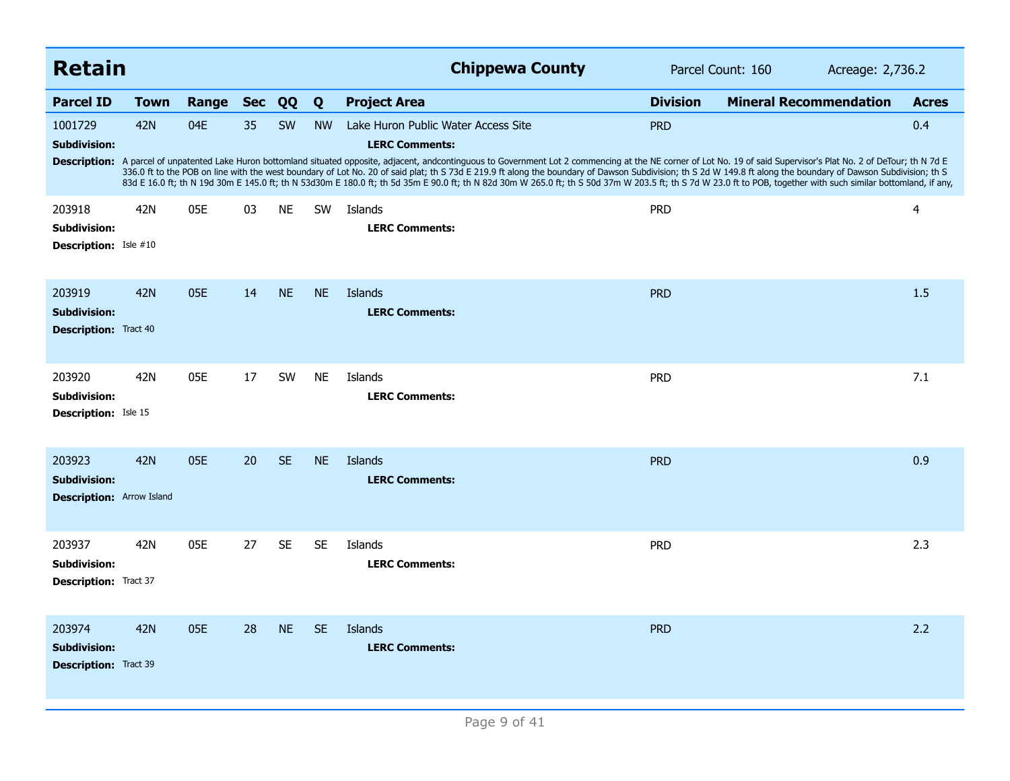| <b>Retain</b>                                                     |             |       |            |           |           | <b>Chippewa County</b>                                                                                                                                                                                                                                                                                                                                                                                                                                                                                                                                                                                                                                                                                                        |                 | Parcel Count: 160<br>Acreage: 2,736.2 |              |  |
|-------------------------------------------------------------------|-------------|-------|------------|-----------|-----------|-------------------------------------------------------------------------------------------------------------------------------------------------------------------------------------------------------------------------------------------------------------------------------------------------------------------------------------------------------------------------------------------------------------------------------------------------------------------------------------------------------------------------------------------------------------------------------------------------------------------------------------------------------------------------------------------------------------------------------|-----------------|---------------------------------------|--------------|--|
| <b>Parcel ID</b>                                                  | <b>Town</b> | Range | <b>Sec</b> | QQ        | Q         | <b>Project Area</b>                                                                                                                                                                                                                                                                                                                                                                                                                                                                                                                                                                                                                                                                                                           | <b>Division</b> | <b>Mineral Recommendation</b>         | <b>Acres</b> |  |
| 1001729<br><b>Subdivision:</b>                                    | 42N         | 04E   | 35         | <b>SW</b> | <b>NW</b> | Lake Huron Public Water Access Site<br><b>LERC Comments:</b><br>Description: A parcel of unpatented Lake Huron bottomland situated opposite, adjacent, andcontinguous to Government Lot 2 commencing at the NE corner of Lot No. 19 of said Supervisor's Plat No. 2 of DeTour; th N 7d E<br>336.0 ft to the POB on line with the west boundary of Lot No. 20 of said plat; th S 73d E 219.9 ft along the boundary of Dawson Subdivision; th S 2d W 149.8 ft along the boundary of Dawson Subdivision; th S<br>83d E 16.0 ft; th N 19d 30m E 145.0 ft; th N 53d30m E 180.0 ft; th 5d 35m E 90.0 ft; th N 82d 30m W 265.0 ft; th S 50d 37m W 203.5 ft; th S 7d W 23.0 ft to POB, together with such similar bottomland, if any, | <b>PRD</b>      |                                       | 0.4          |  |
| 203918<br><b>Subdivision:</b><br><b>Description:</b> Isle #10     | 42N         | 05E   | 03         | <b>NE</b> | <b>SW</b> | Islands<br><b>LERC Comments:</b>                                                                                                                                                                                                                                                                                                                                                                                                                                                                                                                                                                                                                                                                                              | <b>PRD</b>      |                                       | 4            |  |
| 203919<br><b>Subdivision:</b><br><b>Description:</b> Tract 40     | 42N         | 05E   | 14         | <b>NE</b> | <b>NE</b> | Islands<br><b>LERC Comments:</b>                                                                                                                                                                                                                                                                                                                                                                                                                                                                                                                                                                                                                                                                                              | <b>PRD</b>      |                                       | 1.5          |  |
| 203920<br><b>Subdivision:</b><br><b>Description:</b> Isle 15      | 42N         | 05E   | 17         | <b>SW</b> | <b>NE</b> | Islands<br><b>LERC Comments:</b>                                                                                                                                                                                                                                                                                                                                                                                                                                                                                                                                                                                                                                                                                              | <b>PRD</b>      |                                       | 7.1          |  |
| 203923<br><b>Subdivision:</b><br><b>Description:</b> Arrow Island | <b>42N</b>  | 05E   | 20         | <b>SE</b> | <b>NE</b> | Islands<br><b>LERC Comments:</b>                                                                                                                                                                                                                                                                                                                                                                                                                                                                                                                                                                                                                                                                                              | <b>PRD</b>      |                                       | 0.9          |  |
| 203937<br><b>Subdivision:</b><br><b>Description:</b> Tract 37     | 42N         | 05E   | 27         | <b>SE</b> | <b>SE</b> | Islands<br><b>LERC Comments:</b>                                                                                                                                                                                                                                                                                                                                                                                                                                                                                                                                                                                                                                                                                              | <b>PRD</b>      |                                       | 2.3          |  |
| 203974<br><b>Subdivision:</b><br><b>Description: Tract 39</b>     | <b>42N</b>  | 05E   | 28         | <b>NE</b> | <b>SE</b> | Islands<br><b>LERC Comments:</b>                                                                                                                                                                                                                                                                                                                                                                                                                                                                                                                                                                                                                                                                                              | <b>PRD</b>      |                                       | 2.2          |  |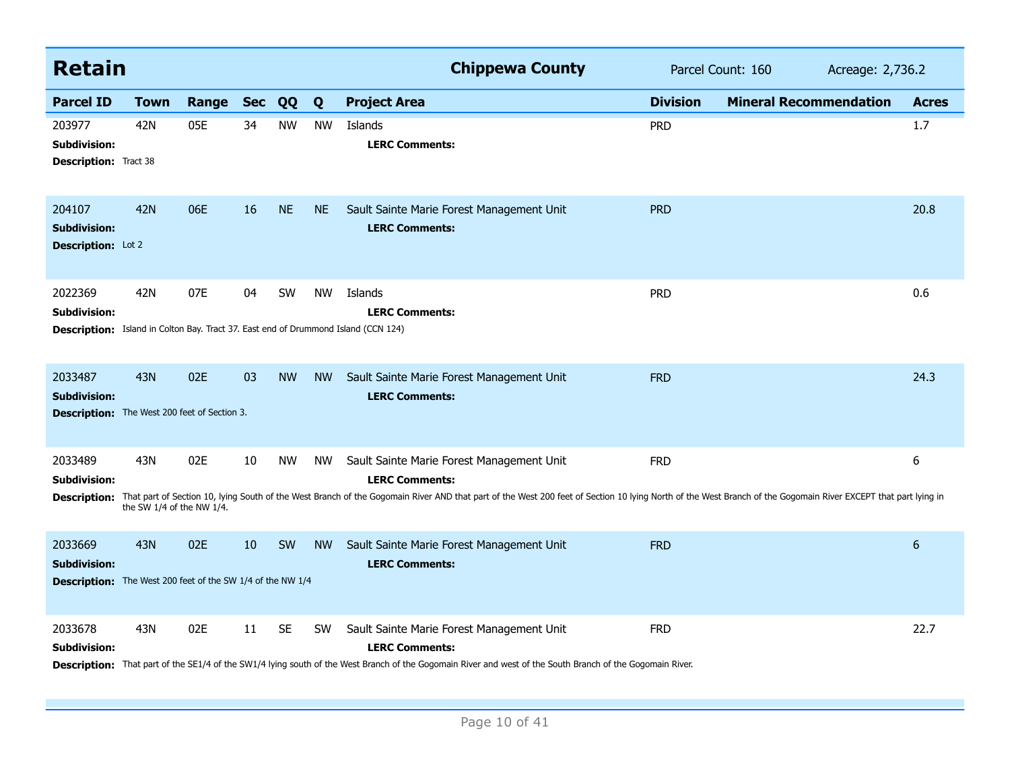| <b>Retain</b>                                                                                       |                                       |           |    |           |           | <b>Chippewa County</b>                                                                                                                                                                                                                                                              |                 | Parcel Count: 160<br>Acreage: 2,736.2 |                 |
|-----------------------------------------------------------------------------------------------------|---------------------------------------|-----------|----|-----------|-----------|-------------------------------------------------------------------------------------------------------------------------------------------------------------------------------------------------------------------------------------------------------------------------------------|-----------------|---------------------------------------|-----------------|
| <b>Parcel ID</b>                                                                                    | <b>Town</b>                           | Range Sec |    | QQ        | Q         | <b>Project Area</b>                                                                                                                                                                                                                                                                 | <b>Division</b> | <b>Mineral Recommendation</b>         | <b>Acres</b>    |
| 203977<br><b>Subdivision:</b><br><b>Description:</b> Tract 38                                       | 42N                                   | 05E       | 34 | <b>NW</b> | <b>NW</b> | Islands<br><b>LERC Comments:</b>                                                                                                                                                                                                                                                    | <b>PRD</b>      |                                       | 1.7             |
| 204107<br><b>Subdivision:</b><br>Description: Lot 2                                                 | <b>42N</b>                            | 06E       | 16 | <b>NE</b> | <b>NE</b> | Sault Sainte Marie Forest Management Unit<br><b>LERC Comments:</b>                                                                                                                                                                                                                  | <b>PRD</b>      |                                       | 20.8            |
| 2022369<br>Subdivision:                                                                             | 42N                                   | 07E       | 04 | SW        | <b>NW</b> | Islands<br><b>LERC Comments:</b><br><b>Description:</b> Island in Colton Bay. Tract 37. East end of Drummond Island (CCN 124)                                                                                                                                                       | <b>PRD</b>      |                                       | 0.6             |
| 2033487<br><b>Subdivision:</b><br><b>Description:</b> The West 200 feet of Section 3.               | <b>43N</b>                            | 02E       | 03 | <b>NW</b> | <b>NW</b> | Sault Sainte Marie Forest Management Unit<br><b>LERC Comments:</b>                                                                                                                                                                                                                  | <b>FRD</b>      |                                       | 24.3            |
| 2033489<br>Subdivision:<br><b>Description:</b>                                                      | 43N<br>the SW $1/4$ of the NW $1/4$ . | 02E       | 10 | <b>NW</b> | <b>NW</b> | Sault Sainte Marie Forest Management Unit<br><b>LERC Comments:</b><br>That part of Section 10, lying South of the West Branch of the Gogomain River AND that part of the West 200 feet of Section 10 lying North of the West Branch of the Gogomain River EXCEPT that part lying in | <b>FRD</b>      |                                       | 6               |
| 2033669<br><b>Subdivision:</b><br><b>Description:</b> The West 200 feet of the SW 1/4 of the NW 1/4 | <b>43N</b>                            | 02E       | 10 | SW        | <b>NW</b> | Sault Sainte Marie Forest Management Unit<br><b>LERC Comments:</b>                                                                                                                                                                                                                  | <b>FRD</b>      |                                       | $6\phantom{1}6$ |
| 2033678<br><b>Subdivision:</b>                                                                      | 43N                                   | 02E       | 11 | <b>SE</b> | <b>SW</b> | Sault Sainte Marie Forest Management Unit<br><b>LERC Comments:</b><br>Description: That part of the SE1/4 of the SW1/4 lying south of the West Branch of the Gogomain River and west of the South Branch of the Gogomain River.                                                     | <b>FRD</b>      |                                       | 22.7            |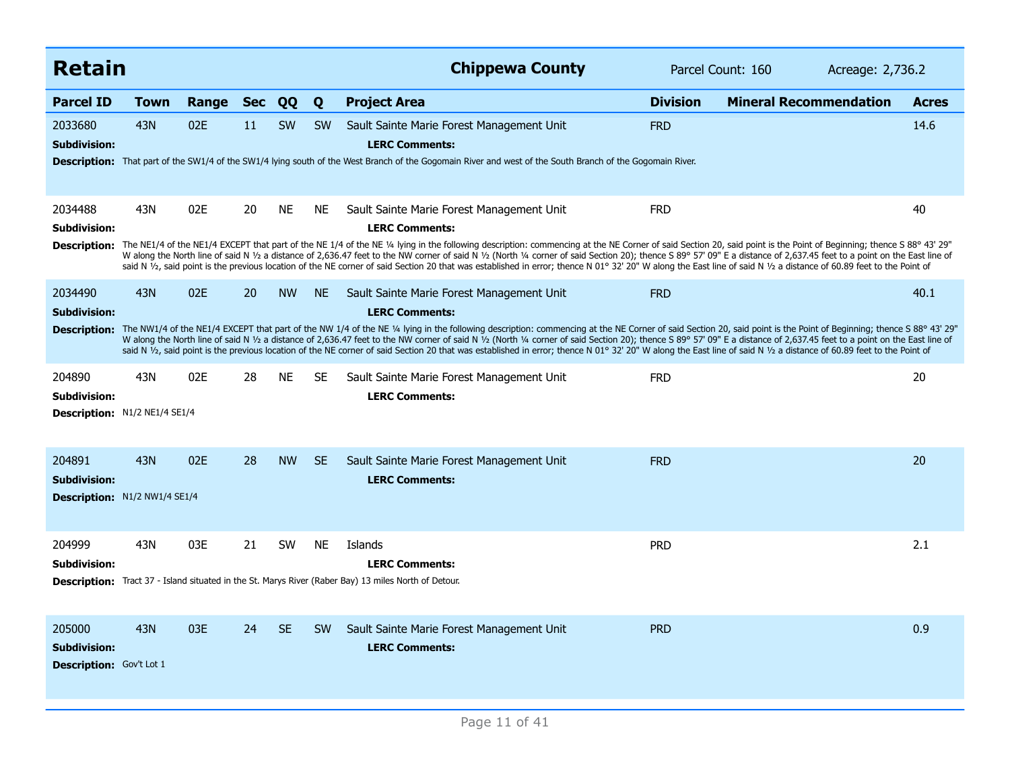| <b>Retain</b>                                             |      |       |            |           |           | <b>Chippewa County</b>                                                                                                                                                                                                                                                                                                                                                                                                                                                                                                                                                                                                                                                                                                                                   | Parcel Count: 160<br>Acreage: 2,736.2 |                               |              |
|-----------------------------------------------------------|------|-------|------------|-----------|-----------|----------------------------------------------------------------------------------------------------------------------------------------------------------------------------------------------------------------------------------------------------------------------------------------------------------------------------------------------------------------------------------------------------------------------------------------------------------------------------------------------------------------------------------------------------------------------------------------------------------------------------------------------------------------------------------------------------------------------------------------------------------|---------------------------------------|-------------------------------|--------------|
| <b>Parcel ID</b>                                          | Town | Range | <b>Sec</b> | QQ        | Q         | <b>Project Area</b>                                                                                                                                                                                                                                                                                                                                                                                                                                                                                                                                                                                                                                                                                                                                      | <b>Division</b>                       | <b>Mineral Recommendation</b> | <b>Acres</b> |
| 2033680<br><b>Subdivision:</b>                            | 43N  | 02E   | 11         | <b>SW</b> | <b>SW</b> | Sault Sainte Marie Forest Management Unit<br><b>LERC Comments:</b><br>Description: That part of the SW1/4 of the SW1/4 lying south of the West Branch of the Gogomain River and west of the South Branch of the Gogomain River.                                                                                                                                                                                                                                                                                                                                                                                                                                                                                                                          | <b>FRD</b>                            |                               | 14.6         |
| 2034488<br>Subdivision:                                   | 43N  | 02E   | 20         | <b>NE</b> | <b>NE</b> | Sault Sainte Marie Forest Management Unit<br><b>LERC Comments:</b><br>Description: The NE1/4 of the NE1/4 EXCEPT that part of the NE 1/4 of the NE 1/4 of the NE 1/4 of the NE 1/4 of the NE 1/4 of the NE 1/4 of the NE 1/4 of the NE 1/4 of the NE 1/4 of the Ne Niggin the following description:<br>W along the North line of said N 1/2 a distance of 2,636.47 feet to the NW corner of said N 1/2 (North 1/4 corner of said Section 20); thence S 89° 57' 09" E a distance of 2,637.45 feet to a point on the East line of<br>said N 1/2, said point is the previous location of the NE corner of said Section 20 that was established in error; thence N 01° 32' 20" W along the East line of said N 1/2 a distance of 60.89 feet to the Point of | <b>FRD</b>                            |                               | 40           |
| 2034490<br>Subdivision:                                   | 43N  | 02E   | 20         | <b>NW</b> | <b>NE</b> | Sault Sainte Marie Forest Management Unit<br><b>LERC Comments:</b><br>Description: The NW1/4 of the NE1/4 EXCEPT that part of the NW 1/4 of the NE 1/4 lying in the following description: commencing at the NE Corner of said Section 20, said point is the Point of Beginning; thence S 88° 43' 29<br>W along the North line of said N 1/2 a distance of 2,636.47 feet to the NW corner of said N 1/2 (North 1/4 corner of said Section 20); thence S 89° 57' 09" E a distance of 2,637.45 feet to a point on the East line of<br>said N 1/2, said point is the previous location of the NE corner of said Section 20 that was established in error; thence N 01° 32' 20" W along the East line of said N 1/2 a distance of 60.89 feet to the Point of | <b>FRD</b>                            |                               | 40.1         |
| 204890<br>Subdivision:<br>Description: N1/2 NE1/4 SE1/4   | 43N  | 02E   | 28         | <b>NE</b> | <b>SE</b> | Sault Sainte Marie Forest Management Unit<br><b>LERC Comments:</b>                                                                                                                                                                                                                                                                                                                                                                                                                                                                                                                                                                                                                                                                                       | <b>FRD</b>                            |                               | 20           |
| 204891<br>Subdivision:<br>Description: N1/2 NW1/4 SE1/4   | 43N  | 02E   | 28         | <b>NW</b> | <b>SE</b> | Sault Sainte Marie Forest Management Unit<br><b>LERC Comments:</b>                                                                                                                                                                                                                                                                                                                                                                                                                                                                                                                                                                                                                                                                                       | <b>FRD</b>                            |                               | 20           |
| 204999<br>Subdivision:                                    | 43N  | 03E   | 21         | SW        | <b>NE</b> | Islands<br><b>LERC Comments:</b><br>Description: Tract 37 - Island situated in the St. Marys River (Raber Bay) 13 miles North of Detour.                                                                                                                                                                                                                                                                                                                                                                                                                                                                                                                                                                                                                 | <b>PRD</b>                            |                               | 2.1          |
| 205000<br><b>Subdivision:</b><br>Description: Gov't Lot 1 | 43N  | 03E   | 24         | <b>SE</b> | <b>SW</b> | Sault Sainte Marie Forest Management Unit<br><b>LERC Comments:</b>                                                                                                                                                                                                                                                                                                                                                                                                                                                                                                                                                                                                                                                                                       | <b>PRD</b>                            |                               | 0.9          |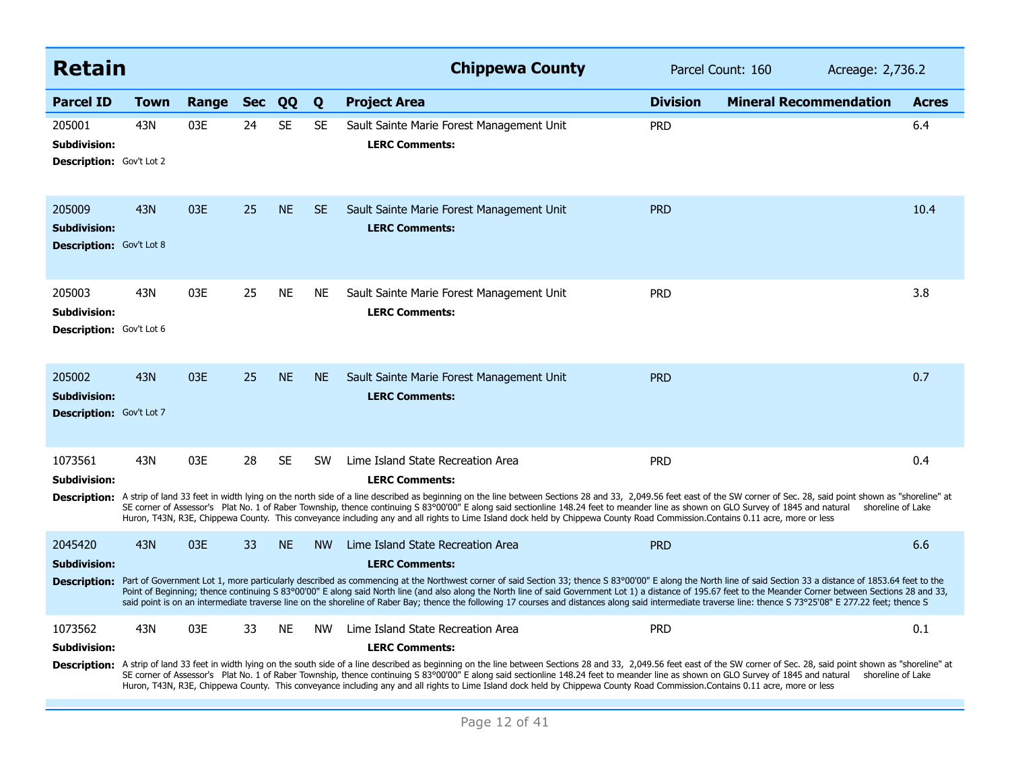| <b>Retain</b>                                                    |      |       |            |           |           | <b>Chippewa County</b>                                                                                                                                                                                                                                                                                                                                                                                                                                                                                                                                                                                                                                                                                          | Parcel Count: 160 | Acreage: 2,736.2              |              |
|------------------------------------------------------------------|------|-------|------------|-----------|-----------|-----------------------------------------------------------------------------------------------------------------------------------------------------------------------------------------------------------------------------------------------------------------------------------------------------------------------------------------------------------------------------------------------------------------------------------------------------------------------------------------------------------------------------------------------------------------------------------------------------------------------------------------------------------------------------------------------------------------|-------------------|-------------------------------|--------------|
| <b>Parcel ID</b>                                                 | Town | Range | <b>Sec</b> | QQ        | Q         | <b>Project Area</b>                                                                                                                                                                                                                                                                                                                                                                                                                                                                                                                                                                                                                                                                                             | <b>Division</b>   | <b>Mineral Recommendation</b> | <b>Acres</b> |
| 205001<br>Subdivision:<br><b>Description:</b> Gov't Lot 2        | 43N  | 03E   | 24         | <b>SE</b> | <b>SE</b> | Sault Sainte Marie Forest Management Unit<br><b>LERC Comments:</b>                                                                                                                                                                                                                                                                                                                                                                                                                                                                                                                                                                                                                                              | <b>PRD</b>        |                               | 6.4          |
| 205009<br><b>Subdivision:</b><br><b>Description:</b> Gov't Lot 8 | 43N  | 03E   | 25         | <b>NE</b> | <b>SE</b> | Sault Sainte Marie Forest Management Unit<br><b>LERC Comments:</b>                                                                                                                                                                                                                                                                                                                                                                                                                                                                                                                                                                                                                                              | <b>PRD</b>        |                               | 10.4         |
| 205003<br><b>Subdivision:</b><br><b>Description:</b> Gov't Lot 6 | 43N  | 03E   | 25         | <b>NE</b> | <b>NE</b> | Sault Sainte Marie Forest Management Unit<br><b>LERC Comments:</b>                                                                                                                                                                                                                                                                                                                                                                                                                                                                                                                                                                                                                                              | <b>PRD</b>        |                               | 3.8          |
| 205002<br><b>Subdivision:</b><br>Description: Gov't Lot 7        | 43N  | 03E   | 25         | <b>NE</b> | <b>NE</b> | Sault Sainte Marie Forest Management Unit<br><b>LERC Comments:</b>                                                                                                                                                                                                                                                                                                                                                                                                                                                                                                                                                                                                                                              | <b>PRD</b>        |                               | 0.7          |
| 1073561<br><b>Subdivision:</b><br><b>Description:</b>            | 43N  | 03E   | 28         | <b>SE</b> | <b>SW</b> | Lime Island State Recreation Area<br><b>LERC Comments:</b><br>A strip of land 33 feet in width lying on the north side of a line described as beginning on the line between Sections 28 and 33, 2,049.56 feet east of the SW corner of Sec. 28, said point shown as "shoreline" at<br>SE corner of Assessor's Plat No. 1 of Raber Township, thence continuing S 83°00'00" E along said sectionline 148.24 feet to meander line as shown on GLO Survey of 1845 and natural shoreline of Lake<br>Huron, T43N, R3E, Chippewa County. This conveyance including any and all rights to Lime Island dock held by Chippewa County Road Commission.Contains 0.11 acre, more or less                                     | <b>PRD</b>        |                               | 0.4          |
| 2045420<br><b>Subdivision:</b><br><b>Description:</b>            | 43N  | 03E   | 33         | <b>NE</b> | <b>NW</b> | Lime Island State Recreation Area<br><b>LERC Comments:</b><br>Part of Government Lot 1, more particularly described as commencing at the Northwest corner of said Section 33; thence S 83°00'00" E along the North line of said Section 33 a distance of 1853.64 feet to the<br>Point of Beginning; thence continuing S 83°00'00" E along said North line (and also along the North line of said Government Lot 1) a distance of 195.67 feet to the Meander Corner between Sections 28 and 33,<br>said point is on an intermediate traverse line on the shoreline of Raber Bay; thence the following 17 courses and distances along said intermediate traverse line: thence S 73°25'08" E 277.22 feet; thence S | <b>PRD</b>        |                               | 6.6          |
| 1073562<br><b>Subdivision:</b>                                   | 43N  | 03E   | 33         | <b>NE</b> | <b>NW</b> | Lime Island State Recreation Area<br><b>LERC Comments:</b><br>Description: A strip of land 33 feet in width lying on the south side of a line described as beginning on the line between Sections 28 and 33, 2,049.56 feet east of the SW corner of Sec. 28, said point shown as "shoreline"<br>SE corner of Assessor's Plat No. 1 of Raber Township, thence continuing S 83°00'00" E along said sectionline 148.24 feet to meander line as shown on GLO Survey of 1845 and natural shoreline of Lake<br>Huron, T43N, R3E, Chippewa County. This conveyance including any and all rights to Lime Island dock held by Chippewa County Road Commission.Contains 0.11 acre, more or less                           | <b>PRD</b>        |                               | 0.1          |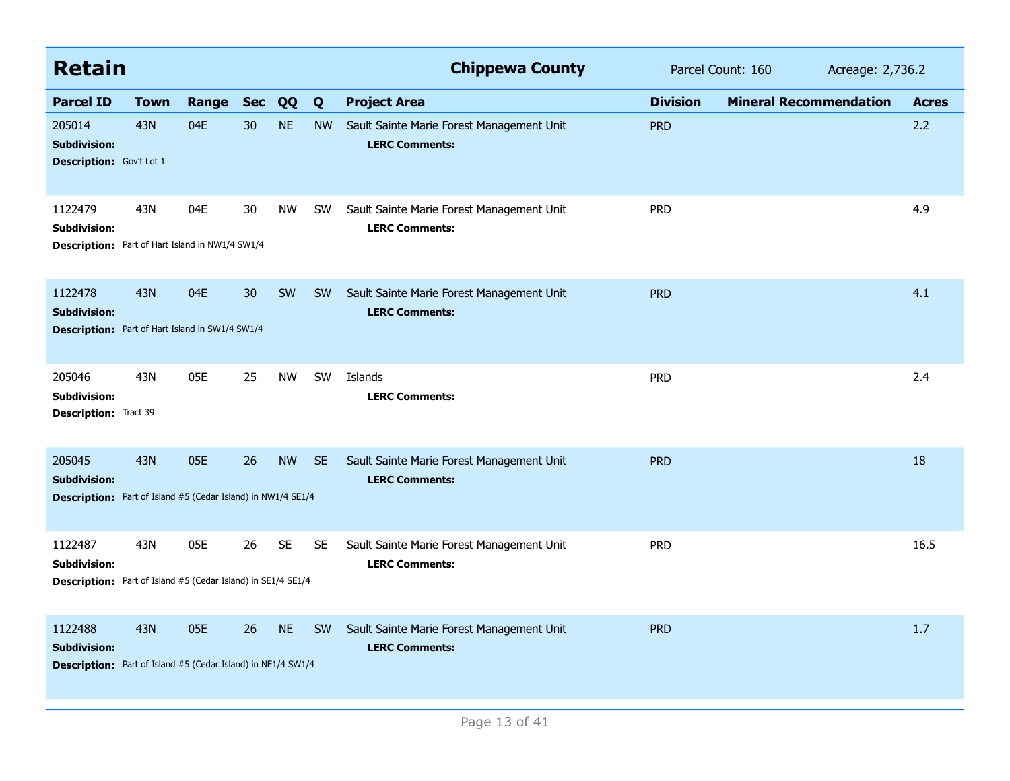| <b>Retain</b>                                                                                         |             |       |            |           |           | <b>Chippewa County</b>                                             | Parcel Count: 160<br>Acreage: 2,736.2 |                               |              |
|-------------------------------------------------------------------------------------------------------|-------------|-------|------------|-----------|-----------|--------------------------------------------------------------------|---------------------------------------|-------------------------------|--------------|
| <b>Parcel ID</b>                                                                                      | <b>Town</b> | Range | <b>Sec</b> | QQ        | Q         | <b>Project Area</b>                                                | <b>Division</b>                       | <b>Mineral Recommendation</b> | <b>Acres</b> |
| 205014<br><b>Subdivision:</b><br><b>Description:</b> Gov't Lot 1                                      | 43N         | 04E   | 30         | <b>NE</b> | <b>NW</b> | Sault Sainte Marie Forest Management Unit<br><b>LERC Comments:</b> | <b>PRD</b>                            |                               | 2.2          |
| 1122479<br><b>Subdivision:</b><br><b>Description:</b> Part of Hart Island in NW1/4 SW1/4              | 43N         | 04E   | 30         | <b>NW</b> | <b>SW</b> | Sault Sainte Marie Forest Management Unit<br><b>LERC Comments:</b> | <b>PRD</b>                            |                               | 4.9          |
| 1122478<br><b>Subdivision:</b><br><b>Description:</b> Part of Hart Island in SW1/4 SW1/4              | 43N         | 04E   | 30         | SW        | <b>SW</b> | Sault Sainte Marie Forest Management Unit<br><b>LERC Comments:</b> | <b>PRD</b>                            |                               | 4.1          |
| 205046<br><b>Subdivision:</b><br>Description: Tract 39                                                | 43N         | 05E   | 25         | <b>NW</b> | <b>SW</b> | Islands<br><b>LERC Comments:</b>                                   | <b>PRD</b>                            |                               | 2.4          |
| 205045<br><b>Subdivision:</b><br><b>Description:</b> Part of Island #5 (Cedar Island) in NW1/4 SE1/4  | 43N         | 05E   | 26         | <b>NW</b> | <b>SE</b> | Sault Sainte Marie Forest Management Unit<br><b>LERC Comments:</b> | <b>PRD</b>                            |                               | 18           |
| 1122487<br><b>Subdivision:</b><br><b>Description:</b> Part of Island #5 (Cedar Island) in SE1/4 SE1/4 | 43N         | 05E   | 26         | <b>SE</b> | <b>SE</b> | Sault Sainte Marie Forest Management Unit<br><b>LERC Comments:</b> | <b>PRD</b>                            |                               | 16.5         |
| 1122488<br><b>Subdivision:</b><br><b>Description:</b> Part of Island #5 (Cedar Island) in NE1/4 SW1/4 | <b>43N</b>  | 05E   | 26         | <b>NE</b> | <b>SW</b> | Sault Sainte Marie Forest Management Unit<br><b>LERC Comments:</b> | <b>PRD</b>                            |                               | 1.7          |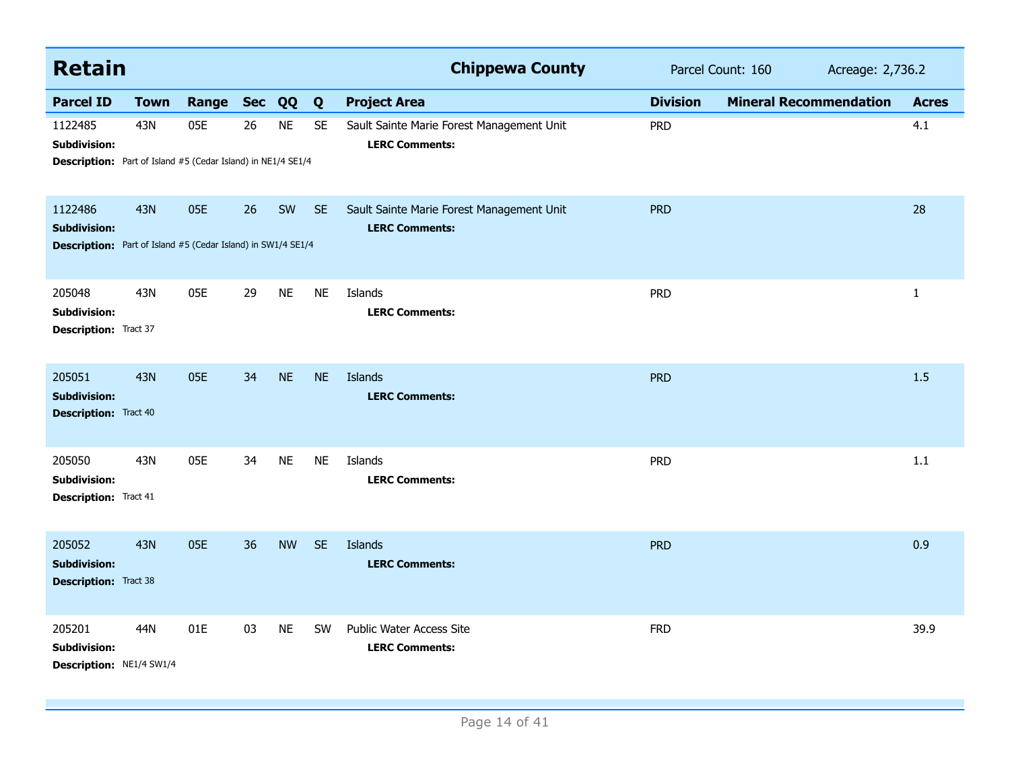| <b>Retain</b>                                                                                         |             |           |    |           |           | <b>Chippewa County</b>                                             | Parcel Count: 160<br>Acreage: 2,736.2 |                               |              |
|-------------------------------------------------------------------------------------------------------|-------------|-----------|----|-----------|-----------|--------------------------------------------------------------------|---------------------------------------|-------------------------------|--------------|
| <b>Parcel ID</b>                                                                                      | <b>Town</b> | Range Sec |    | QQ        | Q         | <b>Project Area</b>                                                | <b>Division</b>                       | <b>Mineral Recommendation</b> | <b>Acres</b> |
| 1122485<br><b>Subdivision:</b><br><b>Description:</b> Part of Island #5 (Cedar Island) in NE1/4 SE1/4 | 43N         | 05E       | 26 | <b>NE</b> | <b>SE</b> | Sault Sainte Marie Forest Management Unit<br><b>LERC Comments:</b> | <b>PRD</b>                            |                               | 4.1          |
| 1122486<br><b>Subdivision:</b><br><b>Description:</b> Part of Island #5 (Cedar Island) in SW1/4 SE1/4 | <b>43N</b>  | 05E       | 26 | SW        | <b>SE</b> | Sault Sainte Marie Forest Management Unit<br><b>LERC Comments:</b> | <b>PRD</b>                            |                               | 28           |
| 205048<br>Subdivision:<br>Description: Tract 37                                                       | 43N         | 05E       | 29 | <b>NE</b> | <b>NE</b> | Islands<br><b>LERC Comments:</b>                                   | <b>PRD</b>                            |                               | $\mathbf{1}$ |
| 205051<br><b>Subdivision:</b><br><b>Description:</b> Tract 40                                         | <b>43N</b>  | 05E       | 34 | <b>NE</b> | <b>NE</b> | Islands<br><b>LERC Comments:</b>                                   | <b>PRD</b>                            |                               | 1.5          |
| 205050<br>Subdivision:<br><b>Description:</b> Tract 41                                                | 43N         | 05E       | 34 | <b>NE</b> | <b>NE</b> | Islands<br><b>LERC Comments:</b>                                   | <b>PRD</b>                            |                               | 1.1          |
| 205052<br><b>Subdivision:</b><br><b>Description:</b> Tract 38                                         | <b>43N</b>  | 05E       | 36 | <b>NW</b> | <b>SE</b> | Islands<br><b>LERC Comments:</b>                                   | <b>PRD</b>                            |                               | 0.9          |
| 205201<br><b>Subdivision:</b><br>Description: NE1/4 SW1/4                                             | 44N         | 01E       | 03 | <b>NE</b> | SW        | <b>Public Water Access Site</b><br><b>LERC Comments:</b>           | <b>FRD</b>                            |                               | 39.9         |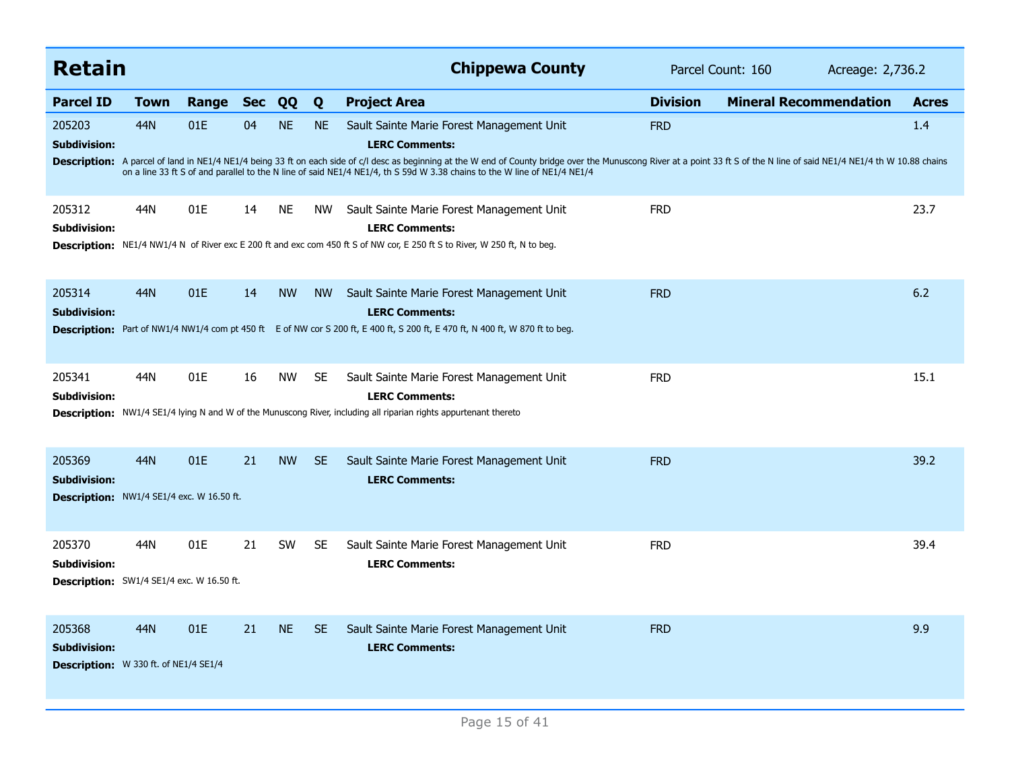| <b>Retain</b>                                                                     |             |       |            |           |           | <b>Chippewa County</b>                                                                                                                                                                                                                                                                                                                                                                                                         | Parcel Count: 160<br>Acreage: 2,736.2 |                               |              |  |
|-----------------------------------------------------------------------------------|-------------|-------|------------|-----------|-----------|--------------------------------------------------------------------------------------------------------------------------------------------------------------------------------------------------------------------------------------------------------------------------------------------------------------------------------------------------------------------------------------------------------------------------------|---------------------------------------|-------------------------------|--------------|--|
| <b>Parcel ID</b>                                                                  | <b>Town</b> | Range | <b>Sec</b> | QQ        | Q         | <b>Project Area</b>                                                                                                                                                                                                                                                                                                                                                                                                            | <b>Division</b>                       | <b>Mineral Recommendation</b> | <b>Acres</b> |  |
| 205203<br><b>Subdivision:</b>                                                     | 44N         | 01E   | 04         | <b>NE</b> | <b>NE</b> | Sault Sainte Marie Forest Management Unit<br><b>LERC Comments:</b><br>Description: A parcel of land in NE1/4 NE1/4 being 33 ft on each side of c/l desc as beginning at the W end of County bridge over the Munuscong River at a point 33 ft S of the N line of said NE1/4 NE1/4 th W 10.88 chains<br>on a line 33 ft S of and parallel to the N line of said NE1/4 NE1/4, th S 59d W 3.38 chains to the W line of NE1/4 NE1/4 | <b>FRD</b>                            |                               | 1.4          |  |
| 205312<br><b>Subdivision:</b>                                                     | 44N         | 01E   | 14         | <b>NE</b> | <b>NW</b> | Sault Sainte Marie Forest Management Unit<br><b>LERC Comments:</b><br>Description: NE1/4 NW1/4 N of River exc E 200 ft and exc com 450 ft S of NW cor, E 250 ft S to River, W 250 ft, N to beg.                                                                                                                                                                                                                                | <b>FRD</b>                            |                               | 23.7         |  |
| 205314<br><b>Subdivision:</b>                                                     | 44N         | 01E   | 14         | <b>NW</b> | <b>NW</b> | Sault Sainte Marie Forest Management Unit<br><b>LERC Comments:</b><br>Description: Part of NW1/4 NW1/4 com pt 450 ft E of NW cor S 200 ft, E 400 ft, S 200 ft, E 470 ft, N 400 ft, W 870 ft to beg.                                                                                                                                                                                                                            | <b>FRD</b>                            |                               | 6.2          |  |
| 205341<br>Subdivision:                                                            | 44N         | 01E   | 16         | <b>NW</b> | <b>SE</b> | Sault Sainte Marie Forest Management Unit<br><b>LERC Comments:</b><br>Description: NW1/4 SE1/4 lying N and W of the Munuscong River, including all riparian rights appurtenant thereto                                                                                                                                                                                                                                         | <b>FRD</b>                            |                               | 15.1         |  |
| 205369<br><b>Subdivision:</b><br><b>Description:</b> NW1/4 SE1/4 exc. W 16.50 ft. | 44N         | 01E   | 21         | <b>NW</b> | <b>SE</b> | Sault Sainte Marie Forest Management Unit<br><b>LERC Comments:</b>                                                                                                                                                                                                                                                                                                                                                             | <b>FRD</b>                            |                               | 39.2         |  |
| 205370<br><b>Subdivision:</b><br><b>Description:</b> SW1/4 SE1/4 exc. W 16.50 ft. | 44N         | 01E   | 21         | <b>SW</b> | <b>SE</b> | Sault Sainte Marie Forest Management Unit<br><b>LERC Comments:</b>                                                                                                                                                                                                                                                                                                                                                             | <b>FRD</b>                            |                               | 39.4         |  |
| 205368<br><b>Subdivision:</b><br>Description: W 330 ft. of NE1/4 SE1/4            | 44N         | 01E   | 21         | <b>NE</b> | <b>SE</b> | Sault Sainte Marie Forest Management Unit<br><b>LERC Comments:</b>                                                                                                                                                                                                                                                                                                                                                             | <b>FRD</b>                            |                               | 9.9          |  |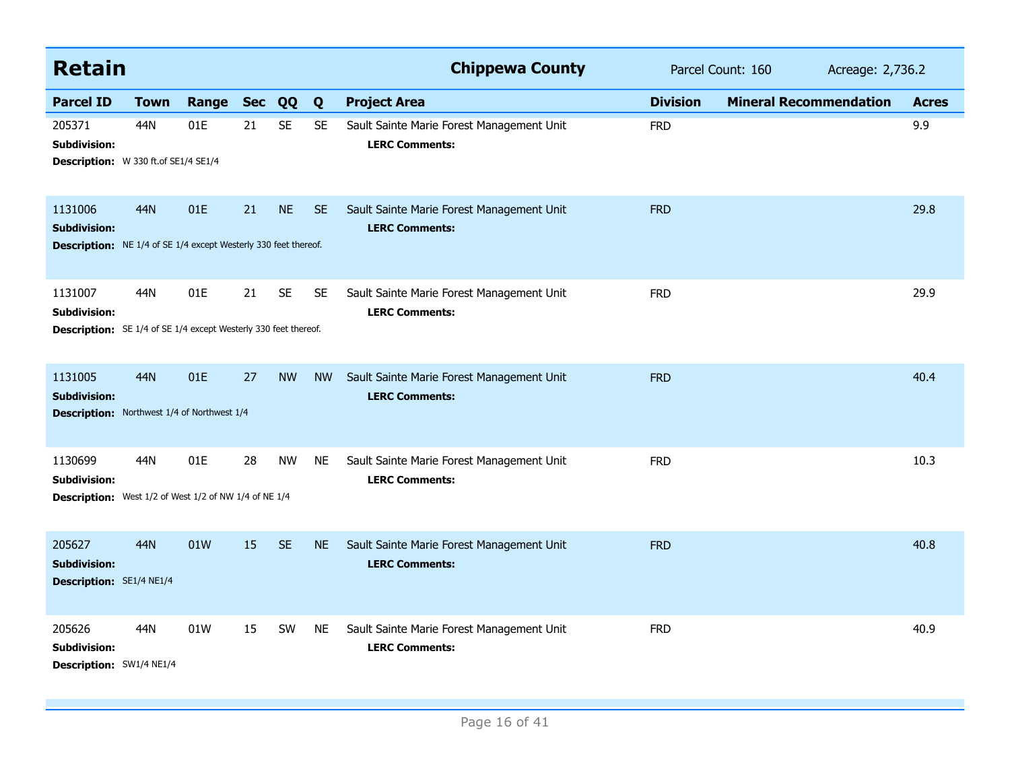| <b>Retain</b>                                                                                            |             |           |    |           |           | <b>Chippewa County</b>                                             | Parcel Count: 160<br>Acreage: 2,736.2 |                               |              |
|----------------------------------------------------------------------------------------------------------|-------------|-----------|----|-----------|-----------|--------------------------------------------------------------------|---------------------------------------|-------------------------------|--------------|
| <b>Parcel ID</b>                                                                                         | <b>Town</b> | Range Sec |    | QQ        | Q         | <b>Project Area</b>                                                | <b>Division</b>                       | <b>Mineral Recommendation</b> | <b>Acres</b> |
| 205371<br>Subdivision:<br>Description: W 330 ft.of SE1/4 SE1/4                                           | 44N         | 01E       | 21 | <b>SE</b> | <b>SE</b> | Sault Sainte Marie Forest Management Unit<br><b>LERC Comments:</b> | <b>FRD</b>                            |                               | 9.9          |
| 1131006<br><b>Subdivision:</b><br><b>Description:</b> NE 1/4 of SE 1/4 except Westerly 330 feet thereof. | 44N         | 01E       | 21 | <b>NE</b> | <b>SE</b> | Sault Sainte Marie Forest Management Unit<br><b>LERC Comments:</b> | <b>FRD</b>                            |                               | 29.8         |
| 1131007<br>Subdivision:<br><b>Description:</b> SE 1/4 of SE 1/4 except Westerly 330 feet thereof.        | 44N         | 01E       | 21 | <b>SE</b> | <b>SE</b> | Sault Sainte Marie Forest Management Unit<br><b>LERC Comments:</b> | <b>FRD</b>                            |                               | 29.9         |
| 1131005<br><b>Subdivision:</b><br><b>Description:</b> Northwest 1/4 of Northwest 1/4                     | <b>44N</b>  | 01E       | 27 | <b>NW</b> | <b>NW</b> | Sault Sainte Marie Forest Management Unit<br><b>LERC Comments:</b> | <b>FRD</b>                            |                               | 40.4         |
| 1130699<br><b>Subdivision:</b><br><b>Description:</b> West 1/2 of West 1/2 of NW 1/4 of NE 1/4           | 44N         | 01E       | 28 | <b>NW</b> | <b>NE</b> | Sault Sainte Marie Forest Management Unit<br><b>LERC Comments:</b> | <b>FRD</b>                            |                               | 10.3         |
| 205627<br><b>Subdivision:</b><br>Description: SE1/4 NE1/4                                                | <b>44N</b>  | 01W       | 15 | <b>SE</b> | <b>NE</b> | Sault Sainte Marie Forest Management Unit<br><b>LERC Comments:</b> | <b>FRD</b>                            |                               | 40.8         |
| 205626<br><b>Subdivision:</b><br>Description: SW1/4 NE1/4                                                | 44N         | 01W       | 15 | SW        | <b>NE</b> | Sault Sainte Marie Forest Management Unit<br><b>LERC Comments:</b> | <b>FRD</b>                            |                               | 40.9         |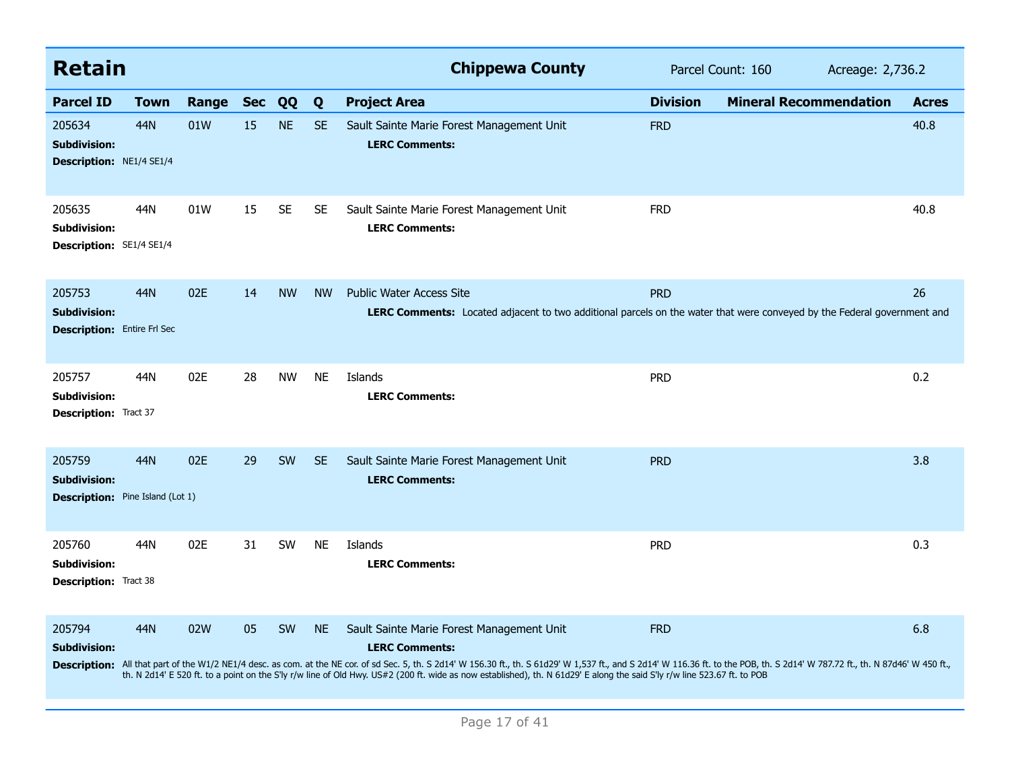| <b>Retain</b>                                                            |      |       |            |           |           | <b>Chippewa County</b>                                                                                                                                                                                                                                                                                                                                                                                                                                                         | Parcel Count: 160 |                               | Acreage: 2,736.2 |              |  |
|--------------------------------------------------------------------------|------|-------|------------|-----------|-----------|--------------------------------------------------------------------------------------------------------------------------------------------------------------------------------------------------------------------------------------------------------------------------------------------------------------------------------------------------------------------------------------------------------------------------------------------------------------------------------|-------------------|-------------------------------|------------------|--------------|--|
| <b>Parcel ID</b>                                                         | Town | Range | <b>Sec</b> | QQ        | Q         | <b>Project Area</b>                                                                                                                                                                                                                                                                                                                                                                                                                                                            | <b>Division</b>   | <b>Mineral Recommendation</b> |                  | <b>Acres</b> |  |
| 205634<br><b>Subdivision:</b><br><b>Description: NE1/4 SE1/4</b>         | 44N  | 01W   | 15         | <b>NE</b> | <b>SE</b> | Sault Sainte Marie Forest Management Unit<br><b>LERC Comments:</b>                                                                                                                                                                                                                                                                                                                                                                                                             | <b>FRD</b>        |                               |                  | 40.8         |  |
| 205635<br>Subdivision:<br>Description: SE1/4 SE1/4                       | 44N  | 01W   | 15         | <b>SE</b> | <b>SE</b> | Sault Sainte Marie Forest Management Unit<br><b>LERC Comments:</b>                                                                                                                                                                                                                                                                                                                                                                                                             | <b>FRD</b>        |                               |                  | 40.8         |  |
| 205753<br><b>Subdivision:</b><br><b>Description:</b> Entire Frl Sec      | 44N  | 02E   | 14         | <b>NW</b> | <b>NW</b> | <b>Public Water Access Site</b><br>LERC Comments: Located adjacent to two additional parcels on the water that were conveyed by the Federal government and                                                                                                                                                                                                                                                                                                                     | <b>PRD</b>        |                               |                  | 26           |  |
| 205757<br><b>Subdivision:</b><br><b>Description: Tract 37</b>            | 44N  | 02E   | 28         | <b>NW</b> | <b>NE</b> | Islands<br><b>LERC Comments:</b>                                                                                                                                                                                                                                                                                                                                                                                                                                               | <b>PRD</b>        |                               |                  | 0.2          |  |
| 205759<br><b>Subdivision:</b><br><b>Description:</b> Pine Island (Lot 1) | 44N  | 02E   | 29         | <b>SW</b> | <b>SE</b> | Sault Sainte Marie Forest Management Unit<br><b>LERC Comments:</b>                                                                                                                                                                                                                                                                                                                                                                                                             | <b>PRD</b>        |                               |                  | 3.8          |  |
| 205760<br><b>Subdivision:</b><br><b>Description:</b> Tract 38            | 44N  | 02E   | 31         | <b>SW</b> | <b>NE</b> | Islands<br><b>LERC Comments:</b>                                                                                                                                                                                                                                                                                                                                                                                                                                               | <b>PRD</b>        |                               |                  | 0.3          |  |
| 205794<br><b>Subdivision:</b>                                            | 44N  | 02W   | 05         | SW        | <b>NE</b> | Sault Sainte Marie Forest Management Unit<br><b>LERC Comments:</b><br>Description: All that part of the W1/2 NE1/4 desc. as com. at the NE cor. of sd Sec. 5, th. S 2d14' W 156.30 ft., th. S 61d29' W 1,537 ft., and S 2d14' W 116.36 ft. to the POB, th. S 2d14' W 787.72 ft., th. N 87d46' W 450<br>th. N 2d14' E 520 ft. to a point on the S'ly r/w line of Old Hwy. US#2 (200 ft. wide as now established), th. N 61d29' E along the said S'ly r/w line 523.67 ft. to POB | <b>FRD</b>        |                               |                  | 6.8          |  |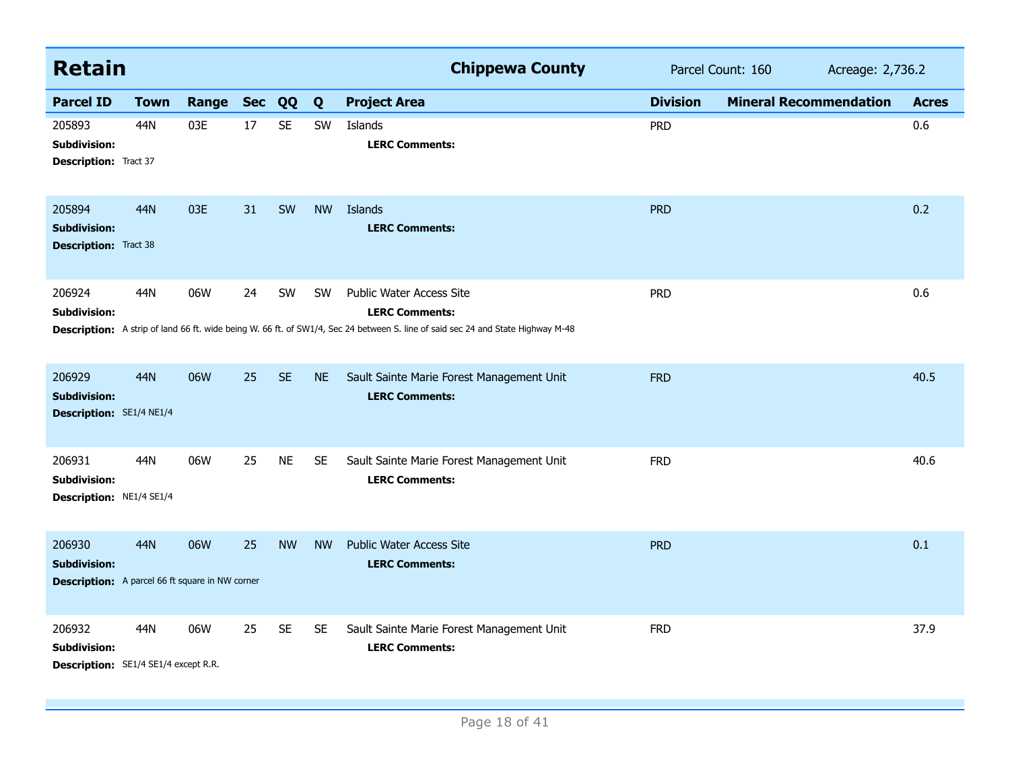| <b>Retain</b>                                                                           |             |           |    |           |           | <b>Chippewa County</b>                                                                                                                                                                      | Parcel Count: 160<br>Acreage: 2,736.2 |                               |  |              |
|-----------------------------------------------------------------------------------------|-------------|-----------|----|-----------|-----------|---------------------------------------------------------------------------------------------------------------------------------------------------------------------------------------------|---------------------------------------|-------------------------------|--|--------------|
| <b>Parcel ID</b>                                                                        | <b>Town</b> | Range Sec |    | QQ        | Q         | <b>Project Area</b>                                                                                                                                                                         | <b>Division</b>                       | <b>Mineral Recommendation</b> |  | <b>Acres</b> |
| 205893<br>Subdivision:<br><b>Description:</b> Tract 37                                  | 44N         | 03E       | 17 | <b>SE</b> | SW        | Islands<br><b>LERC Comments:</b>                                                                                                                                                            | <b>PRD</b>                            |                               |  | 0.6          |
| 205894<br><b>Subdivision:</b><br><b>Description: Tract 38</b>                           | <b>44N</b>  | 03E       | 31 | SW        | <b>NW</b> | Islands<br><b>LERC Comments:</b>                                                                                                                                                            | <b>PRD</b>                            |                               |  | 0.2          |
| 206924<br>Subdivision:                                                                  | 44N         | 06W       | 24 | SW        | <b>SW</b> | <b>Public Water Access Site</b><br><b>LERC Comments:</b><br>Description: A strip of land 66 ft. wide being W. 66 ft. of SW1/4, Sec 24 between S. line of said sec 24 and State Highway M-48 | <b>PRD</b>                            |                               |  | 0.6          |
| 206929<br><b>Subdivision:</b><br>Description: SE1/4 NE1/4                               | 44N         | 06W       | 25 | <b>SE</b> | <b>NE</b> | Sault Sainte Marie Forest Management Unit<br><b>LERC Comments:</b>                                                                                                                          | <b>FRD</b>                            |                               |  | 40.5         |
| 206931<br>Subdivision:<br>Description: NE1/4 SE1/4                                      | 44N         | 06W       | 25 | <b>NE</b> | <b>SE</b> | Sault Sainte Marie Forest Management Unit<br><b>LERC Comments:</b>                                                                                                                          | <b>FRD</b>                            |                               |  | 40.6         |
| 206930<br><b>Subdivision:</b><br><b>Description:</b> A parcel 66 ft square in NW corner | <b>44N</b>  | 06W       | 25 | <b>NW</b> | <b>NW</b> | <b>Public Water Access Site</b><br><b>LERC Comments:</b>                                                                                                                                    | <b>PRD</b>                            |                               |  | 0.1          |
| 206932<br><b>Subdivision:</b><br>Description: SE1/4 SE1/4 except R.R.                   | 44N         | 06W       | 25 | <b>SE</b> | <b>SE</b> | Sault Sainte Marie Forest Management Unit<br><b>LERC Comments:</b>                                                                                                                          | <b>FRD</b>                            |                               |  | 37.9         |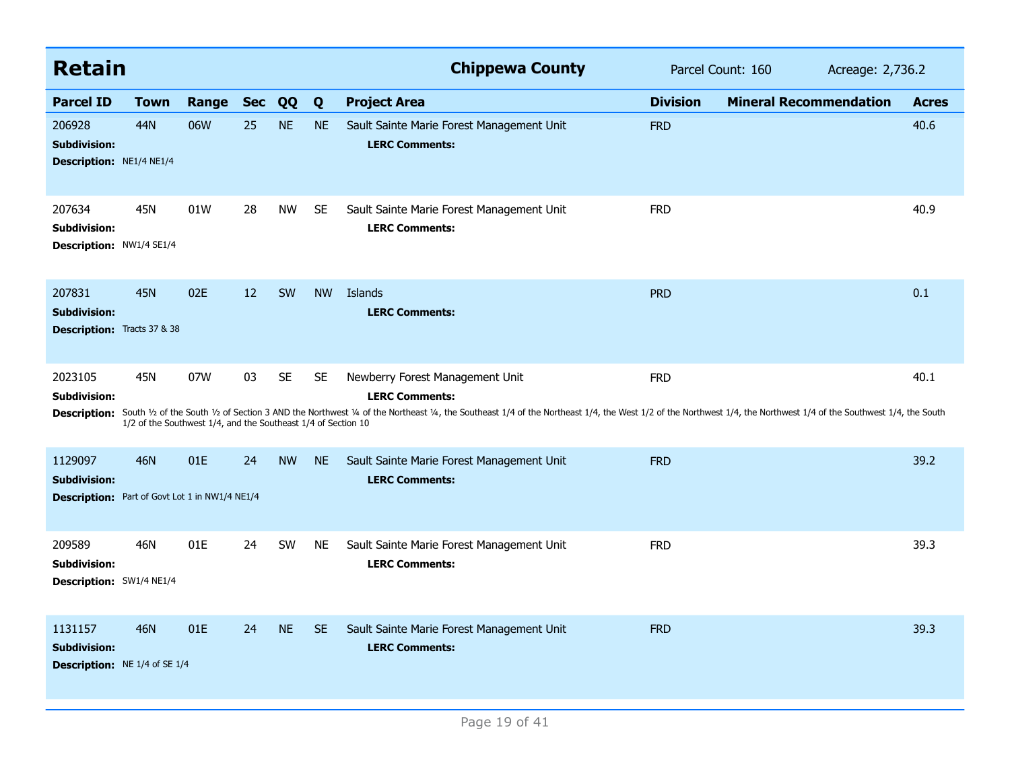| <b>Retain</b>                                                                           |                                                               |       |            |           |           | <b>Chippewa County</b>                                                                                                                                                                                                                                                                    |                 | Parcel Count: 160             | Acreage: 2,736.2 |  |
|-----------------------------------------------------------------------------------------|---------------------------------------------------------------|-------|------------|-----------|-----------|-------------------------------------------------------------------------------------------------------------------------------------------------------------------------------------------------------------------------------------------------------------------------------------------|-----------------|-------------------------------|------------------|--|
| <b>Parcel ID</b>                                                                        | <b>Town</b>                                                   | Range | <b>Sec</b> | QQ        | Q         | <b>Project Area</b>                                                                                                                                                                                                                                                                       | <b>Division</b> | <b>Mineral Recommendation</b> | <b>Acres</b>     |  |
| 206928<br><b>Subdivision:</b><br><b>Description: NE1/4 NE1/4</b>                        | 44N                                                           | 06W   | 25         | <b>NE</b> | <b>NE</b> | Sault Sainte Marie Forest Management Unit<br><b>LERC Comments:</b>                                                                                                                                                                                                                        | <b>FRD</b>      |                               | 40.6             |  |
| 207634<br>Subdivision:<br>Description: NW1/4 SE1/4                                      | 45N                                                           | 01W   | 28         | <b>NW</b> | <b>SE</b> | Sault Sainte Marie Forest Management Unit<br><b>LERC Comments:</b>                                                                                                                                                                                                                        | <b>FRD</b>      |                               | 40.9             |  |
| 207831<br><b>Subdivision:</b><br><b>Description:</b> Tracts 37 & 38                     | <b>45N</b>                                                    | 02E   | 12         | SW        | <b>NW</b> | Islands<br><b>LERC Comments:</b>                                                                                                                                                                                                                                                          | <b>PRD</b>      |                               | 0.1              |  |
| 2023105<br><b>Subdivision:</b><br><b>Description:</b>                                   | 45N                                                           | 07W   | 03         | <b>SE</b> | <b>SE</b> | Newberry Forest Management Unit<br><b>LERC Comments:</b><br>South 1/2 of the South 1/2 of Section 3 AND the Northwest 1/4 of the Northeast 1/4, the Southeast 1/4 of the Northeast 1/4, the West 1/2 of the Northwest 1/4, the Northwest 1/4, the Northwest 1/4 of the Southwest 1/4, the | <b>FRD</b>      |                               | 40.1             |  |
|                                                                                         | 1/2 of the Southwest 1/4, and the Southeast 1/4 of Section 10 |       |            |           |           |                                                                                                                                                                                                                                                                                           |                 |                               |                  |  |
| 1129097<br><b>Subdivision:</b><br><b>Description:</b> Part of Govt Lot 1 in NW1/4 NE1/4 | 46N                                                           | 01E   | 24         | <b>NW</b> | <b>NE</b> | Sault Sainte Marie Forest Management Unit<br><b>LERC Comments:</b>                                                                                                                                                                                                                        | <b>FRD</b>      |                               | 39.2             |  |
| 209589<br>Subdivision:<br>Description: SW1/4 NE1/4                                      | <b>46N</b>                                                    | 01E   | 24         | SW        | <b>NE</b> | Sault Sainte Marie Forest Management Unit<br><b>LERC Comments:</b>                                                                                                                                                                                                                        | <b>FRD</b>      |                               | 39.3             |  |
| 1131157<br><b>Subdivision:</b><br><b>Description:</b> NE 1/4 of SE 1/4                  | 46N                                                           | 01E   | 24         | <b>NE</b> | <b>SE</b> | Sault Sainte Marie Forest Management Unit<br><b>LERC Comments:</b>                                                                                                                                                                                                                        | <b>FRD</b>      |                               | 39.3             |  |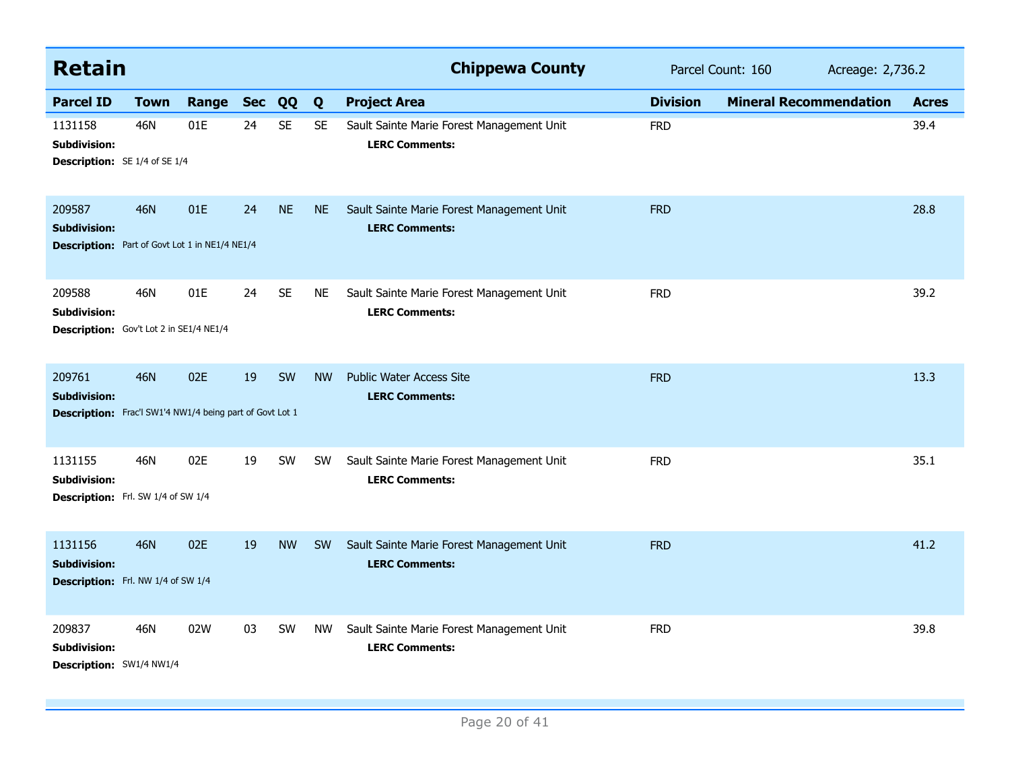| <b>Retain</b>                                                                             |             |           |    |           |           | <b>Chippewa County</b>                                             | Parcel Count: 160<br>Acreage: 2,736.2 |                               |              |
|-------------------------------------------------------------------------------------------|-------------|-----------|----|-----------|-----------|--------------------------------------------------------------------|---------------------------------------|-------------------------------|--------------|
| <b>Parcel ID</b>                                                                          | <b>Town</b> | Range Sec |    | QQ        | Q         | <b>Project Area</b>                                                | <b>Division</b>                       | <b>Mineral Recommendation</b> | <b>Acres</b> |
| 1131158<br>Subdivision:<br><b>Description:</b> SE 1/4 of SE 1/4                           | 46N         | 01E       | 24 | <b>SE</b> | <b>SE</b> | Sault Sainte Marie Forest Management Unit<br><b>LERC Comments:</b> | <b>FRD</b>                            |                               | 39.4         |
| 209587<br><b>Subdivision:</b><br><b>Description:</b> Part of Govt Lot 1 in NE1/4 NE1/4    | <b>46N</b>  | 01E       | 24 | <b>NE</b> | <b>NE</b> | Sault Sainte Marie Forest Management Unit<br><b>LERC Comments:</b> | <b>FRD</b>                            |                               | 28.8         |
| 209588<br>Subdivision:<br>Description: Gov't Lot 2 in SE1/4 NE1/4                         | 46N         | 01E       | 24 | <b>SE</b> | <b>NE</b> | Sault Sainte Marie Forest Management Unit<br><b>LERC Comments:</b> | <b>FRD</b>                            |                               | 39.2         |
| 209761<br><b>Subdivision:</b><br>Description: Frac'l SW1'4 NW1/4 being part of Govt Lot 1 | 46N         | 02E       | 19 | SW        | <b>NW</b> | <b>Public Water Access Site</b><br><b>LERC Comments:</b>           | <b>FRD</b>                            |                               | 13.3         |
| 1131155<br><b>Subdivision:</b><br>Description: Frl. SW 1/4 of SW 1/4                      | 46N         | 02E       | 19 | SW        | <b>SW</b> | Sault Sainte Marie Forest Management Unit<br><b>LERC Comments:</b> | <b>FRD</b>                            |                               | 35.1         |
| 1131156<br><b>Subdivision:</b><br>Description: Frl. NW 1/4 of SW 1/4                      | <b>46N</b>  | 02E       | 19 | <b>NW</b> | <b>SW</b> | Sault Sainte Marie Forest Management Unit<br><b>LERC Comments:</b> | <b>FRD</b>                            |                               | 41.2         |
| 209837<br>Subdivision:<br>Description: SW1/4 NW1/4                                        | 46N         | 02W       | 03 | <b>SW</b> | <b>NW</b> | Sault Sainte Marie Forest Management Unit<br><b>LERC Comments:</b> | <b>FRD</b>                            |                               | 39.8         |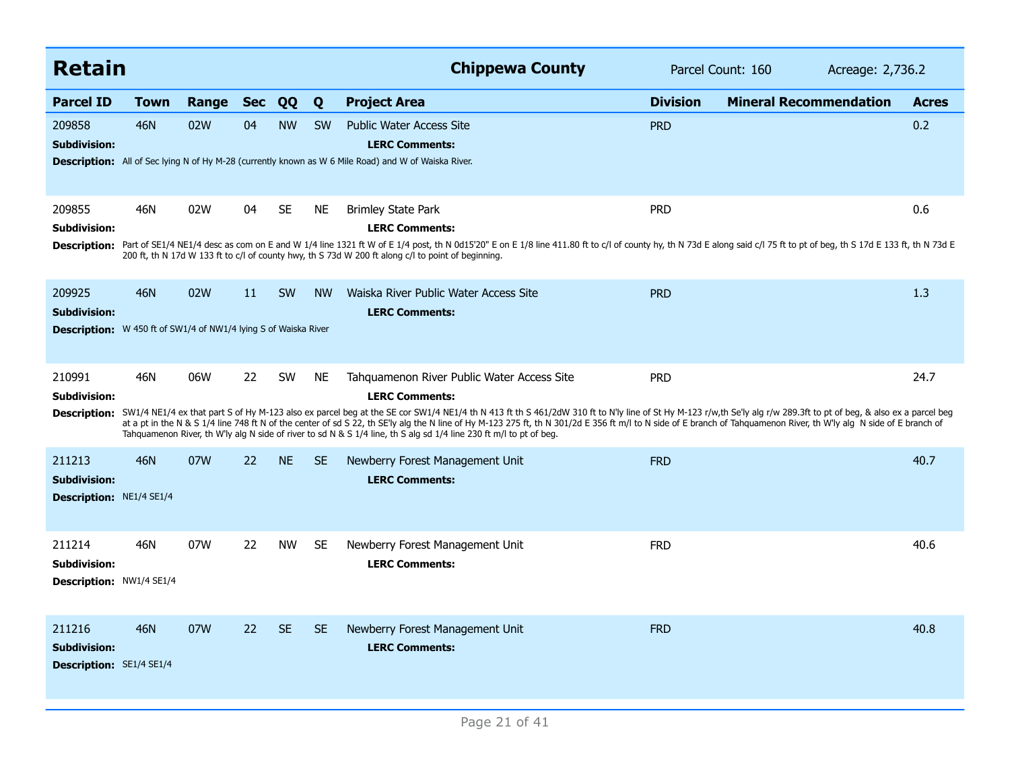| <b>Retain</b>                                                                                           |            |       |            |           |           | <b>Chippewa County</b>                                                                                                                                                                                                                                                                                                                                                                                                                                                                                                                                                                                                                | Parcel Count: 160<br>Acreage: 2,736.2 |                               |              |
|---------------------------------------------------------------------------------------------------------|------------|-------|------------|-----------|-----------|---------------------------------------------------------------------------------------------------------------------------------------------------------------------------------------------------------------------------------------------------------------------------------------------------------------------------------------------------------------------------------------------------------------------------------------------------------------------------------------------------------------------------------------------------------------------------------------------------------------------------------------|---------------------------------------|-------------------------------|--------------|
| <b>Parcel ID</b>                                                                                        | Town       | Range | <b>Sec</b> | QQ        | Q         | <b>Project Area</b>                                                                                                                                                                                                                                                                                                                                                                                                                                                                                                                                                                                                                   | <b>Division</b>                       | <b>Mineral Recommendation</b> | <b>Acres</b> |
| 209858<br><b>Subdivision:</b>                                                                           | 46N        | 02W   | 04         | <b>NW</b> | <b>SW</b> | <b>Public Water Access Site</b><br><b>LERC Comments:</b><br><b>Description:</b> All of Sec lying N of Hy M-28 (currently known as W 6 Mile Road) and W of Waiska River.                                                                                                                                                                                                                                                                                                                                                                                                                                                               | <b>PRD</b>                            |                               | 0.2          |
| 209855<br>Subdivision:<br><b>Description:</b>                                                           | 46N        | 02W   | 04         | <b>SE</b> | NE        | <b>Brimley State Park</b><br><b>LERC Comments:</b><br>Part of SE1/4 NE1/4 desc as com on E and W 1/4 line 1321 ft W of E 1/4 post, th N 0d15'20" E on E 1/8 line 411.80 ft to c/l of county hy, th N 73d E along said c/l 75 ft to pt of beg, th S 17d E 133 ft, th N 73d E<br>200 ft, th N 17d W 133 ft to c/l of county hwy, th S 73d W 200 ft along c/l to point of beginning.                                                                                                                                                                                                                                                     | <b>PRD</b>                            |                               | 0.6          |
| 209925<br><b>Subdivision:</b><br><b>Description:</b> W 450 ft of SW1/4 of NW1/4 lying S of Waiska River | 46N        | 02W   | 11         | <b>SW</b> | <b>NW</b> | Waiska River Public Water Access Site<br><b>LERC Comments:</b>                                                                                                                                                                                                                                                                                                                                                                                                                                                                                                                                                                        | <b>PRD</b>                            |                               | 1.3          |
| 210991<br><b>Subdivision:</b><br><b>Description:</b>                                                    | 46N        | 06W   | 22         | <b>SW</b> | NE        | Tahquamenon River Public Water Access Site<br><b>LERC Comments:</b><br>SW1/4 NE1/4 ex that part S of Hy M-123 also ex parcel beg at the SE cor SW1/4 NE1/4 th N 413 ft th S 461/2dW 310 ft to N'ly line of St Hy M-123 r/w,th Se'ly alg r/w 289.3ft to pt of beg, & also ex a parcel beg<br>at a pt in the N & S 1/4 line 748 ft N of the center of sd S 22, th SE'ly alg the N line of Hy M-123 275 ft, th N 301/2d E 356 ft m/l to N side of E branch of Tahquamenon River, th W'ly alg N side of E branch of<br>Tahquamenon River, th W'ly alg N side of river to sd N & S 1/4 line, th S alg sd 1/4 line 230 ft m/l to pt of beg. | <b>PRD</b>                            |                               | 24.7         |
| 211213<br><b>Subdivision:</b><br>Description: NE1/4 SE1/4                                               | <b>46N</b> | 07W   | 22         | <b>NE</b> | <b>SE</b> | Newberry Forest Management Unit<br><b>LERC Comments:</b>                                                                                                                                                                                                                                                                                                                                                                                                                                                                                                                                                                              | <b>FRD</b>                            |                               | 40.7         |
| 211214<br><b>Subdivision:</b><br>Description: NW1/4 SE1/4                                               | 46N        | 07W   | 22         | <b>NW</b> | <b>SE</b> | Newberry Forest Management Unit<br><b>LERC Comments:</b>                                                                                                                                                                                                                                                                                                                                                                                                                                                                                                                                                                              | <b>FRD</b>                            |                               | 40.6         |
| 211216<br><b>Subdivision:</b><br>Description: SE1/4 SE1/4                                               | <b>46N</b> | 07W   | 22         | <b>SE</b> | <b>SE</b> | Newberry Forest Management Unit<br><b>LERC Comments:</b>                                                                                                                                                                                                                                                                                                                                                                                                                                                                                                                                                                              | <b>FRD</b>                            |                               | 40.8         |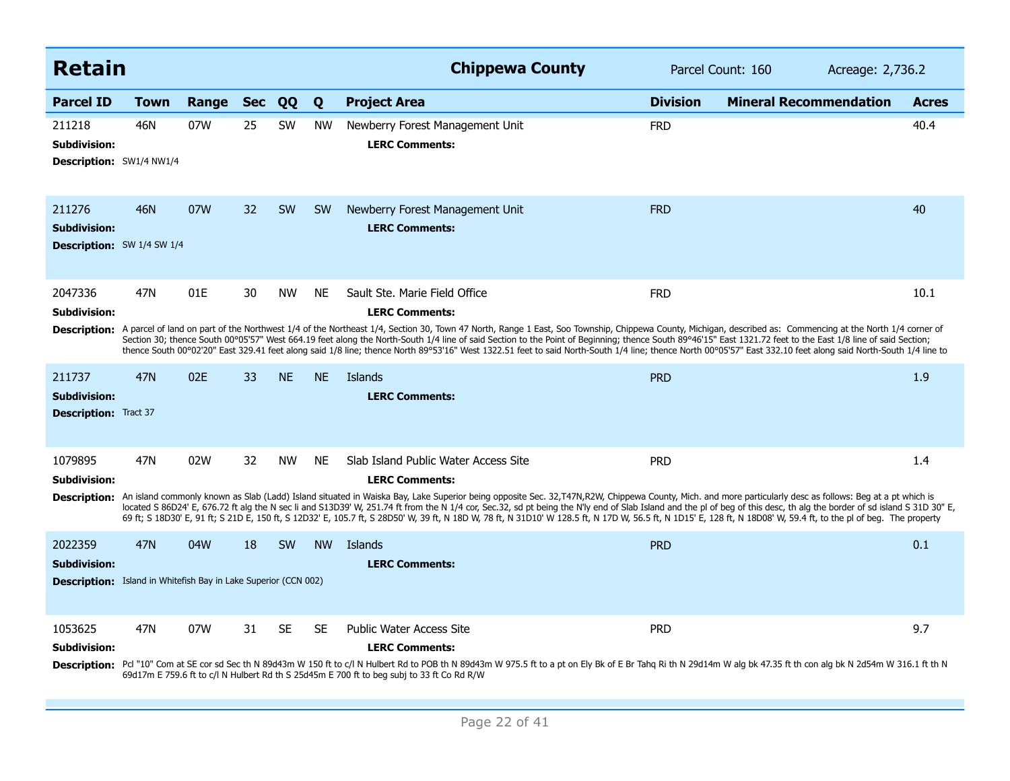| <b>Retain</b>                                                                                            |             |       |            |           |           | <b>Chippewa County</b>                                                                                                                                                                                                                                                                                                                                                                                                                                                                                                                                                                                                                                                                                                                   | Parcel Count: 160<br>Acreage: 2,736.2 |                               |              |
|----------------------------------------------------------------------------------------------------------|-------------|-------|------------|-----------|-----------|------------------------------------------------------------------------------------------------------------------------------------------------------------------------------------------------------------------------------------------------------------------------------------------------------------------------------------------------------------------------------------------------------------------------------------------------------------------------------------------------------------------------------------------------------------------------------------------------------------------------------------------------------------------------------------------------------------------------------------------|---------------------------------------|-------------------------------|--------------|
| <b>Parcel ID</b>                                                                                         | <b>Town</b> | Range | <b>Sec</b> | QQ        | Q         | <b>Project Area</b>                                                                                                                                                                                                                                                                                                                                                                                                                                                                                                                                                                                                                                                                                                                      | <b>Division</b>                       | <b>Mineral Recommendation</b> | <b>Acres</b> |
| 211218<br><b>Subdivision:</b><br><b>Description: SW1/4 NW1/4</b>                                         | 46N         | 07W   | 25         | SW        | <b>NW</b> | Newberry Forest Management Unit<br><b>LERC Comments:</b>                                                                                                                                                                                                                                                                                                                                                                                                                                                                                                                                                                                                                                                                                 | <b>FRD</b>                            |                               | 40.4         |
| 211276<br><b>Subdivision:</b><br><b>Description:</b> SW 1/4 SW 1/4                                       | 46N         | 07W   | 32         | <b>SW</b> | <b>SW</b> | Newberry Forest Management Unit<br><b>LERC Comments:</b>                                                                                                                                                                                                                                                                                                                                                                                                                                                                                                                                                                                                                                                                                 | <b>FRD</b>                            |                               | 40           |
| 2047336<br><b>Subdivision:</b>                                                                           | 47N         | 01E   | 30         | <b>NW</b> | <b>NE</b> | Sault Ste. Marie Field Office<br><b>LERC Comments:</b><br>Description: A parcel of land on part of the Northwest 1/4 of the Northeast 1/4, Section 30, Town 47 North, Range 1 East, Soo Township, Chippewa County, Michigan, described as: Commencing at the North 1/4 corner of<br>Section 30; thence South 00°05'57" West 664.19 feet along the North-South 1/4 line of said Section to the Point of Beginning; thence South 89°46'15" East 1321.72 feet to the East 1/8 line of said Section;<br>thence South 00°02'20" East 329.41 feet along said 1/8 line; thence North 89°53'16" West 1322.51 feet to said North-South 1/4 line; thence North 00°05'57" East 332.10 feet along said North-South 1/4 line to                       | <b>FRD</b>                            |                               | 10.1         |
| 211737<br><b>Subdivision:</b><br><b>Description:</b> Tract 37                                            | <b>47N</b>  | 02E   | 33         | <b>NE</b> | <b>NE</b> | Islands<br><b>LERC Comments:</b>                                                                                                                                                                                                                                                                                                                                                                                                                                                                                                                                                                                                                                                                                                         | <b>PRD</b>                            |                               | 1.9          |
| 1079895<br><b>Subdivision:</b>                                                                           | 47N         | 02W   | 32         | <b>NW</b> | <b>NE</b> | Slab Island Public Water Access Site<br><b>LERC Comments:</b><br>Description: An island commonly known as Slab (Ladd) Island situated in Waiska Bay, Lake Superior being opposite Sec. 32, T47N, R2W, Chippewa County, Mich. and more particularly desc as follows: Beg at a pt which is<br>located S 86D24' E, 676.72 ft alg the N sec li and S13D39' W, 251.74 ft from the N 1/4 cor, Sec.32, sd pt being the N'ly end of Slab Island and the pl of beg of this desc, th alg the border of sd island S 31D 30" E,<br>69 ft; S 18D30' E, 91 ft; S 21D E, 150 ft, S 12D32' E, 105.7 ft, S 28D50' W, 39 ft, N 18D W, 78 ft, N 31D10' W 128.5 ft, N 17D W, 56.5 ft, N 1D15' E, 128 ft, N 18D08' W, 59.4 ft, to the pl of beg. The property | <b>PRD</b>                            |                               | 1.4          |
| 2022359<br><b>Subdivision:</b><br><b>Description:</b> Island in Whitefish Bay in Lake Superior (CCN 002) | <b>47N</b>  | 04W   | 18         | <b>SW</b> | <b>NW</b> | Islands<br><b>LERC Comments:</b>                                                                                                                                                                                                                                                                                                                                                                                                                                                                                                                                                                                                                                                                                                         | <b>PRD</b>                            |                               | 0.1          |
| 1053625<br><b>Subdivision:</b>                                                                           | 47N         | 07W   | 31         | <b>SE</b> | <b>SE</b> | <b>Public Water Access Site</b><br><b>LERC Comments:</b><br>Description: Pcl "10" Com at SE cor sd Sec th N 89d43m W 150 ft to c/l N Hulbert Rd to POB th N 89d43m W 975.5 ft to a pt on Ely Bk of E Br Tahq Ri th N 29d14m W alg bk 47.35 ft th con alg bk N 2d54m W 316.1 ft th N<br>69d17m E 759.6 ft to c/l N Hulbert Rd th S 25d45m E 700 ft to beg subj to 33 ft Co Rd R/W                                                                                                                                                                                                                                                                                                                                                         | <b>PRD</b>                            |                               | 9.7          |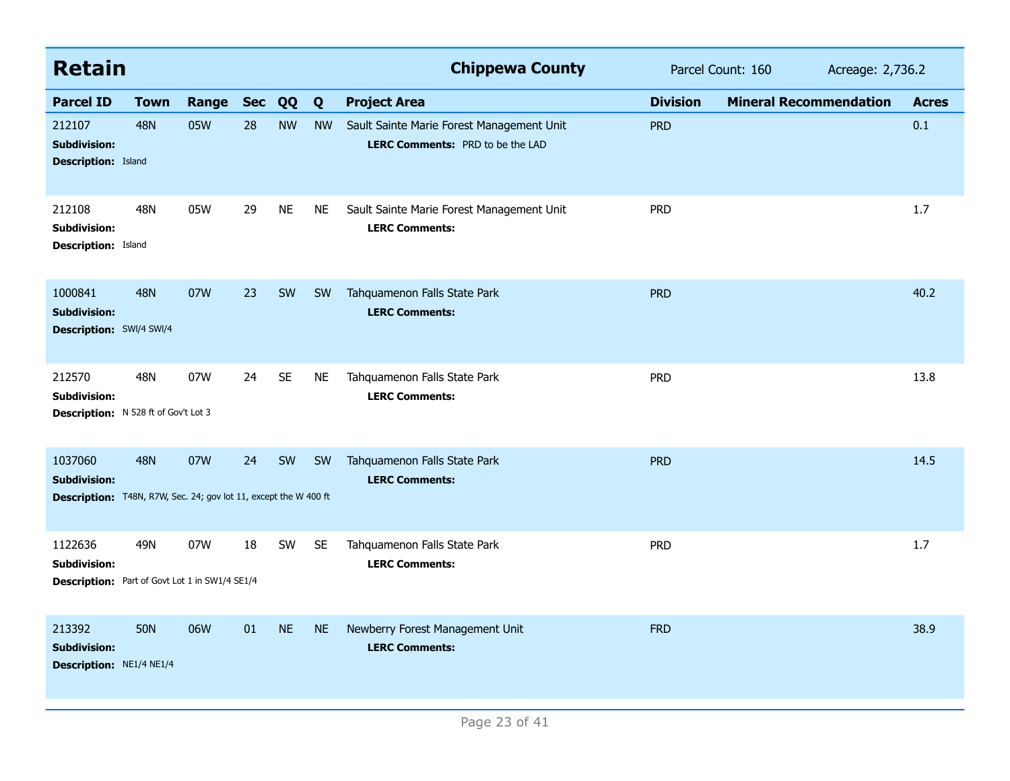| <b>Retain</b>                                                                                      |             |       |            |           |           | <b>Chippewa County</b>                                                        | Parcel Count: 160<br>Acreage: 2,736.2 |                               |              |  |
|----------------------------------------------------------------------------------------------------|-------------|-------|------------|-----------|-----------|-------------------------------------------------------------------------------|---------------------------------------|-------------------------------|--------------|--|
| <b>Parcel ID</b>                                                                                   | <b>Town</b> | Range | <b>Sec</b> | QQ        | Q         | <b>Project Area</b>                                                           | <b>Division</b>                       | <b>Mineral Recommendation</b> | <b>Acres</b> |  |
| 212107<br><b>Subdivision:</b><br><b>Description: Island</b>                                        | <b>48N</b>  | 05W   | 28         | <b>NW</b> | <b>NW</b> | Sault Sainte Marie Forest Management Unit<br>LERC Comments: PRD to be the LAD | <b>PRD</b>                            |                               | 0.1          |  |
| 212108<br><b>Subdivision:</b><br><b>Description: Island</b>                                        | 48N         | 05W   | 29         | <b>NE</b> | <b>NE</b> | Sault Sainte Marie Forest Management Unit<br><b>LERC Comments:</b>            | <b>PRD</b>                            |                               | 1.7          |  |
| 1000841<br><b>Subdivision:</b><br>Description: SWI/4 SWI/4                                         | <b>48N</b>  | 07W   | 23         | <b>SW</b> | <b>SW</b> | Tahquamenon Falls State Park<br><b>LERC Comments:</b>                         | <b>PRD</b>                            |                               | 40.2         |  |
| 212570<br><b>Subdivision:</b><br>Description: N 528 ft of Gov't Lot 3                              | 48N         | 07W   | 24         | <b>SE</b> | <b>NE</b> | Tahquamenon Falls State Park<br><b>LERC Comments:</b>                         | <b>PRD</b>                            |                               | 13.8         |  |
| 1037060<br><b>Subdivision:</b><br>Description: T48N, R7W, Sec. 24; gov lot 11, except the W 400 ft | <b>48N</b>  | 07W   | 24         | SW        | <b>SW</b> | Tahquamenon Falls State Park<br><b>LERC Comments:</b>                         | <b>PRD</b>                            |                               | 14.5         |  |
| 1122636<br><b>Subdivision:</b><br><b>Description:</b> Part of Govt Lot 1 in SW1/4 SE1/4            | 49N         | 07W   | 18         | <b>SW</b> | <b>SE</b> | Tahquamenon Falls State Park<br><b>LERC Comments:</b>                         | <b>PRD</b>                            |                               | 1.7          |  |
| 213392<br><b>Subdivision:</b><br>Description: NE1/4 NE1/4                                          | <b>50N</b>  | 06W   | 01         | <b>NE</b> | <b>NE</b> | Newberry Forest Management Unit<br><b>LERC Comments:</b>                      | <b>FRD</b>                            |                               | 38.9         |  |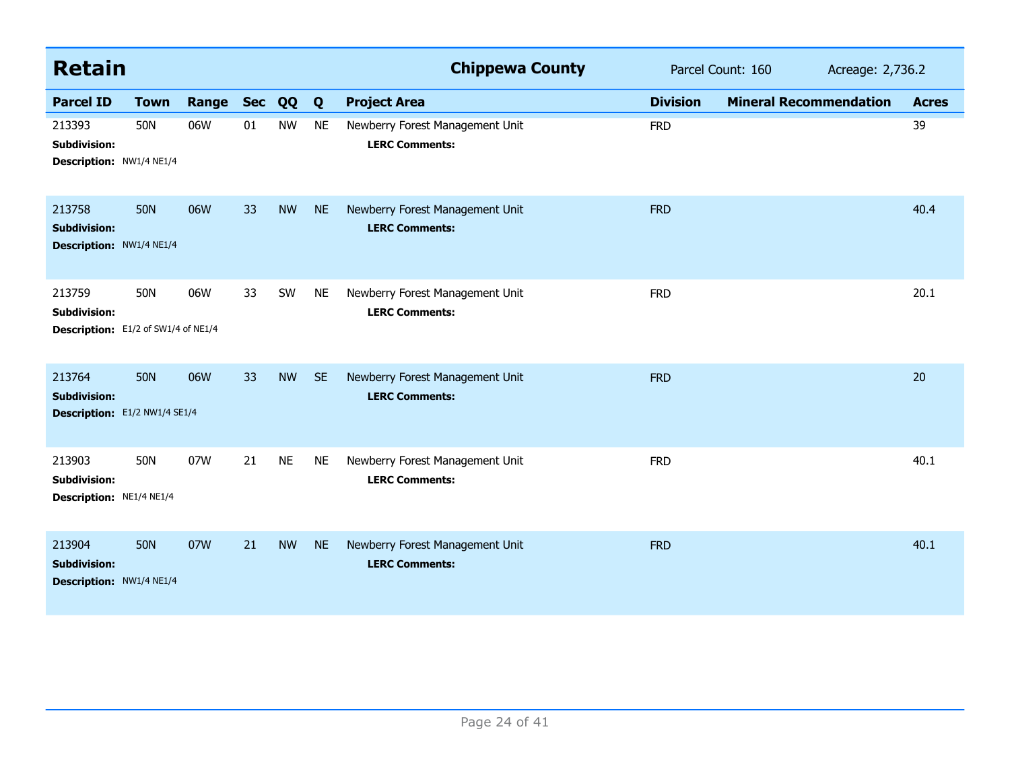| <b>Retain</b>                                                        |             |       |            |           |           | <b>Chippewa County</b>                                   |                 | Parcel Count: 160<br>Acreage: 2,736.2 |  |              |
|----------------------------------------------------------------------|-------------|-------|------------|-----------|-----------|----------------------------------------------------------|-----------------|---------------------------------------|--|--------------|
| <b>Parcel ID</b>                                                     | <b>Town</b> | Range | <b>Sec</b> | QQ        | Q         | <b>Project Area</b>                                      | <b>Division</b> | <b>Mineral Recommendation</b>         |  | <b>Acres</b> |
| 213393<br><b>Subdivision:</b><br>Description: NW1/4 NE1/4            | 50N         | 06W   | 01         | <b>NW</b> | <b>NE</b> | Newberry Forest Management Unit<br><b>LERC Comments:</b> | <b>FRD</b>      |                                       |  | 39           |
| 213758<br><b>Subdivision:</b><br>Description: NW1/4 NE1/4            | <b>50N</b>  | 06W   | 33         | <b>NW</b> | <b>NE</b> | Newberry Forest Management Unit<br><b>LERC Comments:</b> | <b>FRD</b>      |                                       |  | 40.4         |
| 213759<br><b>Subdivision:</b><br>Description: E1/2 of SW1/4 of NE1/4 | 50N         | 06W   | 33         | SW        | <b>NE</b> | Newberry Forest Management Unit<br><b>LERC Comments:</b> | <b>FRD</b>      |                                       |  | 20.1         |
| 213764<br><b>Subdivision:</b><br>Description: E1/2 NW1/4 SE1/4       | <b>50N</b>  | 06W   | 33         | <b>NW</b> | <b>SE</b> | Newberry Forest Management Unit<br><b>LERC Comments:</b> | <b>FRD</b>      |                                       |  | 20           |
| 213903<br>Subdivision:<br>Description: NE1/4 NE1/4                   | 50N         | 07W   | 21         | <b>NE</b> | <b>NE</b> | Newberry Forest Management Unit<br><b>LERC Comments:</b> | <b>FRD</b>      |                                       |  | 40.1         |
| 213904<br><b>Subdivision:</b><br>Description: NW1/4 NE1/4            | <b>50N</b>  | 07W   | 21         | <b>NW</b> | <b>NE</b> | Newberry Forest Management Unit<br><b>LERC Comments:</b> | <b>FRD</b>      |                                       |  | 40.1         |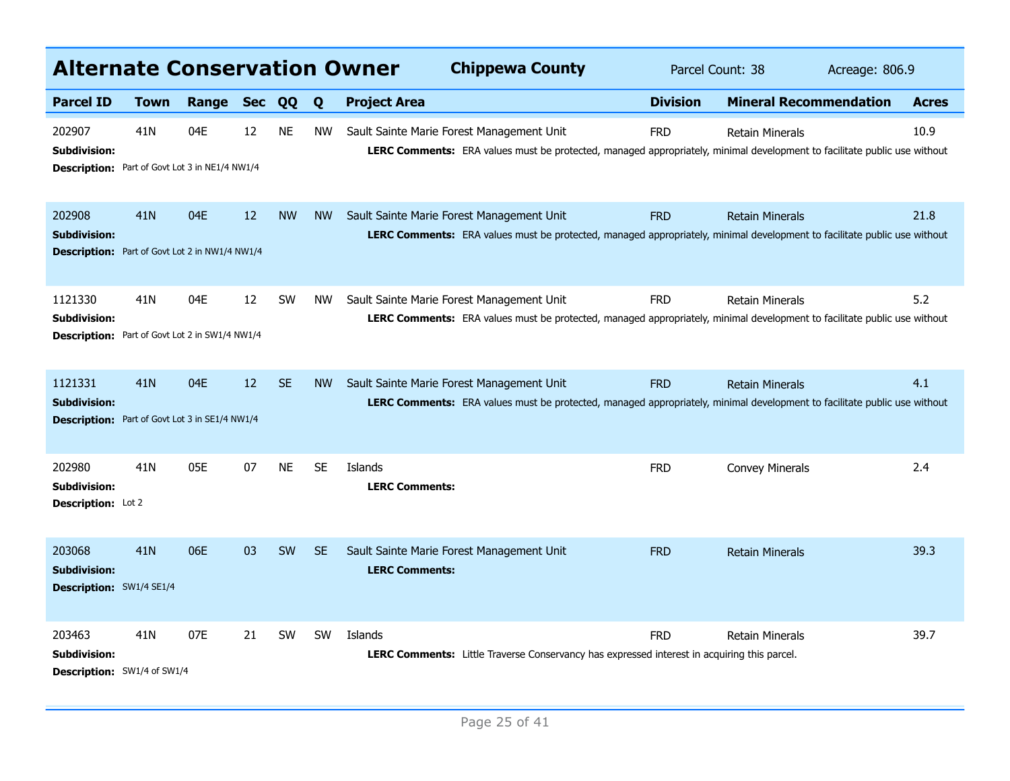| <b>Alternate Conservation Owner</b>                                                     |                 |       |            |           |           | <b>Chippewa County</b>                                                                                                                                                       | Parcel Count: 38 |                               | Acreage: 806.9 |       |
|-----------------------------------------------------------------------------------------|-----------------|-------|------------|-----------|-----------|------------------------------------------------------------------------------------------------------------------------------------------------------------------------------|------------------|-------------------------------|----------------|-------|
| <b>Parcel ID</b>                                                                        | <b>Town</b>     | Range | <b>Sec</b> | QQ        | Q         | <b>Project Area</b>                                                                                                                                                          | <b>Division</b>  | <b>Mineral Recommendation</b> |                | Acres |
| 202907<br>Subdivision:<br>Description: Part of Govt Lot 3 in NE1/4 NW1/4                | 41N             | 04E   | 12         | <b>NE</b> | <b>NW</b> | Sault Sainte Marie Forest Management Unit<br>LERC Comments: ERA values must be protected, managed appropriately, minimal development to facilitate public use without        | <b>FRD</b>       | <b>Retain Minerals</b>        |                | 10.9  |
| 202908<br><b>Subdivision:</b><br>Description: Part of Govt Lot 2 in NW1/4 NW1/4         | 41 <sub>N</sub> | 04E   | 12         | <b>NW</b> | <b>NW</b> | Sault Sainte Marie Forest Management Unit<br>LERC Comments: ERA values must be protected, managed appropriately, minimal development to facilitate public use without        | <b>FRD</b>       | <b>Retain Minerals</b>        |                | 21.8  |
| 1121330<br>Subdivision:<br>Description: Part of Govt Lot 2 in SW1/4 NW1/4               | 41N             | 04E   | 12         | <b>SW</b> | NW.       | Sault Sainte Marie Forest Management Unit<br>LERC Comments: ERA values must be protected, managed appropriately, minimal development to facilitate public use without        | <b>FRD</b>       | <b>Retain Minerals</b>        |                | 5.2   |
| 1121331<br><b>Subdivision:</b><br><b>Description:</b> Part of Govt Lot 3 in SE1/4 NW1/4 | 41N             | 04E   | 12         | <b>SE</b> | <b>NW</b> | Sault Sainte Marie Forest Management Unit<br><b>LERC Comments:</b> ERA values must be protected, managed appropriately, minimal development to facilitate public use without | <b>FRD</b>       | <b>Retain Minerals</b>        |                | 4.1   |
| 202980<br>Subdivision:<br>Description: Lot 2                                            | 41N             | 05E   | 07         | <b>NE</b> | <b>SE</b> | Islands<br><b>LERC Comments:</b>                                                                                                                                             | <b>FRD</b>       | <b>Convey Minerals</b>        |                | 2.4   |
| 203068<br><b>Subdivision:</b><br>Description: SW1/4 SE1/4                               | 41N             | 06E   | 03         | <b>SW</b> | <b>SE</b> | Sault Sainte Marie Forest Management Unit<br><b>LERC Comments:</b>                                                                                                           | <b>FRD</b>       | <b>Retain Minerals</b>        |                | 39.3  |
| 203463<br>Subdivision:<br><b>Description:</b> SW1/4 of SW1/4                            | 41N             | 07E   | 21         | <b>SW</b> | <b>SW</b> | Islands<br><b>LERC Comments:</b> Little Traverse Conservancy has expressed interest in acquiring this parcel.                                                                | <b>FRD</b>       | <b>Retain Minerals</b>        |                | 39.7  |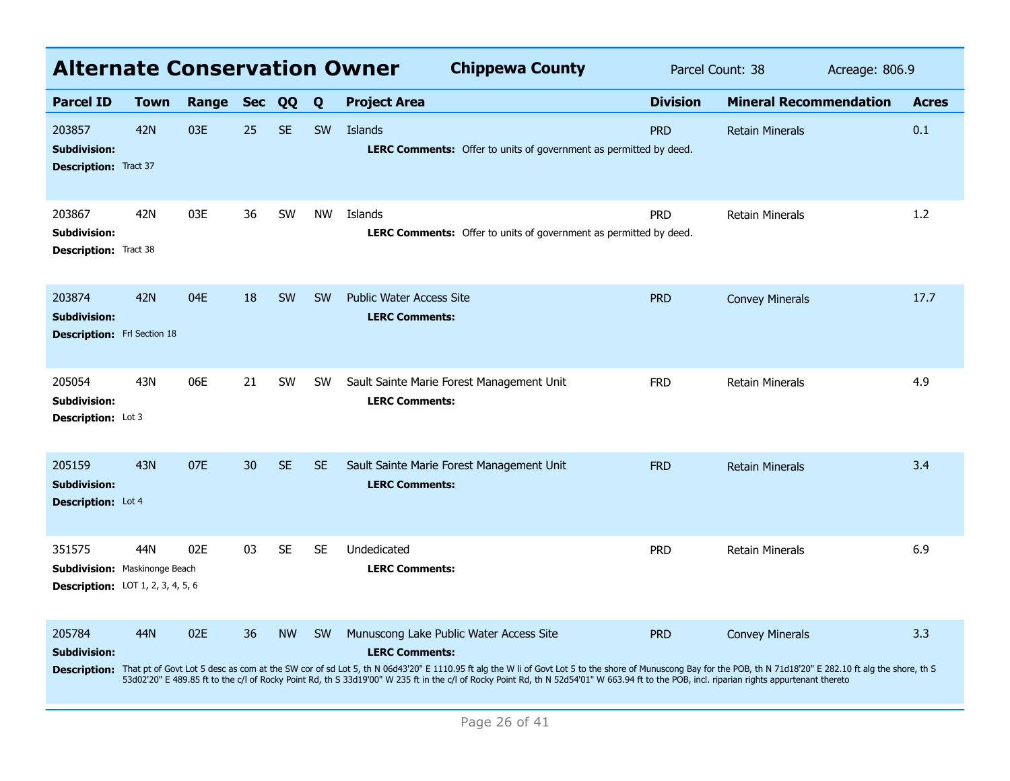| <b>Alternate Conservation Owner</b>                                                        |             |       |            |           |           | Parcel Count: 38                                                                                                                                                                                                                                                                                                                                                                                                                                                                             |                 | Acreage: 806.9                |  |              |
|--------------------------------------------------------------------------------------------|-------------|-------|------------|-----------|-----------|----------------------------------------------------------------------------------------------------------------------------------------------------------------------------------------------------------------------------------------------------------------------------------------------------------------------------------------------------------------------------------------------------------------------------------------------------------------------------------------------|-----------------|-------------------------------|--|--------------|
| <b>Parcel ID</b>                                                                           | <b>Town</b> | Range | <b>Sec</b> | <b>QQ</b> | Q         | <b>Project Area</b>                                                                                                                                                                                                                                                                                                                                                                                                                                                                          | <b>Division</b> | <b>Mineral Recommendation</b> |  | <b>Acres</b> |
| 203857<br><b>Subdivision:</b><br><b>Description:</b> Tract 37                              | 42N         | 03E   | 25         | <b>SE</b> | <b>SW</b> | Islands<br><b>LERC Comments:</b> Offer to units of government as permitted by deed.                                                                                                                                                                                                                                                                                                                                                                                                          | <b>PRD</b>      | <b>Retain Minerals</b>        |  | 0.1          |
| 203867<br><b>Subdivision:</b><br><b>Description:</b> Tract 38                              | 42N         | 03E   | 36         | SW        | <b>NW</b> | Islands<br><b>LERC Comments:</b> Offer to units of government as permitted by deed.                                                                                                                                                                                                                                                                                                                                                                                                          | <b>PRD</b>      | <b>Retain Minerals</b>        |  | 1.2          |
| 203874<br><b>Subdivision:</b><br><b>Description:</b> Frl Section 18                        | 42N         | 04E   | 18         | <b>SW</b> | <b>SW</b> | <b>Public Water Access Site</b><br><b>LERC Comments:</b>                                                                                                                                                                                                                                                                                                                                                                                                                                     | <b>PRD</b>      | <b>Convey Minerals</b>        |  | 17.7         |
| 205054<br><b>Subdivision:</b><br><b>Description:</b> Lot 3                                 | 43N         | 06E   | 21         | <b>SW</b> | <b>SW</b> | Sault Sainte Marie Forest Management Unit<br><b>LERC Comments:</b>                                                                                                                                                                                                                                                                                                                                                                                                                           | <b>FRD</b>      | Retain Minerals               |  | 4.9          |
| 205159<br><b>Subdivision:</b><br>Description: Lot 4                                        | 43N         | 07E   | 30         | <b>SE</b> | <b>SE</b> | Sault Sainte Marie Forest Management Unit<br><b>LERC Comments:</b>                                                                                                                                                                                                                                                                                                                                                                                                                           | <b>FRD</b>      | <b>Retain Minerals</b>        |  | 3.4          |
| 351575<br><b>Subdivision: Maskinonge Beach</b><br><b>Description:</b> LOT 1, 2, 3, 4, 5, 6 | 44N         | 02F   | 03         | <b>SE</b> | <b>SE</b> | Undedicated<br><b>LERC Comments:</b>                                                                                                                                                                                                                                                                                                                                                                                                                                                         | <b>PRD</b>      | <b>Retain Minerals</b>        |  | 6.9          |
| 205784<br><b>Subdivision:</b>                                                              | 44N         | 02E   | 36         | <b>NW</b> | <b>SW</b> | Munuscong Lake Public Water Access Site<br><b>LERC Comments:</b><br>Description: That pt of Govt Lot 5 desc as com at the SW cor of sd Lot 5, th N 06d43'20" E 1110.95 ft alg the W li of Govt Lot 5 to the shore of Munuscong Bay for the POB, th N 71d18'20" E 282.10 ft alg the shore, th S<br>53d02'20" E 489.85 ft to the c/l of Rocky Point Rd, th S 33d19'00" W 235 ft in the c/l of Rocky Point Rd, th N 52d54'01" W 663.94 ft to the POB, incl. riparian rights appurtenant thereto | <b>PRD</b>      | <b>Convey Minerals</b>        |  | 3.3          |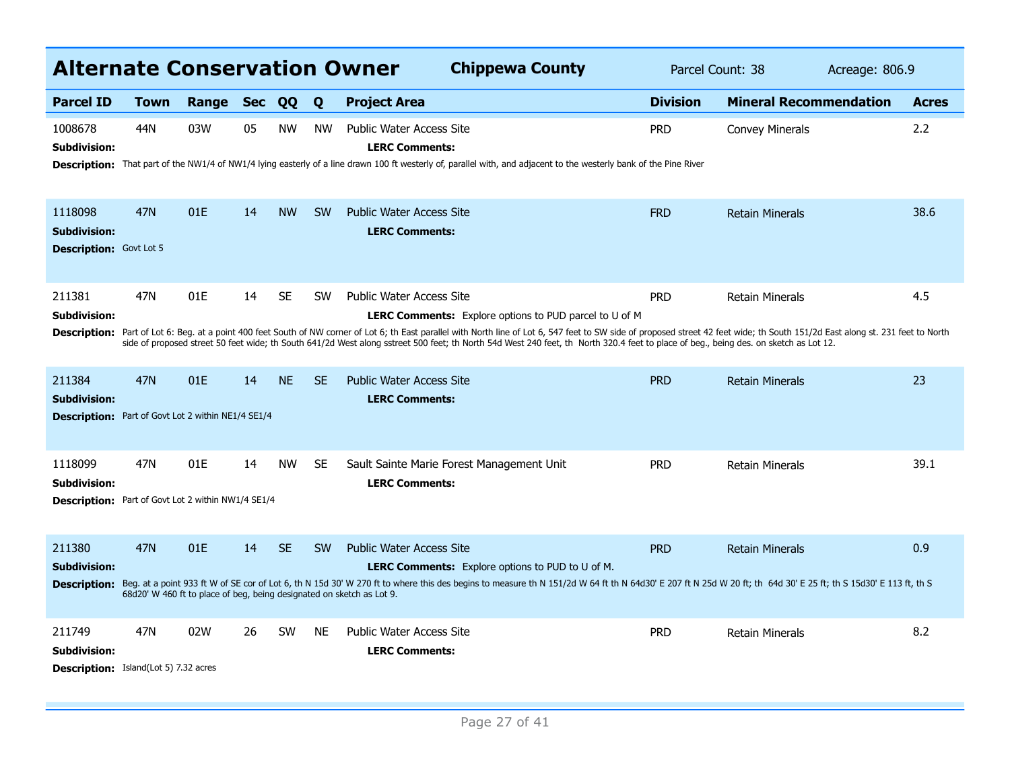| <b>Alternate Conservation Owner</b>                                                        |             |       |            |           |           | <b>Chippewa County</b>                                                                                                                                                                                                                                                                                                                                                                                                                                                                                                     | Parcel Count: 38 |                               | Acreage: 806.9 |              |
|--------------------------------------------------------------------------------------------|-------------|-------|------------|-----------|-----------|----------------------------------------------------------------------------------------------------------------------------------------------------------------------------------------------------------------------------------------------------------------------------------------------------------------------------------------------------------------------------------------------------------------------------------------------------------------------------------------------------------------------------|------------------|-------------------------------|----------------|--------------|
| <b>Parcel ID</b>                                                                           | <b>Town</b> | Range | <b>Sec</b> | QQ        | Q         | <b>Project Area</b>                                                                                                                                                                                                                                                                                                                                                                                                                                                                                                        | <b>Division</b>  | <b>Mineral Recommendation</b> |                | <b>Acres</b> |
| 1008678<br>Subdivision:                                                                    | 44N         | 03W   | 05         | <b>NW</b> | <b>NW</b> | <b>Public Water Access Site</b><br><b>LERC Comments:</b><br>Description: That part of the NW1/4 of NW1/4 lying easterly of a line drawn 100 ft westerly of, parallel with, and adjacent to the westerly bank of the Pine River                                                                                                                                                                                                                                                                                             | <b>PRD</b>       | Convey Minerals               |                | 2.2          |
| 1118098<br><b>Subdivision:</b><br><b>Description:</b> Govt Lot 5                           | <b>47N</b>  | 01E   | 14         | <b>NW</b> | <b>SW</b> | <b>Public Water Access Site</b><br><b>LERC Comments:</b>                                                                                                                                                                                                                                                                                                                                                                                                                                                                   | <b>FRD</b>       | <b>Retain Minerals</b>        |                | 38.6         |
| 211381<br><b>Subdivision:</b>                                                              | 47N         | 01E   | 14         | <b>SE</b> | <b>SW</b> | <b>Public Water Access Site</b><br><b>LERC Comments:</b> Explore options to PUD parcel to U of M<br>Description: Part of Lot 6: Beg. at a point 400 feet South of NW corner of Lot 6; th East parallel with North line of Lot 6, 547 feet to SW side of proposed street 42 feet wide; th South 151/2d East along st. 231 feet to N<br>side of proposed street 50 feet wide; th South 641/2d West along sstreet 500 feet; th North 54d West 240 feet, th North 320.4 feet to place of beg., being des. on sketch as Lot 12. | <b>PRD</b>       | <b>Retain Minerals</b>        |                | 4.5          |
| 211384<br><b>Subdivision:</b><br><b>Description:</b> Part of Govt Lot 2 within NE1/4 SE1/4 | <b>47N</b>  | 01E   | 14         | <b>NE</b> | <b>SE</b> | <b>Public Water Access Site</b><br><b>LERC Comments:</b>                                                                                                                                                                                                                                                                                                                                                                                                                                                                   | <b>PRD</b>       | <b>Retain Minerals</b>        |                | 23           |
| 1118099<br><b>Subdivision:</b><br>Description: Part of Govt Lot 2 within NW1/4 SE1/4       | 47N         | 01E   | 14         | <b>NW</b> | <b>SE</b> | Sault Sainte Marie Forest Management Unit<br><b>LERC Comments:</b>                                                                                                                                                                                                                                                                                                                                                                                                                                                         | <b>PRD</b>       | <b>Retain Minerals</b>        |                | 39.1         |
| 211380<br><b>Subdivision:</b><br><b>Description:</b>                                       | <b>47N</b>  | 01E   | 14         | <b>SE</b> | <b>SW</b> | <b>Public Water Access Site</b><br><b>LERC Comments:</b> Explore options to PUD to U of M.<br>Beg. at a point 933 ft W of SE cor of Lot 6, th N 15d 30' W 270 ft to where this des begins to measure th N 151/2d W 64 ft th N 64d30' E 207 ft N 25d W 20 ft; th 64d 30' E 26 ft; th S 15d30' E 26 ft; th S 15d30' E 113 ft,<br>68d20' W 460 ft to place of beg, being designated on sketch as Lot 9.                                                                                                                       | <b>PRD</b>       | <b>Retain Minerals</b>        |                | 0.9          |
| 211749<br>Subdivision:<br><b>Description:</b> Island(Lot 5) 7.32 acres                     | 47N         | 02W   | 26         | <b>SW</b> | <b>NE</b> | <b>Public Water Access Site</b><br><b>LERC Comments:</b>                                                                                                                                                                                                                                                                                                                                                                                                                                                                   | <b>PRD</b>       | <b>Retain Minerals</b>        |                | 8.2          |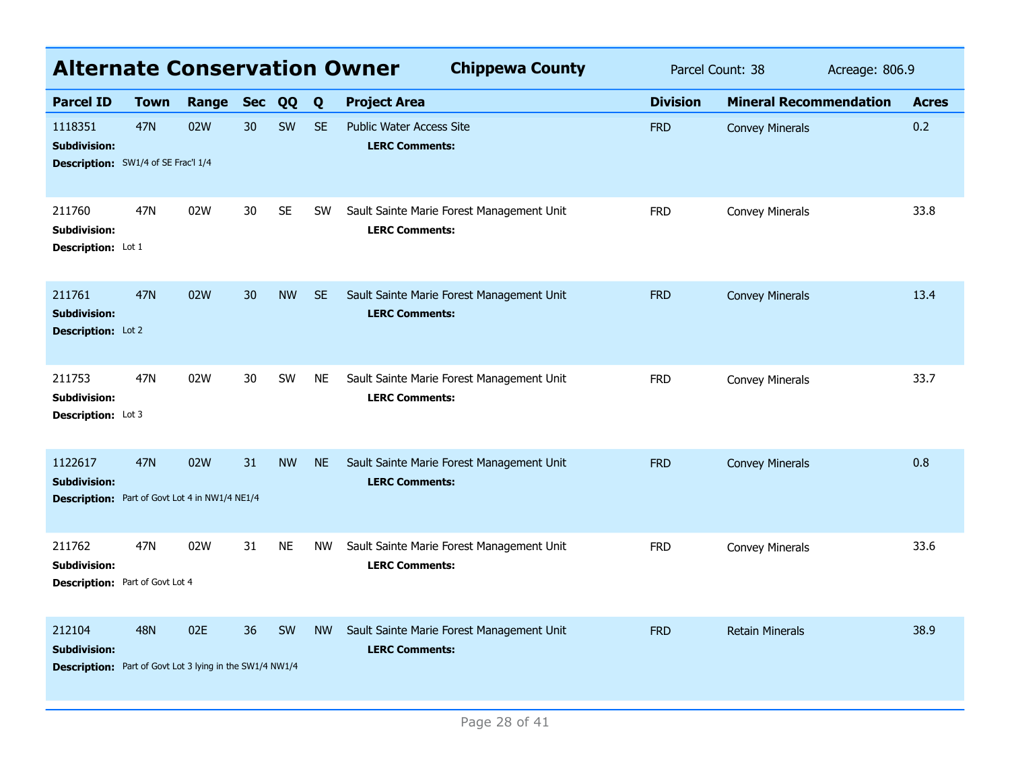| <b>Alternate Conservation Owner</b>                                                              |             |       |            |           |           | <b>Chippewa County</b>                                             | Parcel Count: 38<br>Acreage: 806.9 |                               |  |              |
|--------------------------------------------------------------------------------------------------|-------------|-------|------------|-----------|-----------|--------------------------------------------------------------------|------------------------------------|-------------------------------|--|--------------|
| <b>Parcel ID</b>                                                                                 | <b>Town</b> | Range | <b>Sec</b> | QQ        | Q         | <b>Project Area</b>                                                | <b>Division</b>                    | <b>Mineral Recommendation</b> |  | <b>Acres</b> |
| 1118351<br><b>Subdivision:</b><br><b>Description:</b> SW1/4 of SE Frac'l 1/4                     | <b>47N</b>  | 02W   | 30         | SW        | <b>SE</b> | <b>Public Water Access Site</b><br><b>LERC Comments:</b>           | <b>FRD</b>                         | <b>Convey Minerals</b>        |  | 0.2          |
| 211760<br><b>Subdivision:</b><br><b>Description:</b> Lot 1                                       | 47N         | 02W   | 30         | <b>SE</b> | <b>SW</b> | Sault Sainte Marie Forest Management Unit<br><b>LERC Comments:</b> | <b>FRD</b>                         | <b>Convey Minerals</b>        |  | 33.8         |
| 211761<br><b>Subdivision:</b><br>Description: Lot 2                                              | <b>47N</b>  | 02W   | 30         | <b>NW</b> | <b>SE</b> | Sault Sainte Marie Forest Management Unit<br><b>LERC Comments:</b> | <b>FRD</b>                         | <b>Convey Minerals</b>        |  | 13.4         |
| 211753<br>Subdivision:<br><b>Description:</b> Lot 3                                              | 47N         | 02W   | 30         | SW        | <b>NE</b> | Sault Sainte Marie Forest Management Unit<br><b>LERC Comments:</b> | <b>FRD</b>                         | Convey Minerals               |  | 33.7         |
| 1122617<br><b>Subdivision:</b><br><b>Description:</b> Part of Govt Lot 4 in NW1/4 NE1/4          | <b>47N</b>  | 02W   | 31         | <b>NW</b> | <b>NE</b> | Sault Sainte Marie Forest Management Unit<br><b>LERC Comments:</b> | <b>FRD</b>                         | <b>Convey Minerals</b>        |  | 0.8          |
| 211762<br>Subdivision:<br><b>Description:</b> Part of Govt Lot 4                                 | 47N         | 02W   | 31         | <b>NE</b> | <b>NW</b> | Sault Sainte Marie Forest Management Unit<br><b>LERC Comments:</b> | <b>FRD</b>                         | Convey Minerals               |  | 33.6         |
| 212104<br><b>Subdivision:</b><br><b>Description:</b> Part of Govt Lot 3 lying in the SW1/4 NW1/4 | <b>48N</b>  | 02E   | 36         | SW        | <b>NW</b> | Sault Sainte Marie Forest Management Unit<br><b>LERC Comments:</b> | <b>FRD</b>                         | <b>Retain Minerals</b>        |  | 38.9         |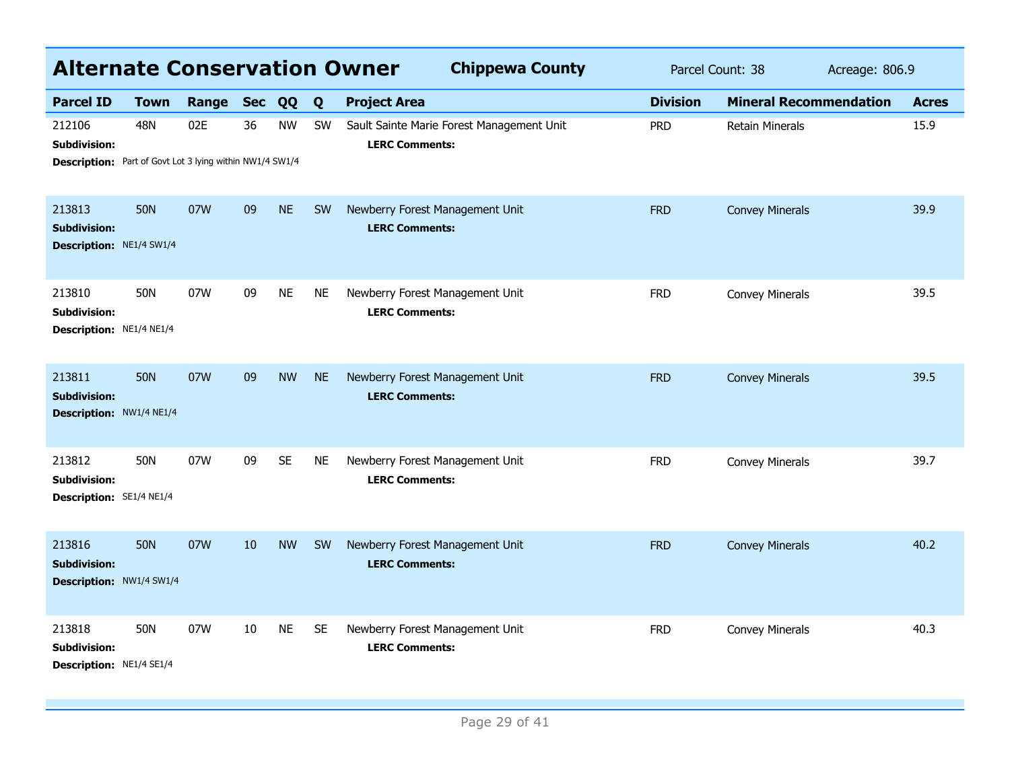| <b>Alternate Conservation Owner</b>                                                |            |       |            |           |           | <b>Chippewa County</b>                                             | Parcel Count: 38 |                               | Acreage: 806.9 |              |
|------------------------------------------------------------------------------------|------------|-------|------------|-----------|-----------|--------------------------------------------------------------------|------------------|-------------------------------|----------------|--------------|
| <b>Parcel ID</b>                                                                   | Town       | Range | <b>Sec</b> | QQ        | Q         | <b>Project Area</b>                                                | <b>Division</b>  | <b>Mineral Recommendation</b> |                | <b>Acres</b> |
| 212106<br>Subdivision:<br>Description: Part of Govt Lot 3 lying within NW1/4 SW1/4 | <b>48N</b> | 02E   | 36         | <b>NW</b> | <b>SW</b> | Sault Sainte Marie Forest Management Unit<br><b>LERC Comments:</b> | <b>PRD</b>       | <b>Retain Minerals</b>        |                | 15.9         |
| 213813<br><b>Subdivision:</b><br><b>Description: NE1/4 SW1/4</b>                   | <b>50N</b> | 07W   | 09         | <b>NE</b> | <b>SW</b> | Newberry Forest Management Unit<br><b>LERC Comments:</b>           | <b>FRD</b>       | <b>Convey Minerals</b>        |                | 39.9         |
| 213810<br>Subdivision:<br>Description: NE1/4 NE1/4                                 | <b>50N</b> | 07W   | 09         | <b>NE</b> | <b>NE</b> | Newberry Forest Management Unit<br><b>LERC Comments:</b>           | <b>FRD</b>       | <b>Convey Minerals</b>        |                | 39.5         |
| 213811<br><b>Subdivision:</b><br>Description: NW1/4 NE1/4                          | <b>50N</b> | 07W   | 09         | <b>NW</b> | <b>NE</b> | Newberry Forest Management Unit<br><b>LERC Comments:</b>           | <b>FRD</b>       | <b>Convey Minerals</b>        |                | 39.5         |
| 213812<br>Subdivision:<br>Description: SE1/4 NE1/4                                 | <b>50N</b> | 07W   | 09         | <b>SE</b> | <b>NE</b> | Newberry Forest Management Unit<br><b>LERC Comments:</b>           | <b>FRD</b>       | Convey Minerals               |                | 39.7         |
| 213816<br><b>Subdivision:</b><br>Description: NW1/4 SW1/4                          | <b>50N</b> | 07W   | 10         | <b>NW</b> | SW        | Newberry Forest Management Unit<br><b>LERC Comments:</b>           | <b>FRD</b>       | <b>Convey Minerals</b>        |                | 40.2         |
| 213818<br>Subdivision:<br>Description: NE1/4 SE1/4                                 | <b>50N</b> | 07W   | 10         | <b>NE</b> | <b>SE</b> | Newberry Forest Management Unit<br><b>LERC Comments:</b>           | <b>FRD</b>       | Convey Minerals               |                | 40.3         |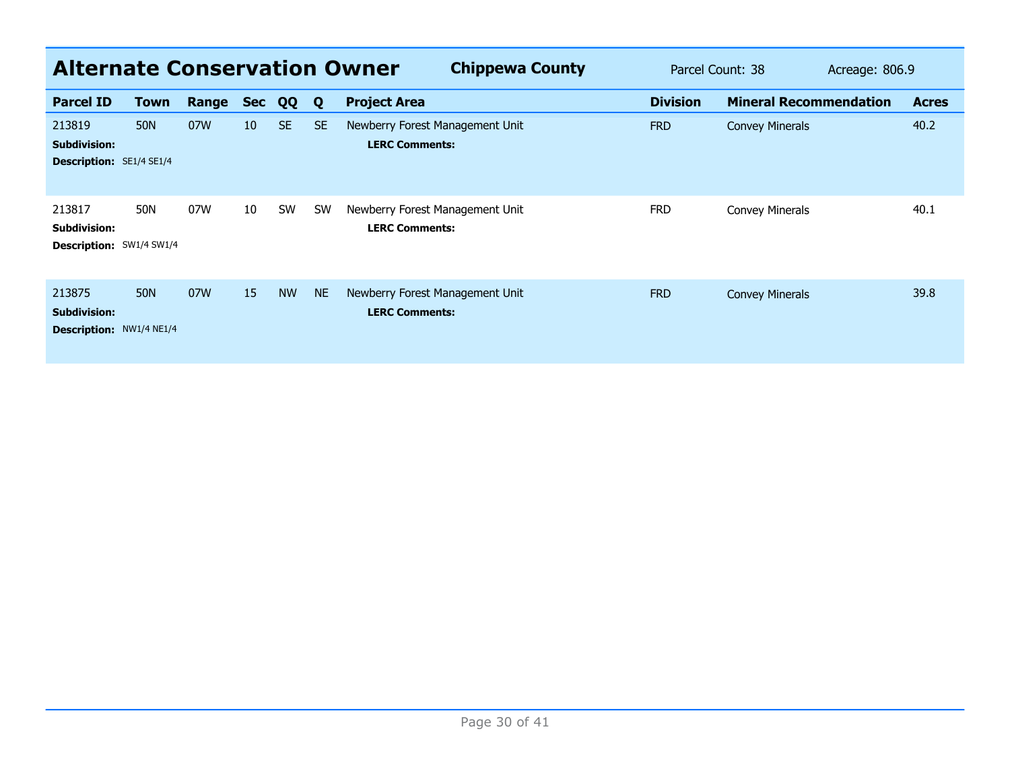| <b>Alternate Conservation Owner</b>                              |            |       |            |           |           | <b>Chippewa County</b>                                   | Parcel Count: 38<br>Acreage: 806.9 |                               |  |              |
|------------------------------------------------------------------|------------|-------|------------|-----------|-----------|----------------------------------------------------------|------------------------------------|-------------------------------|--|--------------|
| <b>Parcel ID</b>                                                 | Town       | Range | <b>Sec</b> | QQ        | Q         | <b>Project Area</b>                                      | <b>Division</b>                    | <b>Mineral Recommendation</b> |  | <b>Acres</b> |
| 213819<br><b>Subdivision:</b><br><b>Description: SE1/4 SE1/4</b> | <b>50N</b> | 07W   | 10         | <b>SE</b> | <b>SE</b> | Newberry Forest Management Unit<br><b>LERC Comments:</b> | <b>FRD</b>                         | <b>Convey Minerals</b>        |  | 40.2         |
| 213817<br><b>Subdivision:</b><br>Description: SW1/4 SW1/4        | 50N        | 07W   | 10         | SW        | <b>SW</b> | Newberry Forest Management Unit<br><b>LERC Comments:</b> | <b>FRD</b>                         | Convey Minerals               |  | 40.1         |
| 213875<br><b>Subdivision:</b><br><b>Description: NW1/4 NE1/4</b> | <b>50N</b> | 07W   | 15         | <b>NW</b> | <b>NE</b> | Newberry Forest Management Unit<br><b>LERC Comments:</b> | <b>FRD</b>                         | <b>Convey Minerals</b>        |  | 39.8         |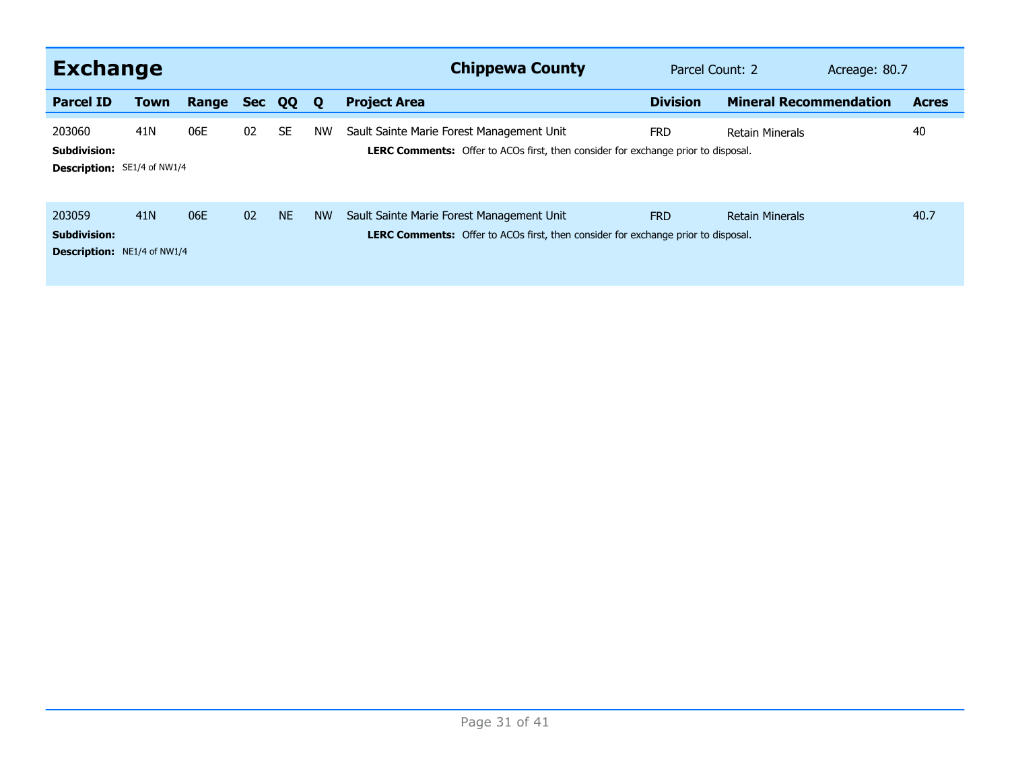| <b>Exchange</b>                                                     |                 |       |            |           |             | <b>Chippewa County</b>                                                                                                                | Parcel Count: 2 |                               | Acreage: 80.7 |              |
|---------------------------------------------------------------------|-----------------|-------|------------|-----------|-------------|---------------------------------------------------------------------------------------------------------------------------------------|-----------------|-------------------------------|---------------|--------------|
| <b>Parcel ID</b>                                                    | <b>Town</b>     | Range | <b>Sec</b> | QQ        | $\mathbf 0$ | <b>Project Area</b>                                                                                                                   | <b>Division</b> | <b>Mineral Recommendation</b> |               | <b>Acres</b> |
| 203060<br><b>Subdivision:</b><br>Description: SE1/4 of NW1/4        | 41 <sub>N</sub> | 06E   | 02         | <b>SE</b> | <b>NW</b>   | Sault Sainte Marie Forest Management Unit<br><b>LERC Comments:</b> Offer to ACOs first, then consider for exchange prior to disposal. | <b>FRD</b>      | <b>Retain Minerals</b>        |               | 40           |
| 203059<br><b>Subdivision:</b><br><b>Description:</b> NE1/4 of NW1/4 | 41 <sub>N</sub> | 06E   | 02         | <b>NE</b> | <b>NW</b>   | Sault Sainte Marie Forest Management Unit<br><b>LERC Comments:</b> Offer to ACOs first, then consider for exchange prior to disposal. | <b>FRD</b>      | <b>Retain Minerals</b>        |               | 40.7         |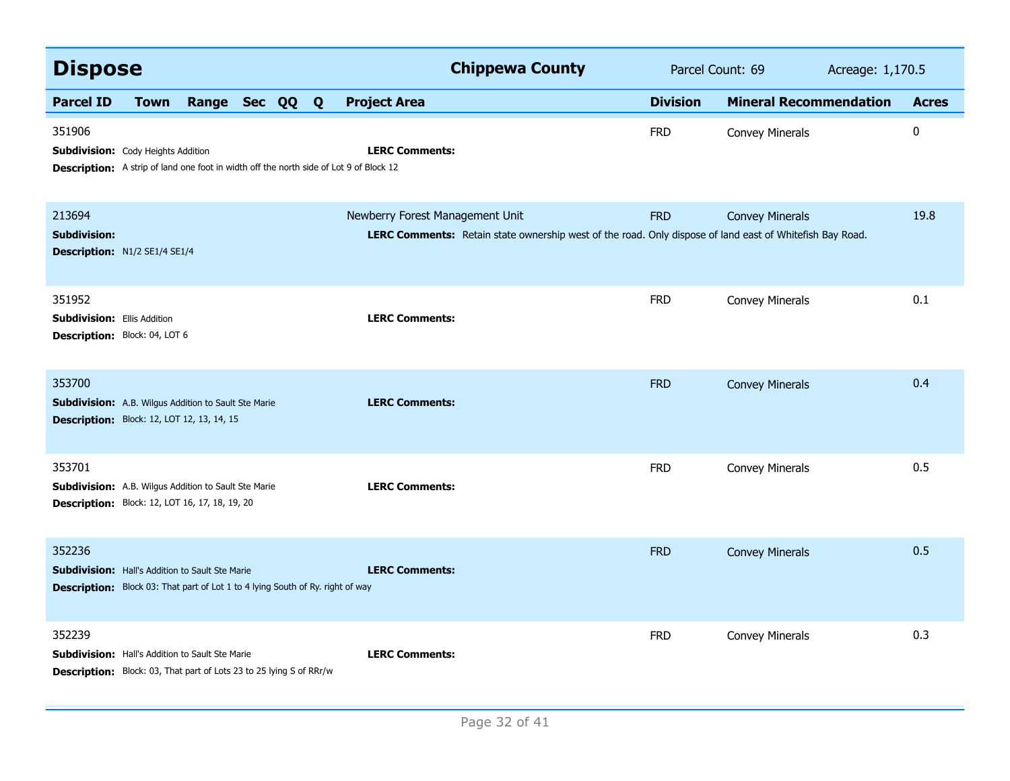| <b>Dispose</b>                                                                                                                                     |             |                |  |                                 | <b>Chippewa County</b>                                                                                   | Parcel Count: 69<br>Acreage: 1,170.5 |                               |  |              |
|----------------------------------------------------------------------------------------------------------------------------------------------------|-------------|----------------|--|---------------------------------|----------------------------------------------------------------------------------------------------------|--------------------------------------|-------------------------------|--|--------------|
| <b>Parcel ID</b>                                                                                                                                   | <b>Town</b> | Range Sec QQ Q |  | <b>Project Area</b>             |                                                                                                          | <b>Division</b>                      | <b>Mineral Recommendation</b> |  | <b>Acres</b> |
| 351906<br><b>Subdivision:</b> Cody Heights Addition<br>Description: A strip of land one foot in width off the north side of Lot 9 of Block 12      |             |                |  | <b>LERC Comments:</b>           |                                                                                                          | <b>FRD</b>                           | <b>Convey Minerals</b>        |  | 0            |
| 213694<br><b>Subdivision:</b><br>Description: N1/2 SE1/4 SE1/4                                                                                     |             |                |  | Newberry Forest Management Unit | LERC Comments: Retain state ownership west of the road. Only dispose of land east of Whitefish Bay Road. | <b>FRD</b>                           | <b>Convey Minerals</b>        |  | 19.8         |
| 351952<br><b>Subdivision: Ellis Addition</b><br><b>Description: Block: 04, LOT 6</b>                                                               |             |                |  | <b>LERC Comments:</b>           |                                                                                                          | <b>FRD</b>                           | <b>Convey Minerals</b>        |  | 0.1          |
| 353700<br><b>Subdivision:</b> A.B. Wilgus Addition to Sault Ste Marie<br><b>Description:</b> Block: 12, LOT 12, 13, 14, 15                         |             |                |  | <b>LERC Comments:</b>           |                                                                                                          | <b>FRD</b>                           | <b>Convey Minerals</b>        |  | 0.4          |
| 353701<br><b>Subdivision:</b> A.B. Wilgus Addition to Sault Ste Marie<br><b>Description:</b> Block: 12, LOT 16, 17, 18, 19, 20                     |             |                |  | <b>LERC Comments:</b>           |                                                                                                          | <b>FRD</b>                           | <b>Convey Minerals</b>        |  | 0.5          |
| 352236<br><b>Subdivision:</b> Hall's Addition to Sault Ste Marie<br>Description: Block 03: That part of Lot 1 to 4 lying South of Ry. right of way |             |                |  | <b>LERC Comments:</b>           |                                                                                                          | <b>FRD</b>                           | <b>Convey Minerals</b>        |  | 0.5          |
| 352239<br><b>Subdivision:</b> Hall's Addition to Sault Ste Marie<br><b>Description:</b> Block: 03, That part of Lots 23 to 25 lying S of RRr/w     |             |                |  | <b>LERC Comments:</b>           |                                                                                                          | <b>FRD</b>                           | <b>Convey Minerals</b>        |  | 0.3          |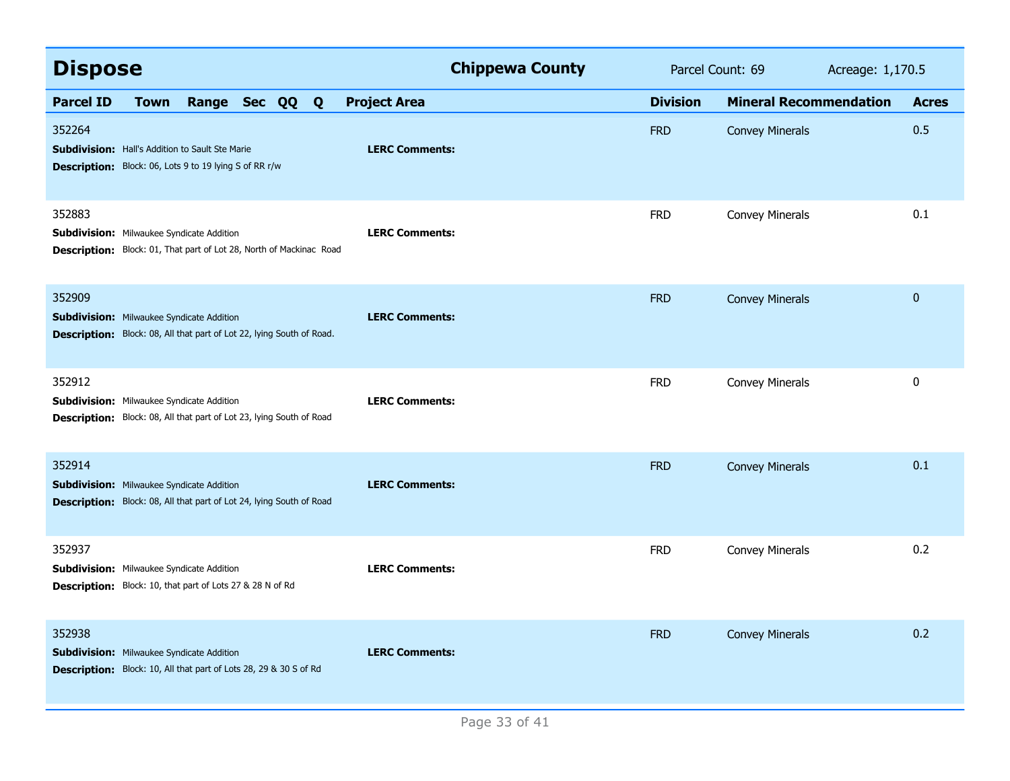| <b>Dispose</b>                                                                                                                            | <b>Chippewa County</b> | Parcel Count: 69 | Acreage: 1,170.5              |              |
|-------------------------------------------------------------------------------------------------------------------------------------------|------------------------|------------------|-------------------------------|--------------|
| <b>Parcel ID</b><br>Range Sec QQ Q<br><b>Town</b>                                                                                         | <b>Project Area</b>    | <b>Division</b>  | <b>Mineral Recommendation</b> | <b>Acres</b> |
| 352264<br><b>Subdivision:</b> Hall's Addition to Sault Ste Marie<br>Description: Block: 06, Lots 9 to 19 lying S of RR r/w                | <b>LERC Comments:</b>  | <b>FRD</b>       | <b>Convey Minerals</b>        | 0.5          |
| 352883<br><b>Subdivision:</b> Milwaukee Syndicate Addition<br><b>Description:</b> Block: 01, That part of Lot 28, North of Mackinac Road  | <b>LERC Comments:</b>  | <b>FRD</b>       | Convey Minerals               | 0.1          |
| 352909<br><b>Subdivision:</b> Milwaukee Syndicate Addition<br>Description: Block: 08, All that part of Lot 22, lying South of Road.       | <b>LERC Comments:</b>  | <b>FRD</b>       | <b>Convey Minerals</b>        | $\mathbf{0}$ |
| 352912<br><b>Subdivision:</b> Milwaukee Syndicate Addition<br><b>Description:</b> Block: 08, All that part of Lot 23, lying South of Road | <b>LERC Comments:</b>  | <b>FRD</b>       | Convey Minerals               | 0            |
| 352914<br><b>Subdivision:</b> Milwaukee Syndicate Addition<br>Description: Block: 08, All that part of Lot 24, lying South of Road        | <b>LERC Comments:</b>  | <b>FRD</b>       | <b>Convey Minerals</b>        | 0.1          |
| 352937<br><b>Subdivision:</b> Milwaukee Syndicate Addition<br>Description: Block: 10, that part of Lots 27 & 28 N of Rd                   | <b>LERC Comments:</b>  | <b>FRD</b>       | Convey Minerals               | 0.2          |
| 352938<br><b>Subdivision:</b> Milwaukee Syndicate Addition<br>Description: Block: 10, All that part of Lots 28, 29 & 30 S of Rd           | <b>LERC Comments:</b>  | <b>FRD</b>       | <b>Convey Minerals</b>        | 0.2          |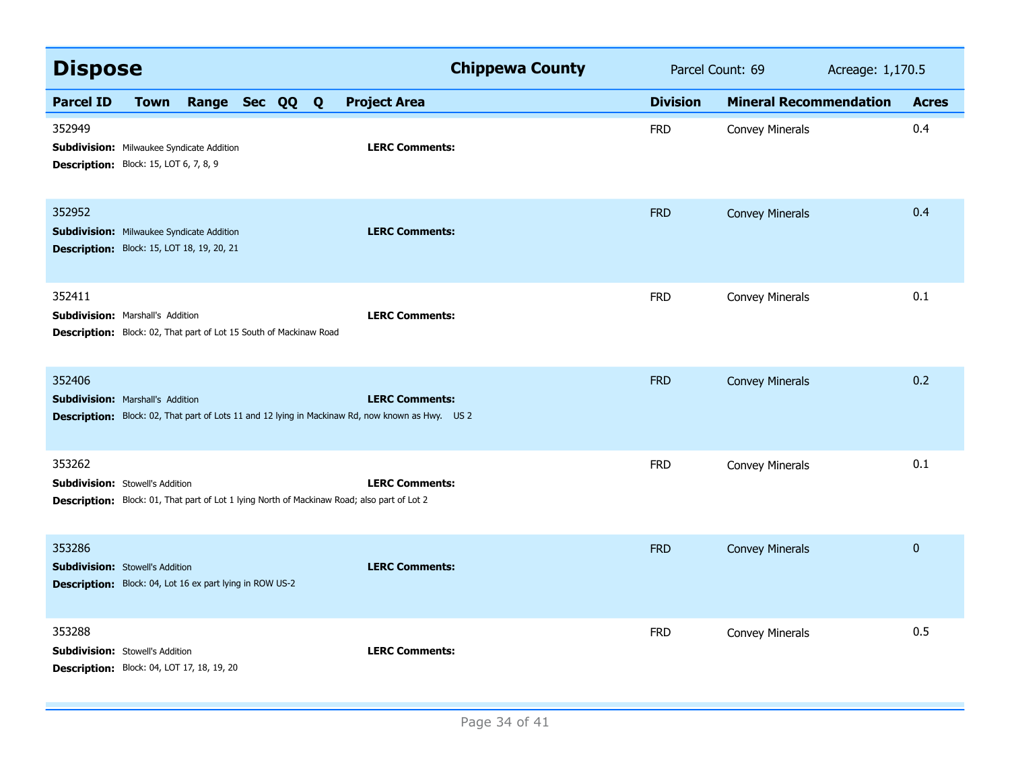| <b>Dispose</b>                                                                                                                                               | <b>Chippewa County</b> | Parcel Count: 69 |                               | Acreage: 1,170.5 |  |
|--------------------------------------------------------------------------------------------------------------------------------------------------------------|------------------------|------------------|-------------------------------|------------------|--|
| <b>Parcel ID</b><br>Range Sec QQ Q<br><b>Town</b>                                                                                                            | <b>Project Area</b>    | <b>Division</b>  | <b>Mineral Recommendation</b> | <b>Acres</b>     |  |
| 352949<br><b>Subdivision:</b> Milwaukee Syndicate Addition<br>Description: Block: 15, LOT 6, 7, 8, 9                                                         | <b>LERC Comments:</b>  | <b>FRD</b>       | <b>Convey Minerals</b>        | 0.4              |  |
| 352952<br><b>Subdivision:</b> Milwaukee Syndicate Addition<br><b>Description:</b> Block: 15, LOT 18, 19, 20, 21                                              | <b>LERC Comments:</b>  | <b>FRD</b>       | <b>Convey Minerals</b>        | 0.4              |  |
| 352411<br><b>Subdivision: Marshall's Addition</b><br>Description: Block: 02, That part of Lot 15 South of Mackinaw Road                                      | <b>LERC Comments:</b>  | <b>FRD</b>       | Convey Minerals               | 0.1              |  |
| 352406<br><b>Subdivision: Marshall's Addition</b><br><b>Description:</b> Block: 02, That part of Lots 11 and 12 lying in Mackinaw Rd, now known as Hwy. US 2 | <b>LERC Comments:</b>  | <b>FRD</b>       | <b>Convey Minerals</b>        | 0.2              |  |
| 353262<br><b>Subdivision: Stowell's Addition</b><br><b>Description:</b> Block: 01, That part of Lot 1 lying North of Mackinaw Road; also part of Lot 2       | <b>LERC Comments:</b>  | <b>FRD</b>       | <b>Convey Minerals</b>        | 0.1              |  |
| 353286<br><b>Subdivision:</b> Stowell's Addition<br><b>Description:</b> Block: 04, Lot 16 ex part lying in ROW US-2                                          | <b>LERC Comments:</b>  | <b>FRD</b>       | <b>Convey Minerals</b>        | $\mathbf 0$      |  |
| 353288<br><b>Subdivision:</b> Stowell's Addition<br><b>Description:</b> Block: 04, LOT 17, 18, 19, 20                                                        | <b>LERC Comments:</b>  | <b>FRD</b>       | <b>Convey Minerals</b>        | 0.5              |  |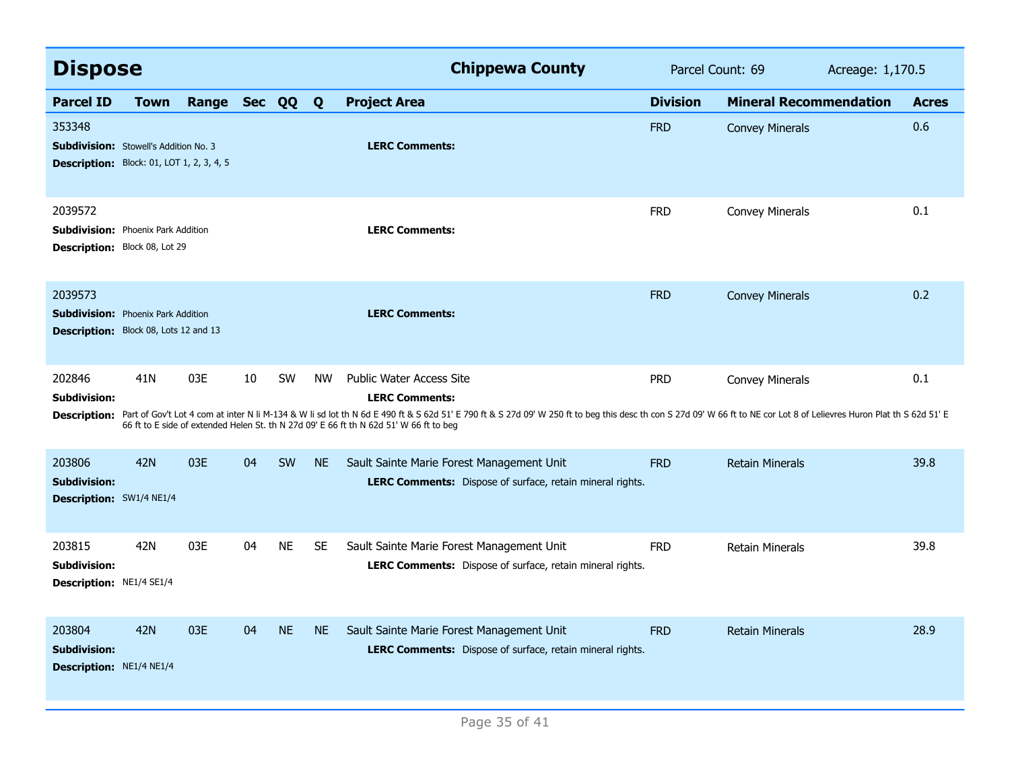| <b>Dispose</b>                                                                                             |                 |                |    |           |           | <b>Chippewa County</b>                                                                                                                                                                                                                                                                                                                                                      | Parcel Count: 69 |                               | Acreage: 1,170.5 |              |
|------------------------------------------------------------------------------------------------------------|-----------------|----------------|----|-----------|-----------|-----------------------------------------------------------------------------------------------------------------------------------------------------------------------------------------------------------------------------------------------------------------------------------------------------------------------------------------------------------------------------|------------------|-------------------------------|------------------|--------------|
| <b>Parcel ID</b>                                                                                           | <b>Town</b>     | Range Sec QQ Q |    |           |           | <b>Project Area</b>                                                                                                                                                                                                                                                                                                                                                         | <b>Division</b>  | <b>Mineral Recommendation</b> |                  | <b>Acres</b> |
| 353348<br><b>Subdivision:</b> Stowell's Addition No. 3<br><b>Description:</b> Block: 01, LOT 1, 2, 3, 4, 5 |                 |                |    |           |           | <b>LERC Comments:</b>                                                                                                                                                                                                                                                                                                                                                       | <b>FRD</b>       | <b>Convey Minerals</b>        |                  | 0.6          |
| 2039572<br><b>Subdivision: Phoenix Park Addition</b><br><b>Description:</b> Block 08, Lot 29               |                 |                |    |           |           | <b>LERC Comments:</b>                                                                                                                                                                                                                                                                                                                                                       | <b>FRD</b>       | <b>Convey Minerals</b>        |                  | 0.1          |
| 2039573<br><b>Subdivision:</b> Phoenix Park Addition<br>Description: Block 08, Lots 12 and 13              |                 |                |    |           |           | <b>LERC Comments:</b>                                                                                                                                                                                                                                                                                                                                                       | <b>FRD</b>       | <b>Convey Minerals</b>        |                  | 0.2          |
| 202846<br>Subdivision:<br><b>Description:</b>                                                              | 41 <sub>N</sub> | 03E            | 10 | <b>SW</b> | <b>NW</b> | <b>Public Water Access Site</b><br><b>LERC Comments:</b><br>Part of Gov't Lot 4 com at inter N li M-134 & W li sd lot th N 6d E 490 ft & S 62d 51' E 790 ft & S 27d 09' W 250 ft to beg this desc th con S 27d 09' W 66 ft to NE cor Lot 8 of Lelievres Huron Plat th S 62d 51' E<br>66 ft to E side of extended Helen St. th N 27d 09' E 66 ft th N 62d 51' W 66 ft to beg | <b>PRD</b>       | <b>Convey Minerals</b>        |                  | 0.1          |
| 203806<br><b>Subdivision:</b><br>Description: SW1/4 NE1/4                                                  | <b>42N</b>      | 03E            | 04 | SW        | <b>NE</b> | Sault Sainte Marie Forest Management Unit<br>LERC Comments: Dispose of surface, retain mineral rights.                                                                                                                                                                                                                                                                      | <b>FRD</b>       | <b>Retain Minerals</b>        |                  | 39.8         |
| 203815<br><b>Subdivision:</b><br>Description: NE1/4 SE1/4                                                  | 42N             | 03E            | 04 | <b>NE</b> | <b>SE</b> | Sault Sainte Marie Forest Management Unit<br><b>LERC Comments:</b> Dispose of surface, retain mineral rights.                                                                                                                                                                                                                                                               | <b>FRD</b>       | Retain Minerals               |                  | 39.8         |
| 203804<br><b>Subdivision:</b><br>Description: NE1/4 NE1/4                                                  | 42N             | 03E            | 04 | <b>NE</b> | <b>NE</b> | Sault Sainte Marie Forest Management Unit<br>LERC Comments: Dispose of surface, retain mineral rights.                                                                                                                                                                                                                                                                      | <b>FRD</b>       | <b>Retain Minerals</b>        |                  | 28.9         |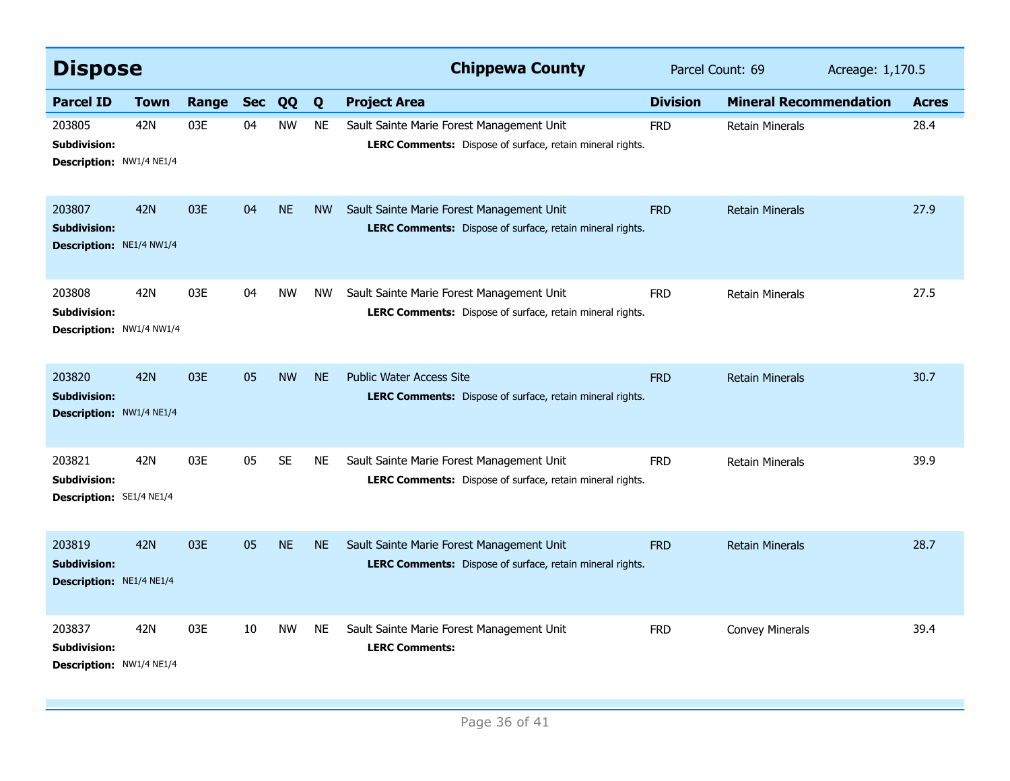| <b>Dispose</b>                                                   |             |       |            |           |           | <b>Chippewa County</b>                                                                                        | Parcel Count: 69 |                               | Acreage: 1,170.5 |              |
|------------------------------------------------------------------|-------------|-------|------------|-----------|-----------|---------------------------------------------------------------------------------------------------------------|------------------|-------------------------------|------------------|--------------|
| <b>Parcel ID</b>                                                 | <b>Town</b> | Range | <b>Sec</b> | QQ        | Q         | <b>Project Area</b>                                                                                           | <b>Division</b>  | <b>Mineral Recommendation</b> |                  | <b>Acres</b> |
| 203805<br><b>Subdivision:</b><br>Description: NW1/4 NE1/4        | 42N         | 03E   | 04         | <b>NW</b> | <b>NE</b> | Sault Sainte Marie Forest Management Unit<br>LERC Comments: Dispose of surface, retain mineral rights.        | <b>FRD</b>       | <b>Retain Minerals</b>        |                  | 28.4         |
| 203807<br><b>Subdivision:</b><br><b>Description: NE1/4 NW1/4</b> | 42N         | 03E   | 04         | <b>NE</b> | <b>NW</b> | Sault Sainte Marie Forest Management Unit<br>LERC Comments: Dispose of surface, retain mineral rights.        | <b>FRD</b>       | <b>Retain Minerals</b>        |                  | 27.9         |
| 203808<br><b>Subdivision:</b><br>Description: NW1/4 NW1/4        | 42N         | 03E   | 04         | <b>NW</b> | <b>NW</b> | Sault Sainte Marie Forest Management Unit<br>LERC Comments: Dispose of surface, retain mineral rights.        | <b>FRD</b>       | <b>Retain Minerals</b>        |                  | 27.5         |
| 203820<br><b>Subdivision:</b><br>Description: NW1/4 NE1/4        | <b>42N</b>  | 03E   | 05         | <b>NW</b> | <b>NE</b> | <b>Public Water Access Site</b><br>LERC Comments: Dispose of surface, retain mineral rights.                  | <b>FRD</b>       | <b>Retain Minerals</b>        |                  | 30.7         |
| 203821<br><b>Subdivision:</b><br><b>Description: SE1/4 NE1/4</b> | 42N         | 03E   | 05         | <b>SE</b> | <b>NE</b> | Sault Sainte Marie Forest Management Unit<br>LERC Comments: Dispose of surface, retain mineral rights.        | <b>FRD</b>       | <b>Retain Minerals</b>        |                  | 39.9         |
| 203819<br><b>Subdivision:</b><br>Description: NE1/4 NE1/4        | 42N         | 03E   | 05         | <b>NE</b> | <b>NE</b> | Sault Sainte Marie Forest Management Unit<br><b>LERC Comments:</b> Dispose of surface, retain mineral rights. | <b>FRD</b>       | <b>Retain Minerals</b>        |                  | 28.7         |
| 203837<br><b>Subdivision:</b><br>Description: NW1/4 NE1/4        | 42N         | 03E   | 10         | <b>NW</b> | NE        | Sault Sainte Marie Forest Management Unit<br><b>LERC Comments:</b>                                            | <b>FRD</b>       | <b>Convey Minerals</b>        |                  | 39.4         |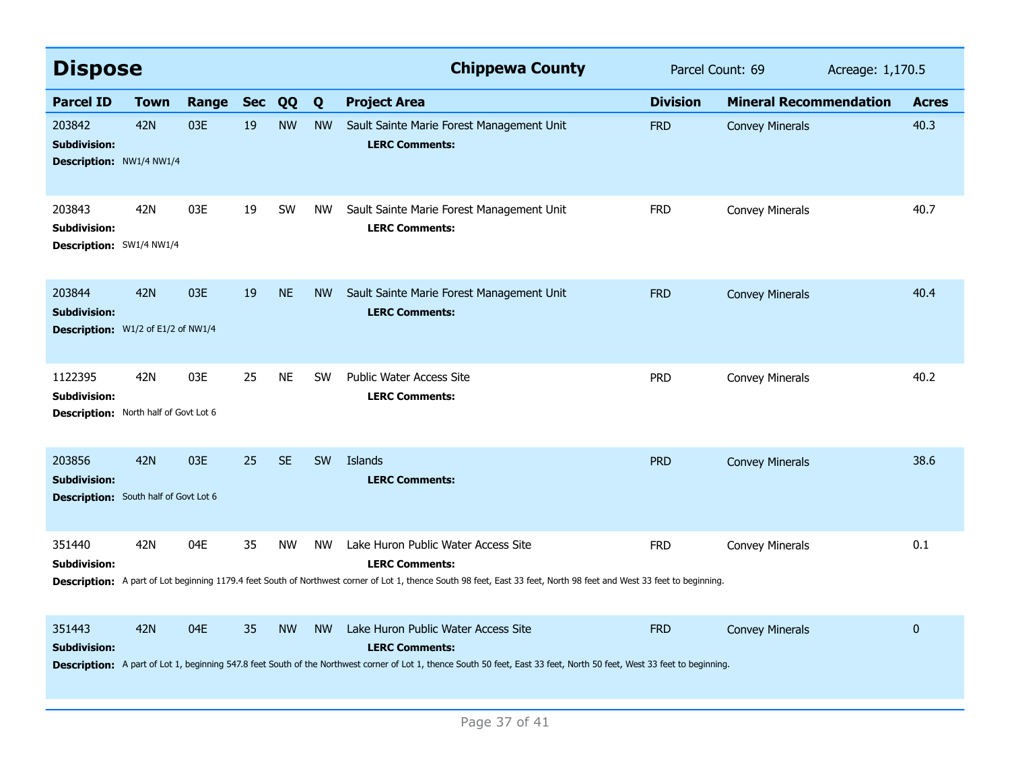| <b>Dispose</b>                                                                 |            |       |            |           |           | <b>Chippewa County</b>                                                                                                                                                                                                                   | Parcel Count: 69 |                               | Acreage: 1,170.5 |              |
|--------------------------------------------------------------------------------|------------|-------|------------|-----------|-----------|------------------------------------------------------------------------------------------------------------------------------------------------------------------------------------------------------------------------------------------|------------------|-------------------------------|------------------|--------------|
| <b>Parcel ID</b>                                                               | Town       | Range | <b>Sec</b> | QQ        | Q         | <b>Project Area</b>                                                                                                                                                                                                                      | <b>Division</b>  | <b>Mineral Recommendation</b> |                  | <b>Acres</b> |
| 203842<br><b>Subdivision:</b><br><b>Description: NW1/4 NW1/4</b>               | <b>42N</b> | 03E   | 19         | <b>NW</b> | <b>NW</b> | Sault Sainte Marie Forest Management Unit<br><b>LERC Comments:</b>                                                                                                                                                                       | <b>FRD</b>       | <b>Convey Minerals</b>        |                  | 40.3         |
| 203843<br><b>Subdivision:</b><br>Description: SW1/4 NW1/4                      | 42N        | 03E   | 19         | SW        | <b>NW</b> | Sault Sainte Marie Forest Management Unit<br><b>LERC Comments:</b>                                                                                                                                                                       | <b>FRD</b>       | <b>Convey Minerals</b>        |                  | 40.7         |
| 203844<br><b>Subdivision:</b><br>Description: W1/2 of E1/2 of NW1/4            | <b>42N</b> | 03E   | 19         | <b>NE</b> | <b>NW</b> | Sault Sainte Marie Forest Management Unit<br><b>LERC Comments:</b>                                                                                                                                                                       | <b>FRD</b>       | <b>Convey Minerals</b>        |                  | 40.4         |
| 1122395<br><b>Subdivision:</b><br><b>Description:</b> North half of Govt Lot 6 | 42N        | 03E   | 25         | <b>NE</b> | <b>SW</b> | <b>Public Water Access Site</b><br><b>LERC Comments:</b>                                                                                                                                                                                 | <b>PRD</b>       | <b>Convey Minerals</b>        |                  | 40.2         |
| 203856<br><b>Subdivision:</b><br><b>Description:</b> South half of Govt Lot 6  | <b>42N</b> | 03E   | 25         | <b>SE</b> | <b>SW</b> | Islands<br><b>LERC Comments:</b>                                                                                                                                                                                                         | <b>PRD</b>       | <b>Convey Minerals</b>        |                  | 38.6         |
| 351440<br>Subdivision:                                                         | 42N        | 04E   | 35         | <b>NW</b> | <b>NW</b> | Lake Huron Public Water Access Site<br><b>LERC Comments:</b><br>Description: A part of Lot beginning 1179.4 feet South of Northwest corner of Lot 1, thence South 98 feet, East 33 feet, North 98 feet and West 33 feet to beginning.    | <b>FRD</b>       | <b>Convey Minerals</b>        |                  | 0.1          |
| 351443<br><b>Subdivision:</b>                                                  | <b>42N</b> | 04E   | 35         | <b>NW</b> | <b>NW</b> | Lake Huron Public Water Access Site<br><b>LERC Comments:</b><br>Description: A part of Lot 1, beginning 547.8 feet South of the Northwest corner of Lot 1, thence South 50 feet, East 33 feet, North 50 feet, West 33 feet to beginning. | <b>FRD</b>       | <b>Convey Minerals</b>        |                  | $\pmb{0}$    |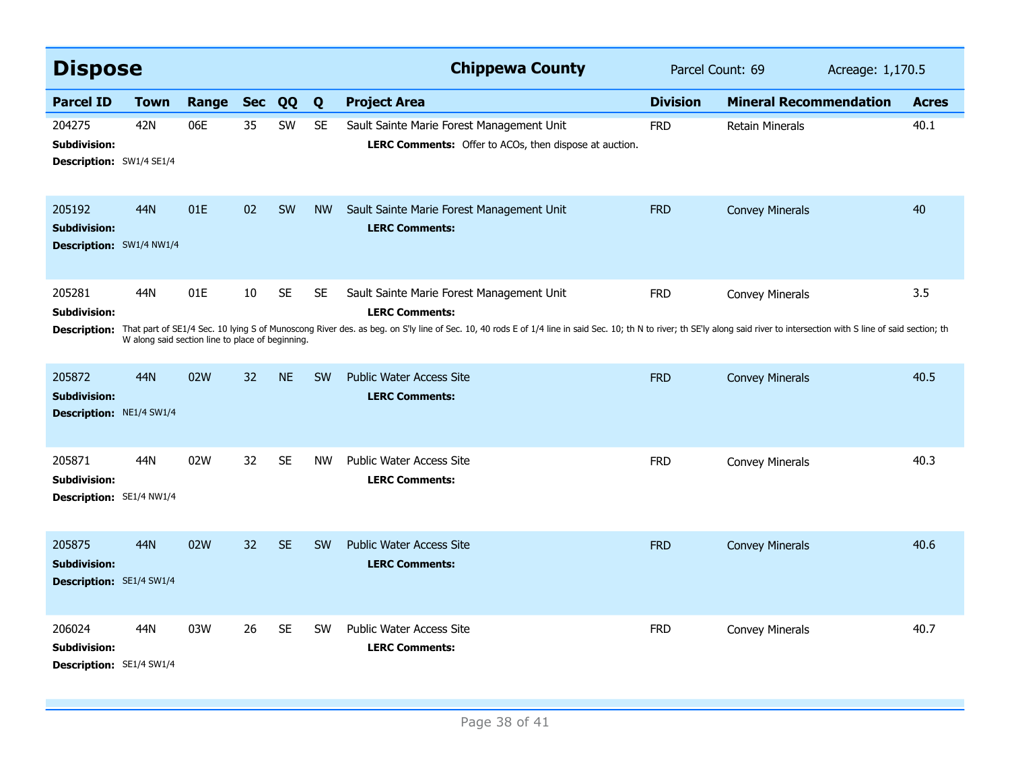| <b>Dispose</b>                                                   |                                                         |       |            |           |           | <b>Chippewa County</b>                                                                                                                                                                                                                                                                            | Parcel Count: 69 |                               | Acreage: 1,170.5 |              |
|------------------------------------------------------------------|---------------------------------------------------------|-------|------------|-----------|-----------|---------------------------------------------------------------------------------------------------------------------------------------------------------------------------------------------------------------------------------------------------------------------------------------------------|------------------|-------------------------------|------------------|--------------|
| <b>Parcel ID</b>                                                 | <b>Town</b>                                             | Range | <b>Sec</b> | QQ        | Q         | <b>Project Area</b>                                                                                                                                                                                                                                                                               | <b>Division</b>  | <b>Mineral Recommendation</b> |                  | <b>Acres</b> |
| 204275<br>Subdivision:<br><b>Description: SW1/4 SE1/4</b>        | 42N                                                     | 06E   | 35         | SW        | <b>SE</b> | Sault Sainte Marie Forest Management Unit<br><b>LERC Comments:</b> Offer to ACOs, then dispose at auction.                                                                                                                                                                                        | <b>FRD</b>       | <b>Retain Minerals</b>        |                  | 40.1         |
| 205192<br><b>Subdivision:</b><br>Description: SW1/4 NW1/4        | 44N                                                     | 01E   | 02         | SW        | <b>NW</b> | Sault Sainte Marie Forest Management Unit<br><b>LERC Comments:</b>                                                                                                                                                                                                                                | <b>FRD</b>       | <b>Convey Minerals</b>        |                  | 40           |
| 205281<br>Subdivision:<br><b>Description:</b>                    | 44N<br>W along said section line to place of beginning. | 01E   | 10         | <b>SE</b> | <b>SE</b> | Sault Sainte Marie Forest Management Unit<br><b>LERC Comments:</b><br>That part of SE1/4 Sec. 10 lying S of Munoscong River des. as beg. on S'ly line of Sec. 10, 40 rods E of 1/4 line in said Sec. 10; th N to river; th SE'ly along said river to intersection with S line of said section; th | <b>FRD</b>       | <b>Convey Minerals</b>        |                  | 3.5          |
| 205872<br><b>Subdivision:</b><br><b>Description: NE1/4 SW1/4</b> | 44N                                                     | 02W   | 32         | <b>NE</b> | <b>SW</b> | <b>Public Water Access Site</b><br><b>LERC Comments:</b>                                                                                                                                                                                                                                          | <b>FRD</b>       | <b>Convey Minerals</b>        |                  | 40.5         |
| 205871<br>Subdivision:<br>Description: SE1/4 NW1/4               | 44N                                                     | 02W   | 32         | <b>SE</b> | <b>NW</b> | <b>Public Water Access Site</b><br><b>LERC Comments:</b>                                                                                                                                                                                                                                          | <b>FRD</b>       | <b>Convey Minerals</b>        |                  | 40.3         |
| 205875<br>Subdivision:<br><b>Description: SE1/4 SW1/4</b>        | 44N                                                     | 02W   | 32         | <b>SE</b> | <b>SW</b> | <b>Public Water Access Site</b><br><b>LERC Comments:</b>                                                                                                                                                                                                                                          | <b>FRD</b>       | <b>Convey Minerals</b>        |                  | 40.6         |
| 206024<br>Subdivision:<br>Description: SE1/4 SW1/4               | 44N                                                     | 03W   | 26         | <b>SE</b> | <b>SW</b> | Public Water Access Site<br><b>LERC Comments:</b>                                                                                                                                                                                                                                                 | <b>FRD</b>       | <b>Convey Minerals</b>        |                  | 40.7         |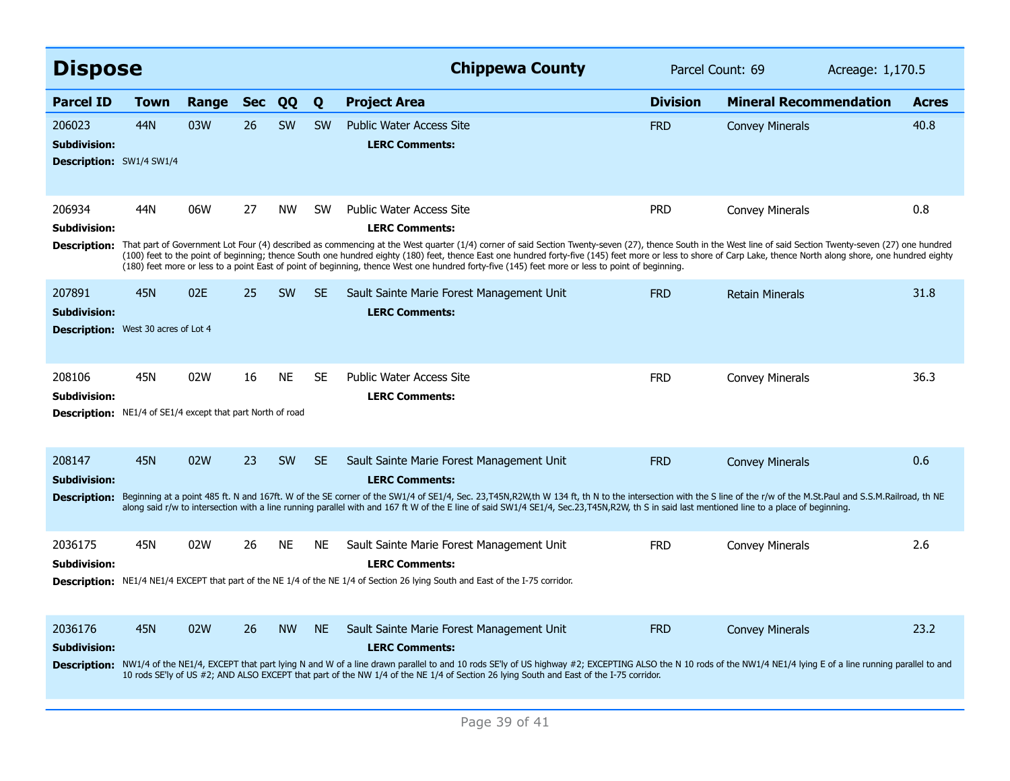| <b>Dispose</b>                                                    |                                                                                                                                                                                                                                                                                                                                                                                                                                                                                                                                                                                      |       |            |           |           | <b>Chippewa County</b>                                                                                                                                                                                                                                                                                                                                                                                             | Parcel Count: 69 |                               | Acreage: 1,170.5 |              |  |  |
|-------------------------------------------------------------------|--------------------------------------------------------------------------------------------------------------------------------------------------------------------------------------------------------------------------------------------------------------------------------------------------------------------------------------------------------------------------------------------------------------------------------------------------------------------------------------------------------------------------------------------------------------------------------------|-------|------------|-----------|-----------|--------------------------------------------------------------------------------------------------------------------------------------------------------------------------------------------------------------------------------------------------------------------------------------------------------------------------------------------------------------------------------------------------------------------|------------------|-------------------------------|------------------|--------------|--|--|
| <b>Parcel ID</b>                                                  | <b>Town</b>                                                                                                                                                                                                                                                                                                                                                                                                                                                                                                                                                                          | Range | <b>Sec</b> | QQ        | Q         | <b>Project Area</b>                                                                                                                                                                                                                                                                                                                                                                                                | <b>Division</b>  | <b>Mineral Recommendation</b> |                  | <b>Acres</b> |  |  |
| 206023<br><b>Subdivision:</b><br>Description: SW1/4 SW1/4         | 44N                                                                                                                                                                                                                                                                                                                                                                                                                                                                                                                                                                                  | 03W   | 26         | <b>SW</b> | <b>SW</b> | <b>Public Water Access Site</b><br><b>LERC Comments:</b>                                                                                                                                                                                                                                                                                                                                                           | <b>FRD</b>       | <b>Convey Minerals</b>        |                  | 40.8         |  |  |
| 206934<br>Subdivision:                                            | 44N                                                                                                                                                                                                                                                                                                                                                                                                                                                                                                                                                                                  | 06W   | 27         | NW.       | <b>SW</b> | <b>Public Water Access Site</b><br><b>LERC Comments:</b>                                                                                                                                                                                                                                                                                                                                                           | <b>PRD</b>       | <b>Convey Minerals</b>        |                  | 0.8          |  |  |
| <b>Description:</b>                                               | That part of Government Lot Four (4) described as commencing at the West quarter (1/4) corner of said Section Twenty-seven (27), thence South in the West line of said Section Twenty-seven (27) one hundred<br>(100) feet to the point of beginning; thence South one hundred eighty (180) feet, thence East one hundred forty-five (145) feet more or less to shore of Carp Lake, thence North along shore, one hundred eighty<br>(180) feet more or less to a point East of point of beginning, thence West one hundred forty-five (145) feet more or less to point of beginning. |       |            |           |           |                                                                                                                                                                                                                                                                                                                                                                                                                    |                  |                               |                  |              |  |  |
| 207891<br><b>Subdivision:</b>                                     | <b>45N</b>                                                                                                                                                                                                                                                                                                                                                                                                                                                                                                                                                                           | 02E   | 25         | <b>SW</b> | <b>SE</b> | Sault Sainte Marie Forest Management Unit<br><b>LERC Comments:</b>                                                                                                                                                                                                                                                                                                                                                 | <b>FRD</b>       | <b>Retain Minerals</b>        |                  | 31.8         |  |  |
| <b>Description:</b> West 30 acres of Lot 4                        |                                                                                                                                                                                                                                                                                                                                                                                                                                                                                                                                                                                      |       |            |           |           |                                                                                                                                                                                                                                                                                                                                                                                                                    |                  |                               |                  |              |  |  |
| 208106<br><b>Subdivision:</b>                                     | 45N                                                                                                                                                                                                                                                                                                                                                                                                                                                                                                                                                                                  | 02W   | 16         | <b>NE</b> | <b>SE</b> | <b>Public Water Access Site</b><br><b>LERC Comments:</b>                                                                                                                                                                                                                                                                                                                                                           | <b>FRD</b>       | <b>Convey Minerals</b>        |                  | 36.3         |  |  |
| <b>Description:</b> NE1/4 of SE1/4 except that part North of road |                                                                                                                                                                                                                                                                                                                                                                                                                                                                                                                                                                                      |       |            |           |           |                                                                                                                                                                                                                                                                                                                                                                                                                    |                  |                               |                  |              |  |  |
| 208147<br><b>Subdivision:</b>                                     | <b>45N</b>                                                                                                                                                                                                                                                                                                                                                                                                                                                                                                                                                                           | 02W   | 23         | <b>SW</b> | <b>SE</b> | Sault Sainte Marie Forest Management Unit<br><b>LERC Comments:</b>                                                                                                                                                                                                                                                                                                                                                 | <b>FRD</b>       | <b>Convey Minerals</b>        |                  | 0.6          |  |  |
| <b>Description:</b>                                               |                                                                                                                                                                                                                                                                                                                                                                                                                                                                                                                                                                                      |       |            |           |           | Beginning at a point 485 ft. N and 167ft. W of the SE corner of the SW1/4 of SE1/4, Sec. 23, T45N, R2W, th W 134 ft, th N to the intersection with the S line of the r/w of the M.St.Paul and S.S.M.Railroad, th NE<br>along said r/w to intersection with a line running parallel with and 167 ft W of the E line of said SW1/4 SE1/4, Sec.23,T45N,R2W, th S in said last mentioned line to a place of beginning. |                  |                               |                  |              |  |  |
| 2036175<br><b>Subdivision:</b>                                    | 45N                                                                                                                                                                                                                                                                                                                                                                                                                                                                                                                                                                                  | 02W   | 26         | <b>NE</b> | <b>NE</b> | Sault Sainte Marie Forest Management Unit<br><b>LERC Comments:</b>                                                                                                                                                                                                                                                                                                                                                 | <b>FRD</b>       | <b>Convey Minerals</b>        |                  | 2.6          |  |  |
|                                                                   |                                                                                                                                                                                                                                                                                                                                                                                                                                                                                                                                                                                      |       |            |           |           | Description: NE1/4 NE1/4 EXCEPT that part of the NE 1/4 of the NE 1/4 of Section 26 lying South and East of the I-75 corridor.                                                                                                                                                                                                                                                                                     |                  |                               |                  |              |  |  |
| 2036176<br><b>Subdivision:</b>                                    | <b>45N</b>                                                                                                                                                                                                                                                                                                                                                                                                                                                                                                                                                                           | 02W   | 26         | <b>NW</b> | <b>NE</b> | Sault Sainte Marie Forest Management Unit<br><b>LERC Comments:</b>                                                                                                                                                                                                                                                                                                                                                 | <b>FRD</b>       | <b>Convey Minerals</b>        |                  | 23.2         |  |  |
|                                                                   |                                                                                                                                                                                                                                                                                                                                                                                                                                                                                                                                                                                      |       |            |           |           | Description: NW1/4 of the NE1/4, EXCEPT that part lying N and W of a line drawn parallel to and 10 rods SE'ly of US highway #2; EXCEPTING ALSO the N 10 rods of the NW1/4 NE1/4 lying E of a line running parallel to and<br>10 rods SE'ly of US #2; AND ALSO EXCEPT that part of the NW 1/4 of the NE 1/4 of Section 26 lying South and East of the I-75 corridor.                                                |                  |                               |                  |              |  |  |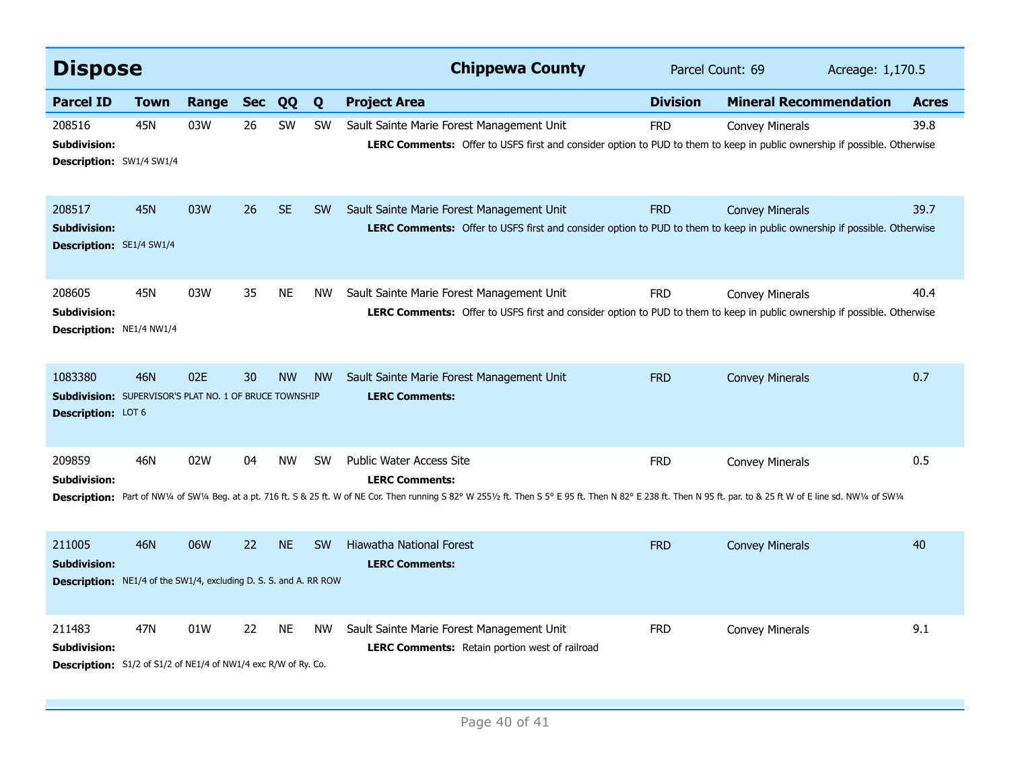| <b>Dispose</b>                                                                                            |             |       |            |           |           | <b>Chippewa County</b>                                                                                                                                                                                                                                         | Parcel Count: 69 |                               | Acreage: 1,170.5 |              |
|-----------------------------------------------------------------------------------------------------------|-------------|-------|------------|-----------|-----------|----------------------------------------------------------------------------------------------------------------------------------------------------------------------------------------------------------------------------------------------------------------|------------------|-------------------------------|------------------|--------------|
| <b>Parcel ID</b>                                                                                          | <b>Town</b> | Range | <b>Sec</b> | QQ        | Q         | <b>Project Area</b>                                                                                                                                                                                                                                            | <b>Division</b>  | <b>Mineral Recommendation</b> |                  | <b>Acres</b> |
| 208516<br><b>Subdivision:</b><br>Description: SW1/4 SW1/4                                                 | 45N         | 03W   | 26         | SW        | SW        | Sault Sainte Marie Forest Management Unit<br>LERC Comments: Offer to USFS first and consider option to PUD to them to keep in public ownership if possible. Otherwise                                                                                          | <b>FRD</b>       | <b>Convey Minerals</b>        |                  | 39.8         |
| 208517<br><b>Subdivision:</b><br><b>Description: SE1/4 SW1/4</b>                                          | <b>45N</b>  | 03W   | 26         | <b>SE</b> | <b>SW</b> | Sault Sainte Marie Forest Management Unit<br>LERC Comments: Offer to USFS first and consider option to PUD to them to keep in public ownership if possible. Otherwise                                                                                          | <b>FRD</b>       | <b>Convey Minerals</b>        |                  | 39.7         |
| 208605<br><b>Subdivision:</b><br><b>Description: NE1/4 NW1/4</b>                                          | <b>45N</b>  | 03W   | 35         | <b>NE</b> | <b>NW</b> | Sault Sainte Marie Forest Management Unit<br>LERC Comments: Offer to USFS first and consider option to PUD to them to keep in public ownership if possible. Otherwise                                                                                          | <b>FRD</b>       | <b>Convey Minerals</b>        |                  | 40.4         |
| 1083380<br><b>Subdivision:</b> SUPERVISOR'S PLAT NO. 1 OF BRUCE TOWNSHIP<br><b>Description: LOT 6</b>     | 46N         | 02E   | 30         | <b>NW</b> | <b>NW</b> | Sault Sainte Marie Forest Management Unit<br><b>LERC Comments:</b>                                                                                                                                                                                             | <b>FRD</b>       | <b>Convey Minerals</b>        |                  | 0.7          |
| 209859<br><b>Subdivision:</b><br><b>Description:</b>                                                      | 46N         | 02W   | 04         | <b>NW</b> | <b>SW</b> | Public Water Access Site<br><b>LERC Comments:</b><br>Part of NW1/4 of SW1/4 Beg. at a pt. 716 ft. S & 25 ft. W of NE Cor. Then running S 82° W 2551/2 ft. Then S 5° E 95 ft. Then N 82° E 238 ft. Then N 95 ft. par. to & 25 ft W of E line sd. NW1/4 of SW1/4 | <b>FRD</b>       | <b>Convey Minerals</b>        |                  | 0.5          |
| 211005<br><b>Subdivision:</b><br><b>Description:</b> NE1/4 of the SW1/4, excluding D. S. S. and A. RR ROW | 46N         | 06W   | 22         | <b>NE</b> | <b>SW</b> | <b>Hiawatha National Forest</b><br><b>LERC Comments:</b>                                                                                                                                                                                                       | <b>FRD</b>       | <b>Convey Minerals</b>        |                  | 40           |
| 211483<br><b>Subdivision:</b><br>Description: S1/2 of S1/2 of NE1/4 of NW1/4 exc R/W of Ry. Co.           | 47N         | 01W   | 22         | NE        | <b>NW</b> | Sault Sainte Marie Forest Management Unit<br><b>LERC Comments:</b> Retain portion west of railroad                                                                                                                                                             | <b>FRD</b>       | <b>Convey Minerals</b>        |                  | 9.1          |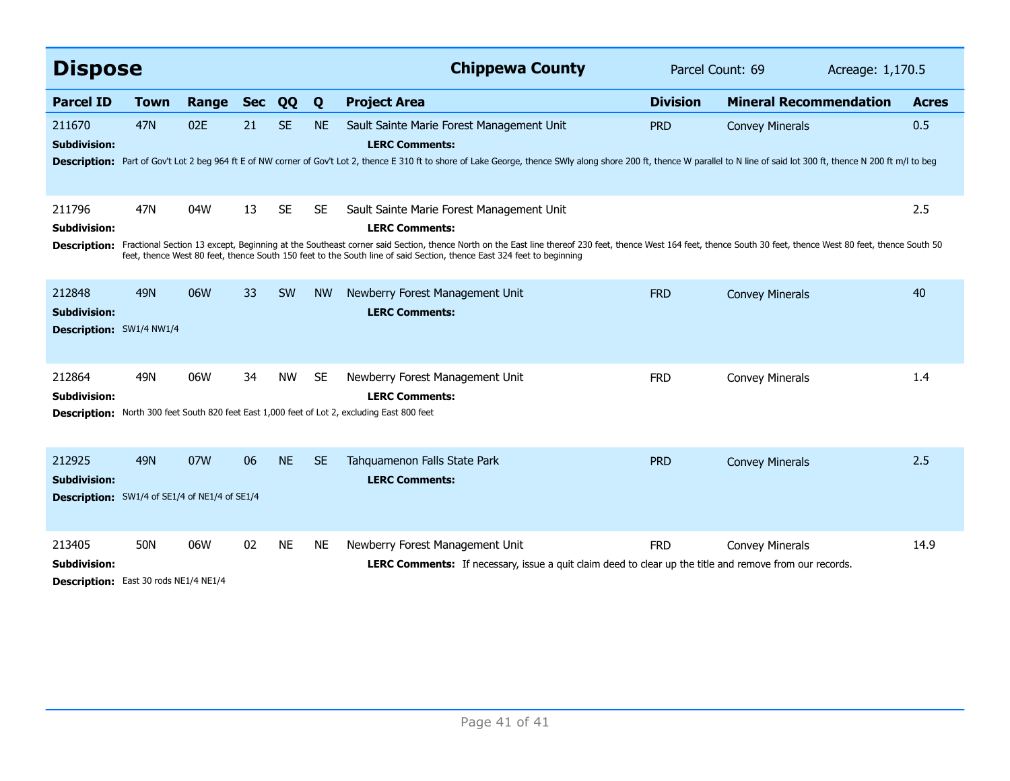| <b>Dispose</b>                                                                        |             |       |            |           |           | <b>Chippewa County</b>                                                                                                                                                                                                                                                                                                                                                                                        | Parcel Count: 69 |                               |  | Acreage: 1,170.5 |  |
|---------------------------------------------------------------------------------------|-------------|-------|------------|-----------|-----------|---------------------------------------------------------------------------------------------------------------------------------------------------------------------------------------------------------------------------------------------------------------------------------------------------------------------------------------------------------------------------------------------------------------|------------------|-------------------------------|--|------------------|--|
| <b>Parcel ID</b>                                                                      | <b>Town</b> | Range | <b>Sec</b> | QQ        | Q         | <b>Project Area</b>                                                                                                                                                                                                                                                                                                                                                                                           | <b>Division</b>  | <b>Mineral Recommendation</b> |  | <b>Acres</b>     |  |
| 211670<br><b>Subdivision:</b>                                                         | <b>47N</b>  | 02E   | 21         | <b>SE</b> | <b>NE</b> | Sault Sainte Marie Forest Management Unit<br><b>LERC Comments:</b><br>Description: Part of Gov't Lot 2 beg 964 ft E of NW corner of Gov't Lot 2, thence E 310 ft to shore of Lake George, thence SWIy along shore 200 ft, thence W parallel to N line of said lot 300 ft, thence N 200 ft, thence W                                                                                                           | <b>PRD</b>       | <b>Convey Minerals</b>        |  | 0.5              |  |
| 211796<br><b>Subdivision:</b><br><b>Description:</b>                                  | 47N         | 04W   | 13         | <b>SE</b> | <b>SE</b> | Sault Sainte Marie Forest Management Unit<br><b>LERC Comments:</b><br>Fractional Section 13 except, Beginning at the Southeast corner said Section, thence North on the East line thereof 230 feet, thence West 164 feet, thence South 30 feet, thence West 80 feet, thence South 50<br>feet, thence West 80 feet, thence South 150 feet to the South line of said Section, thence East 324 feet to beginning |                  |                               |  | 2.5              |  |
| 212848<br><b>Subdivision:</b><br>Description: SW1/4 NW1/4                             | <b>49N</b>  | 06W   | 33         | <b>SW</b> | <b>NW</b> | Newberry Forest Management Unit<br><b>LERC Comments:</b>                                                                                                                                                                                                                                                                                                                                                      | <b>FRD</b>       | <b>Convey Minerals</b>        |  | 40               |  |
| 212864<br><b>Subdivision:</b><br><b>Description:</b>                                  | 49N         | 06W   | 34         | <b>NW</b> | <b>SE</b> | Newberry Forest Management Unit<br><b>LERC Comments:</b><br>North 300 feet South 820 feet East 1,000 feet of Lot 2, excluding East 800 feet                                                                                                                                                                                                                                                                   | <b>FRD</b>       | <b>Convey Minerals</b>        |  | 1.4              |  |
| 212925<br><b>Subdivision:</b><br><b>Description:</b> SW1/4 of SE1/4 of NE1/4 of SE1/4 | <b>49N</b>  | 07W   | 06         | <b>NE</b> | <b>SE</b> | Tahquamenon Falls State Park<br><b>LERC Comments:</b>                                                                                                                                                                                                                                                                                                                                                         | <b>PRD</b>       | <b>Convey Minerals</b>        |  | 2.5              |  |
| 213405<br>Subdivision:<br>Description: East 30 rods NE1/4 NE1/4                       | 50N         | 06W   | 02         | <b>NE</b> | <b>NE</b> | Newberry Forest Management Unit<br><b>LERC Comments:</b> If necessary, issue a quit claim deed to clear up the title and remove from our records.                                                                                                                                                                                                                                                             | <b>FRD</b>       | <b>Convey Minerals</b>        |  | 14.9             |  |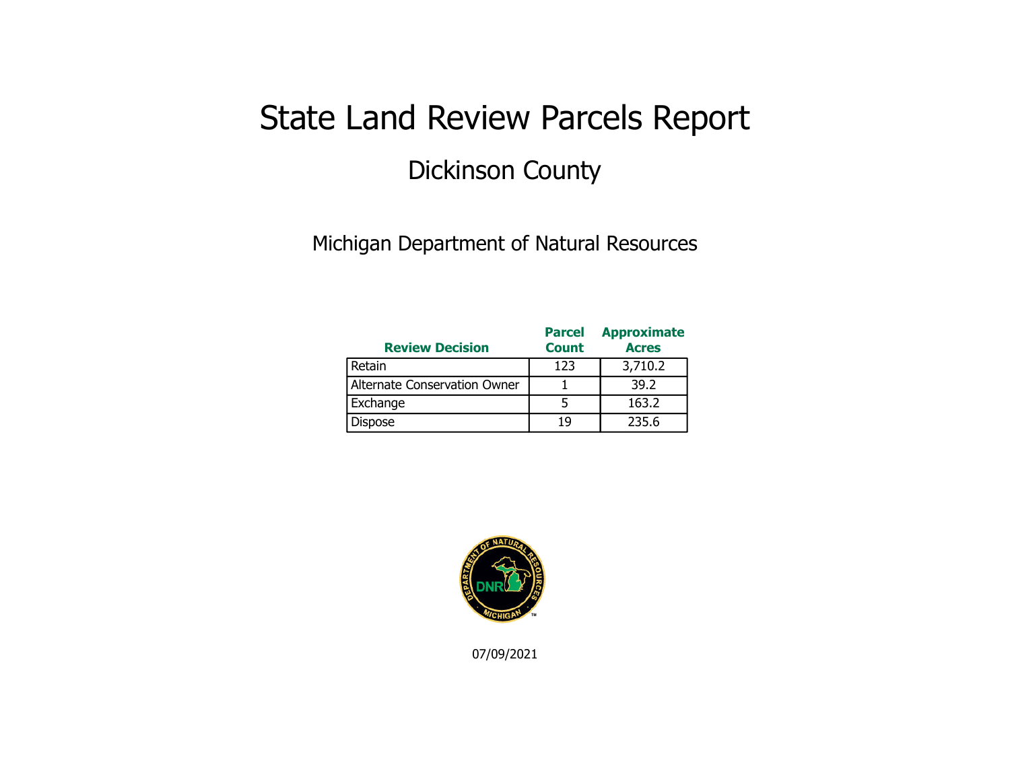## State Land Review Parcels Report Dickinson County

Michigan Department of Natural Resources

| <b>Review Decision</b>       | <b>Parcel</b><br><b>Count</b> | <b>Approximate</b><br><b>Acres</b> |
|------------------------------|-------------------------------|------------------------------------|
| Retain                       | 123                           | 3,710.2                            |
| Alternate Conservation Owner |                               | 39.2                               |
| Exchange                     |                               | 163.2                              |
| <b>Dispose</b>               | 19                            | 235.6                              |



07/09/2021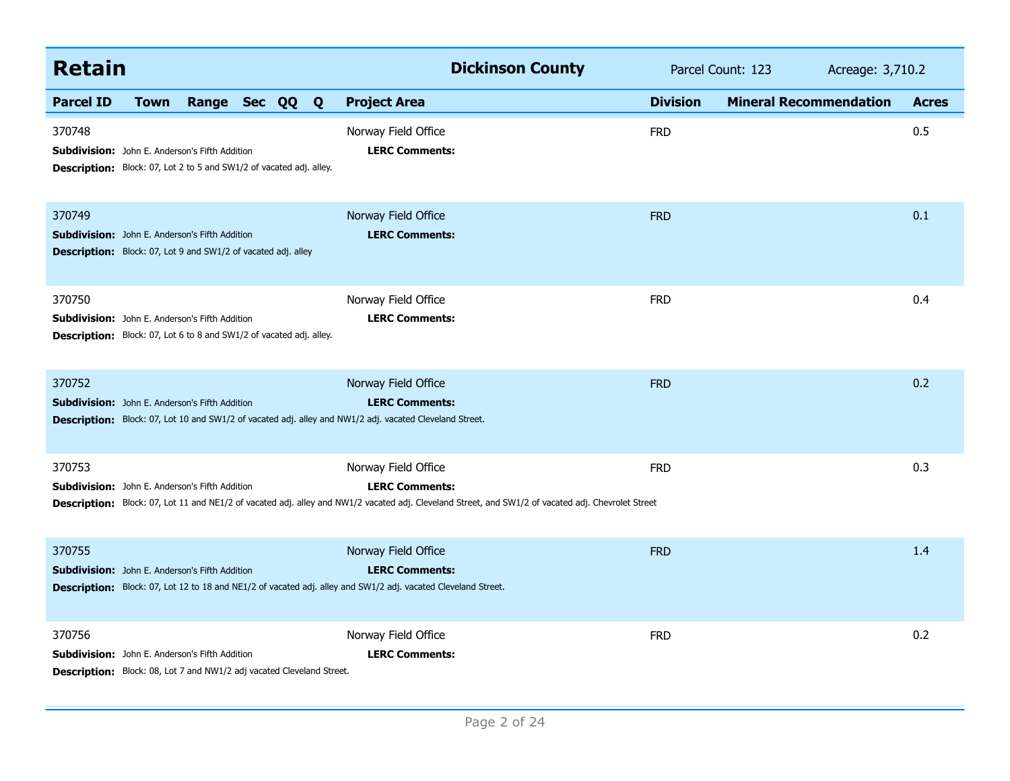| <b>Retain</b>                                                                                                                            |             |                |  | <b>Dickinson County</b>                                                                                                                                                                            | Parcel Count: 123 | Acreage: 3,710.2              |              |
|------------------------------------------------------------------------------------------------------------------------------------------|-------------|----------------|--|----------------------------------------------------------------------------------------------------------------------------------------------------------------------------------------------------|-------------------|-------------------------------|--------------|
| <b>Parcel ID</b>                                                                                                                         | <b>Town</b> | Range Sec QQ Q |  | <b>Project Area</b>                                                                                                                                                                                | <b>Division</b>   | <b>Mineral Recommendation</b> | <b>Acres</b> |
| 370748<br><b>Subdivision:</b> John E. Anderson's Fifth Addition<br>Description: Block: 07, Lot 2 to 5 and SW1/2 of vacated adj. alley.   |             |                |  | Norway Field Office<br><b>LERC Comments:</b>                                                                                                                                                       | <b>FRD</b>        |                               | 0.5          |
| 370749<br><b>Subdivision:</b> John E. Anderson's Fifth Addition<br><b>Description:</b> Block: 07, Lot 9 and SW1/2 of vacated adj. alley  |             |                |  | Norway Field Office<br><b>LERC Comments:</b>                                                                                                                                                       | <b>FRD</b>        |                               | 0.1          |
| 370750<br>Subdivision: John E. Anderson's Fifth Addition<br><b>Description:</b> Block: 07, Lot 6 to 8 and SW1/2 of vacated adj. alley.   |             |                |  | Norway Field Office<br><b>LERC Comments:</b>                                                                                                                                                       | <b>FRD</b>        |                               | 0.4          |
| 370752<br><b>Subdivision:</b> John E. Anderson's Fifth Addition                                                                          |             |                |  | Norway Field Office<br><b>LERC Comments:</b><br><b>Description:</b> Block: 07, Lot 10 and SW1/2 of vacated adj. alley and NW1/2 adj. vacated Cleveland Street.                                     | <b>FRD</b>        |                               | 0.2          |
| 370753<br>Subdivision: John E. Anderson's Fifth Addition                                                                                 |             |                |  | Norway Field Office<br><b>LERC Comments:</b><br>Description: Block: 07, Lot 11 and NE1/2 of vacated adj. alley and NW1/2 vacated adj. Cleveland Street, and SW1/2 of vacated adj. Chevrolet Street | <b>FRD</b>        |                               | 0.3          |
| 370755<br><b>Subdivision:</b> John E. Anderson's Fifth Addition                                                                          |             |                |  | Norway Field Office<br><b>LERC Comments:</b><br>Description: Block: 07, Lot 12 to 18 and NE1/2 of vacated adj. alley and SW1/2 adj. vacated Cleveland Street.                                      | <b>FRD</b>        |                               | 1.4          |
| 370756<br>Subdivision: John E. Anderson's Fifth Addition<br><b>Description:</b> Block: 08, Lot 7 and NW1/2 adj vacated Cleveland Street. |             |                |  | Norway Field Office<br><b>LERC Comments:</b>                                                                                                                                                       | <b>FRD</b>        |                               | 0.2          |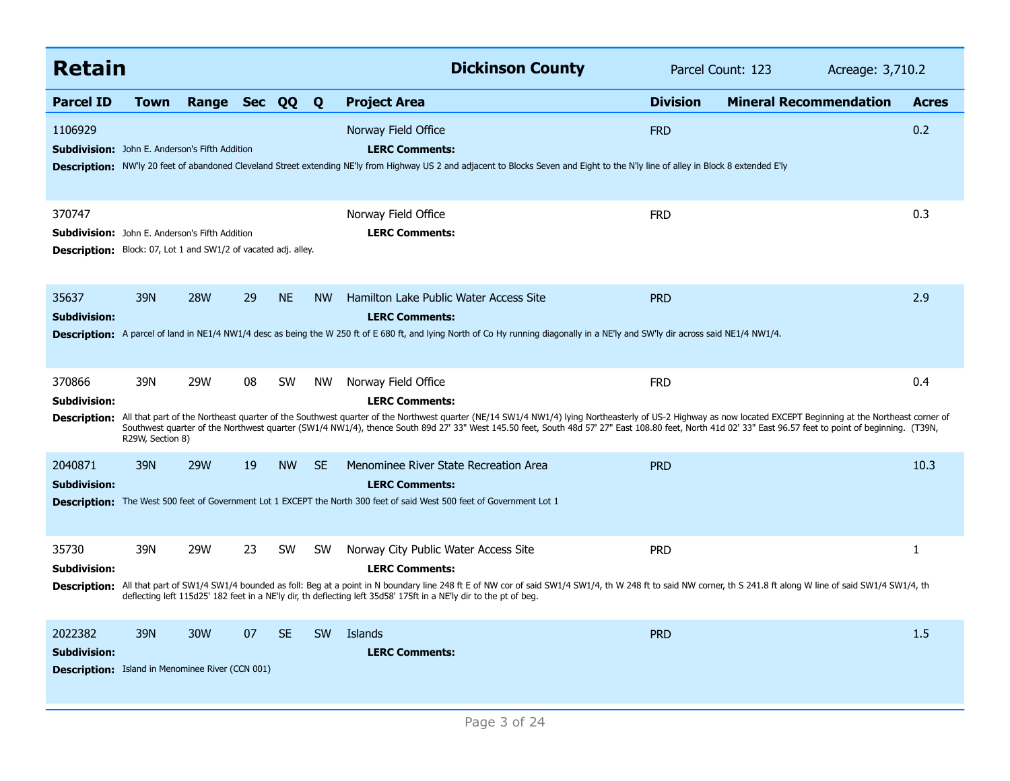| <b>Retain</b>                                                                             |                                                                                                                                                                                                                                                                                                           |              |    |           |           | <b>Dickinson County</b>                                                                                                                                                                                                                                                                                                                                                                                                 | Parcel Count: 123<br>Acreage: 3,710.2 |                               |  |              |
|-------------------------------------------------------------------------------------------|-----------------------------------------------------------------------------------------------------------------------------------------------------------------------------------------------------------------------------------------------------------------------------------------------------------|--------------|----|-----------|-----------|-------------------------------------------------------------------------------------------------------------------------------------------------------------------------------------------------------------------------------------------------------------------------------------------------------------------------------------------------------------------------------------------------------------------------|---------------------------------------|-------------------------------|--|--------------|
| <b>Parcel ID</b>                                                                          | <b>Town</b>                                                                                                                                                                                                                                                                                               | Range Sec QQ |    |           | Q         | <b>Project Area</b>                                                                                                                                                                                                                                                                                                                                                                                                     | <b>Division</b>                       | <b>Mineral Recommendation</b> |  | <b>Acres</b> |
| 1106929<br><b>Subdivision:</b> John E. Anderson's Fifth Addition                          |                                                                                                                                                                                                                                                                                                           |              |    |           |           | Norway Field Office<br><b>LERC Comments:</b><br>Description: NW'ly 20 feet of abandoned Cleveland Street extending NE'ly from Highway US 2 and adjacent to Blocks Seven and Eight to the N'ly line of alley in Block 8 extended E'ly                                                                                                                                                                                    | <b>FRD</b>                            |                               |  | 0.2          |
| 370747                                                                                    | 0.3<br>Norway Field Office<br><b>FRD</b><br><b>LERC Comments:</b><br><b>Subdivision:</b> John E. Anderson's Fifth Addition<br>Description: Block: 07, Lot 1 and SW1/2 of vacated adj. alley.<br><b>28W</b><br><b>NE</b><br>39N<br>29<br><b>NW</b><br>Hamilton Lake Public Water Access Site<br><b>PRD</b> |              |    |           |           |                                                                                                                                                                                                                                                                                                                                                                                                                         |                                       |                               |  |              |
| 35637<br><b>Subdivision:</b>                                                              |                                                                                                                                                                                                                                                                                                           |              |    |           |           | <b>LERC Comments:</b><br>Description: A parcel of land in NE1/4 NW1/4 desc as being the W 250 ft of E 680 ft, and lying North of Co Hy running diagonally in a NE'ly and SW'ly dir across said NE1/4 NW1/4.                                                                                                                                                                                                             |                                       |                               |  | 2.9          |
| 370866<br><b>Subdivision:</b>                                                             | 39N                                                                                                                                                                                                                                                                                                       | 29W          | 08 | <b>SW</b> | NW        | Norway Field Office<br><b>LERC Comments:</b>                                                                                                                                                                                                                                                                                                                                                                            | <b>FRD</b>                            |                               |  | 0.4          |
| <b>Description:</b>                                                                       | R29W, Section 8)                                                                                                                                                                                                                                                                                          |              |    |           |           | All that part of the Northeast quarter of the Southwest quarter of the Northwest quarter (NE/14 SW1/4 NW1/4) lying Northeasterly of US-2 Highway as now located EXCEPT Beginning at the Northeast corner of<br>Southwest quarter of the Northwest quarter (SW1/4 NW1/4), thence South 89d 27' 33" West 145.50 feet, South 48d 57' 27" East 108.80 feet, North 41d 02' 33" East 96.57 feet to point of beginning. (T39N, |                                       |                               |  |              |
| 2040871<br><b>Subdivision:</b>                                                            | 39N                                                                                                                                                                                                                                                                                                       | <b>29W</b>   | 19 | <b>NW</b> | <b>SE</b> | Menominee River State Recreation Area<br><b>LERC Comments:</b>                                                                                                                                                                                                                                                                                                                                                          | <b>PRD</b>                            |                               |  | 10.3         |
|                                                                                           |                                                                                                                                                                                                                                                                                                           |              |    |           |           | Description: The West 500 feet of Government Lot 1 EXCEPT the North 300 feet of said West 500 feet of Government Lot 1                                                                                                                                                                                                                                                                                                  |                                       |                               |  |              |
| 35730<br><b>Subdivision:</b>                                                              | 39N                                                                                                                                                                                                                                                                                                       | 29W          | 23 | <b>SW</b> | <b>SW</b> | Norway City Public Water Access Site<br><b>LERC Comments:</b>                                                                                                                                                                                                                                                                                                                                                           | <b>PRD</b>                            |                               |  | 1            |
|                                                                                           |                                                                                                                                                                                                                                                                                                           |              |    |           |           | Description: All that part of SW1/4 SW1/4 bounded as foll: Beg at a point in N boundary line 248 ft E of NW cor of said SW1/4 SW1/4, th W 248 ft to said NW corner, th S 241.8 ft along W line of said SW1/4 SW1/4, th<br>deflecting left 115d25' 182 feet in a NE'ly dir, th deflecting left 35d58' 175ft in a NE'ly dir to the pt of beg.                                                                             |                                       |                               |  |              |
| 2022382<br><b>Subdivision:</b><br><b>Description:</b> Island in Menominee River (CCN 001) | 39N                                                                                                                                                                                                                                                                                                       | 30W          | 07 | <b>SE</b> | SW        | Islands<br><b>LERC Comments:</b>                                                                                                                                                                                                                                                                                                                                                                                        | <b>PRD</b>                            |                               |  | 1.5          |
|                                                                                           |                                                                                                                                                                                                                                                                                                           |              |    |           |           |                                                                                                                                                                                                                                                                                                                                                                                                                         |                                       |                               |  |              |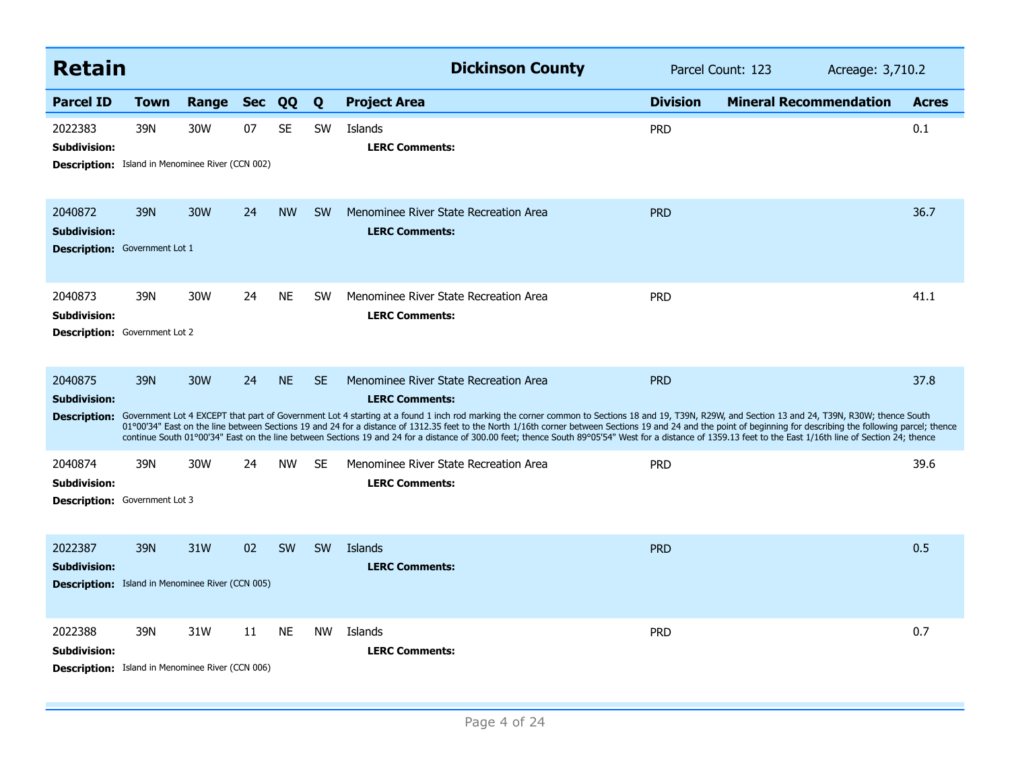| <b>Retain</b>                                                                             |             |           |    |           |           | <b>Dickinson County</b>                                                                                                                                                                                                                                                                                                                                                                                                                                                                                                                                                                                                                                                                                               | Parcel Count: 123<br>Acreage: 3,710.2 |                               |              |
|-------------------------------------------------------------------------------------------|-------------|-----------|----|-----------|-----------|-----------------------------------------------------------------------------------------------------------------------------------------------------------------------------------------------------------------------------------------------------------------------------------------------------------------------------------------------------------------------------------------------------------------------------------------------------------------------------------------------------------------------------------------------------------------------------------------------------------------------------------------------------------------------------------------------------------------------|---------------------------------------|-------------------------------|--------------|
| <b>Parcel ID</b>                                                                          | <b>Town</b> | Range Sec |    | QQ        | Q         | <b>Project Area</b>                                                                                                                                                                                                                                                                                                                                                                                                                                                                                                                                                                                                                                                                                                   | <b>Division</b>                       | <b>Mineral Recommendation</b> | <b>Acres</b> |
| 2022383<br><b>Subdivision:</b><br><b>Description:</b> Island in Menominee River (CCN 002) | 39N         | 30W       | 07 | <b>SE</b> | <b>SW</b> | Islands<br><b>LERC Comments:</b>                                                                                                                                                                                                                                                                                                                                                                                                                                                                                                                                                                                                                                                                                      | <b>PRD</b>                            |                               | 0.1          |
| 2040872<br><b>Subdivision:</b><br><b>Description:</b> Government Lot 1                    | 39N         | 30W       | 24 | <b>NW</b> | <b>SW</b> | Menominee River State Recreation Area<br><b>LERC Comments:</b>                                                                                                                                                                                                                                                                                                                                                                                                                                                                                                                                                                                                                                                        | <b>PRD</b>                            |                               | 36.7         |
| 2040873<br><b>Subdivision:</b><br>Description: Government Lot 2                           | 39N         | 30W       | 24 | <b>NE</b> | <b>SW</b> | Menominee River State Recreation Area<br><b>LERC Comments:</b>                                                                                                                                                                                                                                                                                                                                                                                                                                                                                                                                                                                                                                                        | <b>PRD</b>                            |                               | 41.1         |
| 2040875<br><b>Subdivision:</b>                                                            | 39N         | 30W       | 24 | <b>NE</b> | <b>SE</b> | Menominee River State Recreation Area<br><b>LERC Comments:</b><br>Description: Government Lot 4 EXCEPT that part of Government Lot 4 starting at a found 1 inch rod marking the corner common to Sections 18 and 19, T39N, R29W, and Section 13 and 24, T39N, R30W; thence South<br>01°00'34" East on the line between Sections 19 and 24 for a distance of 1312.35 feet to the North 1/16th corner between Sections 19 and 24 and the point of beginning for describing the following parcel; thence<br>continue South 01°00'34" East on the line between Sections 19 and 24 for a distance of 300.00 feet; thence South 89°05'54" West for a distance of 1359.13 feet to the East 1/16th line of Section 24; thence | <b>PRD</b>                            |                               | 37.8         |
| 2040874<br><b>Subdivision:</b><br><b>Description:</b> Government Lot 3                    | 39N         | 30W       | 24 | <b>NW</b> | <b>SE</b> | Menominee River State Recreation Area<br><b>LERC Comments:</b>                                                                                                                                                                                                                                                                                                                                                                                                                                                                                                                                                                                                                                                        | <b>PRD</b>                            |                               | 39.6         |
| 2022387<br><b>Subdivision:</b><br><b>Description:</b> Island in Menominee River (CCN 005) | 39N         | 31W       | 02 | SW        | <b>SW</b> | Islands<br><b>LERC Comments:</b>                                                                                                                                                                                                                                                                                                                                                                                                                                                                                                                                                                                                                                                                                      | <b>PRD</b>                            |                               | 0.5          |
| 2022388<br><b>Subdivision:</b><br><b>Description:</b> Island in Menominee River (CCN 006) | 39N         | 31W       | 11 | <b>NE</b> | <b>NW</b> | Islands<br><b>LERC Comments:</b>                                                                                                                                                                                                                                                                                                                                                                                                                                                                                                                                                                                                                                                                                      | <b>PRD</b>                            |                               | 0.7          |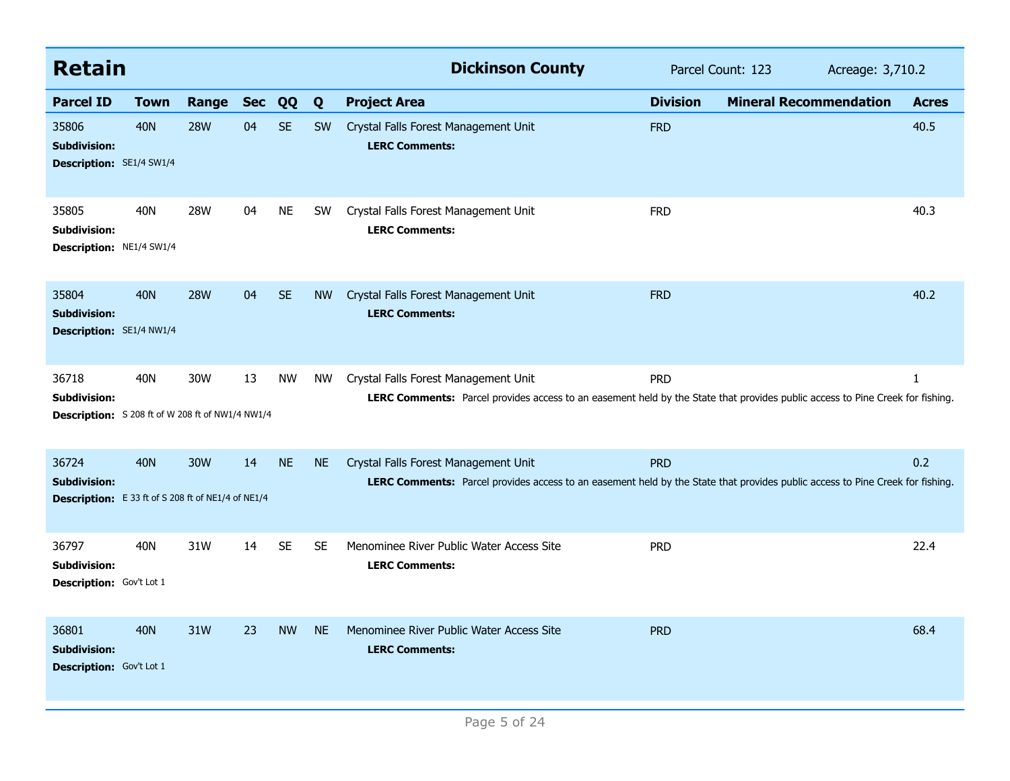| <b>Retain</b>                                                                             |             |            |            |           |           | <b>Dickinson County</b>                                                                                                                                               | Parcel Count: 123 | Acreage: 3,710.2              |              |
|-------------------------------------------------------------------------------------------|-------------|------------|------------|-----------|-----------|-----------------------------------------------------------------------------------------------------------------------------------------------------------------------|-------------------|-------------------------------|--------------|
| <b>Parcel ID</b>                                                                          | <b>Town</b> | Range      | <b>Sec</b> | QQ        | Q         | <b>Project Area</b>                                                                                                                                                   | <b>Division</b>   | <b>Mineral Recommendation</b> | <b>Acres</b> |
| 35806<br><b>Subdivision:</b><br><b>Description: SE1/4 SW1/4</b>                           | <b>40N</b>  | <b>28W</b> | 04         | <b>SE</b> | <b>SW</b> | Crystal Falls Forest Management Unit<br><b>LERC Comments:</b>                                                                                                         | <b>FRD</b>        |                               | 40.5         |
| 35805<br><b>Subdivision:</b><br><b>Description: NE1/4 SW1/4</b>                           | 40N         | 28W        | 04         | <b>NE</b> | <b>SW</b> | Crystal Falls Forest Management Unit<br><b>LERC Comments:</b>                                                                                                         | <b>FRD</b>        |                               | 40.3         |
| 35804<br><b>Subdivision:</b><br>Description: SE1/4 NW1/4                                  | <b>40N</b>  | <b>28W</b> | 04         | <b>SE</b> | <b>NW</b> | Crystal Falls Forest Management Unit<br><b>LERC Comments:</b>                                                                                                         | <b>FRD</b>        |                               | 40.2         |
| 36718<br><b>Subdivision:</b><br>Description: S 208 ft of W 208 ft of NW1/4 NW1/4          | 40N         | 30W        | 13         | <b>NW</b> | <b>NW</b> | Crystal Falls Forest Management Unit<br>LERC Comments: Parcel provides access to an easement held by the State that provides public access to Pine Creek for fishing. | <b>PRD</b>        |                               | 1            |
| 36724<br><b>Subdivision:</b><br><b>Description:</b> E 33 ft of S 208 ft of NE1/4 of NE1/4 | <b>40N</b>  | 30W        | 14         | <b>NE</b> | <b>NE</b> | Crystal Falls Forest Management Unit<br>LERC Comments: Parcel provides access to an easement held by the State that provides public access to Pine Creek for fishing. | <b>PRD</b>        |                               | 0.2          |
| 36797<br><b>Subdivision:</b><br>Description: Gov't Lot 1                                  | 40N         | 31W        | 14         | <b>SE</b> | <b>SE</b> | Menominee River Public Water Access Site<br><b>LERC Comments:</b>                                                                                                     | <b>PRD</b>        |                               | 22.4         |
| 36801<br><b>Subdivision:</b><br><b>Description:</b> Gov't Lot 1                           | <b>40N</b>  | 31W        | 23         | <b>NW</b> | <b>NE</b> | Menominee River Public Water Access Site<br><b>LERC Comments:</b>                                                                                                     | <b>PRD</b>        |                               | 68.4         |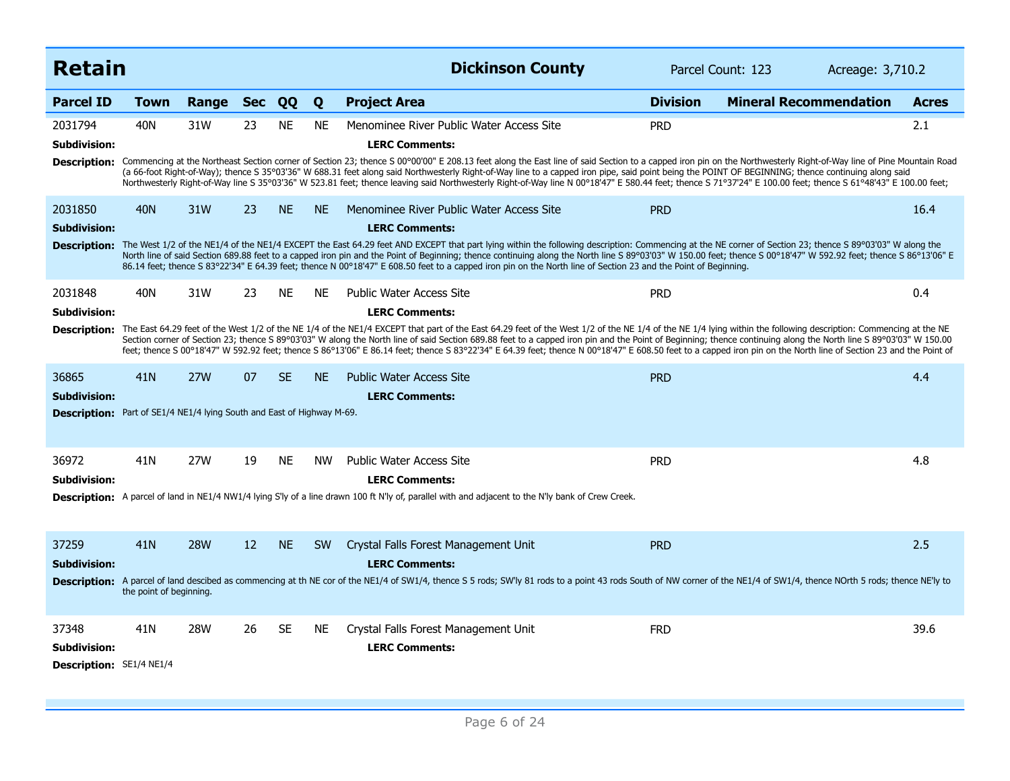| <b>Retain</b>                                                                                          |                                |            |            |           |           | <b>Dickinson County</b>                                                                                                                                                                                                                                                                                                                                                                                                                                                                                                                                                                                                                                                                                                   |                 | Parcel Count: 123<br>Acreage: 3,710.2 |              |
|--------------------------------------------------------------------------------------------------------|--------------------------------|------------|------------|-----------|-----------|---------------------------------------------------------------------------------------------------------------------------------------------------------------------------------------------------------------------------------------------------------------------------------------------------------------------------------------------------------------------------------------------------------------------------------------------------------------------------------------------------------------------------------------------------------------------------------------------------------------------------------------------------------------------------------------------------------------------------|-----------------|---------------------------------------|--------------|
| <b>Parcel ID</b>                                                                                       | <b>Town</b>                    | Range      | <b>Sec</b> | QQ        | Q         | <b>Project Area</b>                                                                                                                                                                                                                                                                                                                                                                                                                                                                                                                                                                                                                                                                                                       | <b>Division</b> | <b>Mineral Recommendation</b>         | <b>Acres</b> |
| 2031794<br><b>Subdivision:</b>                                                                         | 40N                            | 31W        | 23         | <b>NE</b> | <b>NE</b> | Menominee River Public Water Access Site<br><b>LERC Comments:</b><br>Description: Commencing at the Northeast Section corner of Section 23; thence S 00°00'00" E 208.13 feet along the East line of said Section to a capped iron pin on the Northwesterly Right-of-Way line of Pine Mountain Road<br>(a 66-foot Right-of-Way); thence S 35°03'36" W 688.31 feet along said Northwesterly Right-of-Way line to a capped iron pipe, said point being the POINT OF BEGINNING; thence continuing along said<br>Northwesterly Right-of-Way line S 35°03'36" W 523.81 feet; thence leaving said Northwesterly Right-of-Way line N 00°18'47" E 580.44 feet; thence S 71°37'24" E 100.00 feet; thence S 61°48'43" E 100.00 feet; | <b>PRD</b>      |                                       | 2.1          |
| 2031850<br><b>Subdivision:</b>                                                                         | <b>40N</b>                     | 31W        | 23         | <b>NE</b> | <b>NE</b> | Menominee River Public Water Access Site<br><b>LERC Comments:</b><br>Description: The West 1/2 of the NE1/4 of the NE1/4 EXCEPT the East 64.29 feet AND EXCEPT that part lying within the following description: Commencing at the NE corner of Section 23; thence S 89°03'03" W along the<br>North line of said Section 689.88 feet to a capped iron pin and the Point of Beginning; thence continuing along the North line S 89°03'03" W 150.00 feet; thence S 00°18'47" W 592.92 feet; thence S 86°13'06" E<br>86.14 feet; thence S 83°22'34" E 64.39 feet; thence N 00°18'47" E 608.50 feet to a capped iron pin on the North line of Section 23 and the Point of Beginning.                                          | <b>PRD</b>      |                                       | 16.4         |
| 2031848<br><b>Subdivision:</b><br><b>Description:</b>                                                  | 40N                            | 31W        | 23         | <b>NE</b> | <b>NE</b> | <b>Public Water Access Site</b><br><b>LERC Comments:</b><br>The East 64.29 feet of the West 1/2 of the NE 1/4 of the NE1/4 EXCEPT that part of the East 64.29 feet of the West 1/2 of the NE 1/4 of the NE 1/4 ving within the following description: Commencing at the NE<br>Section corner of Section 23; thence S 89°03'03" W along the North line of said Section 689.88 feet to a capped iron pin and the Point of Beginning; thence continuing along the North line S 89°03'03" W 150.00<br>feet; thence S 00°18'47" W 592.92 feet; thence S 86°13'06" E 86.14 feet; thence S 83°22'34" E 64.39 feet; thence N 00°18'47" E 608.50 feet to a capped iron pin on the North line of Section 23 and the Point of        | <b>PRD</b>      |                                       | 0.4          |
| 36865<br><b>Subdivision:</b><br>Description: Part of SE1/4 NE1/4 lying South and East of Highway M-69. | 41N                            | <b>27W</b> | 07         | <b>SE</b> | <b>NE</b> | <b>Public Water Access Site</b><br><b>LERC Comments:</b>                                                                                                                                                                                                                                                                                                                                                                                                                                                                                                                                                                                                                                                                  | <b>PRD</b>      |                                       | 4.4          |
| 36972<br><b>Subdivision:</b>                                                                           | 41N                            | 27W        | 19         | <b>NE</b> | <b>NW</b> | <b>Public Water Access Site</b><br><b>LERC Comments:</b><br>Description: A parcel of land in NE1/4 NW1/4 lying S'ly of a line drawn 100 ft N'ly of, parallel with and adjacent to the N'ly bank of Crew Creek.                                                                                                                                                                                                                                                                                                                                                                                                                                                                                                            | <b>PRD</b>      |                                       | 4.8          |
| 37259<br><b>Subdivision:</b>                                                                           | 41N<br>the point of beginning. | <b>28W</b> | 12         | <b>NE</b> | <b>SW</b> | Crystal Falls Forest Management Unit<br><b>LERC Comments:</b><br>Description: A parcel of land descibed as commencing at th NE cor of the NE1/4 of SW1/4, thence S 5 rods; SW'ly 81 rods to a point 43 rods South of NW corner of the NE1/4 of SW1/4, thence NOrth 5 rods; thence NE'ly to                                                                                                                                                                                                                                                                                                                                                                                                                                | <b>PRD</b>      |                                       | 2.5          |
| 37348<br>Subdivision:<br>Description: SE1/4 NE1/4                                                      | 41N                            | <b>28W</b> | 26         | <b>SE</b> | <b>NE</b> | Crystal Falls Forest Management Unit<br><b>LERC Comments:</b>                                                                                                                                                                                                                                                                                                                                                                                                                                                                                                                                                                                                                                                             | <b>FRD</b>      |                                       | 39.6         |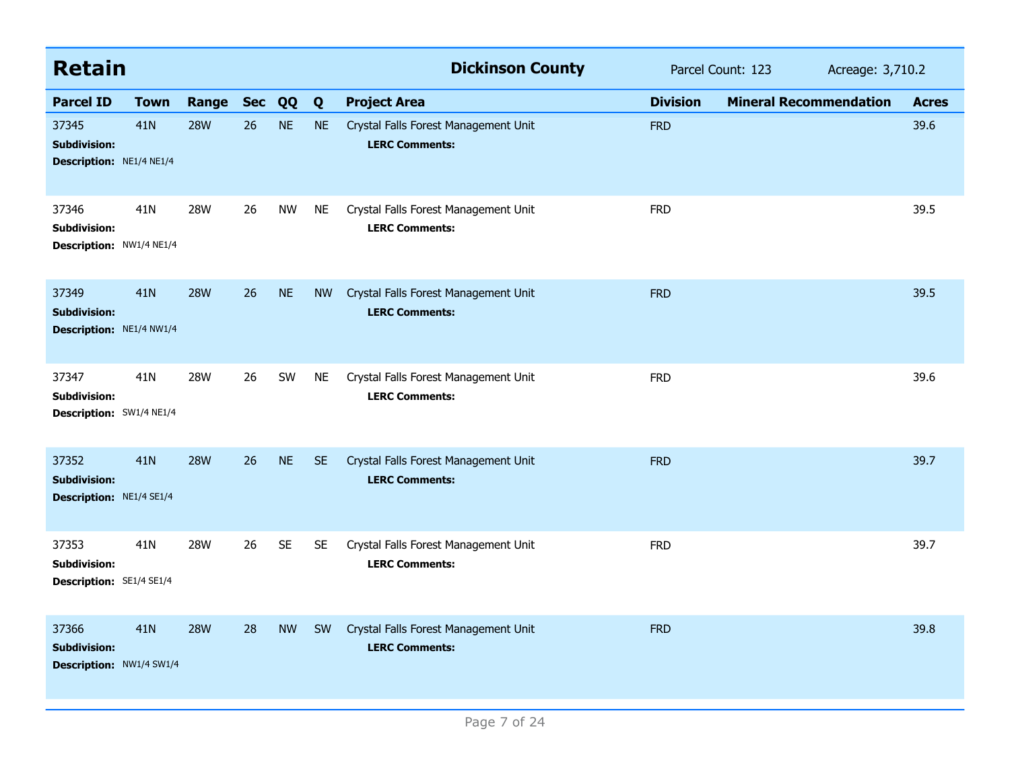| <b>Retain</b>                                            |                 |            |            |           |           | <b>Dickinson County</b>                                       | Parcel Count: 123 | Acreage: 3,710.2              |              |
|----------------------------------------------------------|-----------------|------------|------------|-----------|-----------|---------------------------------------------------------------|-------------------|-------------------------------|--------------|
| <b>Parcel ID</b>                                         | <b>Town</b>     | Range      | <b>Sec</b> | QQ        | Q         | <b>Project Area</b>                                           | <b>Division</b>   | <b>Mineral Recommendation</b> | <b>Acres</b> |
| 37345<br><b>Subdivision:</b><br>Description: NE1/4 NE1/4 | 41N             | <b>28W</b> | 26         | <b>NE</b> | <b>NE</b> | Crystal Falls Forest Management Unit<br><b>LERC Comments:</b> | <b>FRD</b>        |                               | 39.6         |
| 37346<br><b>Subdivision:</b><br>Description: NW1/4 NE1/4 | 41N             | <b>28W</b> | 26         | <b>NW</b> | NE.       | Crystal Falls Forest Management Unit<br><b>LERC Comments:</b> | <b>FRD</b>        |                               | 39.5         |
| 37349<br><b>Subdivision:</b><br>Description: NE1/4 NW1/4 | 41N             | <b>28W</b> | 26         | <b>NE</b> | <b>NW</b> | Crystal Falls Forest Management Unit<br><b>LERC Comments:</b> | <b>FRD</b>        |                               | 39.5         |
| 37347<br><b>Subdivision:</b><br>Description: SW1/4 NE1/4 | 41N             | <b>28W</b> | 26         | SW        | <b>NE</b> | Crystal Falls Forest Management Unit<br><b>LERC Comments:</b> | <b>FRD</b>        |                               | 39.6         |
| 37352<br><b>Subdivision:</b><br>Description: NE1/4 SE1/4 | 41 <sub>N</sub> | <b>28W</b> | 26         | <b>NE</b> | <b>SE</b> | Crystal Falls Forest Management Unit<br><b>LERC Comments:</b> | <b>FRD</b>        |                               | 39.7         |
| 37353<br><b>Subdivision:</b><br>Description: SE1/4 SE1/4 | 41N             | <b>28W</b> | 26         | <b>SE</b> | <b>SE</b> | Crystal Falls Forest Management Unit<br><b>LERC Comments:</b> | <b>FRD</b>        |                               | 39.7         |
| 37366<br><b>Subdivision:</b><br>Description: NW1/4 SW1/4 | 41N             | <b>28W</b> | 28         | <b>NW</b> | <b>SW</b> | Crystal Falls Forest Management Unit<br><b>LERC Comments:</b> | <b>FRD</b>        |                               | 39.8         |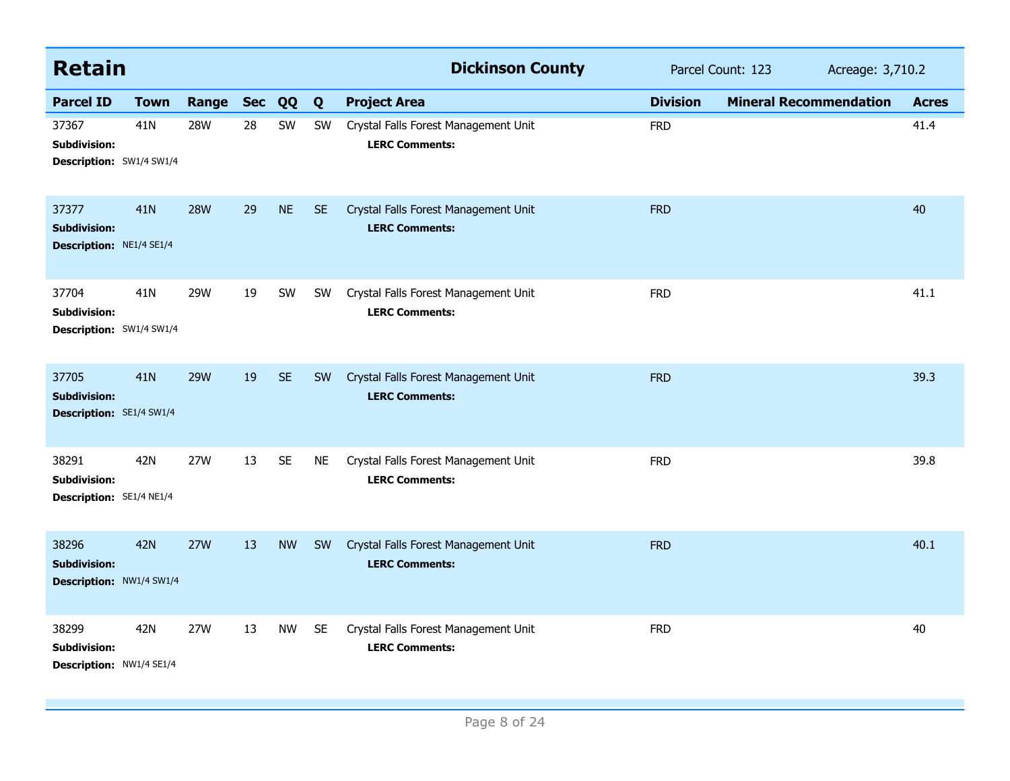| <b>Retain</b>                                                   |                 |            |            |           |           | <b>Dickinson County</b>                                       | Parcel Count: 123 |                               | Acreage: 3,710.2 |  |
|-----------------------------------------------------------------|-----------------|------------|------------|-----------|-----------|---------------------------------------------------------------|-------------------|-------------------------------|------------------|--|
| <b>Parcel ID</b>                                                | <b>Town</b>     | Range      | <b>Sec</b> | QQ        | Q         | <b>Project Area</b>                                           | <b>Division</b>   | <b>Mineral Recommendation</b> | <b>Acres</b>     |  |
| 37367<br><b>Subdivision:</b><br>Description: SW1/4 SW1/4        | 41N             | <b>28W</b> | 28         | SW        | SW        | Crystal Falls Forest Management Unit<br><b>LERC Comments:</b> | <b>FRD</b>        |                               | 41.4             |  |
| 37377<br><b>Subdivision:</b><br>Description: NE1/4 SE1/4        | 41 <sub>N</sub> | <b>28W</b> | 29         | <b>NE</b> | <b>SE</b> | Crystal Falls Forest Management Unit<br><b>LERC Comments:</b> | <b>FRD</b>        |                               | 40               |  |
| 37704<br><b>Subdivision:</b><br><b>Description: SW1/4 SW1/4</b> | 41N             | 29W        | 19         | SW        | <b>SW</b> | Crystal Falls Forest Management Unit<br><b>LERC Comments:</b> | <b>FRD</b>        |                               | 41.1             |  |
| 37705<br><b>Subdivision:</b><br><b>Description: SE1/4 SW1/4</b> | <b>41N</b>      | <b>29W</b> | 19         | <b>SE</b> | <b>SW</b> | Crystal Falls Forest Management Unit<br><b>LERC Comments:</b> | <b>FRD</b>        |                               | 39.3             |  |
| 38291<br>Subdivision:<br>Description: SE1/4 NE1/4               | 42N             | 27W        | 13         | <b>SE</b> | <b>NE</b> | Crystal Falls Forest Management Unit<br><b>LERC Comments:</b> | <b>FRD</b>        |                               | 39.8             |  |
| 38296<br><b>Subdivision:</b><br>Description: NW1/4 SW1/4        | <b>42N</b>      | <b>27W</b> | 13         | <b>NW</b> | SW        | Crystal Falls Forest Management Unit<br><b>LERC Comments:</b> | <b>FRD</b>        |                               | 40.1             |  |
| 38299<br><b>Subdivision:</b><br>Description: NW1/4 SE1/4        | 42N             | 27W        | 13         | <b>NW</b> | <b>SE</b> | Crystal Falls Forest Management Unit<br><b>LERC Comments:</b> | <b>FRD</b>        |                               | 40               |  |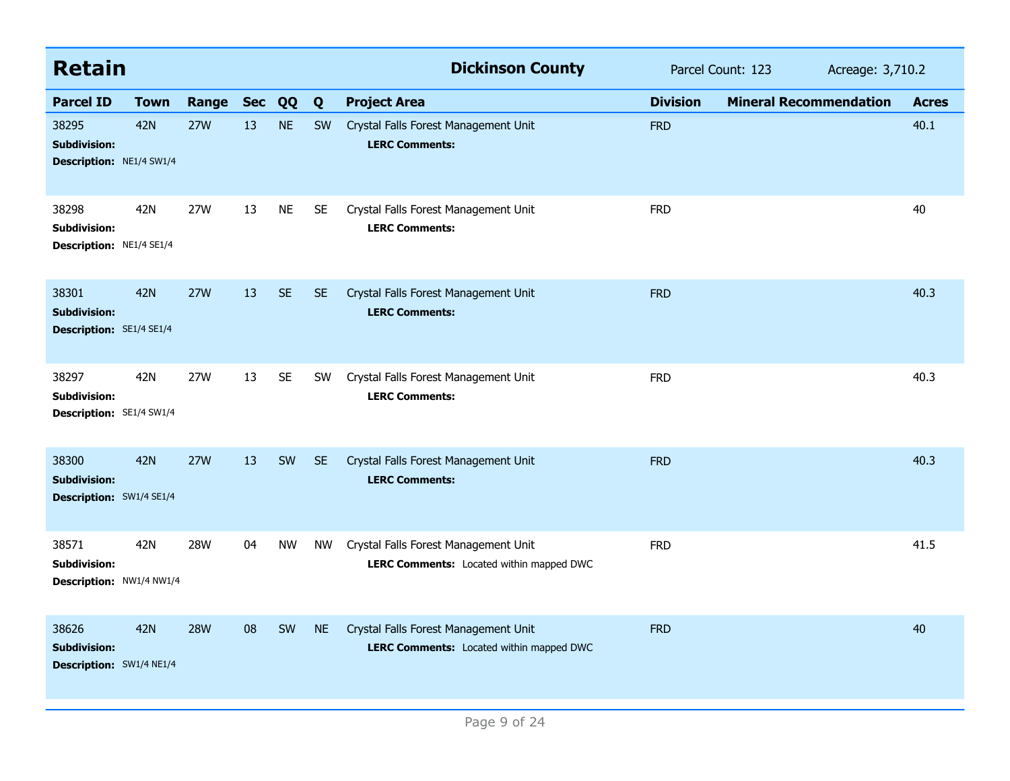| <b>Retain</b>                                                   |             |            |            |           |           | <b>Dickinson County</b>                                                          | Parcel Count: 123<br>Acreage: 3,710.2 |                               |              |  |
|-----------------------------------------------------------------|-------------|------------|------------|-----------|-----------|----------------------------------------------------------------------------------|---------------------------------------|-------------------------------|--------------|--|
| <b>Parcel ID</b>                                                | <b>Town</b> | Range      | <b>Sec</b> | QQ        | Q         | <b>Project Area</b>                                                              | <b>Division</b>                       | <b>Mineral Recommendation</b> | <b>Acres</b> |  |
| 38295<br><b>Subdivision:</b><br><b>Description: NE1/4 SW1/4</b> | <b>42N</b>  | <b>27W</b> | 13         | <b>NE</b> | <b>SW</b> | Crystal Falls Forest Management Unit<br><b>LERC Comments:</b>                    | <b>FRD</b>                            |                               | 40.1         |  |
| 38298<br><b>Subdivision:</b><br>Description: NE1/4 SE1/4        | 42N         | 27W        | 13         | <b>NE</b> | <b>SE</b> | Crystal Falls Forest Management Unit<br><b>LERC Comments:</b>                    | <b>FRD</b>                            |                               | 40           |  |
| 38301<br><b>Subdivision:</b><br>Description: SE1/4 SE1/4        | 42N         | <b>27W</b> | 13         | <b>SE</b> | <b>SE</b> | Crystal Falls Forest Management Unit<br><b>LERC Comments:</b>                    | <b>FRD</b>                            |                               | 40.3         |  |
| 38297<br><b>Subdivision:</b><br>Description: SE1/4 SW1/4        | 42N         | 27W        | 13         | <b>SE</b> | <b>SW</b> | Crystal Falls Forest Management Unit<br><b>LERC Comments:</b>                    | <b>FRD</b>                            |                               | 40.3         |  |
| 38300<br><b>Subdivision:</b><br>Description: SW1/4 SE1/4        | <b>42N</b>  | <b>27W</b> | 13         | SW        | <b>SE</b> | Crystal Falls Forest Management Unit<br><b>LERC Comments:</b>                    | <b>FRD</b>                            |                               | 40.3         |  |
| 38571<br><b>Subdivision:</b><br>Description: NW1/4 NW1/4        | 42N         | <b>28W</b> | 04         | <b>NW</b> | NW        | Crystal Falls Forest Management Unit<br>LERC Comments: Located within mapped DWC | <b>FRD</b>                            |                               | 41.5         |  |
| 38626<br><b>Subdivision:</b><br>Description: SW1/4 NE1/4        | <b>42N</b>  | <b>28W</b> | 08         | SW        | <b>NE</b> | Crystal Falls Forest Management Unit<br>LERC Comments: Located within mapped DWC | <b>FRD</b>                            |                               | 40           |  |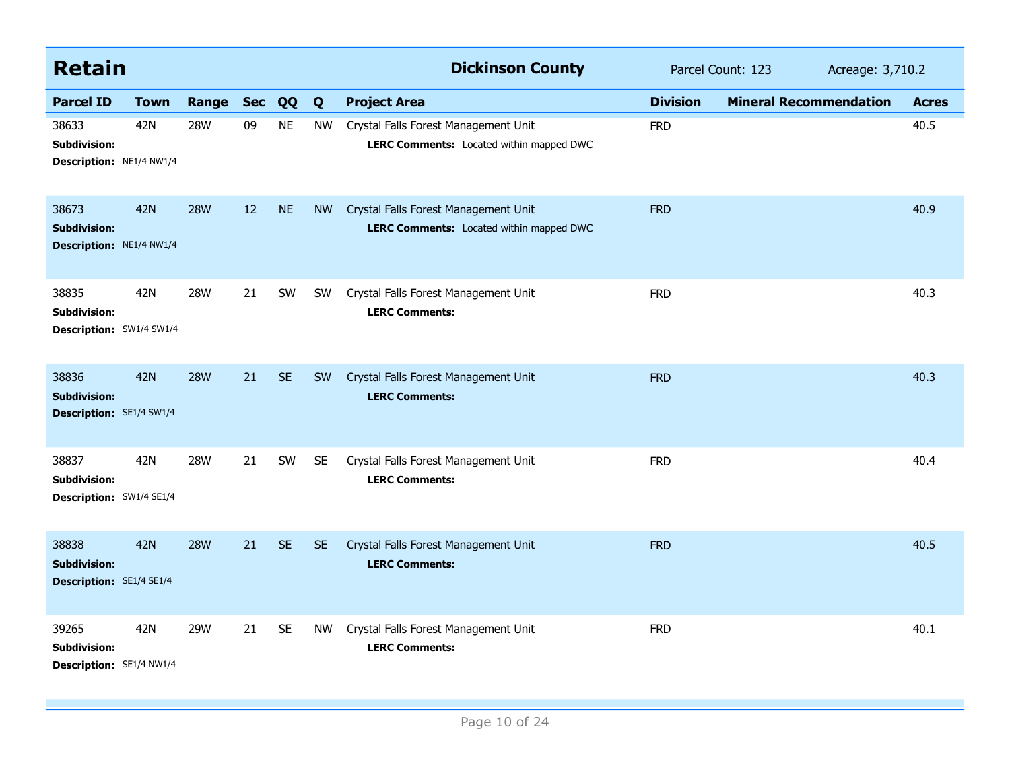| <b>Retain</b>                                                   |             |            |            |           |           | <b>Dickinson County</b>                                                          | Parcel Count: 123<br>Acreage: 3,710.2 |                               |              |
|-----------------------------------------------------------------|-------------|------------|------------|-----------|-----------|----------------------------------------------------------------------------------|---------------------------------------|-------------------------------|--------------|
| <b>Parcel ID</b>                                                | <b>Town</b> | Range      | <b>Sec</b> | QQ        | Q         | <b>Project Area</b>                                                              | <b>Division</b>                       | <b>Mineral Recommendation</b> | <b>Acres</b> |
| 38633<br>Subdivision:<br>Description: NE1/4 NW1/4               | 42N         | <b>28W</b> | 09         | <b>NE</b> | <b>NW</b> | Crystal Falls Forest Management Unit<br>LERC Comments: Located within mapped DWC | <b>FRD</b>                            |                               | 40.5         |
| 38673<br><b>Subdivision:</b><br>Description: NE1/4 NW1/4        | <b>42N</b>  | <b>28W</b> | 12         | <b>NE</b> | <b>NW</b> | Crystal Falls Forest Management Unit<br>LERC Comments: Located within mapped DWC | <b>FRD</b>                            |                               | 40.9         |
| 38835<br><b>Subdivision:</b><br><b>Description: SW1/4 SW1/4</b> | 42N         | <b>28W</b> | 21         | SW        | <b>SW</b> | Crystal Falls Forest Management Unit<br><b>LERC Comments:</b>                    | <b>FRD</b>                            |                               | 40.3         |
| 38836<br><b>Subdivision:</b><br>Description: SE1/4 SW1/4        | <b>42N</b>  | <b>28W</b> | 21         | <b>SE</b> | <b>SW</b> | Crystal Falls Forest Management Unit<br><b>LERC Comments:</b>                    | <b>FRD</b>                            |                               | 40.3         |
| 38837<br><b>Subdivision:</b><br>Description: SW1/4 SE1/4        | 42N         | <b>28W</b> | 21         | SW        | <b>SE</b> | Crystal Falls Forest Management Unit<br><b>LERC Comments:</b>                    | <b>FRD</b>                            |                               | 40.4         |
| 38838<br><b>Subdivision:</b><br><b>Description: SE1/4 SE1/4</b> | <b>42N</b>  | <b>28W</b> | 21         | <b>SE</b> | <b>SE</b> | Crystal Falls Forest Management Unit<br><b>LERC Comments:</b>                    | <b>FRD</b>                            |                               | 40.5         |
| 39265<br><b>Subdivision:</b><br>Description: SE1/4 NW1/4        | 42N         | 29W        | 21         | <b>SE</b> | <b>NW</b> | Crystal Falls Forest Management Unit<br><b>LERC Comments:</b>                    | <b>FRD</b>                            |                               | 40.1         |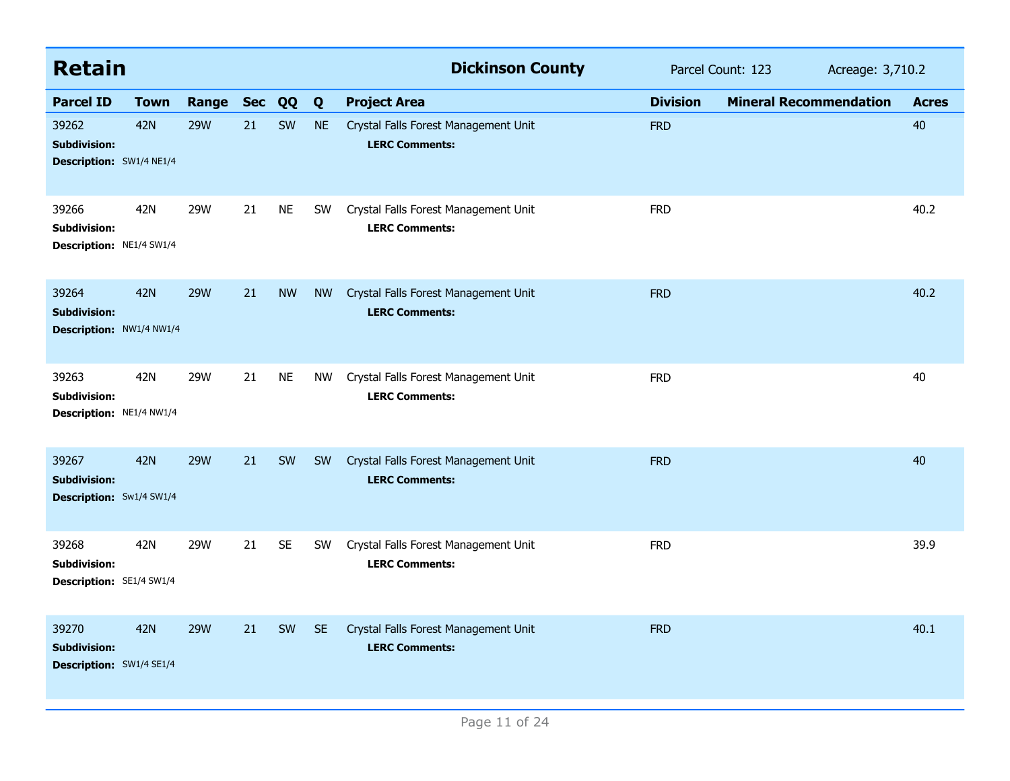| <b>Retain</b>                                                   |                                        |            |            |           |           | <b>Dickinson County</b>                                       |                 | Parcel Count: 123             | Acreage: 3,710.2 |  |
|-----------------------------------------------------------------|----------------------------------------|------------|------------|-----------|-----------|---------------------------------------------------------------|-----------------|-------------------------------|------------------|--|
| <b>Parcel ID</b>                                                | <b>Town</b>                            | Range      | <b>Sec</b> | QQ        | Q         | <b>Project Area</b>                                           | <b>Division</b> | <b>Mineral Recommendation</b> | <b>Acres</b>     |  |
| 39262<br><b>Subdivision:</b><br><b>Description:</b> SW1/4 NE1/4 | <b>42N</b>                             | <b>29W</b> | 21         | SW        | <b>NE</b> | Crystal Falls Forest Management Unit<br><b>LERC Comments:</b> | <b>FRD</b>      |                               | 40               |  |
| 39266<br>Subdivision:<br>Description: NE1/4 SW1/4               | 42N                                    | 29W        | 21         | <b>NE</b> | <b>SW</b> | Crystal Falls Forest Management Unit<br><b>LERC Comments:</b> | <b>FRD</b>      |                               | 40.2             |  |
| 39264<br><b>Subdivision:</b>                                    | <b>42N</b><br>Description: NW1/4 NW1/4 | <b>29W</b> | 21         | <b>NW</b> | <b>NW</b> | Crystal Falls Forest Management Unit<br><b>LERC Comments:</b> | <b>FRD</b>      |                               | 40.2             |  |
| 39263<br><b>Subdivision:</b><br>Description: NE1/4 NW1/4        | 42N                                    | <b>29W</b> | 21         | <b>NE</b> | NW        | Crystal Falls Forest Management Unit<br><b>LERC Comments:</b> | <b>FRD</b>      |                               | 40               |  |
| 39267<br><b>Subdivision:</b><br>Description: Sw1/4 SW1/4        | <b>42N</b>                             | <b>29W</b> | 21         | SW        | <b>SW</b> | Crystal Falls Forest Management Unit<br><b>LERC Comments:</b> | <b>FRD</b>      |                               | 40               |  |
| 39268<br><b>Subdivision:</b><br>Description: SE1/4 SW1/4        | 42N                                    | 29W        | 21         | <b>SE</b> | SW        | Crystal Falls Forest Management Unit<br><b>LERC Comments:</b> | <b>FRD</b>      |                               | 39.9             |  |
| 39270<br><b>Subdivision:</b><br>Description: SW1/4 SE1/4        | <b>42N</b>                             | <b>29W</b> | 21         | SW        | <b>SE</b> | Crystal Falls Forest Management Unit<br><b>LERC Comments:</b> | <b>FRD</b>      |                               | 40.1             |  |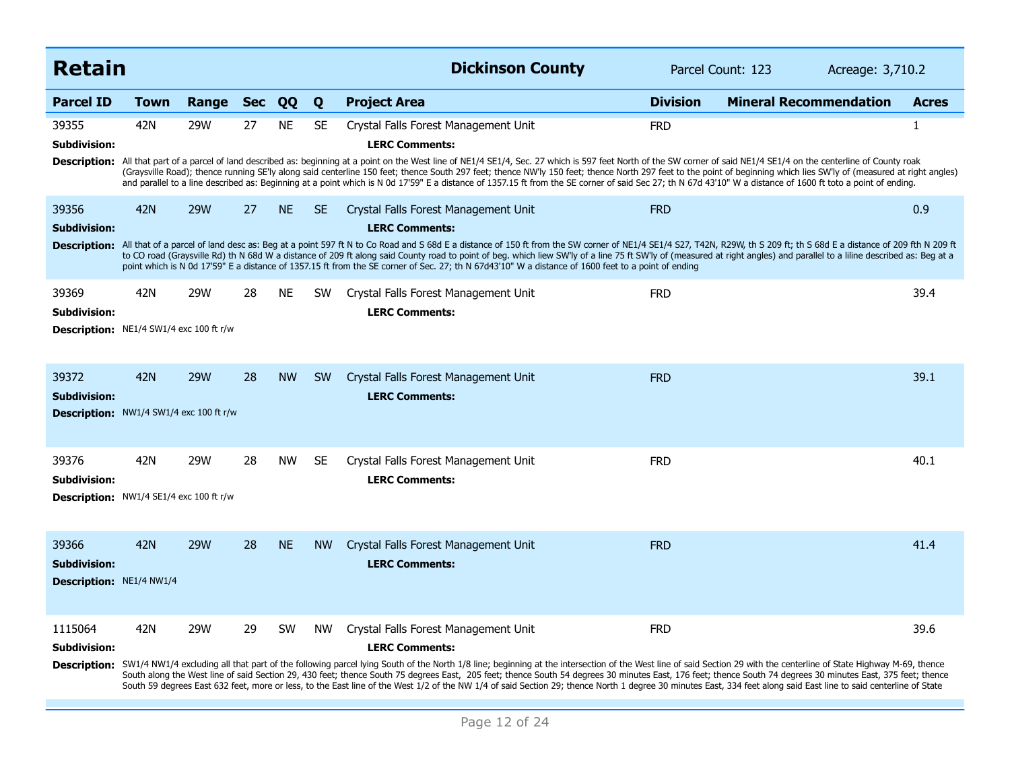| <b>Retain</b>                                                    |             |            |            |           |           | <b>Dickinson County</b>                                                                                                                                                                                                                                                                                                                                                                                                                                                                                                                                                                                                                                                                                                              | Parcel Count: 123 | Acreage: 3,710.2              |              |
|------------------------------------------------------------------|-------------|------------|------------|-----------|-----------|--------------------------------------------------------------------------------------------------------------------------------------------------------------------------------------------------------------------------------------------------------------------------------------------------------------------------------------------------------------------------------------------------------------------------------------------------------------------------------------------------------------------------------------------------------------------------------------------------------------------------------------------------------------------------------------------------------------------------------------|-------------------|-------------------------------|--------------|
| <b>Parcel ID</b>                                                 | <b>Town</b> | Range      | <b>Sec</b> | QQ        | Q         | <b>Project Area</b>                                                                                                                                                                                                                                                                                                                                                                                                                                                                                                                                                                                                                                                                                                                  | <b>Division</b>   | <b>Mineral Recommendation</b> | <b>Acres</b> |
| 39355<br><b>Subdivision:</b>                                     | 42N         | 29W        | 27         | <b>NE</b> | <b>SE</b> | Crystal Falls Forest Management Unit<br><b>LERC Comments:</b><br>Description: All that part of a parcel of land described as: beginning at a point on the West line of NE1/4 SE1/4, Sec. 27 which is 597 feet North of the SW corner of said NE1/4 SE1/4 on the centerline of County roak<br>(Graysville Road); thence running SE'ly along said centerline 150 feet; thence South 297 feet; thence NW'ly 150 feet; thence North 297 feet to the point of beginning which lies SW'ly of (measured at right angles)<br>and parallel to a line described as: Beginning at a point which is N 0d 17'59" E a distance of 1357.15 ft from the SE corner of said Sec 27; th N 67d 43'10" W a distance of 1600 ft toto a point of ending.    | <b>FRD</b>        |                               | 1            |
| 39356<br>Subdivision:                                            | 42N         | <b>29W</b> | 27         | <b>NE</b> | SE.       | Crystal Falls Forest Management Unit<br><b>LERC Comments:</b><br>Description: All that of a parcel of land desc as: Beg at a point 597 ft N to Co Road and S 68d E a distance of 150 ft from the SW corner of NE1/4 SE1/4 SZ1, T42N, R29W, th S 209 ft; th S 68d E a distance of 209 fth N 209<br>to CO road (Graysville Rd) th N 68d W a distance of 209 ft along said County road to point of beg. which liew SW'ly of a line 75 ft SW'ly of (measured at right angles) and parallel to a liline described as: Beg at a<br>point which is N 0d 17'59" E a distance of 1357.15 ft from the SE corner of Sec. 27; th N 67d43'10" W a distance of 1600 feet to a point of ending                                                      | <b>FRD</b>        |                               | 0.9          |
| 39369<br>Subdivision:<br>Description: NE1/4 SW1/4 exc 100 ft r/w | 42N         | 29W        | 28         | <b>NE</b> | <b>SW</b> | Crystal Falls Forest Management Unit<br><b>LERC Comments:</b>                                                                                                                                                                                                                                                                                                                                                                                                                                                                                                                                                                                                                                                                        | <b>FRD</b>        |                               | 39.4         |
| 39372<br>Subdivision:<br>Description: NW1/4 SW1/4 exc 100 ft r/w | 42N         | <b>29W</b> | 28         | <b>NW</b> | <b>SW</b> | Crystal Falls Forest Management Unit<br><b>LERC Comments:</b>                                                                                                                                                                                                                                                                                                                                                                                                                                                                                                                                                                                                                                                                        | <b>FRD</b>        |                               | 39.1         |
| 39376<br>Subdivision:<br>Description: NW1/4 SE1/4 exc 100 ft r/w | 42N         | 29W        | 28         | <b>NW</b> | SE.       | Crystal Falls Forest Management Unit<br><b>LERC Comments:</b>                                                                                                                                                                                                                                                                                                                                                                                                                                                                                                                                                                                                                                                                        | <b>FRD</b>        |                               | 40.1         |
| 39366<br><b>Subdivision:</b><br>Description: NE1/4 NW1/4         | 42N         | <b>29W</b> | 28         | <b>NE</b> | <b>NW</b> | Crystal Falls Forest Management Unit<br><b>LERC Comments:</b>                                                                                                                                                                                                                                                                                                                                                                                                                                                                                                                                                                                                                                                                        | <b>FRD</b>        |                               | 41.4         |
| 1115064<br>Subdivision:                                          | 42N         | 29W        | 29         | <b>SW</b> | <b>NW</b> | Crystal Falls Forest Management Unit<br><b>LERC Comments:</b><br>Description: SW1/4 NW1/4 excluding all that part of the following parcel lying South of the North 1/8 line; beginning at the intersection of the West line of said Section 29 with the centerline of State Highway M-69, thenc<br>South along the West line of said Section 29, 430 feet; thence South 75 degrees East, 205 feet; thence South 54 degrees 30 minutes East, 176 feet; thence South 74 degrees 30 minutes East, 375 feet; thence<br>South 59 degrees East 632 feet, more or less, to the East line of the West 1/2 of the NW 1/4 of said Section 29; thence North 1 degree 30 minutes East, 334 feet along said East line to said centerline of State | <b>FRD</b>        |                               | 39.6         |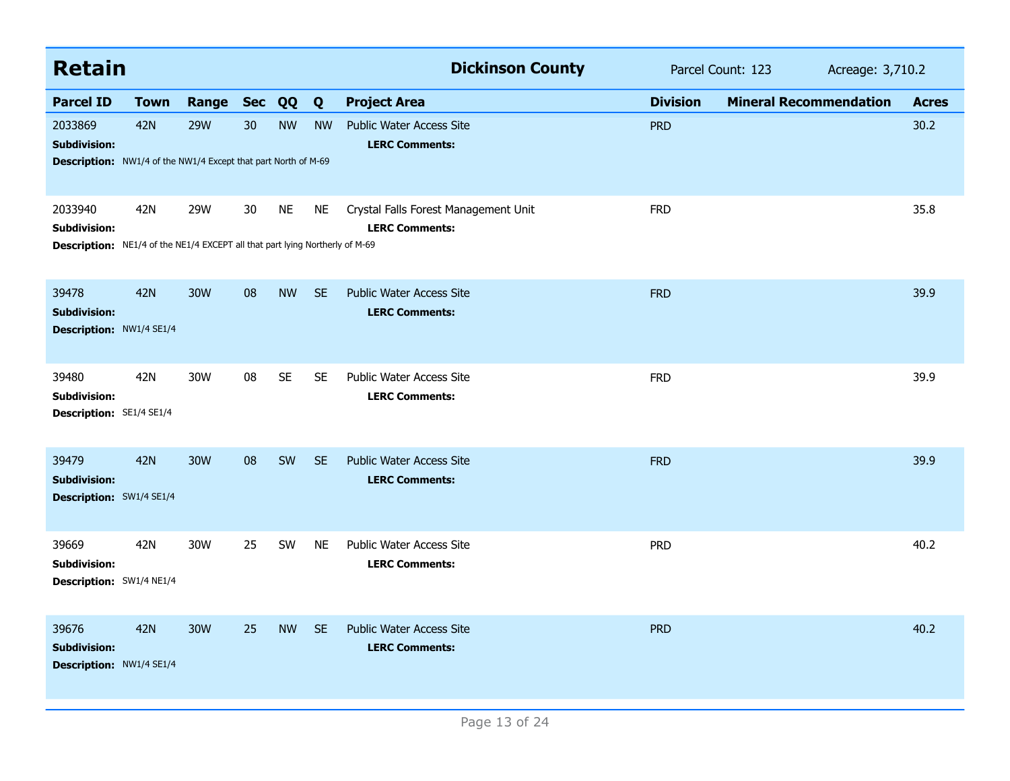| <b>Retain</b>                                                                                                         |             |            |            |           |           | <b>Dickinson County</b>                                       | Parcel Count: 123<br>Acreage: 3,710.2 |                               |              |
|-----------------------------------------------------------------------------------------------------------------------|-------------|------------|------------|-----------|-----------|---------------------------------------------------------------|---------------------------------------|-------------------------------|--------------|
| <b>Parcel ID</b>                                                                                                      | <b>Town</b> | Range      | <b>Sec</b> | QQ        | Q         | <b>Project Area</b>                                           | <b>Division</b>                       | <b>Mineral Recommendation</b> | <b>Acres</b> |
| 2033869<br><b>Subdivision:</b><br><b>Description:</b> NW1/4 of the NW1/4 Except that part North of M-69               | <b>42N</b>  | <b>29W</b> | 30         | <b>NW</b> | <b>NW</b> | <b>Public Water Access Site</b><br><b>LERC Comments:</b>      | <b>PRD</b>                            |                               | 30.2         |
| 2033940<br><b>Subdivision:</b><br><b>Description:</b> NE1/4 of the NE1/4 EXCEPT all that part lying Northerly of M-69 | 42N         | 29W        | 30         | <b>NE</b> | NE        | Crystal Falls Forest Management Unit<br><b>LERC Comments:</b> | <b>FRD</b>                            |                               | 35.8         |
| 39478<br><b>Subdivision:</b><br>Description: NW1/4 SE1/4                                                              | <b>42N</b>  | 30W        | 08         | <b>NW</b> | <b>SE</b> | <b>Public Water Access Site</b><br><b>LERC Comments:</b>      | <b>FRD</b>                            |                               | 39.9         |
| 39480<br><b>Subdivision:</b><br>Description: SE1/4 SE1/4                                                              | 42N         | 30W        | 08         | <b>SE</b> | <b>SE</b> | Public Water Access Site<br><b>LERC Comments:</b>             | <b>FRD</b>                            |                               | 39.9         |
| 39479<br><b>Subdivision:</b><br>Description: SW1/4 SE1/4                                                              | <b>42N</b>  | 30W        | 08         | <b>SW</b> | <b>SE</b> | <b>Public Water Access Site</b><br><b>LERC Comments:</b>      | <b>FRD</b>                            |                               | 39.9         |
| 39669<br><b>Subdivision:</b><br>Description: SW1/4 NE1/4                                                              | 42N         | 30W        | 25         | SW        | <b>NE</b> | Public Water Access Site<br><b>LERC Comments:</b>             | <b>PRD</b>                            |                               | 40.2         |
| 39676<br><b>Subdivision:</b><br>Description: NW1/4 SE1/4                                                              | <b>42N</b>  | <b>30W</b> | 25         | <b>NW</b> | <b>SE</b> | <b>Public Water Access Site</b><br><b>LERC Comments:</b>      | <b>PRD</b>                            |                               | 40.2         |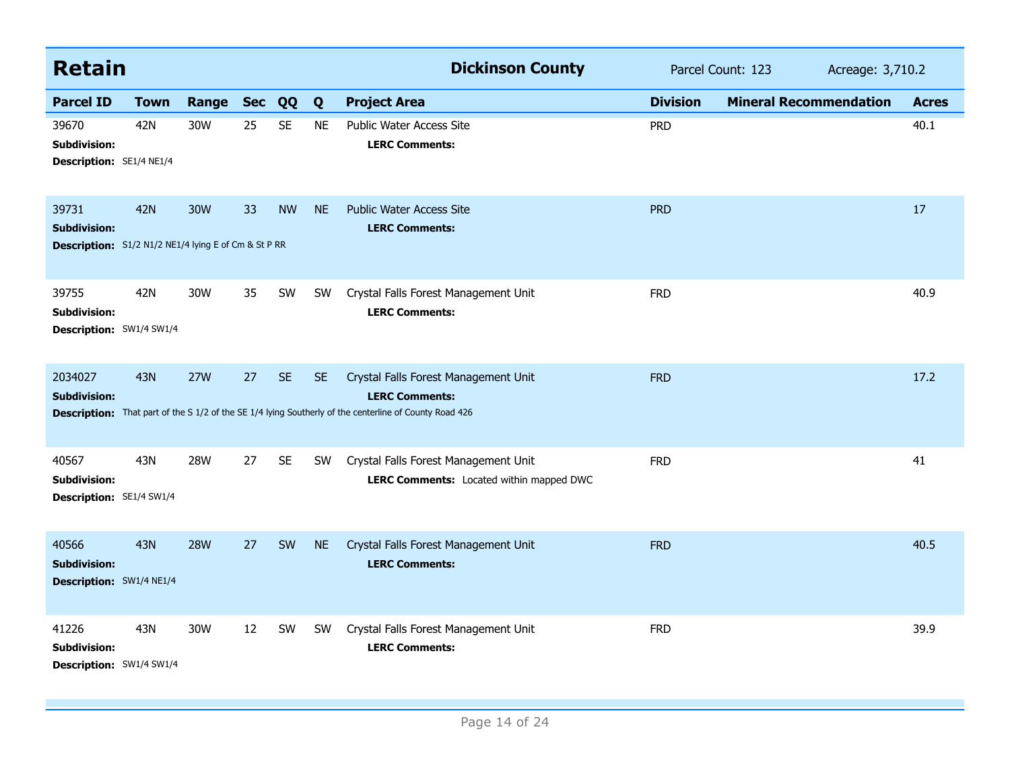| <b>Retain</b>                                                                        |             |            |            |           |           | <b>Dickinson County</b>                                                                                                                                                        | Parcel Count: 123<br>Acreage: 3,710.2 |                               |  |              |
|--------------------------------------------------------------------------------------|-------------|------------|------------|-----------|-----------|--------------------------------------------------------------------------------------------------------------------------------------------------------------------------------|---------------------------------------|-------------------------------|--|--------------|
| <b>Parcel ID</b>                                                                     | <b>Town</b> | Range      | <b>Sec</b> | QQ        | Q         | <b>Project Area</b>                                                                                                                                                            | <b>Division</b>                       | <b>Mineral Recommendation</b> |  | <b>Acres</b> |
| 39670<br><b>Subdivision:</b><br>Description: SE1/4 NE1/4                             | 42N         | 30W        | 25         | <b>SE</b> | <b>NE</b> | Public Water Access Site<br><b>LERC Comments:</b>                                                                                                                              | <b>PRD</b>                            |                               |  | 40.1         |
| 39731<br><b>Subdivision:</b><br>Description: S1/2 N1/2 NE1/4 lying E of Cm & St P RR | <b>42N</b>  | 30W        | 33         | <b>NW</b> | <b>NE</b> | <b>Public Water Access Site</b><br><b>LERC Comments:</b>                                                                                                                       | <b>PRD</b>                            |                               |  | 17           |
| 39755<br>Subdivision:<br>Description: SW1/4 SW1/4                                    | 42N         | 30W        | 35         | SW        | SW        | Crystal Falls Forest Management Unit<br><b>LERC Comments:</b>                                                                                                                  | <b>FRD</b>                            |                               |  | 40.9         |
| 2034027<br><b>Subdivision:</b>                                                       | <b>43N</b>  | <b>27W</b> | 27         | <b>SE</b> | <b>SE</b> | Crystal Falls Forest Management Unit<br><b>LERC Comments:</b><br><b>Description:</b> That part of the S 1/2 of the SE 1/4 lying Southerly of the centerline of County Road 426 | <b>FRD</b>                            |                               |  | 17.2         |
| 40567<br><b>Subdivision:</b><br>Description: SE1/4 SW1/4                             | 43N         | <b>28W</b> | 27         | <b>SE</b> | <b>SW</b> | Crystal Falls Forest Management Unit<br>LERC Comments: Located within mapped DWC                                                                                               | <b>FRD</b>                            |                               |  | 41           |
| 40566<br><b>Subdivision:</b><br>Description: SW1/4 NE1/4                             | <b>43N</b>  | <b>28W</b> | 27         | SW        | <b>NE</b> | Crystal Falls Forest Management Unit<br><b>LERC Comments:</b>                                                                                                                  | <b>FRD</b>                            |                               |  | 40.5         |
| 41226<br><b>Subdivision:</b><br>Description: SW1/4 SW1/4                             | 43N         | 30W        | 12         | SW        | <b>SW</b> | Crystal Falls Forest Management Unit<br><b>LERC Comments:</b>                                                                                                                  | <b>FRD</b>                            |                               |  | 39.9         |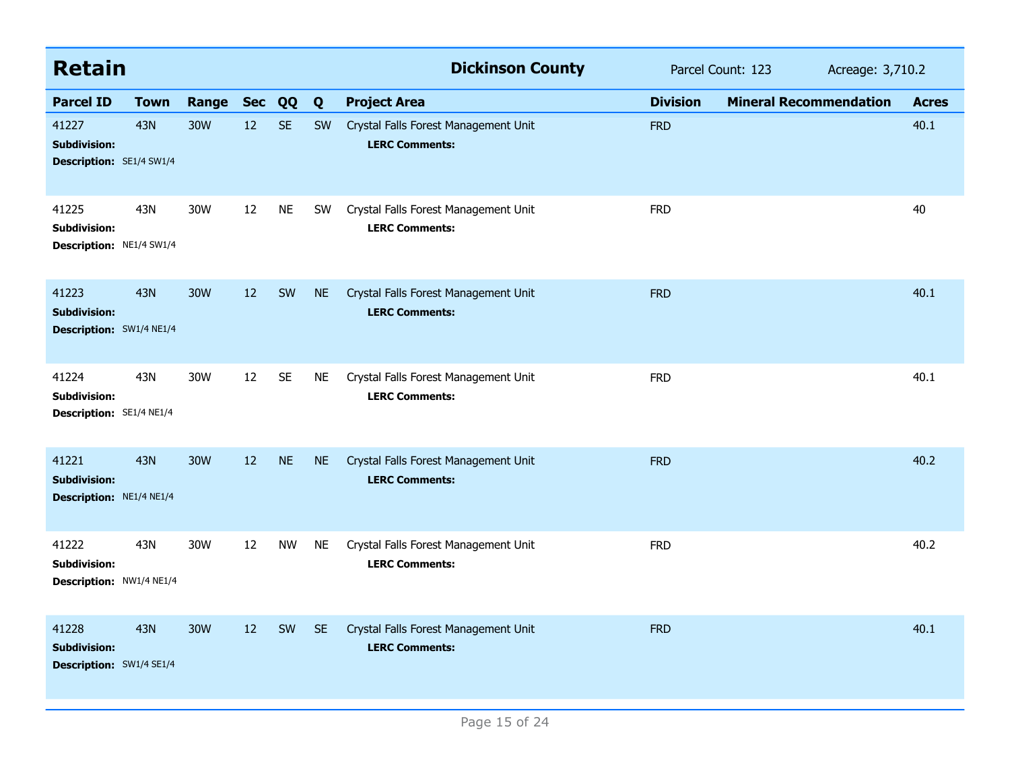| <b>Retain</b>                                                   |             |            |            |           |           | <b>Dickinson County</b>                                       |                 | Parcel Count: 123             | Acreage: 3,710.2 |  |
|-----------------------------------------------------------------|-------------|------------|------------|-----------|-----------|---------------------------------------------------------------|-----------------|-------------------------------|------------------|--|
| <b>Parcel ID</b>                                                | <b>Town</b> | Range      | <b>Sec</b> | QQ        | Q         | <b>Project Area</b>                                           | <b>Division</b> | <b>Mineral Recommendation</b> | <b>Acres</b>     |  |
| 41227<br><b>Subdivision:</b><br>Description: SE1/4 SW1/4        | 43N         | <b>30W</b> | 12         | <b>SE</b> | <b>SW</b> | Crystal Falls Forest Management Unit<br><b>LERC Comments:</b> | <b>FRD</b>      |                               | 40.1             |  |
| 41225<br>Subdivision:<br>Description: NE1/4 SW1/4               | 43N         | 30W        | 12         | <b>NE</b> | <b>SW</b> | Crystal Falls Forest Management Unit<br><b>LERC Comments:</b> | <b>FRD</b>      |                               | 40               |  |
| 41223<br><b>Subdivision:</b><br>Description: SW1/4 NE1/4        | 43N         | 30W        | 12         | SW        | <b>NE</b> | Crystal Falls Forest Management Unit<br><b>LERC Comments:</b> | <b>FRD</b>      |                               | 40.1             |  |
| 41224<br><b>Subdivision:</b><br>Description: SE1/4 NE1/4        | 43N         | 30W        | 12         | <b>SE</b> | NE        | Crystal Falls Forest Management Unit<br><b>LERC Comments:</b> | <b>FRD</b>      |                               | 40.1             |  |
| 41221<br><b>Subdivision:</b><br>Description: NE1/4 NE1/4        | 43N         | <b>30W</b> | 12         | <b>NE</b> | <b>NE</b> | Crystal Falls Forest Management Unit<br><b>LERC Comments:</b> | <b>FRD</b>      |                               | 40.2             |  |
| 41222<br><b>Subdivision:</b><br>Description: NW1/4 NE1/4        | 43N         | 30W        | 12         | <b>NW</b> | <b>NE</b> | Crystal Falls Forest Management Unit<br><b>LERC Comments:</b> | <b>FRD</b>      |                               | 40.2             |  |
| 41228<br><b>Subdivision:</b><br><b>Description: SW1/4 SE1/4</b> | <b>43N</b>  | 30W        | 12         | SW        | <b>SE</b> | Crystal Falls Forest Management Unit<br><b>LERC Comments:</b> | <b>FRD</b>      |                               | 40.1             |  |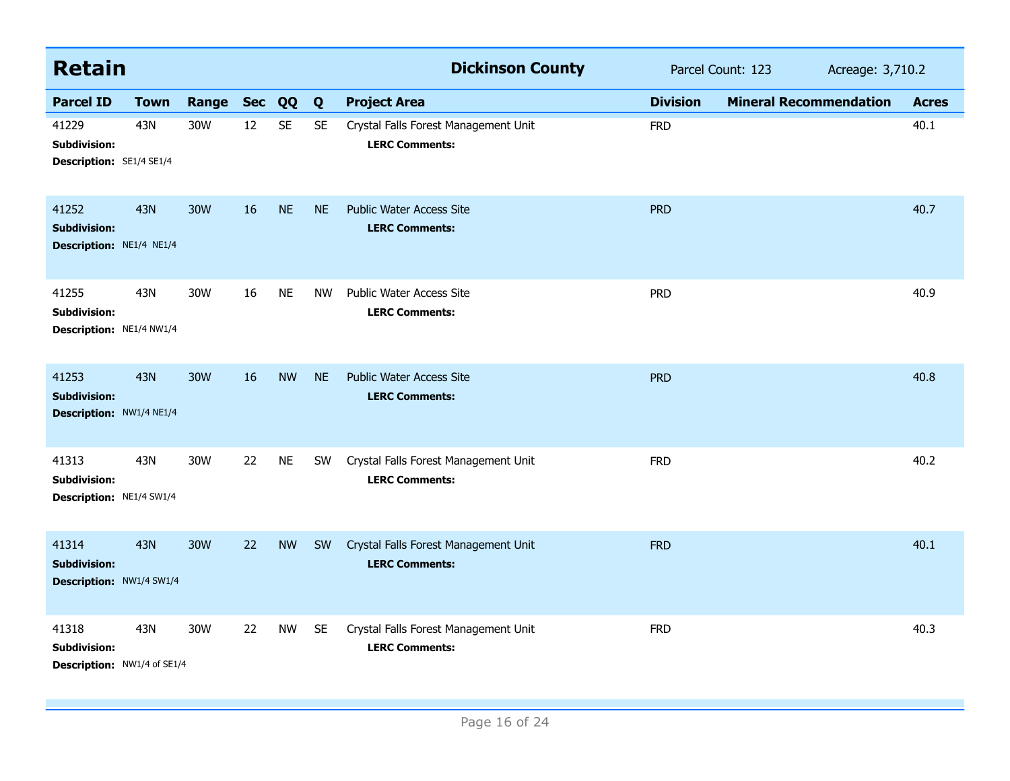| <b>Retain</b>                                               |             |           |    |           |           | <b>Dickinson County</b>                                       |                 | Parcel Count: 123<br>Acreage: 3,710.2 |              |  |
|-------------------------------------------------------------|-------------|-----------|----|-----------|-----------|---------------------------------------------------------------|-----------------|---------------------------------------|--------------|--|
| <b>Parcel ID</b>                                            | <b>Town</b> | Range Sec |    | QQ        | Q         | <b>Project Area</b>                                           | <b>Division</b> | <b>Mineral Recommendation</b>         | <b>Acres</b> |  |
| 41229<br>Subdivision:<br>Description: SE1/4 SE1/4           | 43N         | 30W       | 12 | <b>SE</b> | <b>SE</b> | Crystal Falls Forest Management Unit<br><b>LERC Comments:</b> | <b>FRD</b>      |                                       | 40.1         |  |
| 41252<br><b>Subdivision:</b><br>Description: NE1/4 NE1/4    | <b>43N</b>  | 30W       | 16 | <b>NE</b> | <b>NE</b> | <b>Public Water Access Site</b><br><b>LERC Comments:</b>      | <b>PRD</b>      |                                       | 40.7         |  |
| 41255<br><b>Subdivision:</b><br>Description: NE1/4 NW1/4    | 43N         | 30W       | 16 | <b>NE</b> | <b>NW</b> | <b>Public Water Access Site</b><br><b>LERC Comments:</b>      | <b>PRD</b>      |                                       | 40.9         |  |
| 41253<br><b>Subdivision:</b><br>Description: NW1/4 NE1/4    | <b>43N</b>  | 30W       | 16 | <b>NW</b> | <b>NE</b> | <b>Public Water Access Site</b><br><b>LERC Comments:</b>      | <b>PRD</b>      |                                       | 40.8         |  |
| 41313<br><b>Subdivision:</b><br>Description: NE1/4 SW1/4    | 43N         | 30W       | 22 | <b>NE</b> | SW        | Crystal Falls Forest Management Unit<br><b>LERC Comments:</b> | <b>FRD</b>      |                                       | 40.2         |  |
| 41314<br><b>Subdivision:</b><br>Description: NW1/4 SW1/4    | <b>43N</b>  | 30W       | 22 | <b>NW</b> | SW        | Crystal Falls Forest Management Unit<br><b>LERC Comments:</b> | <b>FRD</b>      |                                       | 40.1         |  |
| 41318<br><b>Subdivision:</b><br>Description: NW1/4 of SE1/4 | 43N         | 30W       | 22 | <b>NW</b> | <b>SE</b> | Crystal Falls Forest Management Unit<br><b>LERC Comments:</b> | <b>FRD</b>      |                                       | 40.3         |  |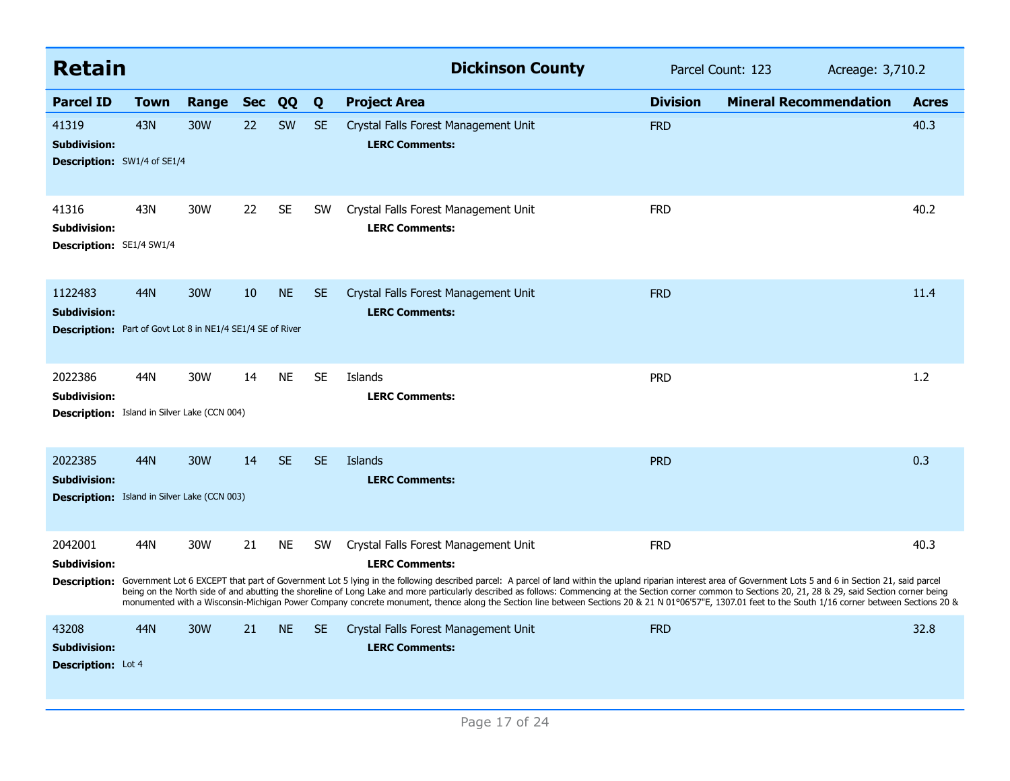| <b>Retain</b>                                                                                       |             |       |            |           |           | <b>Dickinson County</b>                                                                                                                                                                                                                                                                                                                                                                                                                                                                                                                                                                                                                                                                                    | Parcel Count: 123 | Acreage: 3,710.2              |              |
|-----------------------------------------------------------------------------------------------------|-------------|-------|------------|-----------|-----------|------------------------------------------------------------------------------------------------------------------------------------------------------------------------------------------------------------------------------------------------------------------------------------------------------------------------------------------------------------------------------------------------------------------------------------------------------------------------------------------------------------------------------------------------------------------------------------------------------------------------------------------------------------------------------------------------------------|-------------------|-------------------------------|--------------|
| <b>Parcel ID</b>                                                                                    | <b>Town</b> | Range | <b>Sec</b> | QQ        | Q         | <b>Project Area</b>                                                                                                                                                                                                                                                                                                                                                                                                                                                                                                                                                                                                                                                                                        | <b>Division</b>   | <b>Mineral Recommendation</b> | <b>Acres</b> |
| 41319<br><b>Subdivision:</b><br><b>Description:</b> SW1/4 of SE1/4                                  | <b>43N</b>  | 30W   | 22         | SW        | <b>SE</b> | Crystal Falls Forest Management Unit<br><b>LERC Comments:</b>                                                                                                                                                                                                                                                                                                                                                                                                                                                                                                                                                                                                                                              | <b>FRD</b>        |                               | 40.3         |
| 41316<br><b>Subdivision:</b><br>Description: SE1/4 SW1/4                                            | 43N         | 30W   | 22         | <b>SE</b> | <b>SW</b> | Crystal Falls Forest Management Unit<br><b>LERC Comments:</b>                                                                                                                                                                                                                                                                                                                                                                                                                                                                                                                                                                                                                                              | <b>FRD</b>        |                               | 40.2         |
| 1122483<br><b>Subdivision:</b><br><b>Description:</b> Part of Govt Lot 8 in NE1/4 SE1/4 SE of River | 44N         | 30W   | 10         | <b>NE</b> | <b>SE</b> | Crystal Falls Forest Management Unit<br><b>LERC Comments:</b>                                                                                                                                                                                                                                                                                                                                                                                                                                                                                                                                                                                                                                              | <b>FRD</b>        |                               | 11.4         |
| 2022386<br><b>Subdivision:</b><br>Description: Island in Silver Lake (CCN 004)                      | 44N         | 30W   | 14         | <b>NE</b> | <b>SE</b> | Islands<br><b>LERC Comments:</b>                                                                                                                                                                                                                                                                                                                                                                                                                                                                                                                                                                                                                                                                           | <b>PRD</b>        |                               | 1.2          |
| 2022385<br><b>Subdivision:</b><br><b>Description:</b> Island in Silver Lake (CCN 003)               | 44N         | 30W   | 14         | SE.       | <b>SE</b> | Islands<br><b>LERC Comments:</b>                                                                                                                                                                                                                                                                                                                                                                                                                                                                                                                                                                                                                                                                           | <b>PRD</b>        |                               | 0.3          |
| 2042001<br><b>Subdivision:</b><br><b>Description:</b>                                               | 44N         | 30W   | 21         | <b>NE</b> | <b>SW</b> | Crystal Falls Forest Management Unit<br><b>LERC Comments:</b><br>Government Lot 6 EXCEPT that part of Government Lot 5 lying in the following described parcel: A parcel of land within the upland riparian interest area of Government Lots 5 and 6 in Section 21, said parcel<br>being on the North side of and abutting the shoreline of Long Lake and more particularly described as follows: Commencing at the Section corner common to Sections 20, 21, 28 & 29, said Section corner being<br>monumented with a Wisconsin-Michigan Power Company concrete monument, thence along the Section line between Sections 20 & 21 N 01°06'57"E, 1307.01 feet to the South 1/16 corner between Sections 20 & | <b>FRD</b>        |                               | 40.3         |
| 43208<br><b>Subdivision:</b><br><b>Description:</b> Lot 4                                           | 44N         | 30W   | 21         | <b>NE</b> | <b>SE</b> | Crystal Falls Forest Management Unit<br><b>LERC Comments:</b>                                                                                                                                                                                                                                                                                                                                                                                                                                                                                                                                                                                                                                              | <b>FRD</b>        |                               | 32.8         |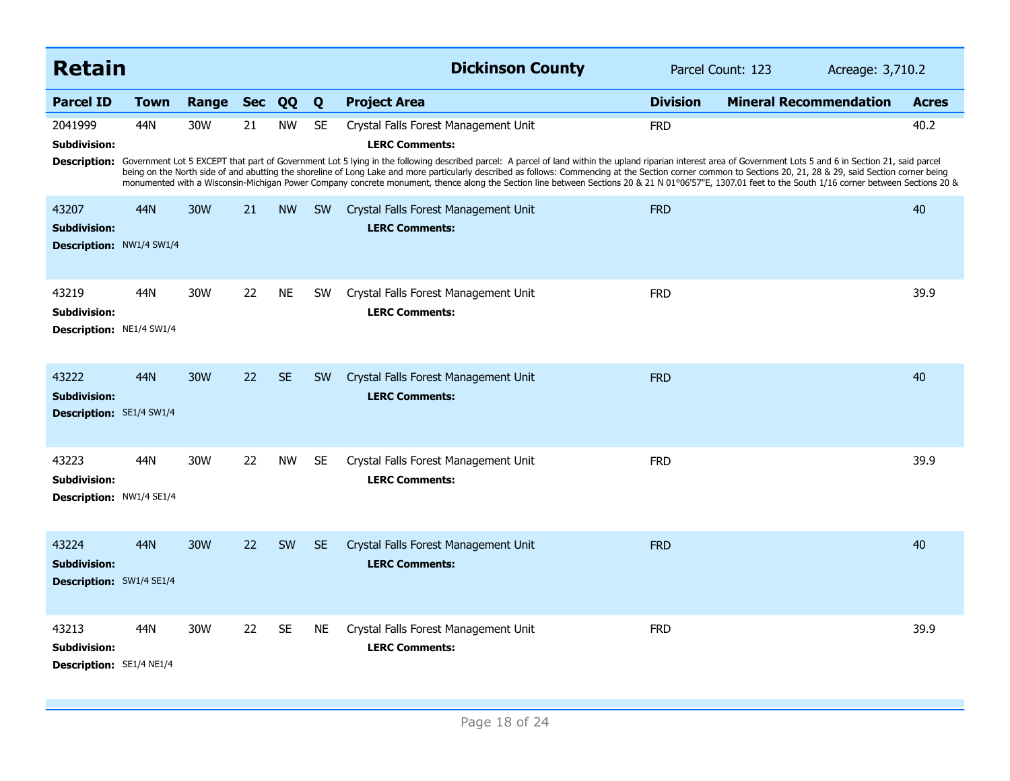| <b>Retain</b>                                                   |             |       |            |           |           | <b>Dickinson County</b>                                                                                                                                                                                                                                                                                                                                                                                                                                                                                                                                                                                                                                                                                    |                 | Parcel Count: 123             | Acreage: 3,710.2 |
|-----------------------------------------------------------------|-------------|-------|------------|-----------|-----------|------------------------------------------------------------------------------------------------------------------------------------------------------------------------------------------------------------------------------------------------------------------------------------------------------------------------------------------------------------------------------------------------------------------------------------------------------------------------------------------------------------------------------------------------------------------------------------------------------------------------------------------------------------------------------------------------------------|-----------------|-------------------------------|------------------|
| <b>Parcel ID</b>                                                | <b>Town</b> | Range | <b>Sec</b> | QQ        | Q         | <b>Project Area</b>                                                                                                                                                                                                                                                                                                                                                                                                                                                                                                                                                                                                                                                                                        | <b>Division</b> | <b>Mineral Recommendation</b> | <b>Acres</b>     |
| 2041999<br><b>Subdivision:</b><br><b>Description:</b>           | 44N         | 30W   | 21         | <b>NW</b> | <b>SE</b> | Crystal Falls Forest Management Unit<br><b>LERC Comments:</b><br>Government Lot 5 EXCEPT that part of Government Lot 5 lying in the following described parcel: A parcel of land within the upland riparian interest area of Government Lots 5 and 6 in Section 21, said parcel<br>being on the North side of and abutting the shoreline of Long Lake and more particularly described as follows: Commencing at the Section corner common to Sections 20, 21, 28 & 29, said Section corner being<br>monumented with a Wisconsin-Michigan Power Company concrete monument, thence along the Section line between Sections 20 & 21 N 01°06'57"E, 1307.01 feet to the South 1/16 corner between Sections 20 & | <b>FRD</b>      |                               | 40.2             |
| 43207<br><b>Subdivision:</b><br><b>Description: NW1/4 SW1/4</b> | 44N         | 30W   | 21         | <b>NW</b> | <b>SW</b> | Crystal Falls Forest Management Unit<br><b>LERC Comments:</b>                                                                                                                                                                                                                                                                                                                                                                                                                                                                                                                                                                                                                                              | <b>FRD</b>      |                               | 40               |
| 43219<br><b>Subdivision:</b><br><b>Description: NE1/4 SW1/4</b> | 44N         | 30W   | 22         | <b>NE</b> | <b>SW</b> | Crystal Falls Forest Management Unit<br><b>LERC Comments:</b>                                                                                                                                                                                                                                                                                                                                                                                                                                                                                                                                                                                                                                              | <b>FRD</b>      |                               | 39.9             |
| 43222<br><b>Subdivision:</b><br><b>Description:</b> SE1/4 SW1/4 | 44N         | 30W   | 22         | <b>SE</b> | <b>SW</b> | Crystal Falls Forest Management Unit<br><b>LERC Comments:</b>                                                                                                                                                                                                                                                                                                                                                                                                                                                                                                                                                                                                                                              | <b>FRD</b>      |                               | 40               |
| 43223<br>Subdivision:<br><b>Description: NW1/4 SE1/4</b>        | 44N         | 30W   | 22         | <b>NW</b> | <b>SE</b> | Crystal Falls Forest Management Unit<br><b>LERC Comments:</b>                                                                                                                                                                                                                                                                                                                                                                                                                                                                                                                                                                                                                                              | <b>FRD</b>      |                               | 39.9             |
| 43224<br><b>Subdivision:</b><br><b>Description: SW1/4 SE1/4</b> | 44N         | 30W   | 22         | <b>SW</b> | <b>SE</b> | Crystal Falls Forest Management Unit<br><b>LERC Comments:</b>                                                                                                                                                                                                                                                                                                                                                                                                                                                                                                                                                                                                                                              | <b>FRD</b>      |                               | 40               |
| 43213<br><b>Subdivision:</b><br>Description: SE1/4 NE1/4        | 44N         | 30W   | 22         | <b>SE</b> | NE.       | Crystal Falls Forest Management Unit<br><b>LERC Comments:</b>                                                                                                                                                                                                                                                                                                                                                                                                                                                                                                                                                                                                                                              | <b>FRD</b>      |                               | 39.9             |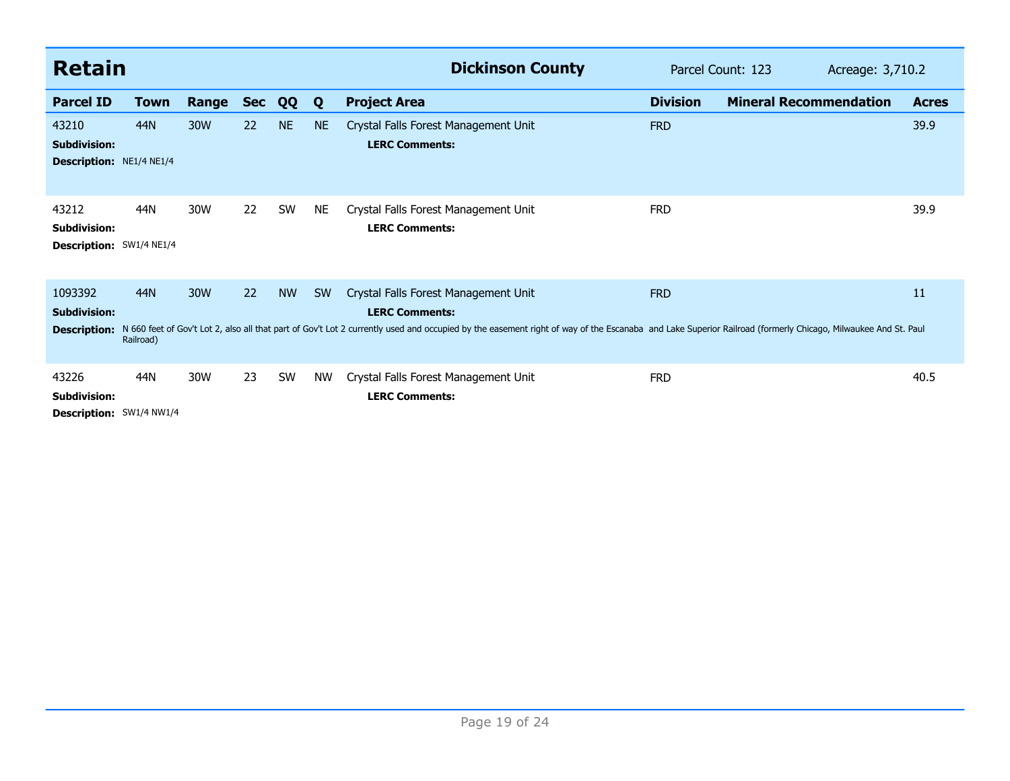| <b>Retain</b>                                            |                  |       |            |           |           | <b>Dickinson County</b>                                                                                                                                                                                                                                                     | Parcel Count: 123<br>Acreage: 3,710.2 |                               |  |              |
|----------------------------------------------------------|------------------|-------|------------|-----------|-----------|-----------------------------------------------------------------------------------------------------------------------------------------------------------------------------------------------------------------------------------------------------------------------------|---------------------------------------|-------------------------------|--|--------------|
| <b>Parcel ID</b>                                         | Town             | Range | <b>Sec</b> | QQ        | Q         | <b>Project Area</b>                                                                                                                                                                                                                                                         | <b>Division</b>                       | <b>Mineral Recommendation</b> |  | <b>Acres</b> |
| 43210<br><b>Subdivision:</b><br>Description: NE1/4 NE1/4 | 44N              | 30W   | 22         | <b>NE</b> | <b>NE</b> | Crystal Falls Forest Management Unit<br><b>LERC Comments:</b>                                                                                                                                                                                                               | <b>FRD</b>                            |                               |  | 39.9         |
| 43212<br><b>Subdivision:</b><br>Description: SW1/4 NE1/4 | 44N              | 30W   | 22         | SW        | <b>NE</b> | Crystal Falls Forest Management Unit<br><b>LERC Comments:</b>                                                                                                                                                                                                               | <b>FRD</b>                            |                               |  | 39.9         |
| 1093392<br><b>Subdivision:</b><br><b>Description:</b>    | 44N<br>Railroad) | 30W   | 22         | <b>NW</b> | <b>SW</b> | Crystal Falls Forest Management Unit<br><b>LERC Comments:</b><br>N 660 feet of Gov't Lot 2, also all that part of Gov't Lot 2 currently used and occupied by the easement right of way of the Escanaba and Lake Superior Railroad (formerly Chicago, Milwaukee And St. Paul | <b>FRD</b>                            |                               |  | 11           |
| 43226<br><b>Subdivision:</b><br>Description: SW1/4 NW1/4 | 44N              | 30W   | 23         | SW        | <b>NW</b> | Crystal Falls Forest Management Unit<br><b>LERC Comments:</b>                                                                                                                                                                                                               | <b>FRD</b>                            |                               |  | 40.5         |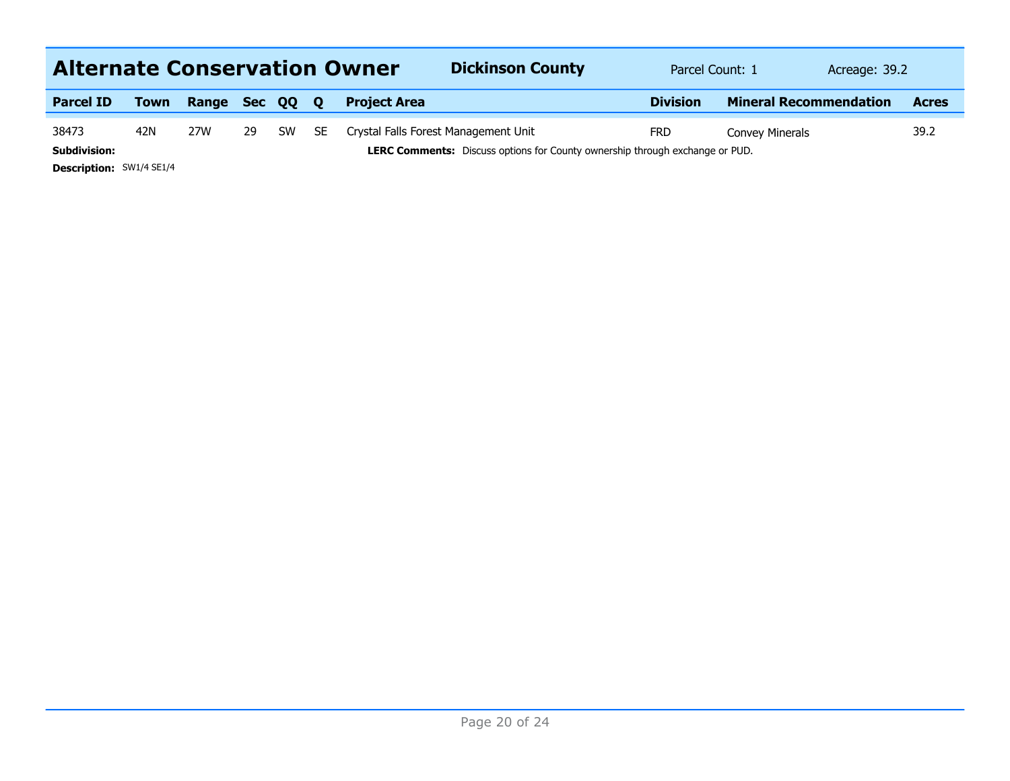| <b>Alternate Conservation Owner</b> |             |              |    |           |              | <b>Dickinson County</b>                                                             | Parcel Count: 1 | Acreage: 39.2                 |              |
|-------------------------------------|-------------|--------------|----|-----------|--------------|-------------------------------------------------------------------------------------|-----------------|-------------------------------|--------------|
| <b>Parcel ID</b>                    | <b>Town</b> | Range Sec QQ |    |           | $\mathbf{o}$ | <b>Project Area</b>                                                                 | <b>Division</b> | <b>Mineral Recommendation</b> | <b>Acres</b> |
| 38473                               | 42N         | 27W          | 29 | <b>SW</b> | <b>SE</b>    | Crystal Falls Forest Management Unit                                                | <b>FRD</b>      | Convey Minerals               | 39.2         |
| <b>Subdivision:</b>                 |             |              |    |           |              | <b>LERC Comments:</b> Discuss options for County ownership through exchange or PUD. |                 |                               |              |
| <b>Description: SW1/4 SE1/4</b>     |             |              |    |           |              |                                                                                     |                 |                               |              |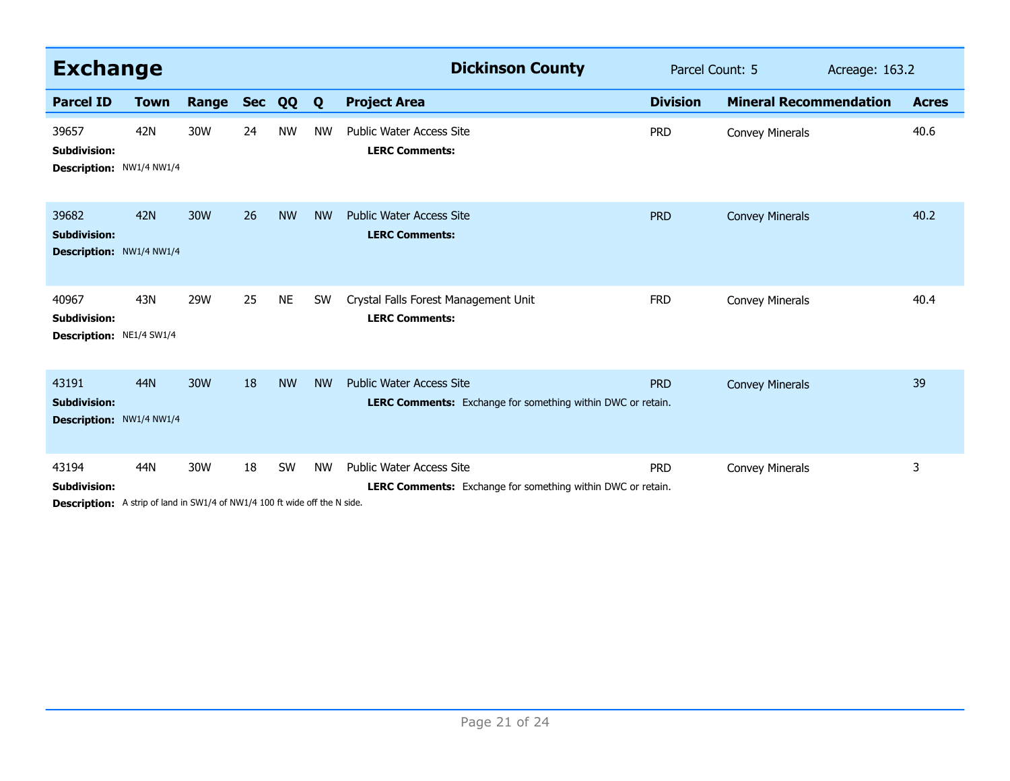| <b>Exchange</b>                                                                                                   |             |       |            |           |           | <b>Dickinson County</b>                                                                               | Parcel Count: 5 |                               | Acreage: 163.2 |              |
|-------------------------------------------------------------------------------------------------------------------|-------------|-------|------------|-----------|-----------|-------------------------------------------------------------------------------------------------------|-----------------|-------------------------------|----------------|--------------|
| <b>Parcel ID</b>                                                                                                  | <b>Town</b> | Range | <b>Sec</b> | QQ        | Q         | <b>Project Area</b>                                                                                   | <b>Division</b> | <b>Mineral Recommendation</b> |                | <b>Acres</b> |
| 39657<br><b>Subdivision:</b><br>Description: NW1/4 NW1/4                                                          | 42N         | 30W   | 24         | <b>NW</b> | <b>NW</b> | <b>Public Water Access Site</b><br><b>LERC Comments:</b>                                              | <b>PRD</b>      | <b>Convey Minerals</b>        |                | 40.6         |
| 39682<br><b>Subdivision:</b><br>Description: NW1/4 NW1/4                                                          | <b>42N</b>  | 30W   | 26         | <b>NW</b> | <b>NW</b> | <b>Public Water Access Site</b><br><b>LERC Comments:</b>                                              | <b>PRD</b>      | <b>Convey Minerals</b>        |                | 40.2         |
| 40967<br><b>Subdivision:</b><br>Description: NE1/4 SW1/4                                                          | 43N         | 29W   | 25         | <b>NE</b> | <b>SW</b> | Crystal Falls Forest Management Unit<br><b>LERC Comments:</b>                                         | <b>FRD</b>      | <b>Convey Minerals</b>        |                | 40.4         |
| 43191<br><b>Subdivision:</b><br>Description: NW1/4 NW1/4                                                          | <b>44N</b>  | 30W   | 18         | <b>NW</b> | <b>NW</b> | <b>Public Water Access Site</b><br><b>LERC Comments:</b> Exchange for something within DWC or retain. | <b>PRD</b>      | <b>Convey Minerals</b>        |                | 39           |
| 43194<br><b>Subdivision:</b><br><b>Description:</b> A strip of land in SW1/4 of NW1/4 100 ft wide off the N side. | 44N         | 30W   | 18         | SW        | <b>NW</b> | <b>Public Water Access Site</b><br><b>LERC Comments:</b> Exchange for something within DWC or retain. | <b>PRD</b>      | <b>Convey Minerals</b>        |                | 3            |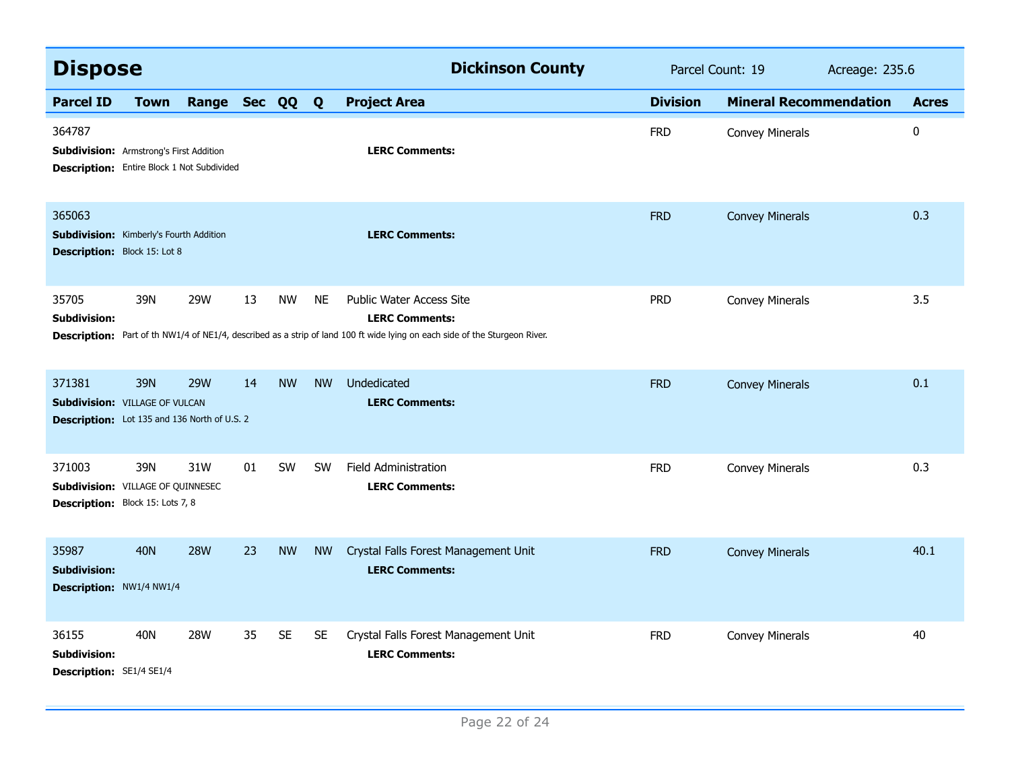| <b>Dispose</b>                                                                                                |             |                |    |           |           | <b>Dickinson County</b>                                                                                                                                                         | Parcel Count: 19 |                               | Acreage: 235.6 |              |
|---------------------------------------------------------------------------------------------------------------|-------------|----------------|----|-----------|-----------|---------------------------------------------------------------------------------------------------------------------------------------------------------------------------------|------------------|-------------------------------|----------------|--------------|
| <b>Parcel ID</b>                                                                                              | <b>Town</b> | Range Sec QQ Q |    |           |           | <b>Project Area</b>                                                                                                                                                             | <b>Division</b>  | <b>Mineral Recommendation</b> |                | <b>Acres</b> |
| 364787<br><b>Subdivision:</b> Armstrong's First Addition<br><b>Description:</b> Entire Block 1 Not Subdivided |             |                |    |           |           | <b>LERC Comments:</b>                                                                                                                                                           | <b>FRD</b>       | Convey Minerals               |                | $\pmb{0}$    |
| 365063<br><b>Subdivision:</b> Kimberly's Fourth Addition<br><b>Description: Block 15: Lot 8</b>               |             |                |    |           |           | <b>LERC Comments:</b>                                                                                                                                                           | <b>FRD</b>       | <b>Convey Minerals</b>        |                | 0.3          |
| 35705<br><b>Subdivision:</b>                                                                                  | 39N         | 29W            | 13 | <b>NW</b> | <b>NE</b> | Public Water Access Site<br><b>LERC Comments:</b><br>Description: Part of th NW1/4 of NE1/4, described as a strip of land 100 ft wide lying on each side of the Sturgeon River. | <b>PRD</b>       | <b>Convey Minerals</b>        |                | 3.5          |
| 371381<br><b>Subdivision: VILLAGE OF VULCAN</b><br>Description: Lot 135 and 136 North of U.S. 2               | 39N         | <b>29W</b>     | 14 | <b>NW</b> | <b>NW</b> | Undedicated<br><b>LERC Comments:</b>                                                                                                                                            | <b>FRD</b>       | <b>Convey Minerals</b>        |                | 0.1          |
| 371003<br><b>Subdivision: VILLAGE OF QUINNESEC</b><br>Description: Block 15: Lots 7, 8                        | 39N         | 31W            | 01 | <b>SW</b> | <b>SW</b> | <b>Field Administration</b><br><b>LERC Comments:</b>                                                                                                                            | <b>FRD</b>       | <b>Convey Minerals</b>        |                | 0.3          |
| 35987<br><b>Subdivision:</b><br>Description: NW1/4 NW1/4                                                      | <b>40N</b>  | <b>28W</b>     | 23 | <b>NW</b> | <b>NW</b> | Crystal Falls Forest Management Unit<br><b>LERC Comments:</b>                                                                                                                   | <b>FRD</b>       | <b>Convey Minerals</b>        |                | 40.1         |
| 36155<br><b>Subdivision:</b><br><b>Description: SE1/4 SE1/4</b>                                               | <b>40N</b>  | <b>28W</b>     | 35 | <b>SE</b> | <b>SE</b> | Crystal Falls Forest Management Unit<br><b>LERC Comments:</b>                                                                                                                   | <b>FRD</b>       | Convey Minerals               |                | 40           |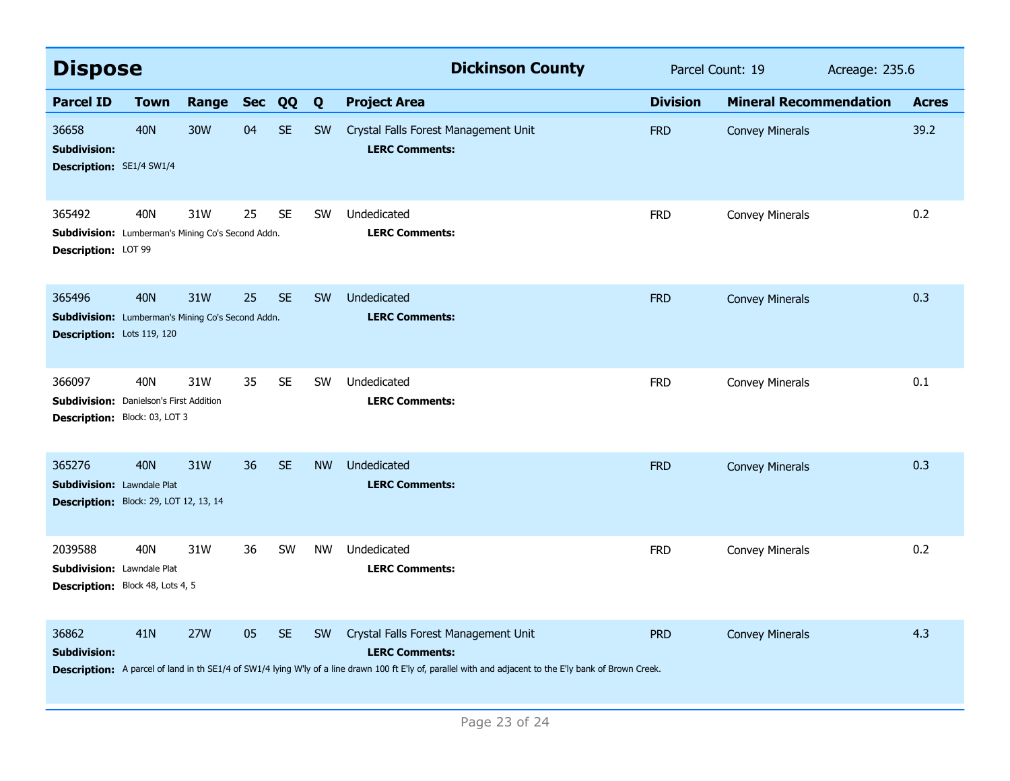| <b>Dispose</b>                                                                                   |             |            |            |           |           | <b>Dickinson County</b>                                                                                                                                                                                                    | Parcel Count: 19 |                               | Acreage: 235.6 |              |
|--------------------------------------------------------------------------------------------------|-------------|------------|------------|-----------|-----------|----------------------------------------------------------------------------------------------------------------------------------------------------------------------------------------------------------------------------|------------------|-------------------------------|----------------|--------------|
| <b>Parcel ID</b>                                                                                 | <b>Town</b> | Range      | <b>Sec</b> | QQ        | Q         | <b>Project Area</b>                                                                                                                                                                                                        | <b>Division</b>  | <b>Mineral Recommendation</b> |                | <b>Acres</b> |
| 36658<br><b>Subdivision:</b><br><b>Description: SE1/4 SW1/4</b>                                  | <b>40N</b>  | 30W        | 04         | <b>SE</b> | <b>SW</b> | Crystal Falls Forest Management Unit<br><b>LERC Comments:</b>                                                                                                                                                              | <b>FRD</b>       | <b>Convey Minerals</b>        |                | 39.2         |
| 365492<br><b>Subdivision:</b> Lumberman's Mining Co's Second Addn.<br>Description: LOT 99        | 40N         | 31W        | 25         | <b>SE</b> | <b>SW</b> | Undedicated<br><b>LERC Comments:</b>                                                                                                                                                                                       | <b>FRD</b>       | Convey Minerals               |                | 0.2          |
| 365496<br><b>Subdivision:</b> Lumberman's Mining Co's Second Addn.<br>Description: Lots 119, 120 | 40N         | 31W        | 25         | <b>SE</b> | <b>SW</b> | Undedicated<br><b>LERC Comments:</b>                                                                                                                                                                                       | <b>FRD</b>       | <b>Convey Minerals</b>        |                | 0.3          |
| 366097<br><b>Subdivision:</b> Danielson's First Addition<br>Description: Block: 03, LOT 3        | 40N         | 31W        | 35         | <b>SE</b> | <b>SW</b> | Undedicated<br><b>LERC Comments:</b>                                                                                                                                                                                       | <b>FRD</b>       | <b>Convey Minerals</b>        |                | 0.1          |
| 365276<br><b>Subdivision: Lawndale Plat</b><br>Description: Block: 29, LOT 12, 13, 14            | 40N         | 31W        | 36         | <b>SE</b> | <b>NW</b> | Undedicated<br><b>LERC Comments:</b>                                                                                                                                                                                       | <b>FRD</b>       | <b>Convey Minerals</b>        |                | 0.3          |
| 2039588<br>Subdivision: Lawndale Plat<br>Description: Block 48, Lots 4, 5                        | 40N         | 31W        | 36         | SW        | <b>NW</b> | Undedicated<br><b>LERC Comments:</b>                                                                                                                                                                                       | <b>FRD</b>       | Convey Minerals               |                | 0.2          |
| 36862<br><b>Subdivision:</b>                                                                     | 41N         | <b>27W</b> | 05         | <b>SE</b> | <b>SW</b> | Crystal Falls Forest Management Unit<br><b>LERC Comments:</b><br>Description: A parcel of land in th SE1/4 of SW1/4 lying W'ly of a line drawn 100 ft E'ly of, parallel with and adjacent to the E'ly bank of Brown Creek. | <b>PRD</b>       | <b>Convey Minerals</b>        |                | 4.3          |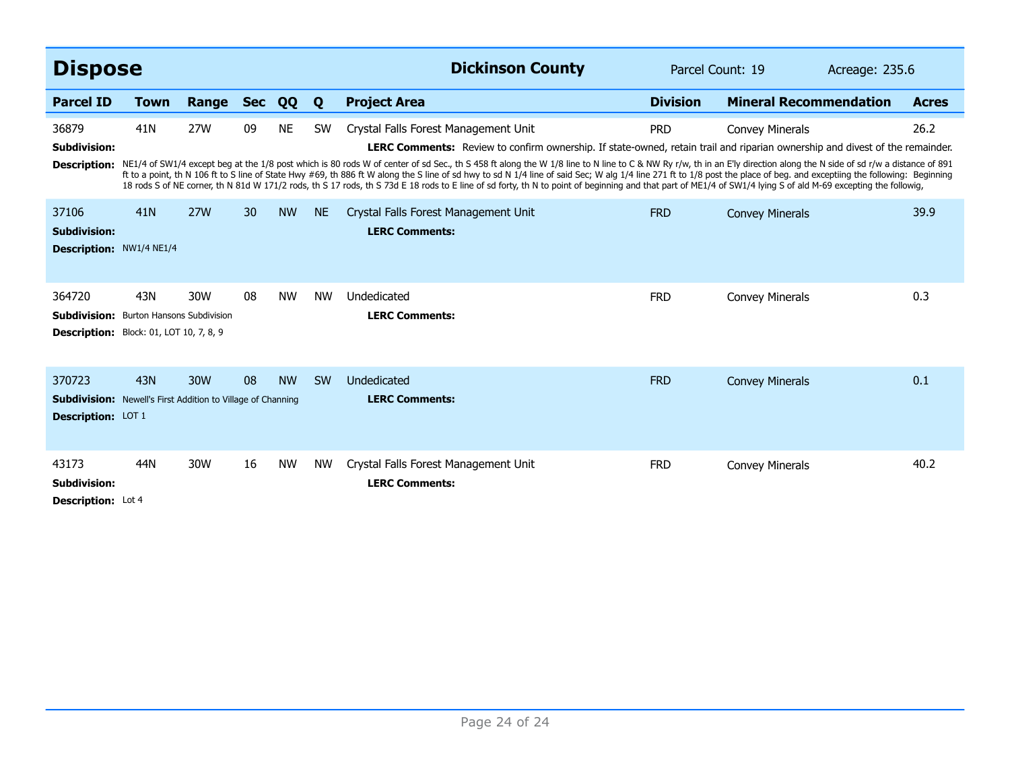| <b>Dispose</b>                                                                                             |                 |            |                 |           |           | <b>Dickinson County</b>                                                                                                                                                                                                                                                                                                                                                                                                                                                                                                                                                                                                                                                                                                                                                                                                               | Parcel Count: 19 |                               | Acreage: 235.6 |              |
|------------------------------------------------------------------------------------------------------------|-----------------|------------|-----------------|-----------|-----------|---------------------------------------------------------------------------------------------------------------------------------------------------------------------------------------------------------------------------------------------------------------------------------------------------------------------------------------------------------------------------------------------------------------------------------------------------------------------------------------------------------------------------------------------------------------------------------------------------------------------------------------------------------------------------------------------------------------------------------------------------------------------------------------------------------------------------------------|------------------|-------------------------------|----------------|--------------|
| <b>Parcel ID</b>                                                                                           | <b>Town</b>     | Range      | <b>Sec</b>      | QQ        | Q         | <b>Project Area</b>                                                                                                                                                                                                                                                                                                                                                                                                                                                                                                                                                                                                                                                                                                                                                                                                                   | <b>Division</b>  | <b>Mineral Recommendation</b> |                | <b>Acres</b> |
| 36879<br><b>Subdivision:</b><br><b>Description:</b>                                                        | 41 <sub>N</sub> | <b>27W</b> | 09              | <b>NE</b> | <b>SW</b> | Crystal Falls Forest Management Unit<br><b>LERC Comments:</b> Review to confirm ownership. If state-owned, retain trail and riparian ownership and divest of the remainder.<br>NE1/4 of SW1/4 except beg at the 1/8 post which is 80 rods W of center of sd Sec., th S 458 ft along the W 1/8 line to C & NW Ry r/w, th in an E'ly direction along the N side of sd r/w a distance of 891<br>ft to a point, th N 106 ft to S line of State Hwy #69, th 886 ft W along the S line of sd hwy to sd N 1/4 line of said Sec; W alq 1/4 line 271 ft to 1/8 post the place of beg. and exceptiing the following: Beginning<br>18 rods S of NE corner, th N 81d W 171/2 rods, th S 17 rods, th S 73d E 18 rods to E line of sd forty, th N to point of beginning and that part of ME1/4 of SW1/4 lying S of ald M-69 excepting the followig, | <b>PRD</b>       | <b>Convey Minerals</b>        |                | 26.2         |
| 37106<br><b>Subdivision:</b><br>Description: NW1/4 NE1/4                                                   | 41N             | <b>27W</b> | 30 <sup>°</sup> | <b>NW</b> | <b>NE</b> | Crystal Falls Forest Management Unit<br><b>LERC Comments:</b>                                                                                                                                                                                                                                                                                                                                                                                                                                                                                                                                                                                                                                                                                                                                                                         | <b>FRD</b>       | <b>Convey Minerals</b>        |                | 39.9         |
| 364720<br><b>Subdivision:</b> Burton Hansons Subdivision<br><b>Description:</b> Block: 01, LOT 10, 7, 8, 9 | 43N             | 30W        | 08              | <b>NW</b> | <b>NW</b> | Undedicated<br><b>LERC Comments:</b>                                                                                                                                                                                                                                                                                                                                                                                                                                                                                                                                                                                                                                                                                                                                                                                                  | <b>FRD</b>       | <b>Convey Minerals</b>        |                | 0.3          |
| 370723<br><b>Subdivision:</b> Newell's First Addition to Village of Channing<br><b>Description: LOT 1</b>  | 43N             | 30W        | 08              | <b>NW</b> | <b>SW</b> | Undedicated<br><b>LERC Comments:</b>                                                                                                                                                                                                                                                                                                                                                                                                                                                                                                                                                                                                                                                                                                                                                                                                  | <b>FRD</b>       | <b>Convey Minerals</b>        |                | 0.1          |
| 43173<br>Subdivision:<br><b>Description:</b> Lot 4                                                         | 44N             | 30W        | 16              | <b>NW</b> | <b>NW</b> | Crystal Falls Forest Management Unit<br><b>LERC Comments:</b>                                                                                                                                                                                                                                                                                                                                                                                                                                                                                                                                                                                                                                                                                                                                                                         | <b>FRD</b>       | <b>Convey Minerals</b>        |                | 40.2         |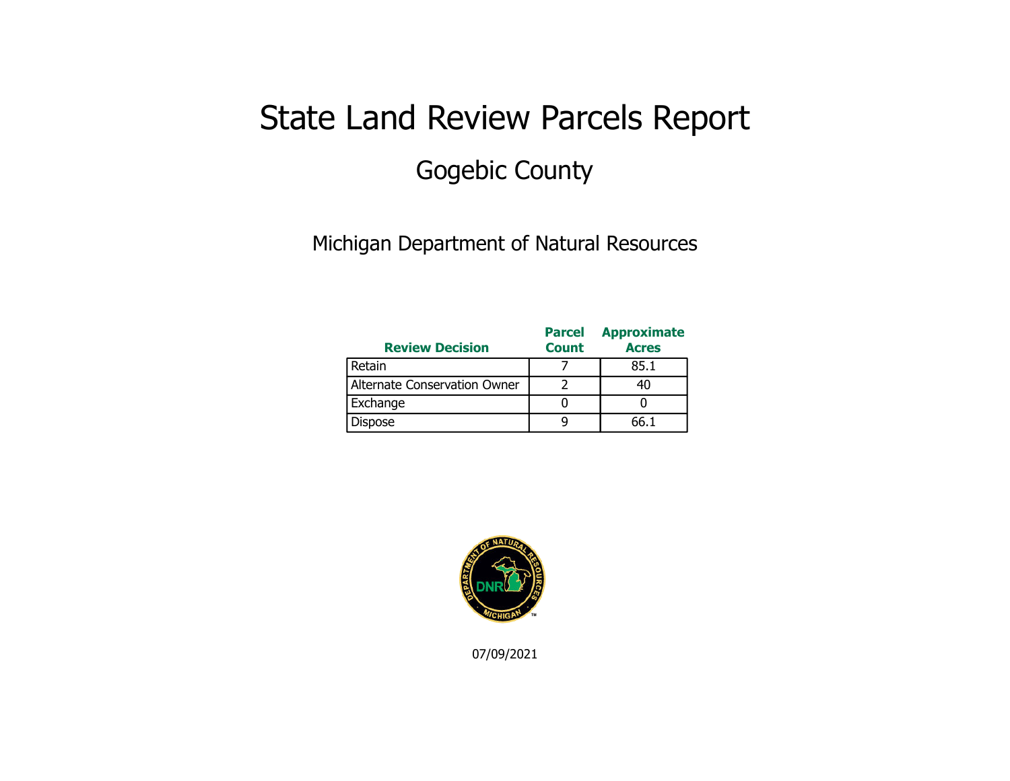## State Land Review Parcels Report Gogebic County

Michigan Department of Natural Resources

| <b>Review Decision</b>       | <b>Parcel</b><br><b>Count</b> | <b>Approximate</b><br><b>Acres</b> |
|------------------------------|-------------------------------|------------------------------------|
| Retain                       |                               | 85.1                               |
| Alternate Conservation Owner |                               |                                    |
| Exchange                     |                               |                                    |
| Dispose                      |                               | ናና 1                               |



07/09/2021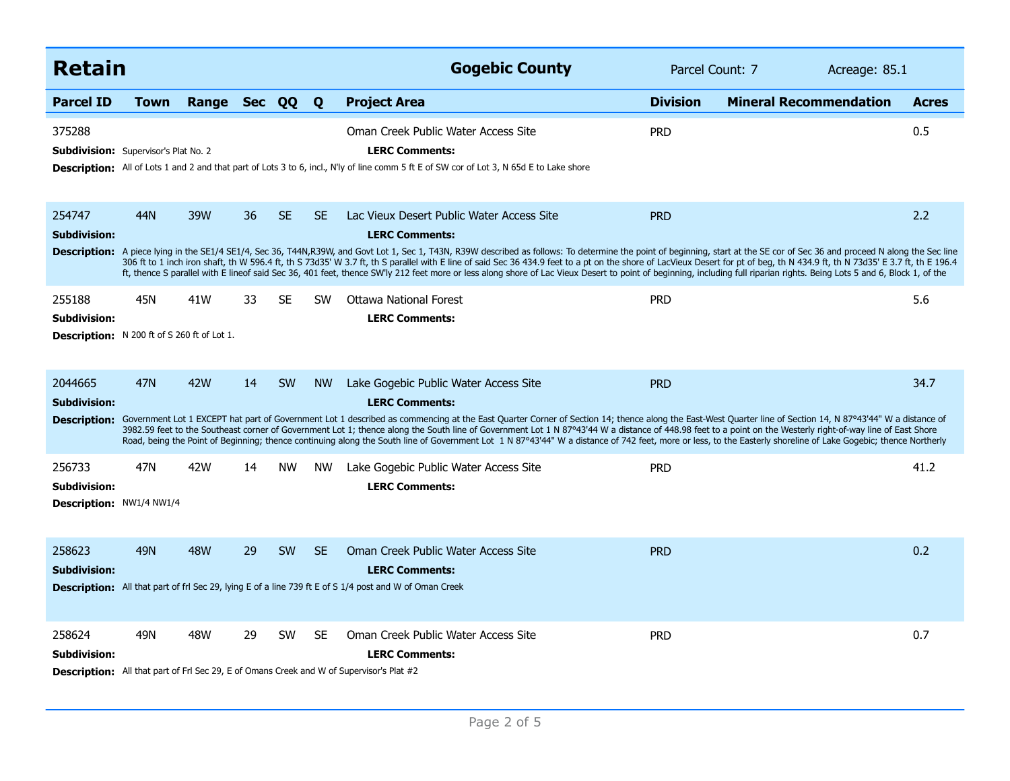| <b>Retain</b>                                                                       |            |                |    |           |           | <b>Gogebic County</b>                                                                                                                                                                                                                                                                                                                                                                                                                                                                                                                                                                                                                                                                                                                                           | Parcel Count: 7 | Acreage: 85.1                 |              |
|-------------------------------------------------------------------------------------|------------|----------------|----|-----------|-----------|-----------------------------------------------------------------------------------------------------------------------------------------------------------------------------------------------------------------------------------------------------------------------------------------------------------------------------------------------------------------------------------------------------------------------------------------------------------------------------------------------------------------------------------------------------------------------------------------------------------------------------------------------------------------------------------------------------------------------------------------------------------------|-----------------|-------------------------------|--------------|
| <b>Parcel ID</b>                                                                    | Town       | Range Sec QQ Q |    |           |           | <b>Project Area</b>                                                                                                                                                                                                                                                                                                                                                                                                                                                                                                                                                                                                                                                                                                                                             | <b>Division</b> | <b>Mineral Recommendation</b> | <b>Acres</b> |
| 375288<br><b>Subdivision:</b> Supervisor's Plat No. 2                               |            |                |    |           |           | Oman Creek Public Water Access Site<br><b>LERC Comments:</b><br>Description: All of Lots 1 and 2 and that part of Lots 3 to 6, incl., N'ly of line comm 5 ft E of SW cor of Lot 3, N 65d E to Lake shore                                                                                                                                                                                                                                                                                                                                                                                                                                                                                                                                                        | <b>PRD</b>      |                               | 0.5          |
| 254747<br><b>Subdivision:</b>                                                       | 44N        | 39W            | 36 | <b>SE</b> | <b>SE</b> | Lac Vieux Desert Public Water Access Site<br><b>LERC Comments:</b><br>Description: A piece lying in the SE1/4 SE1/4, Sec 36, T44N,R39W, and Govt Lot 1, Sec 1, T43N, R39W described as follows: To determine the point of beginning, start at the SE cor of Sec 36 and proceed N along the Sec line<br>306 ft to 1 inch iron shaft, th W 596.4 ft, th S 73d35' W 3.7 ft, th S parallel with E line of said Sec 36 434.9 feet to a pt on the shore of LacVieux Desert for pt of beg, th N 434.9 ft, th N 73d35' E 3.7 ft, th E 196.4<br>ft, thence S parallel with E lineof said Sec 36, 401 feet, thence SW'ly 212 feet more or less along shore of Lac Vieux Desert to point of beginning, including full riparian rights. Being Lots 5 and 6, Block 1, of the | <b>PRD</b>      |                               | 2.2          |
| 255188<br><b>Subdivision:</b><br><b>Description:</b> N 200 ft of S 260 ft of Lot 1. | 45N        | 41W            | 33 | SE        | <b>SW</b> | <b>Ottawa National Forest</b><br><b>LERC Comments:</b>                                                                                                                                                                                                                                                                                                                                                                                                                                                                                                                                                                                                                                                                                                          | <b>PRD</b>      |                               | 5.6          |
| 2044665<br><b>Subdivision:</b><br><b>Description:</b>                               | <b>47N</b> | <b>42W</b>     | 14 | <b>SW</b> | <b>NW</b> | Lake Gogebic Public Water Access Site<br><b>LERC Comments:</b><br>Government Lot 1 EXCEPT hat part of Government Lot 1 described as commencing at the East Quarter Corner of Section 14; thence along the East-West Quarter line of Section 14, N 87°43'44" W a distance of<br>3982.59 feet to the Southeast corner of Government Lot 1; thence along the South line of Government Lot 1 N 87°43'44 W a distance of 448.98 feet to a point on the Westerly right-of-way line of East Shore<br>Road, being the Point of Beginning; thence continuing along the South line of Government Lot 1 N 87°43'44" W a distance of 742 feet, more or less, to the Easterly shoreline of Lake Gogebic; thence Northerly                                                    | <b>PRD</b>      |                               | 34.7         |
| 256733<br><b>Subdivision:</b><br>Description: NW1/4 NW1/4                           | 47N        | 42W            | 14 | <b>NW</b> | <b>NW</b> | Lake Gogebic Public Water Access Site<br><b>LERC Comments:</b>                                                                                                                                                                                                                                                                                                                                                                                                                                                                                                                                                                                                                                                                                                  | <b>PRD</b>      |                               | 41.2         |
| 258623<br><b>Subdivision:</b>                                                       | 49N        | <b>48W</b>     | 29 | <b>SW</b> | <b>SE</b> | Oman Creek Public Water Access Site<br><b>LERC Comments:</b><br>Description: All that part of frl Sec 29, lying E of a line 739 ft E of S 1/4 post and W of Oman Creek                                                                                                                                                                                                                                                                                                                                                                                                                                                                                                                                                                                          | <b>PRD</b>      |                               | 0.2          |
| 258624<br>Subdivision:                                                              | 49N        | <b>48W</b>     | 29 | <b>SW</b> | <b>SE</b> | Oman Creek Public Water Access Site<br><b>LERC Comments:</b><br><b>Description:</b> All that part of Frl Sec 29, E of Omans Creek and W of Supervisor's Plat #2                                                                                                                                                                                                                                                                                                                                                                                                                                                                                                                                                                                                 | <b>PRD</b>      |                               | 0.7          |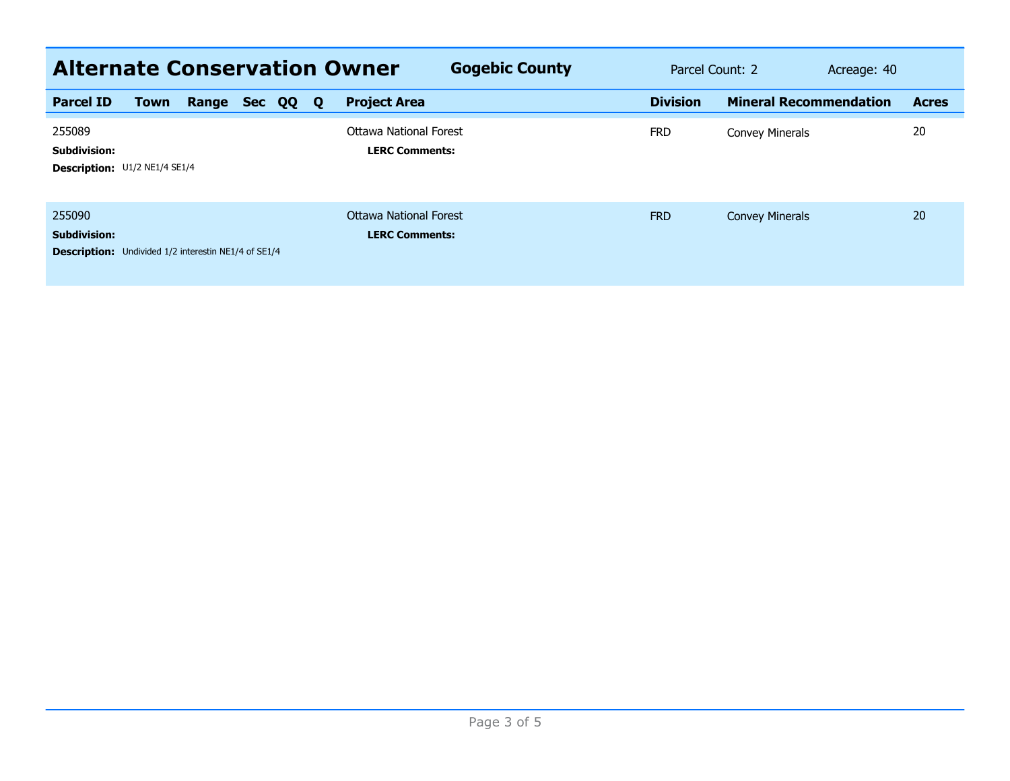| <b>Alternate Conservation Owner</b><br><b>Gogebic County</b><br>Parcel Count: 2<br>Acreage: 40 |      |       |            |    |              |                                                        |                 |                               |  |              |  |  |
|------------------------------------------------------------------------------------------------|------|-------|------------|----|--------------|--------------------------------------------------------|-----------------|-------------------------------|--|--------------|--|--|
| <b>Parcel ID</b>                                                                               | Town | Range | <b>Sec</b> | QQ | $\mathbf{Q}$ | <b>Project Area</b>                                    | <b>Division</b> | <b>Mineral Recommendation</b> |  | <b>Acres</b> |  |  |
| 255089<br><b>Subdivision:</b><br>Description: U1/2 NE1/4 SE1/4                                 |      |       |            |    |              | Ottawa National Forest<br><b>LERC Comments:</b>        | <b>FRD</b>      | <b>Convey Minerals</b>        |  | 20           |  |  |
| 255090<br><b>Subdivision:</b><br><b>Description:</b> Undivided 1/2 interestin NE1/4 of SE1/4   |      |       |            |    |              | <b>Ottawa National Forest</b><br><b>LERC Comments:</b> | <b>FRD</b>      | <b>Convey Minerals</b>        |  | 20           |  |  |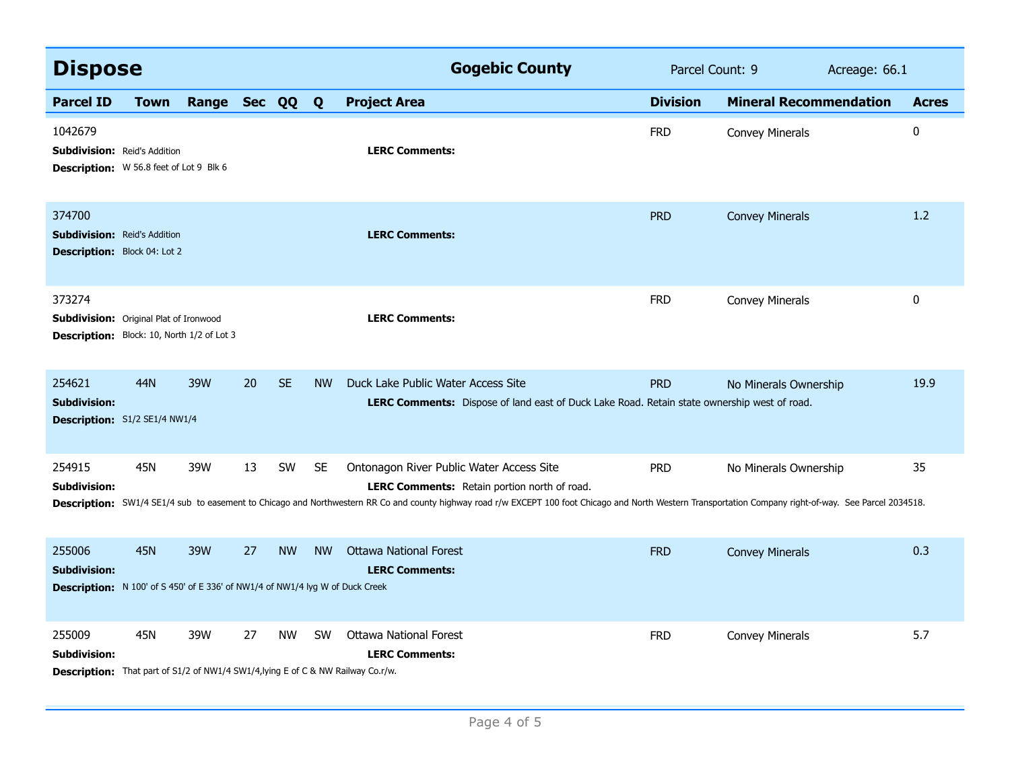| <b>Dispose</b>                                                                                                           |            |                |    |           |           | <b>Gogebic County</b>                                                                                                                                                                                                                                                                                        | Parcel Count: 9 |                               | Acreage: 66.1 |              |
|--------------------------------------------------------------------------------------------------------------------------|------------|----------------|----|-----------|-----------|--------------------------------------------------------------------------------------------------------------------------------------------------------------------------------------------------------------------------------------------------------------------------------------------------------------|-----------------|-------------------------------|---------------|--------------|
| <b>Parcel ID</b>                                                                                                         | Town       | Range Sec QQ Q |    |           |           | <b>Project Area</b>                                                                                                                                                                                                                                                                                          | <b>Division</b> | <b>Mineral Recommendation</b> |               | <b>Acres</b> |
| 1042679<br><b>Subdivision: Reid's Addition</b><br>Description: W 56.8 feet of Lot 9 Blk 6                                |            |                |    |           |           | <b>LERC Comments:</b>                                                                                                                                                                                                                                                                                        | <b>FRD</b>      | <b>Convey Minerals</b>        |               | 0            |
| 374700<br><b>Subdivision: Reid's Addition</b><br><b>Description:</b> Block 04: Lot 2                                     |            |                |    |           |           | <b>LERC Comments:</b>                                                                                                                                                                                                                                                                                        | <b>PRD</b>      | <b>Convey Minerals</b>        |               | 1.2          |
| 373274<br><b>Subdivision:</b> Original Plat of Ironwood<br><b>Description:</b> Block: 10, North 1/2 of Lot 3             |            |                |    |           |           | <b>LERC Comments:</b>                                                                                                                                                                                                                                                                                        | <b>FRD</b>      | <b>Convey Minerals</b>        |               | 0            |
| 254621<br><b>Subdivision:</b><br>Description: S1/2 SE1/4 NW1/4                                                           | 44N        | 39W            | 20 | <b>SE</b> | <b>NW</b> | Duck Lake Public Water Access Site<br>LERC Comments: Dispose of land east of Duck Lake Road. Retain state ownership west of road.                                                                                                                                                                            | <b>PRD</b>      | No Minerals Ownership         |               | 19.9         |
| 254915<br><b>Subdivision:</b>                                                                                            | 45N        | 39W            | 13 | <b>SW</b> | <b>SE</b> | Ontonagon River Public Water Access Site<br><b>LERC Comments:</b> Retain portion north of road.<br>Description: SW1/4 SE1/4 sub to easement to Chicago and Northwestern RR Co and county highway road r/w EXCEPT 100 foot Chicago and North Western Transportation Company right-of-way. See Parcel 2034518. | <b>PRD</b>      | No Minerals Ownership         |               | 35           |
| 255006<br><b>Subdivision:</b><br><b>Description:</b> N 100' of S 450' of E 336' of NW1/4 of NW1/4 lyg W of Duck Creek    | <b>45N</b> | 39W            | 27 | <b>NW</b> | <b>NW</b> | <b>Ottawa National Forest</b><br><b>LERC Comments:</b>                                                                                                                                                                                                                                                       | <b>FRD</b>      | <b>Convey Minerals</b>        |               | 0.3          |
| 255009<br><b>Subdivision:</b><br><b>Description:</b> That part of S1/2 of NW1/4 SW1/4, lying E of C & NW Railway Co.r/w. | 45N        | 39W            | 27 | <b>NW</b> | <b>SW</b> | <b>Ottawa National Forest</b><br><b>LERC Comments:</b>                                                                                                                                                                                                                                                       | <b>FRD</b>      | <b>Convey Minerals</b>        |               | 5.7          |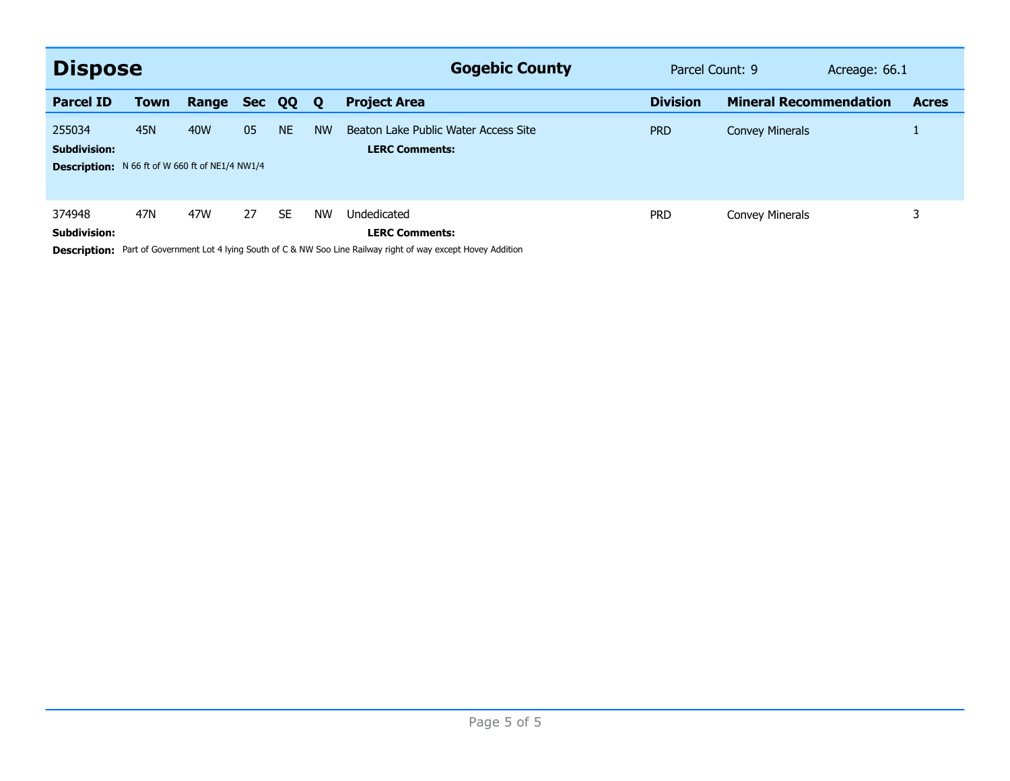| <b>Dispose</b>                                                                          |             |       |            |           |             | <b>Gogebic County</b>                                         | Parcel Count: 9 |                               | Acreage: 66.1 |              |
|-----------------------------------------------------------------------------------------|-------------|-------|------------|-----------|-------------|---------------------------------------------------------------|-----------------|-------------------------------|---------------|--------------|
| <b>Parcel ID</b>                                                                        | <b>Town</b> | Range | <b>Sec</b> | QQ        | $\mathbf 0$ | <b>Project Area</b>                                           | <b>Division</b> | <b>Mineral Recommendation</b> |               | <b>Acres</b> |
| 255034<br><b>Subdivision:</b><br><b>Description:</b> N 66 ft of W 660 ft of NE1/4 NW1/4 | <b>45N</b>  | 40W   | 05         | <b>NE</b> | <b>NW</b>   | Beaton Lake Public Water Access Site<br><b>LERC Comments:</b> | <b>PRD</b>      | <b>Convey Minerals</b>        |               |              |
| 374948<br><b>Subdivision:</b>                                                           | 47N         | 47W   | 27         | <b>SE</b> | <b>NW</b>   | Undedicated<br><b>LERC Comments:</b>                          | <b>PRD</b>      | Convey Minerals               |               | 3            |

**Description:** Part of Government Lot 4 lying South of C & NW Soo Line Railway right of way except Hovey Addition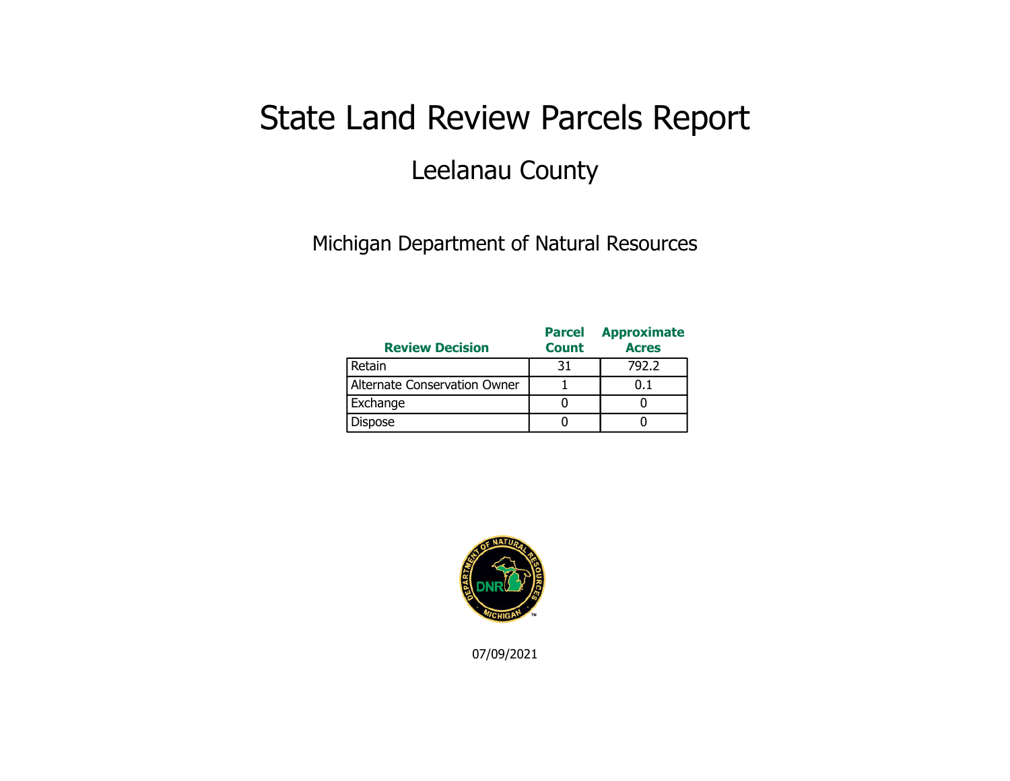## State Land Review Parcels Report Leelanau County

Michigan Department of Natural Resources

| <b>Review Decision</b>       | <b>Parcel</b><br><b>Count</b> | <b>Approximate</b><br><b>Acres</b> |
|------------------------------|-------------------------------|------------------------------------|
| Retain                       | 31                            | 792.2                              |
| Alternate Conservation Owner |                               | 0.1                                |
| Exchange                     |                               |                                    |
| <b>Dispose</b>               |                               |                                    |



07/09/2021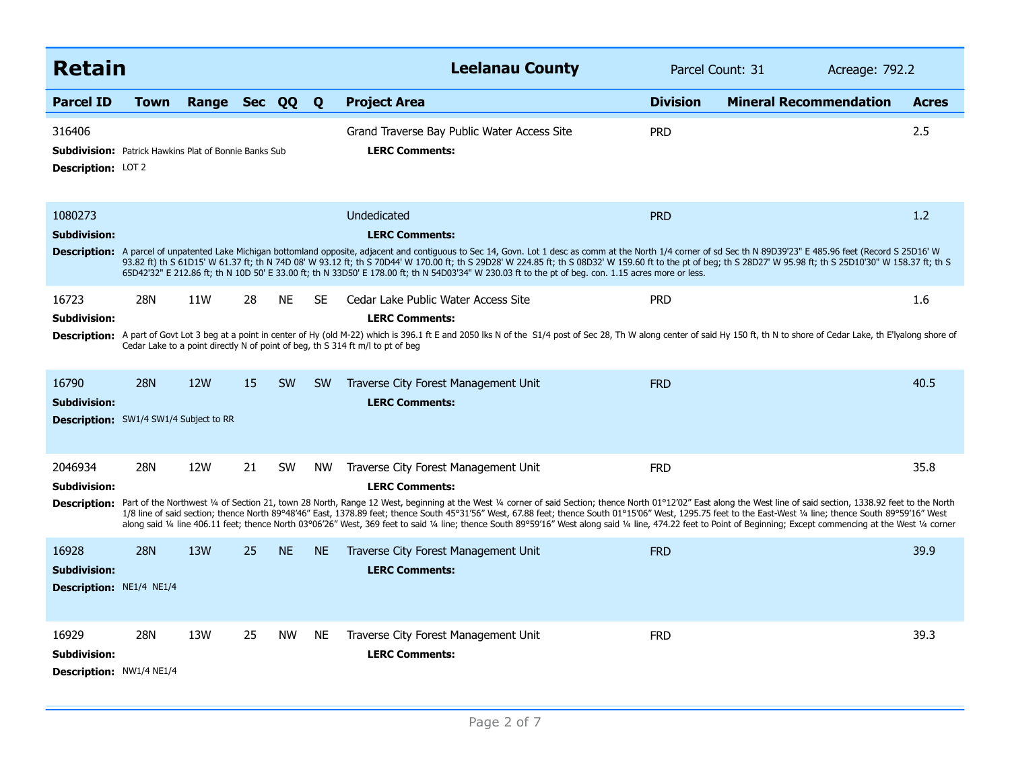| <b>Retain</b>                                                                                       |            |              |    |           |           | <b>Leelanau County</b>                                                                                                                                                                                                                                                                                                                                                                                                                                                                                                                                                                                                                                                                                                                     | Parcel Count: 31<br>Acreage: 792.2 |                               |              |
|-----------------------------------------------------------------------------------------------------|------------|--------------|----|-----------|-----------|--------------------------------------------------------------------------------------------------------------------------------------------------------------------------------------------------------------------------------------------------------------------------------------------------------------------------------------------------------------------------------------------------------------------------------------------------------------------------------------------------------------------------------------------------------------------------------------------------------------------------------------------------------------------------------------------------------------------------------------------|------------------------------------|-------------------------------|--------------|
| <b>Parcel ID</b>                                                                                    | Town       | Range Sec QQ |    |           | Q         | <b>Project Area</b>                                                                                                                                                                                                                                                                                                                                                                                                                                                                                                                                                                                                                                                                                                                        | <b>Division</b>                    | <b>Mineral Recommendation</b> | <b>Acres</b> |
| 316406<br><b>Subdivision:</b> Patrick Hawkins Plat of Bonnie Banks Sub<br><b>Description: LOT 2</b> |            |              |    |           |           | Grand Traverse Bay Public Water Access Site<br><b>LERC Comments:</b>                                                                                                                                                                                                                                                                                                                                                                                                                                                                                                                                                                                                                                                                       | <b>PRD</b>                         |                               | 2.5          |
| 1080273<br><b>Subdivision:</b>                                                                      |            |              |    |           |           | Undedicated<br><b>LERC Comments:</b><br>Description: A parcel of unpatented Lake Michigan bottomland opposite, adjacent and contiguous to Sec 14, Govn. Lot 1 desc as comm at the North 1/4 corner of sd Sec th N 89D39'23" E 485.96 feet (Record S 25D16' W<br>93.82 ft) th S 61D15' W 61.37 ft; th N 74D 08' W 93.12 ft; th S 70D44' W 170.00 ft; th S 29D28' W 224.85 ft; th S 08D32' W 159.60 ft to the pt of beg; th S 28D27' W 95.98 ft; th S 25D10'30" W 158.37 ft; th S<br>65D42'32" E 212.86 ft; th N 10D 50' E 33.00 ft; th N 33D50' E 178.00 ft; th N 54D03'34" W 230.03 ft to the pt of beg. con. 1.15 acres more or less.                                                                                                     | <b>PRD</b>                         |                               | 1.2          |
| 16723<br>Subdivision:                                                                               | 28N        | 11W          | 28 | NE.       | <b>SE</b> | Cedar Lake Public Water Access Site<br><b>LERC Comments:</b><br>Description: A part of Govt Lot 3 beg at a point in center of Hy (old M-22) which is 396.1 ft E and 2050 lks N of the S1/4 post of Sec 28, Th W along center of said Hy 150 ft, th N to shore of Cedar Lake, th E'lyalong shor<br>Cedar Lake to a point directly N of point of beg, th S 314 ft m/l to pt of beg                                                                                                                                                                                                                                                                                                                                                           | <b>PRD</b>                         |                               | 1.6          |
| 16790<br><b>Subdivision:</b><br><b>Description:</b> SW1/4 SW1/4 Subject to RR                       | <b>28N</b> | 12W          | 15 | <b>SW</b> | <b>SW</b> | Traverse City Forest Management Unit<br><b>LERC Comments:</b>                                                                                                                                                                                                                                                                                                                                                                                                                                                                                                                                                                                                                                                                              | <b>FRD</b>                         |                               | 40.5         |
| 2046934<br><b>Subdivision:</b>                                                                      | <b>28N</b> | 12W          | 21 | SW        | <b>NW</b> | Traverse City Forest Management Unit<br><b>LERC Comments:</b><br>Description: Part of the Northwest 1/4 of Section 21, town 28 North, Range 12 West, beginning at the West 1/4 corner of said Section; thence North 01°12'02" East along the West line of said section, 1338.92 feet to the Nor<br>1/8 line of said section; thence North 89°48'46" East, 1378.89 feet; thence South 45°31'56" West, 67.88 feet; thence South 01°15'06" West, 1295.75 feet to the East-West 1/4 line; thence South 89°59'16" West<br>along said 1/4 line 406.11 feet; thence North 03°06'26" West, 369 feet to said 1/4 line; thence South 89°59'16" West along said 1/4 line, 474.22 feet to Point of Beginning; Except commencing at the West 1/4 corner | <b>FRD</b>                         |                               | 35.8         |
| 16928<br><b>Subdivision:</b><br>Description: NE1/4 NE1/4                                            | <b>28N</b> | 13W          | 25 | <b>NE</b> | <b>NE</b> | Traverse City Forest Management Unit<br><b>LERC Comments:</b>                                                                                                                                                                                                                                                                                                                                                                                                                                                                                                                                                                                                                                                                              | <b>FRD</b>                         |                               | 39.9         |
| 16929<br>Subdivision:<br>Description: NW1/4 NE1/4                                                   | 28N        | 13W          | 25 | <b>NW</b> | <b>NE</b> | Traverse City Forest Management Unit<br><b>LERC Comments:</b>                                                                                                                                                                                                                                                                                                                                                                                                                                                                                                                                                                                                                                                                              | <b>FRD</b>                         |                               | 39.3         |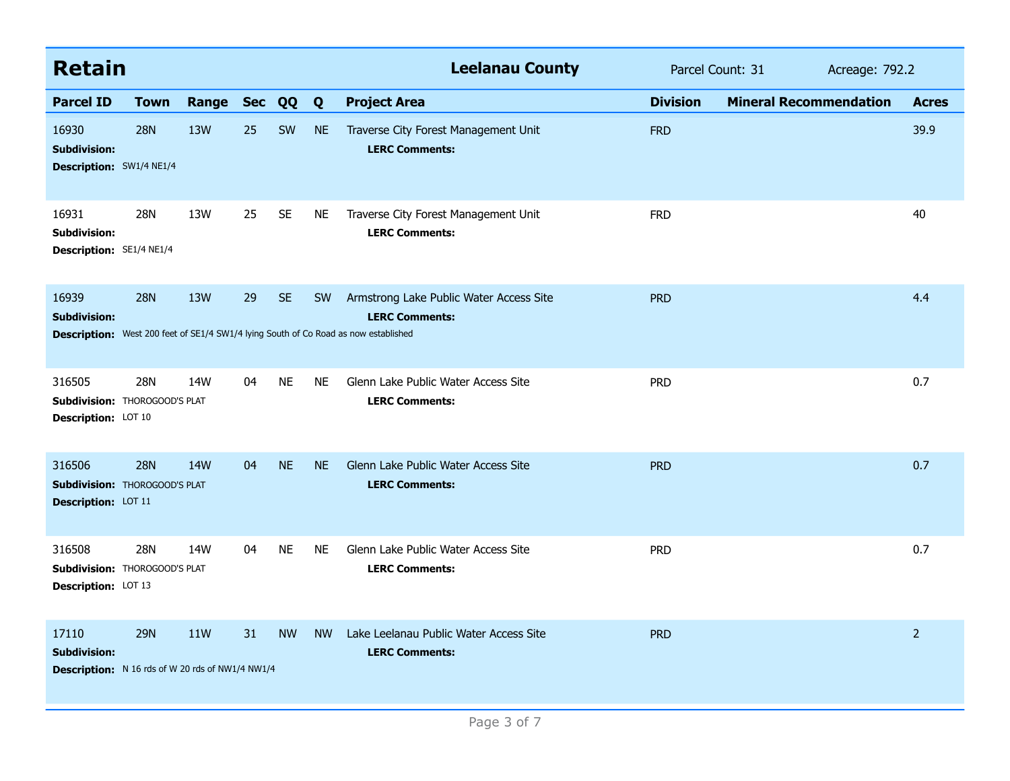| <b>Retain</b>                                                                           |             |                 |            |           |           | <b>Leelanau County</b>                                                                                                                                  | Parcel Count: 31<br>Acreage: 792.2 |                               |                |
|-----------------------------------------------------------------------------------------|-------------|-----------------|------------|-----------|-----------|---------------------------------------------------------------------------------------------------------------------------------------------------------|------------------------------------|-------------------------------|----------------|
| <b>Parcel ID</b>                                                                        | <b>Town</b> | Range           | <b>Sec</b> | QQ        | Q         | <b>Project Area</b>                                                                                                                                     | <b>Division</b>                    | <b>Mineral Recommendation</b> | <b>Acres</b>   |
| 16930<br><b>Subdivision:</b><br>Description: SW1/4 NE1/4                                | <b>28N</b>  | 13W             | 25         | SW        | <b>NE</b> | Traverse City Forest Management Unit<br><b>LERC Comments:</b>                                                                                           | <b>FRD</b>                         |                               | 39.9           |
| 16931<br><b>Subdivision:</b><br>Description: SE1/4 NE1/4                                | 28N         | 13W             | 25         | <b>SE</b> | <b>NE</b> | Traverse City Forest Management Unit<br><b>LERC Comments:</b>                                                                                           | <b>FRD</b>                         |                               | 40             |
| 16939<br><b>Subdivision:</b>                                                            | <b>28N</b>  | 13W             | 29         | <b>SE</b> | <b>SW</b> | Armstrong Lake Public Water Access Site<br><b>LERC Comments:</b><br>Description: West 200 feet of SE1/4 SW1/4 lying South of Co Road as now established | <b>PRD</b>                         |                               | 4.4            |
| 316505<br><b>Subdivision: THOROGOOD'S PLAT</b><br>Description: LOT 10                   | 28N         | 14W             | 04         | <b>NE</b> | <b>NE</b> | Glenn Lake Public Water Access Site<br><b>LERC Comments:</b>                                                                                            | <b>PRD</b>                         |                               | 0.7            |
| 316506<br><b>Subdivision: THOROGOOD'S PLAT</b><br>Description: LOT 11                   | <b>28N</b>  | 14 <sub>W</sub> | 04         | <b>NE</b> | <b>NE</b> | Glenn Lake Public Water Access Site<br><b>LERC Comments:</b>                                                                                            | <b>PRD</b>                         |                               | 0.7            |
| 316508<br>Subdivision: THOROGOOD'S PLAT<br>Description: LOT 13                          | <b>28N</b>  | 14W             | 04         | <b>NE</b> | <b>NE</b> | Glenn Lake Public Water Access Site<br><b>LERC Comments:</b>                                                                                            | <b>PRD</b>                         |                               | 0.7            |
| 17110<br><b>Subdivision:</b><br><b>Description:</b> N 16 rds of W 20 rds of NW1/4 NW1/4 | <b>29N</b>  | 11W             | 31         | <b>NW</b> | <b>NW</b> | Lake Leelanau Public Water Access Site<br><b>LERC Comments:</b>                                                                                         | <b>PRD</b>                         |                               | $\overline{2}$ |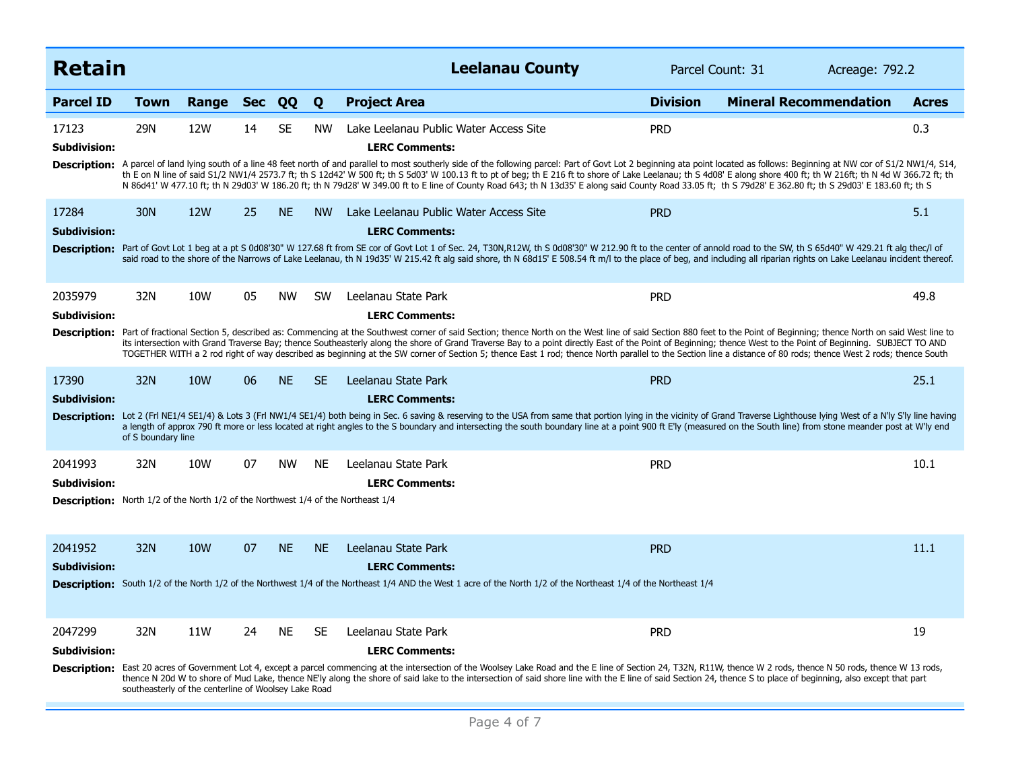| <b>Retain</b>                                                                                                              |                                                             |                 |            |           |           | <b>Leelanau County</b>                                                                                                                                                                                                                                                                                                                                                                                                                                                                                                                                                                                                                                                                                                                                     | Parcel Count: 31 | Acreage: 792.2                |              |
|----------------------------------------------------------------------------------------------------------------------------|-------------------------------------------------------------|-----------------|------------|-----------|-----------|------------------------------------------------------------------------------------------------------------------------------------------------------------------------------------------------------------------------------------------------------------------------------------------------------------------------------------------------------------------------------------------------------------------------------------------------------------------------------------------------------------------------------------------------------------------------------------------------------------------------------------------------------------------------------------------------------------------------------------------------------------|------------------|-------------------------------|--------------|
| <b>Parcel ID</b>                                                                                                           | Town                                                        | Range           | <b>Sec</b> | QQ        | Q         | <b>Project Area</b>                                                                                                                                                                                                                                                                                                                                                                                                                                                                                                                                                                                                                                                                                                                                        | <b>Division</b>  | <b>Mineral Recommendation</b> | <b>Acres</b> |
| 17123<br><b>Subdivision:</b>                                                                                               | 29N                                                         | 12W             | 14         | <b>SE</b> | <b>NW</b> | Lake Leelanau Public Water Access Site<br><b>LERC Comments:</b><br>Description: A parcel of land lying south of a line 48 feet north of and parallel to most southerly side of the following parcel: Part of Govt Lot 2 beginning ata point located as follows: Beginning at NW cor of S1/2 NW1/4<br>th E on N line of said S1/2 NW1/4 2573.7 ft; th S 12d42' W 500 ft; th S 5d03' W 100.13 ft to pt of beg; th E 216 ft to shore of Lake Leelanau; th S 4d08' E along shore 400 ft; th W 216ft; th N 4d W 366.72 ft; th<br>N 86d41' W 477.10 ft; th N 29d03' W 186.20 ft; th N 79d28' W 349.00 ft to E line of County Road 643; th N 13d35' E along said County Road 33.05 ft; th S 79d28' E 362.80 ft; th S 29d03' E 183.60 ft; th S 29d03' E 183.60 ft; | <b>PRD</b>       |                               | 0.3          |
| 17284<br><b>Subdivision:</b>                                                                                               | 30N                                                         | <b>12W</b>      | 25         | <b>NE</b> | <b>NW</b> | Lake Leelanau Public Water Access Site<br><b>LERC Comments:</b><br>Description: Part of Govt Lot 1 beg at a pt S 0d08'30" W 127.68 ft from SE cor of Govt Lot 1 of Sec. 24, T30N,R12W, th S 0d08'30" W 212.90 ft to the center of annold road to the SW, th S 65d40" W 429.21 ft alg thec/l of<br>said road to the shore of the Narrows of Lake Leelanau, th N 19d35' W 215.42 ft alg said shore, th N 68d15' E 508.54 ft m/l to the place of beg, and including all riparian rights on Lake Leelanau incident thereof.                                                                                                                                                                                                                                    | <b>PRD</b>       |                               | 5.1          |
| 2035979<br>Subdivision:                                                                                                    | 32N                                                         | 10W             | 05         | <b>NW</b> | <b>SW</b> | Leelanau State Park<br><b>LERC Comments:</b><br>Description: Part of fractional Section 5, described as: Commencing at the Southwest corner of said Section; thence North on the West line of said Section 880 feet to the Point of Beginning; thence North on said West line<br>its intersection with Grand Traverse Bay; thence Southeasterly along the shore of Grand Traverse Bay to a point directly East of the Point of Beginning; thence West to the Point of Beginning. SUBJECT TO AND<br>TOGETHER WITH a 2 rod right of way described as beginning at the SW corner of Section 5; thence East 1 rod; thence North parallel to the Section line a distance of 80 rods; thence West 2 rods; thence South                                           | <b>PRD</b>       |                               | 49.8         |
| 17390<br><b>Subdivision:</b>                                                                                               | 32N<br>of S boundary line                                   | 10 <sub>W</sub> | 06         | <b>NE</b> | <b>SE</b> | Leelanau State Park<br><b>LERC Comments:</b><br>Description: Lot 2 (Frl NE1/4 SE1/4) & Lots 3 (Frl NW1/4 SE1/4) both being in Sec. 6 saving & reserving to the USA from same that portion lying in the vicinity of Grand Traverse Lighthouse lying West of a N'ly S'ly line ha<br>a length of approx 790 ft more or less located at right angles to the S boundary and intersecting the south boundary line at a point 900 ft E'ly (measured on the South line) from stone meander post at W'ly end                                                                                                                                                                                                                                                        | <b>PRD</b>       |                               | 25.1         |
| 2041993<br><b>Subdivision:</b><br><b>Description:</b> North 1/2 of the North 1/2 of the Northwest 1/4 of the Northeast 1/4 | 32N                                                         | 10W             | 07         | <b>NW</b> | <b>NE</b> | Leelanau State Park<br><b>LERC Comments:</b>                                                                                                                                                                                                                                                                                                                                                                                                                                                                                                                                                                                                                                                                                                               | <b>PRD</b>       |                               | 10.1         |
| 2041952<br><b>Subdivision:</b>                                                                                             | 32N                                                         | 10W             | 07         | <b>NE</b> | <b>NE</b> | Leelanau State Park<br><b>LERC Comments:</b><br><b>Description:</b> South 1/2 of the North 1/2 of the Northwest 1/4 of the Northeast 1/4 AND the West 1 acre of the North 1/2 of the Northeast 1/4 of the Northeast 1/4                                                                                                                                                                                                                                                                                                                                                                                                                                                                                                                                    | <b>PRD</b>       |                               | 11.1         |
| 2047299<br><b>Subdivision:</b>                                                                                             | 32N<br>southeasterly of the centerline of Woolsey Lake Road | 11W             | 24         | <b>NE</b> | <b>SE</b> | Leelanau State Park<br><b>LERC Comments:</b><br>Description: East 20 acres of Government Lot 4, except a parcel commencing at the intersection of the Woolsey Lake Road and the E line of Section 24, T32N, R11W, thence W 2 rods, thence N 50 rods, thence W 13 rods,<br>thence N 20d W to shore of Mud Lake, thence NE'ly along the shore of said lake to the intersection of said shore line with the E line of said Section 24, thence S to place of beginning, also except that part                                                                                                                                                                                                                                                                  | <b>PRD</b>       |                               | 19           |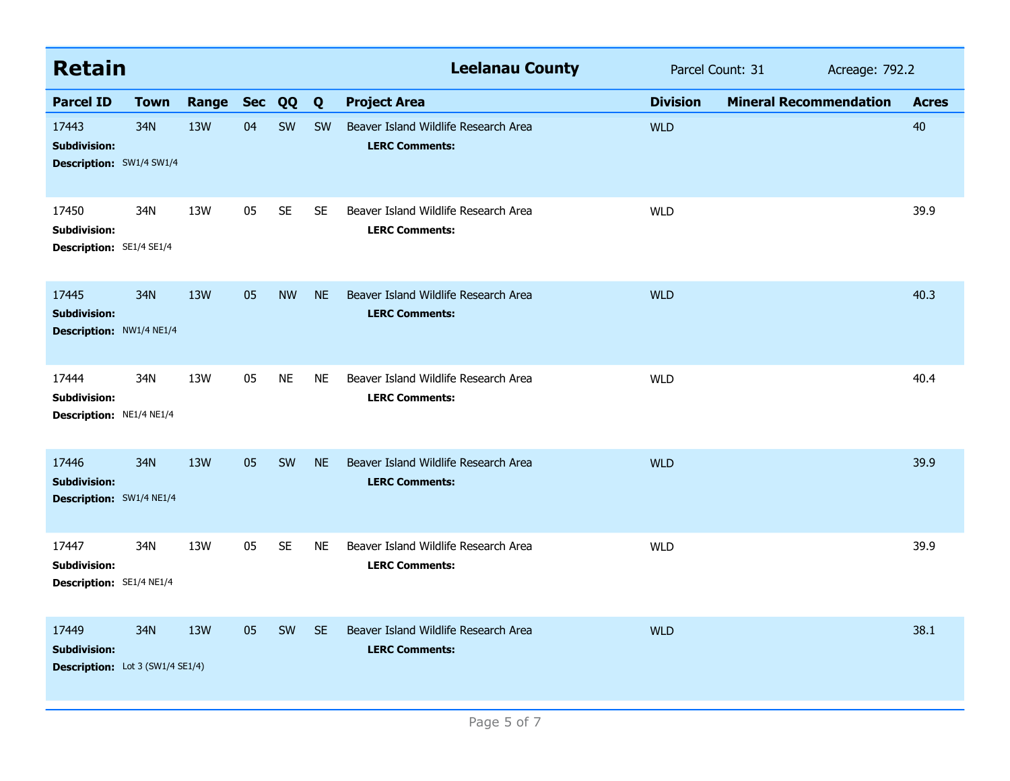| <b>Retain</b>                                                   |                                         |            |            |           |           | <b>Leelanau County</b>                                        |                 | Parcel Count: 31              | Acreage: 792.2 |  |
|-----------------------------------------------------------------|-----------------------------------------|------------|------------|-----------|-----------|---------------------------------------------------------------|-----------------|-------------------------------|----------------|--|
| <b>Parcel ID</b>                                                | <b>Town</b>                             | Range      | <b>Sec</b> | QQ        | Q         | <b>Project Area</b>                                           | <b>Division</b> | <b>Mineral Recommendation</b> | <b>Acres</b>   |  |
| 17443<br><b>Subdivision:</b><br><b>Description:</b> SW1/4 SW1/4 | 34N                                     | 13W        | 04         | SW        | <b>SW</b> | Beaver Island Wildlife Research Area<br><b>LERC Comments:</b> | <b>WLD</b>      |                               | 40             |  |
| 17450<br><b>Subdivision:</b><br>Description: SE1/4 SE1/4        | 34N                                     | 13W        | 05         | <b>SE</b> | <b>SE</b> | Beaver Island Wildlife Research Area<br><b>LERC Comments:</b> | <b>WLD</b>      |                               | 39.9           |  |
| 17445<br><b>Subdivision:</b><br>Description: NW1/4 NE1/4        | 34N                                     | 13W        | 05         | <b>NW</b> | <b>NE</b> | Beaver Island Wildlife Research Area<br><b>LERC Comments:</b> | <b>WLD</b>      |                               | 40.3           |  |
| 17444<br><b>Subdivision:</b><br>Description: NE1/4 NE1/4        | 34N                                     | 13W        | 05         | <b>NE</b> | <b>NE</b> | Beaver Island Wildlife Research Area<br><b>LERC Comments:</b> | <b>WLD</b>      |                               | 40.4           |  |
| 17446<br><b>Subdivision:</b><br>Description: SW1/4 NE1/4        | 34N                                     | 13W        | 05         | SW        | <b>NE</b> | Beaver Island Wildlife Research Area<br><b>LERC Comments:</b> | <b>WLD</b>      |                               | 39.9           |  |
| 17447<br><b>Subdivision:</b><br>Description: SE1/4 NE1/4        | 34N                                     | 13W        | 05         | <b>SE</b> | <b>NE</b> | Beaver Island Wildlife Research Area<br><b>LERC Comments:</b> | <b>WLD</b>      |                               | 39.9           |  |
| 17449<br><b>Subdivision:</b>                                    | 34N<br>Description: Lot 3 (SW1/4 SE1/4) | <b>13W</b> | 05         | SW        | <b>SE</b> | Beaver Island Wildlife Research Area<br><b>LERC Comments:</b> | <b>WLD</b>      |                               | 38.1           |  |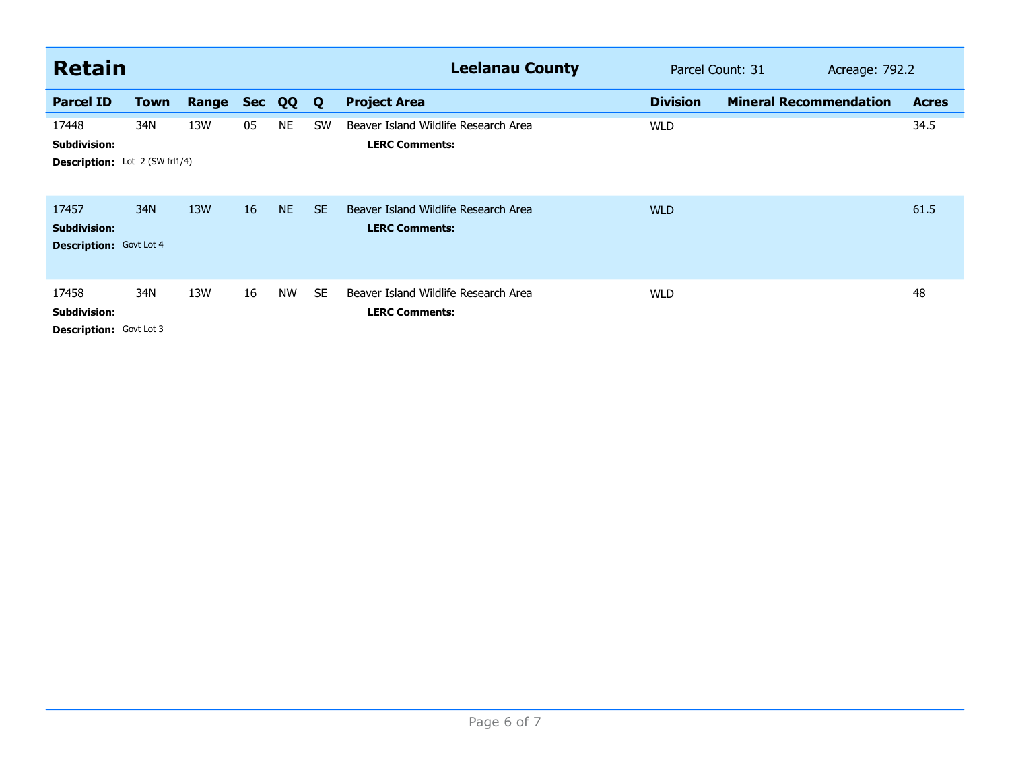| <b>Retain</b>                                                         |             |       |            |           |           | <b>Leelanau County</b>                                        | Parcel Count: 31 | Acreage: 792.2                |  |              |
|-----------------------------------------------------------------------|-------------|-------|------------|-----------|-----------|---------------------------------------------------------------|------------------|-------------------------------|--|--------------|
| <b>Parcel ID</b>                                                      | <b>Town</b> | Range | <b>Sec</b> | QQ        | Q         | <b>Project Area</b>                                           | <b>Division</b>  | <b>Mineral Recommendation</b> |  | <b>Acres</b> |
| 17448<br><b>Subdivision:</b><br><b>Description:</b> Lot 2 (SW frl1/4) | 34N         | 13W   | 05         | <b>NE</b> | SW        | Beaver Island Wildlife Research Area<br><b>LERC Comments:</b> | <b>WLD</b>       |                               |  | 34.5         |
| 17457<br><b>Subdivision:</b><br><b>Description:</b> Govt Lot 4        | 34N         | 13W   | 16         | <b>NE</b> | <b>SE</b> | Beaver Island Wildlife Research Area<br><b>LERC Comments:</b> | <b>WLD</b>       |                               |  | 61.5         |
| 17458<br><b>Subdivision:</b><br><b>Description:</b> Govt Lot 3        | 34N         | 13W   | 16         | <b>NW</b> | <b>SE</b> | Beaver Island Wildlife Research Area<br><b>LERC Comments:</b> | <b>WLD</b>       |                               |  | 48           |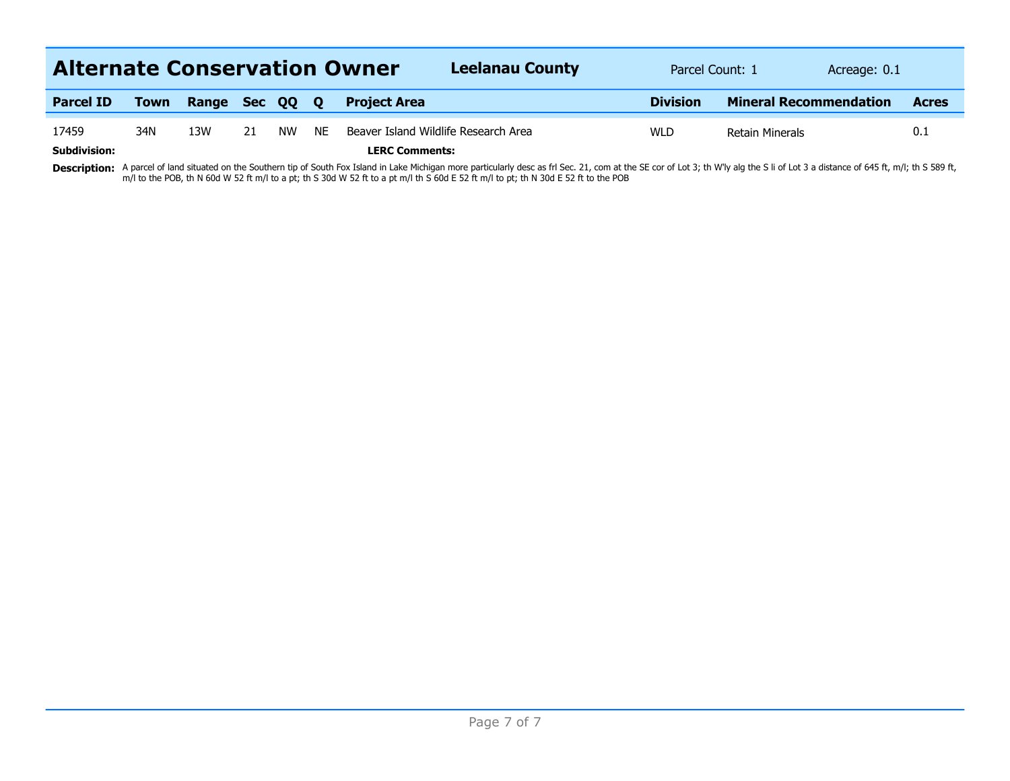| <b>Alternate Conservation Owner</b> |             |                |     |           |           | <b>Leelanau County</b>                                        | Parcel Count: 1 | Acreage: 0.1                  |              |
|-------------------------------------|-------------|----------------|-----|-----------|-----------|---------------------------------------------------------------|-----------------|-------------------------------|--------------|
| <b>Parcel ID</b>                    | <b>Town</b> | Range Sec QQ Q |     |           |           | <b>Project Area</b>                                           | <b>Division</b> | <b>Mineral Recommendation</b> | <b>Acres</b> |
| 17459<br><b>Subdivision:</b>        | 34N         | 13W            | -21 | <b>NW</b> | <b>NE</b> | Beaver Island Wildlife Research Area<br><b>LERC Comments:</b> | <b>WLD</b>      | <b>Retain Minerals</b>        | 0.1          |

Description: A parcel of land situated on the Southern tip of South Fox Island in Lake Michigan more particularly desc as frl Sec. 21, com at the SE cor of Lot 3; th W'ly alg the S li of Lot 3 a distance of 645 ft, m/l; th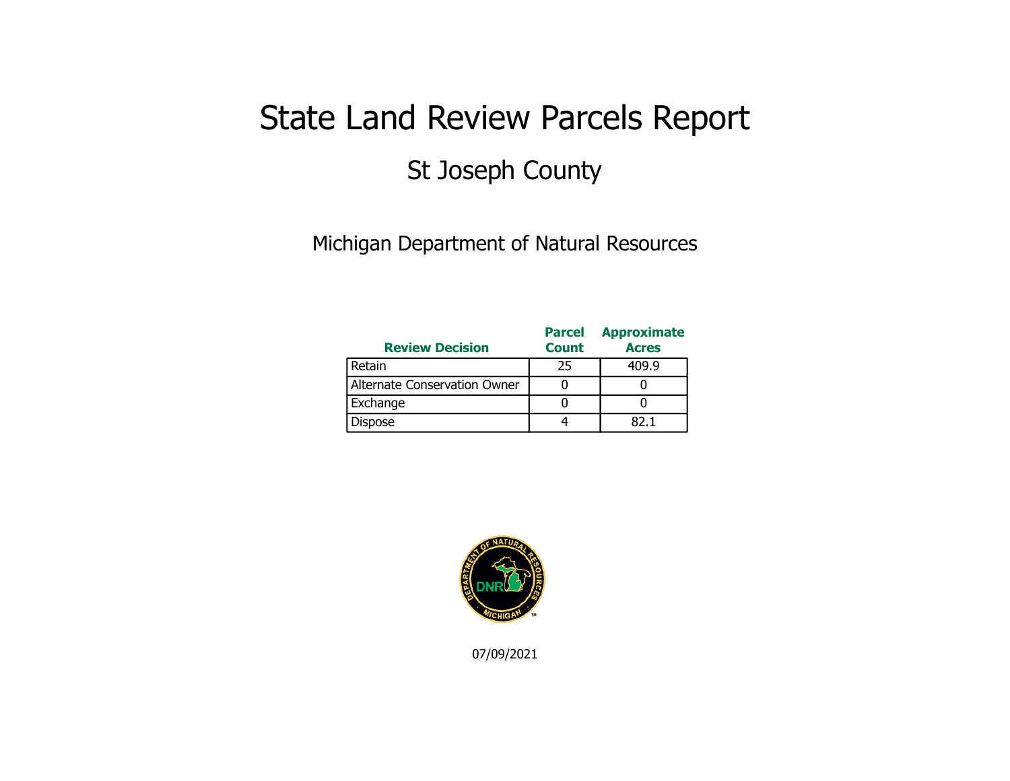## State Land Review Parcels Report St Joseph County

Michigan Department of Natural Resources

| <b>Review Decision</b>       | <b>Parcel</b><br><b>Count</b> | <b>Approximate</b><br><b>Acres</b> |
|------------------------------|-------------------------------|------------------------------------|
| Retain                       | 25                            | 409.9                              |
| Alternate Conservation Owner |                               |                                    |
| Exchange                     |                               |                                    |
| <b>Dispose</b>               |                               | RJ 1                               |



07/09/2021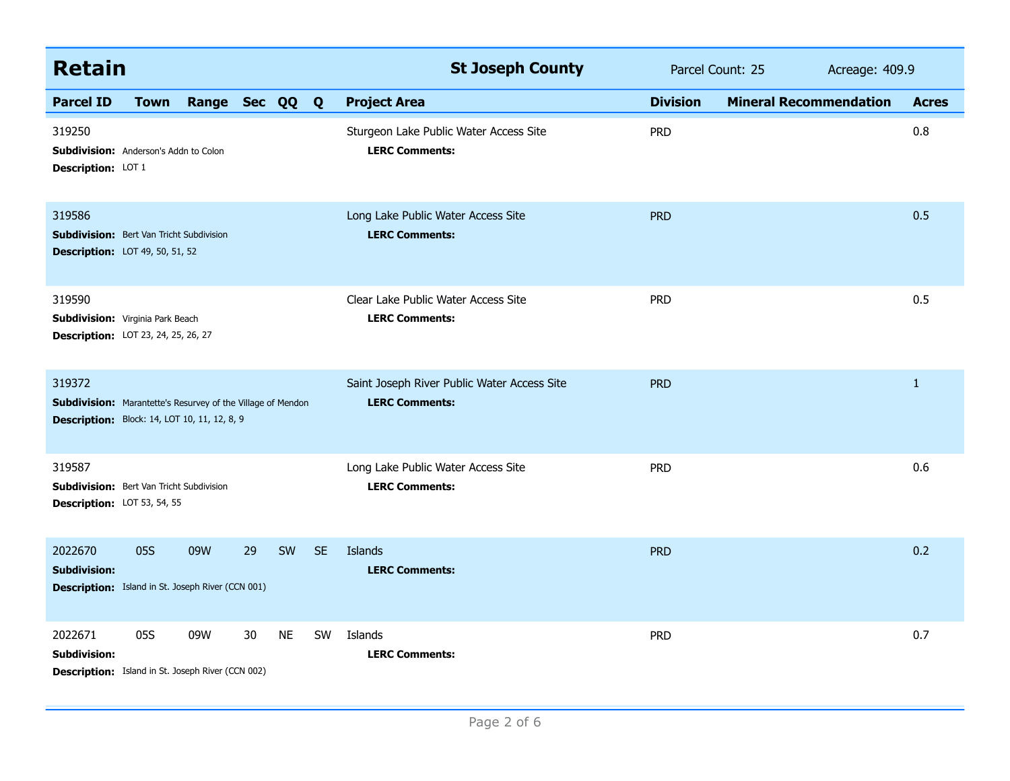| <b>Retain</b>                                                                                                                       |             |                |    |           |           | <b>St Joseph County</b>                                              | Parcel Count: 25 |                               | Acreage: 409.9 |  |
|-------------------------------------------------------------------------------------------------------------------------------------|-------------|----------------|----|-----------|-----------|----------------------------------------------------------------------|------------------|-------------------------------|----------------|--|
| <b>Parcel ID</b>                                                                                                                    | <b>Town</b> | Range Sec QQ Q |    |           |           | <b>Project Area</b>                                                  | <b>Division</b>  | <b>Mineral Recommendation</b> | <b>Acres</b>   |  |
| 319250<br><b>Subdivision:</b> Anderson's Addn to Colon<br>Description: LOT 1                                                        |             |                |    |           |           | Sturgeon Lake Public Water Access Site<br><b>LERC Comments:</b>      | <b>PRD</b>       |                               | 0.8            |  |
| 319586<br><b>Subdivision:</b> Bert Van Tricht Subdivision<br><b>Description:</b> LOT 49, 50, 51, 52                                 |             |                |    |           |           | Long Lake Public Water Access Site<br><b>LERC Comments:</b>          | <b>PRD</b>       |                               | 0.5            |  |
| 319590<br>Subdivision: Virginia Park Beach<br><b>Description:</b> LOT 23, 24, 25, 26, 27                                            |             |                |    |           |           | Clear Lake Public Water Access Site<br><b>LERC Comments:</b>         | <b>PRD</b>       |                               | 0.5            |  |
| 319372<br><b>Subdivision:</b> Marantette's Resurvey of the Village of Mendon<br><b>Description:</b> Block: 14, LOT 10, 11, 12, 8, 9 |             |                |    |           |           | Saint Joseph River Public Water Access Site<br><b>LERC Comments:</b> | <b>PRD</b>       |                               | $\mathbf{1}$   |  |
| 319587<br><b>Subdivision:</b> Bert Van Tricht Subdivision<br>Description: LOT 53, 54, 55                                            |             |                |    |           |           | Long Lake Public Water Access Site<br><b>LERC Comments:</b>          | <b>PRD</b>       |                               | 0.6            |  |
| 2022670<br><b>Subdivision:</b><br><b>Description:</b> Island in St. Joseph River (CCN 001)                                          | 05S         | 09W            | 29 | SW        | <b>SE</b> | Islands<br><b>LERC Comments:</b>                                     | <b>PRD</b>       |                               | 0.2            |  |
| 2022671<br><b>Subdivision:</b><br><b>Description:</b> Island in St. Joseph River (CCN 002)                                          | 05S         | 09W            | 30 | <b>NE</b> | <b>SW</b> | Islands<br><b>LERC Comments:</b>                                     | <b>PRD</b>       |                               | 0.7            |  |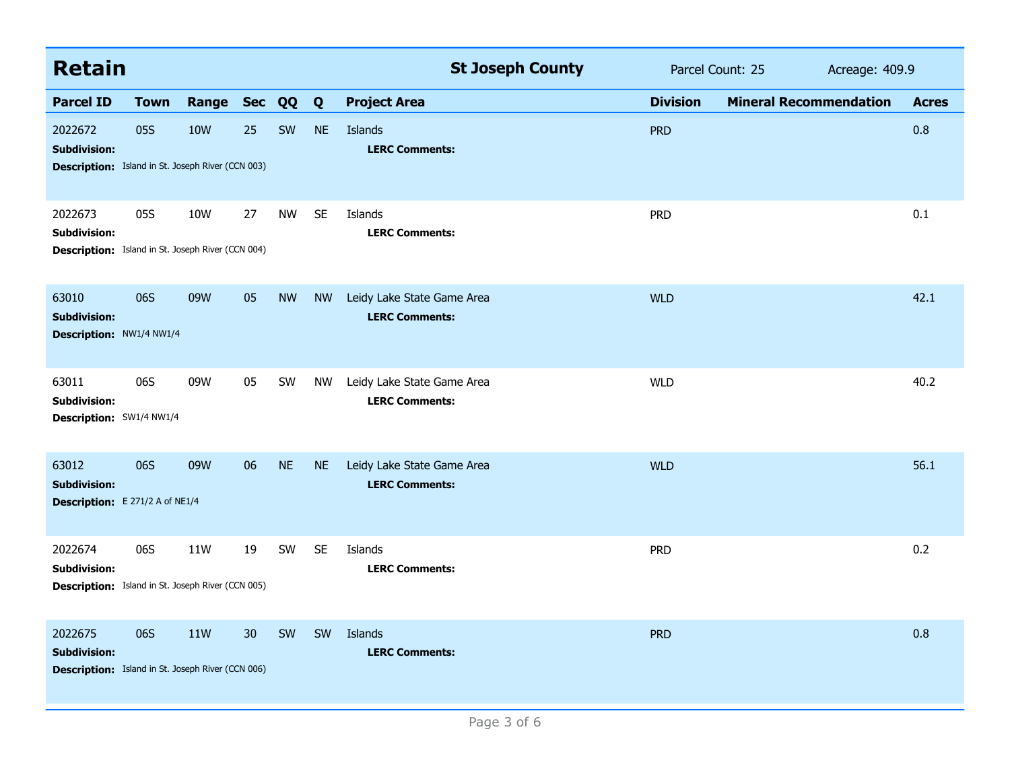| <b>Retain</b>                                                                              |             |              |                 |           |           | <b>St Joseph County</b>                             | Parcel Count: 25 |                               | Acreage: 409.9 |  |
|--------------------------------------------------------------------------------------------|-------------|--------------|-----------------|-----------|-----------|-----------------------------------------------------|------------------|-------------------------------|----------------|--|
| <b>Parcel ID</b>                                                                           | <b>Town</b> | Range Sec QQ |                 |           | Q         | <b>Project Area</b>                                 | <b>Division</b>  | <b>Mineral Recommendation</b> | <b>Acres</b>   |  |
| 2022672<br><b>Subdivision:</b><br><b>Description:</b> Island in St. Joseph River (CCN 003) | 05S         | <b>10W</b>   | 25              | SW        | <b>NE</b> | Islands<br><b>LERC Comments:</b>                    | <b>PRD</b>       |                               | 0.8            |  |
| 2022673<br><b>Subdivision:</b><br>Description: Island in St. Joseph River (CCN 004)        | 05S         | 10W          | 27              | <b>NW</b> | <b>SE</b> | Islands<br><b>LERC Comments:</b>                    | <b>PRD</b>       |                               | 0.1            |  |
| 63010<br><b>Subdivision:</b><br>Description: NW1/4 NW1/4                                   | 06S         | 09W          | 05              | <b>NW</b> | <b>NW</b> | Leidy Lake State Game Area<br><b>LERC Comments:</b> | <b>WLD</b>       |                               | 42.1           |  |
| 63011<br><b>Subdivision:</b><br>Description: SW1/4 NW1/4                                   | 06S         | 09W          | 05              | SW        | <b>NW</b> | Leidy Lake State Game Area<br><b>LERC Comments:</b> | <b>WLD</b>       |                               | 40.2           |  |
| 63012<br><b>Subdivision:</b><br>Description: E 271/2 A of NE1/4                            | 06S         | 09W          | 06              | <b>NE</b> | <b>NE</b> | Leidy Lake State Game Area<br><b>LERC Comments:</b> | <b>WLD</b>       |                               | 56.1           |  |
| 2022674<br><b>Subdivision:</b><br>Description: Island in St. Joseph River (CCN 005)        | 06S         | 11W          | 19              | SW        | <b>SE</b> | Islands<br><b>LERC Comments:</b>                    | <b>PRD</b>       |                               | 0.2            |  |
| 2022675<br><b>Subdivision:</b><br><b>Description:</b> Island in St. Joseph River (CCN 006) | 06S         | 11W          | 30 <sup>°</sup> | SW        | SW        | Islands<br><b>LERC Comments:</b>                    | <b>PRD</b>       |                               | 0.8            |  |
| Page 3 of 6                                                                                |             |              |                 |           |           |                                                     |                  |                               |                |  |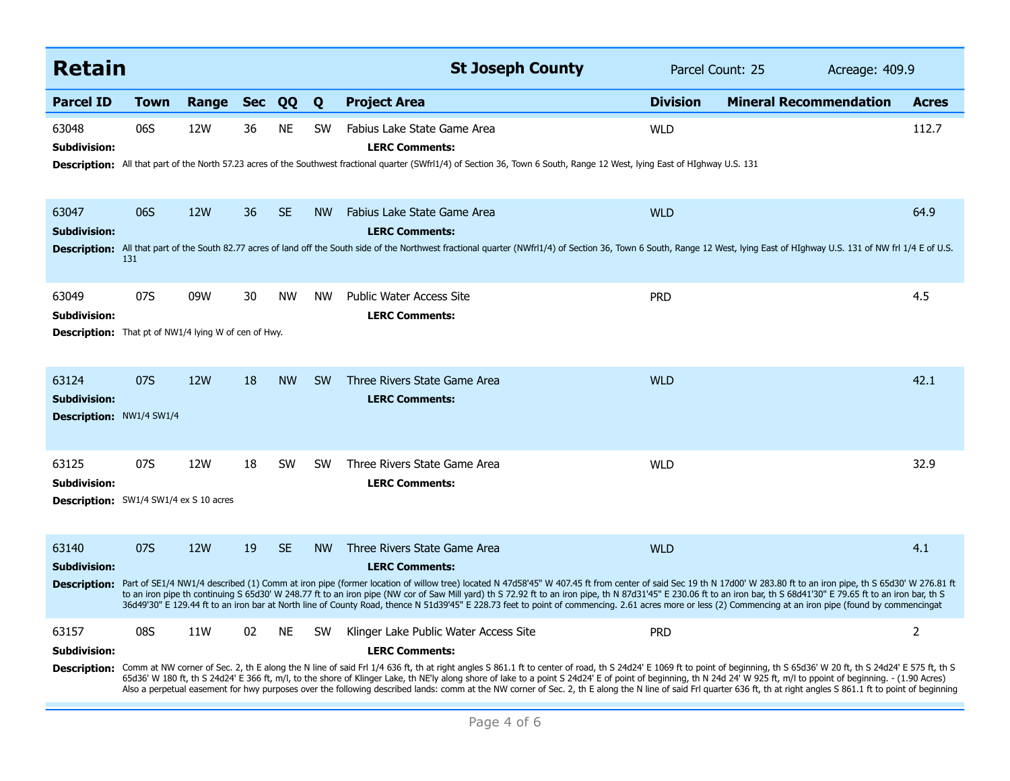| <b>Retain</b>                                                                        |            |            |            |           |           | <b>St Joseph County</b>                                                                                                                                                                                                                                                                                                                                                                                                                                                                                                                                                                                                                                                                                                                            | Parcel Count: 25<br>Acreage: 409.9 |                               |                |
|--------------------------------------------------------------------------------------|------------|------------|------------|-----------|-----------|----------------------------------------------------------------------------------------------------------------------------------------------------------------------------------------------------------------------------------------------------------------------------------------------------------------------------------------------------------------------------------------------------------------------------------------------------------------------------------------------------------------------------------------------------------------------------------------------------------------------------------------------------------------------------------------------------------------------------------------------------|------------------------------------|-------------------------------|----------------|
| <b>Parcel ID</b>                                                                     | Town       | Range      | <b>Sec</b> | QQ        | Q         | <b>Project Area</b>                                                                                                                                                                                                                                                                                                                                                                                                                                                                                                                                                                                                                                                                                                                                | <b>Division</b>                    | <b>Mineral Recommendation</b> | <b>Acres</b>   |
| 63048<br>Subdivision:                                                                | 06S        | 12W        | 36         | <b>NE</b> | <b>SW</b> | Fabius Lake State Game Area<br><b>LERC Comments:</b><br>Description: All that part of the North 57.23 acres of the Southwest fractional quarter (SWfrl1/4) of Section 36, Town 6 South, Range 12 West, lying East of HIghway U.S. 131                                                                                                                                                                                                                                                                                                                                                                                                                                                                                                              | <b>WLD</b>                         |                               | 112.7          |
| 63047<br><b>Subdivision:</b>                                                         | 06S<br>131 | <b>12W</b> | 36         | <b>SE</b> | <b>NW</b> | Fabius Lake State Game Area<br><b>LERC Comments:</b><br>Description: All that part of the South 82.77 acres of land off the South side of the Northwest fractional quarter (NWfrl1/4) of Section 36, Town 6 South, Range 12 West, lying East of HIghway U.S. 131 of NW frl 1/4 E of U.                                                                                                                                                                                                                                                                                                                                                                                                                                                             | <b>WLD</b>                         |                               | 64.9           |
| 63049<br><b>Subdivision:</b><br>Description: That pt of NW1/4 lying W of cen of Hwy. | 07S        | 09W        | 30         | <b>NW</b> | <b>NW</b> | <b>Public Water Access Site</b><br><b>LERC Comments:</b>                                                                                                                                                                                                                                                                                                                                                                                                                                                                                                                                                                                                                                                                                           | <b>PRD</b>                         |                               | 4.5            |
| 63124<br><b>Subdivision:</b><br><b>Description: NW1/4 SW1/4</b>                      | 07S        | <b>12W</b> | 18         | <b>NW</b> | <b>SW</b> | Three Rivers State Game Area<br><b>LERC Comments:</b>                                                                                                                                                                                                                                                                                                                                                                                                                                                                                                                                                                                                                                                                                              | <b>WLD</b>                         |                               | 42.1           |
| 63125<br><b>Subdivision:</b><br><b>Description:</b> SW1/4 SW1/4 ex S 10 acres        | 07S        | 12W        | 18         | <b>SW</b> | <b>SW</b> | Three Rivers State Game Area<br><b>LERC Comments:</b>                                                                                                                                                                                                                                                                                                                                                                                                                                                                                                                                                                                                                                                                                              | <b>WLD</b>                         |                               | 32.9           |
| 63140<br><b>Subdivision:</b>                                                         | 07S        | <b>12W</b> | 19         | <b>SE</b> | <b>NW</b> | Three Rivers State Game Area<br><b>LERC Comments:</b><br>Description: Part of SE1/4 NW1/4 described (1) Comm at iron pipe (former location of willow tree) located N 47d58'45" W 407.45 ft from center of said Sec 19 th N 17d00' W 283.80 ft to an iron pipe, th S 65d30' W 276.81 ft<br>to an iron pipe th continuing S 65d30' W 248.77 ft to an iron pipe (NW cor of Saw Mill yard) th S 72.92 ft to an iron pipe, th N 87d31'45" E 230.06 ft to an iron bar, th S 68d41'30" E 79.65 ft to an iron bar, th S<br>36d49'30" E 129.44 ft to an iron bar at North line of County Road, thence N 51d39'45" E 228.73 feet to point of commencing. 2.61 acres more or less (2) Commencing at an iron pipe (found by commencingat                       | <b>WLD</b>                         |                               | 4.1            |
| 63157<br>Subdivision:                                                                | 08S        | 11W        | 02         | <b>NE</b> | <b>SW</b> | Klinger Lake Public Water Access Site<br><b>LERC Comments:</b><br>Description: Comm at NW corner of Sec. 2, th E along the N line of said Frl 1/4 636 ft, th at right angles S 861.1 ft to center of road, th S 24d24' E 1069 ft to point of beginning, th S 65d36' W 20 ft, th S 24d24' E 575 f<br>65d36' W 180 ft, th S 24d24' E 366 ft, m/l, to the shore of Klinger Lake, th NE'ly along shore of lake to a point S 24d24' E of point of beginning, th N 24d 24' W 925 ft, m/l to ppoint of beginning. - (1.90 Acres)<br>Also a perpetual easement for hwy purposes over the following described lands: comm at the NW corner of Sec. 2, th E along the N line of said Frl quarter 636 ft, th at right angles S 861.1 ft to point of beginning | <b>PRD</b>                         |                               | $\overline{2}$ |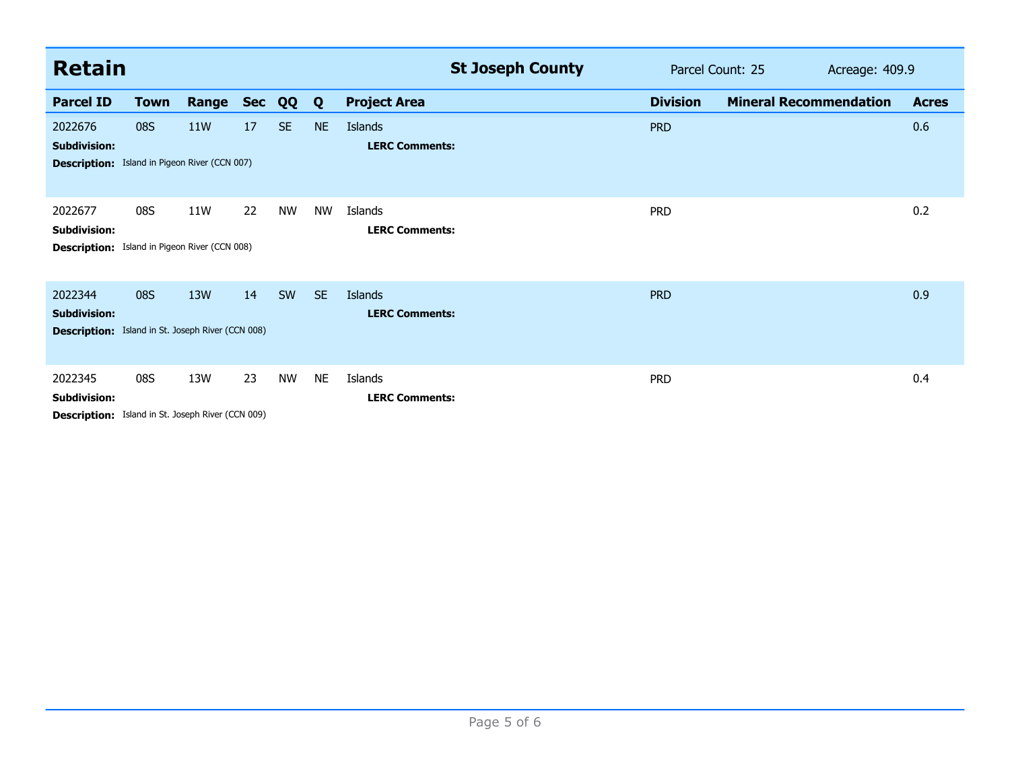| <b>Retain</b>                                                                              |             |            |            |           |           | <b>St Joseph County</b>          | Parcel Count: 25<br>Acreage: 409.9 |                               |              |
|--------------------------------------------------------------------------------------------|-------------|------------|------------|-----------|-----------|----------------------------------|------------------------------------|-------------------------------|--------------|
| <b>Parcel ID</b>                                                                           | <b>Town</b> | Range      | <b>Sec</b> | QQ        | Q         | <b>Project Area</b>              | <b>Division</b>                    | <b>Mineral Recommendation</b> | <b>Acres</b> |
| 2022676<br><b>Subdivision:</b><br><b>Description:</b> Island in Pigeon River (CCN 007)     | <b>08S</b>  | <b>11W</b> | 17         | <b>SE</b> | <b>NE</b> | Islands<br><b>LERC Comments:</b> | <b>PRD</b>                         |                               | 0.6          |
| 2022677<br><b>Subdivision:</b><br><b>Description:</b> Island in Pigeon River (CCN 008)     | 08S         | 11W        | 22         | <b>NW</b> | <b>NW</b> | Islands<br><b>LERC Comments:</b> | <b>PRD</b>                         |                               | 0.2          |
| 2022344<br><b>Subdivision:</b><br><b>Description:</b> Island in St. Joseph River (CCN 008) | <b>08S</b>  | 13W        | 14         | SW        | SE.       | Islands<br><b>LERC Comments:</b> | <b>PRD</b>                         |                               | 0.9          |
| 2022345<br><b>Subdivision:</b><br>Description: Island in St. Joseph River (CCN 009)        | 08S         | 13W        | 23         | <b>NW</b> | <b>NE</b> | Islands<br><b>LERC Comments:</b> | <b>PRD</b>                         |                               | 0.4          |